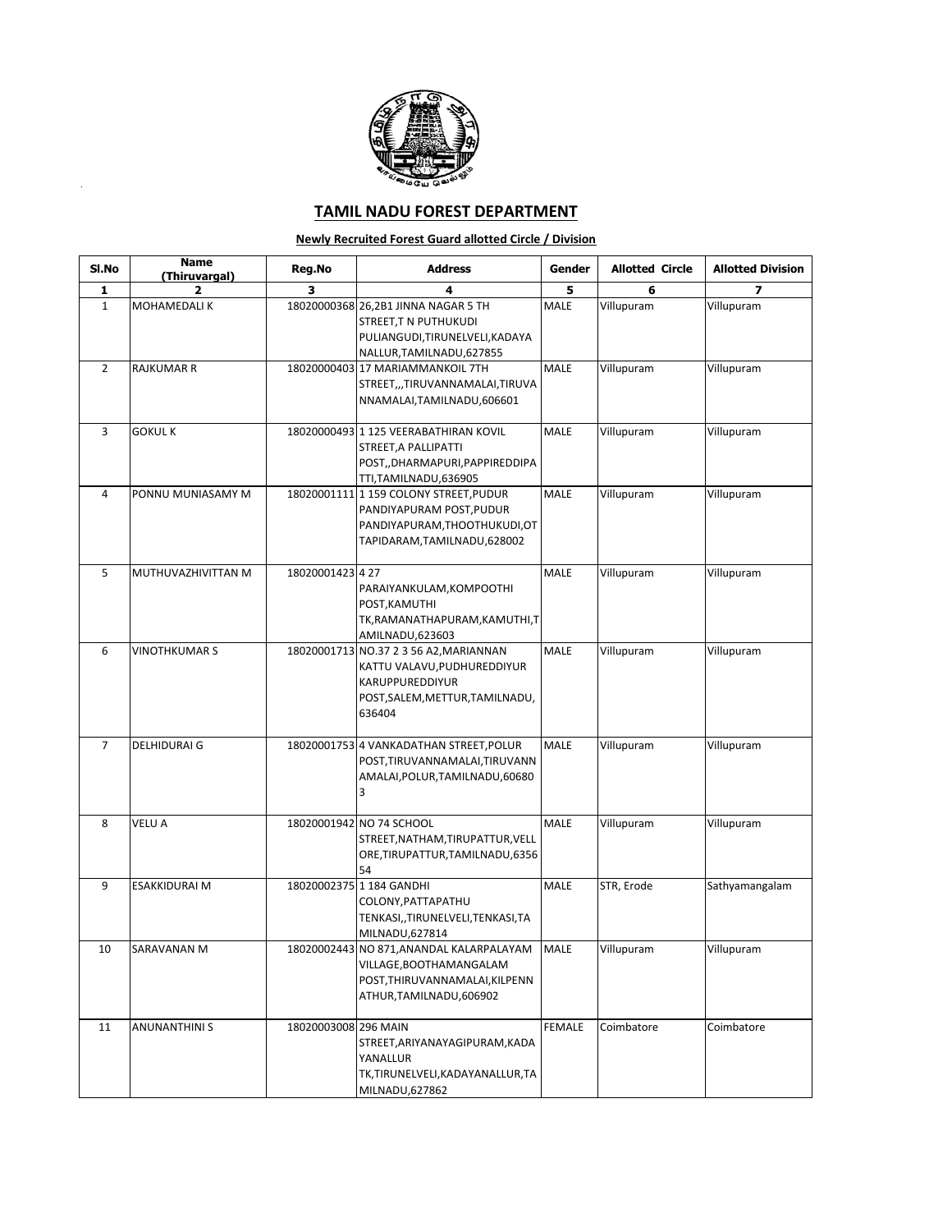

l,

## **TAMIL NADU FOREST DEPARTMENT**

## **Newly Recruited Forest Guard allotted Circle / Division**

| SI.No          | <b>Name</b><br>(Thiruvargal) | Reg.No               | <b>Address</b>                                                                                                                  | Gender        | <b>Allotted Circle</b> | <b>Allotted Division</b> |
|----------------|------------------------------|----------------------|---------------------------------------------------------------------------------------------------------------------------------|---------------|------------------------|--------------------------|
| 1              | 2                            | 3                    | 4                                                                                                                               | 5             | 6                      | $\overline{\phantom{a}}$ |
| $\mathbf{1}$   | MOHAMEDALI K                 |                      | 18020000368 26,2B1 JINNA NAGAR 5 TH<br>STREET,T N PUTHUKUDI<br>PULIANGUDI, TIRUNELVELI, KADAYA<br>NALLUR, TAMILNADU, 627855     | MALE          | Villupuram             | Villupuram               |
| $\overline{2}$ | <b>RAJKUMAR R</b>            |                      | 18020000403 17 MARIAMMANKOIL 7TH<br>STREET,,,TIRUVANNAMALAI,TIRUVA<br>NNAMALAI, TAMILNADU, 606601                               | MALE          | Villupuram             | Villupuram               |
| 3              | <b>GOKUL K</b>               |                      | 18020000493 1 125 VEERABATHIRAN KOVIL<br>STREET, A PALLIPATTI<br>POST,,DHARMAPURI,PAPPIREDDIPA<br>TTI,TAMILNADU,636905          | MALE          | Villupuram             | Villupuram               |
| 4              | PONNU MUNIASAMY M            |                      | 18020001111 159 COLONY STREET, PUDUR<br>PANDIYAPURAM POST, PUDUR<br>PANDIYAPURAM, THOOTHUKUDI, OT<br>TAPIDARAM,TAMILNADU,628002 | MALE          | Villupuram             | Villupuram               |
| 5              | MUTHUVAZHIVITTAN M           | 18020001423427       | PARAIYANKULAM, KOMPOOTHI<br>POST, KAMUTHI<br>TK, RAMANATHAPURAM, KAMUTHI, T<br>AMILNADU, 623603                                 | MALE          | Villupuram             | Villupuram               |
| 6              | <b>VINOTHKUMAR S</b>         | 18020001713          | NO.37 2 3 56 A2, MARIANNAN<br>KATTU VALAVU,PUDHUREDDIYUR<br>KARUPPUREDDIYUR<br>POST, SALEM, METTUR, TAMILNADU,<br>636404        | MALE          | Villupuram             | Villupuram               |
| $\overline{7}$ | <b>DELHIDURAI G</b>          |                      | 18020001753 4 VANKADATHAN STREET, POLUR<br>POST, TIRUVANNAMALAI, TIRUVANN<br>AMALAI, POLUR, TAMILNADU, 60680<br>3               | MALE          | Villupuram             | Villupuram               |
| 8              | VELU A                       |                      | 18020001942 NO 74 SCHOOL<br>STREET, NATHAM, TIRUPATTUR, VELL<br>ORE, TIRUPATTUR, TAMILNADU, 6356<br>54                          | MALE          | Villupuram             | Villupuram               |
| 9              | <b>ESAKKIDURAI M</b>         |                      | 18020002375 1 184 GANDHI<br>COLONY,PATTAPATHU<br>TENKASI,,TIRUNELVELI,TENKASI,TA<br>MILNADU,627814                              | <b>MALE</b>   | STR, Erode             | Sathyamangalam           |
| 10             | SARAVANAN M                  | 18020002443          | NO 871, ANANDAL KALARPALAYAM<br>VILLAGE, BOOTHAMANGALAM<br>POST, THIRUVANNAMALAI, KILPENN<br>ATHUR, TAMILNADU, 606902           | <b>MALE</b>   | Villupuram             | Villupuram               |
| 11             | <b>ANUNANTHINIS</b>          | 18020003008 296 MAIN | STREET, ARIYANAYAGIPURAM, KADA<br>YANALLUR<br>TK,TIRUNELVELI,KADAYANALLUR,TA<br>MILNADU,627862                                  | <b>FEMALE</b> | Coimbatore             | Coimbatore               |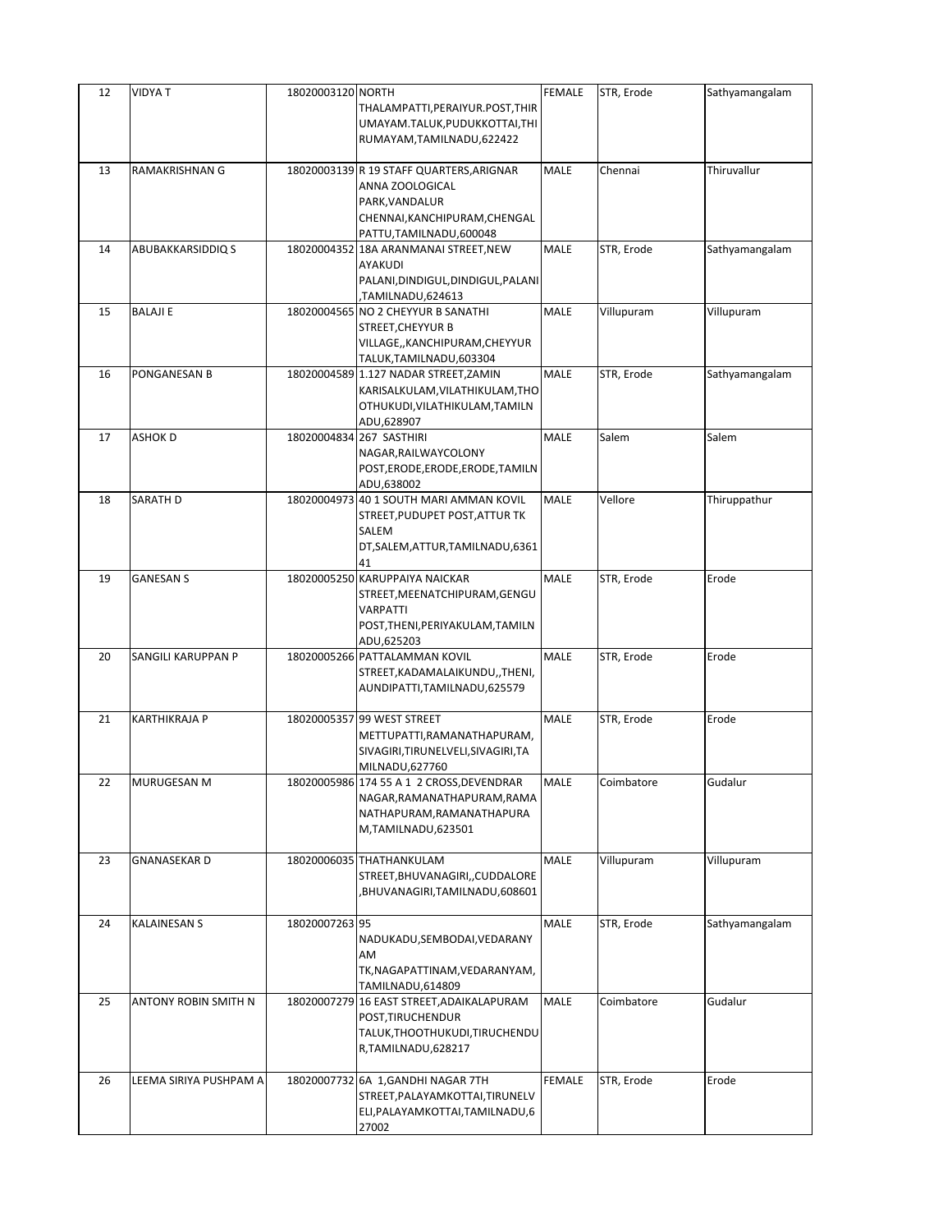| 12 | <b>VIDYAT</b>          | 18020003120 NORTH | THALAMPATTI,PERAIYUR.POST,THIR<br>UMAYAM.TALUK, PUDUKKOTTAI, THI<br>RUMAYAM, TAMILNADU, 622422                                             | <b>FEMALE</b> | STR, Erode | Sathyamangalam |
|----|------------------------|-------------------|--------------------------------------------------------------------------------------------------------------------------------------------|---------------|------------|----------------|
| 13 | RAMAKRISHNAN G         |                   | 18020003139 R 19 STAFF QUARTERS, ARIGNAR<br>ANNA ZOOLOGICAL<br>PARK, VANDALUR<br>CHENNAI, KANCHIPURAM, CHENGAL<br>PATTU, TAMILNADU, 600048 | MALE          | Chennai    | Thiruvallur    |
| 14 | ABUBAKKARSIDDIQ S      |                   | 18020004352 18A ARANMANAI STREET, NEW<br>AYAKUDI<br>PALANI, DINDIGUL, DINDIGUL, PALANI<br>TAMILNADU,624613                                 | MALE          | STR, Erode | Sathyamangalam |
| 15 | <b>BALAJI E</b>        |                   | 18020004565 NO 2 CHEYYUR B SANATHI<br>STREET, CHEYYUR B<br>VILLAGE,, KANCHIPURAM, CHEYYUR<br>TALUK, TAMILNADU, 603304                      | MALE          | Villupuram | Villupuram     |
| 16 | PONGANESAN B           |                   | 18020004589 1.127 NADAR STREET, ZAMIN<br>KARISALKULAM, VILATHIKULAM, THO<br>OTHUKUDI, VILATHIKULAM, TAMILN<br>ADU,628907                   | MALE          | STR, Erode | Sathyamangalam |
| 17 | <b>ASHOK D</b>         |                   | 18020004834 267 SASTHIRI<br>NAGAR, RAILWAYCOLONY<br>POST, ERODE, ERODE, ERODE, TAMILN<br>ADU,638002                                        | MALE          | Salem      | Salem          |
| 18 | SARATH D               |                   | 18020004973 40 1 SOUTH MARI AMMAN KOVIL<br>STREET, PUDUPET POST, ATTUR TK<br>SALEM<br>DT, SALEM, ATTUR, TAMILNADU, 6361<br>41              | MALE          | Vellore    | Thiruppathur   |
| 19 | <b>GANESAN S</b>       |                   | 18020005250 KARUPPAIYA NAICKAR<br>STREET, MEENATCHIPURAM, GENGU<br><b>VARPATTI</b><br>POST, THENI, PERIYAKULAM, TAMILN<br>ADU,625203       | MALE          | STR, Erode | Erode          |
| 20 | SANGILI KARUPPAN P     |                   | 18020005266 PATTALAMMAN KOVIL<br>STREET, KADAMALAIKUNDU, ,THENI,<br>AUNDIPATTI, TAMILNADU, 625579                                          | MALE          | STR, Erode | Erode          |
| 21 | KARTHIKRAJA P          |                   | 18020005357 99 WEST STREET<br>METTUPATTI, RAMANATHAPURAM,<br>SIVAGIRI, TIRUNELVELI, SIVAGIRI, TA<br>MILNADU,627760                         | MALE          | STR, Erode | Erode          |
| 22 | MURUGESAN M            |                   | 18020005986 174 55 A 1 2 CROSS, DEVENDRAR<br>NAGAR, RAMANATHAPURAM, RAMA<br>NATHAPURAM, RAMANATHAPURA<br>M,TAMILNADU,623501                | <b>MALE</b>   | Coimbatore | Gudalur        |
| 23 | <b>GNANASEKAR D</b>    |                   | 18020006035 THATHANKULAM<br>STREET, BHUVANAGIRI, , CUDDALORE<br>BHUVANAGIRI,TAMILNADU,608601,                                              | <b>MALE</b>   | Villupuram | Villupuram     |
| 24 | <b>KALAINESAN S</b>    | 18020007263 95    | NADUKADU, SEMBODAI, VEDARANY<br>AM<br>TK, NAGAPATTINAM, VEDARANYAM,<br>TAMILNADU,614809                                                    | <b>MALE</b>   | STR, Erode | Sathyamangalam |
| 25 | ANTONY ROBIN SMITH N   | 18020007279       | 16 EAST STREET, ADAIKALAPURAM<br>POST, TIRUCHENDUR<br>TALUK, THOOTHUKUDI, TIRUCHENDU<br>R,TAMILNADU,628217                                 | MALE          | Coimbatore | Gudalur        |
| 26 | LEEMA SIRIYA PUSHPAM A |                   | 18020007732 6A 1, GANDHI NAGAR 7TH<br>STREET, PALAYAMKOTTAI, TIRUNELV<br>ELI, PALAYAMKOTTAI, TAMILNADU, 6<br>27002                         | <b>FEMALE</b> | STR, Erode | Erode          |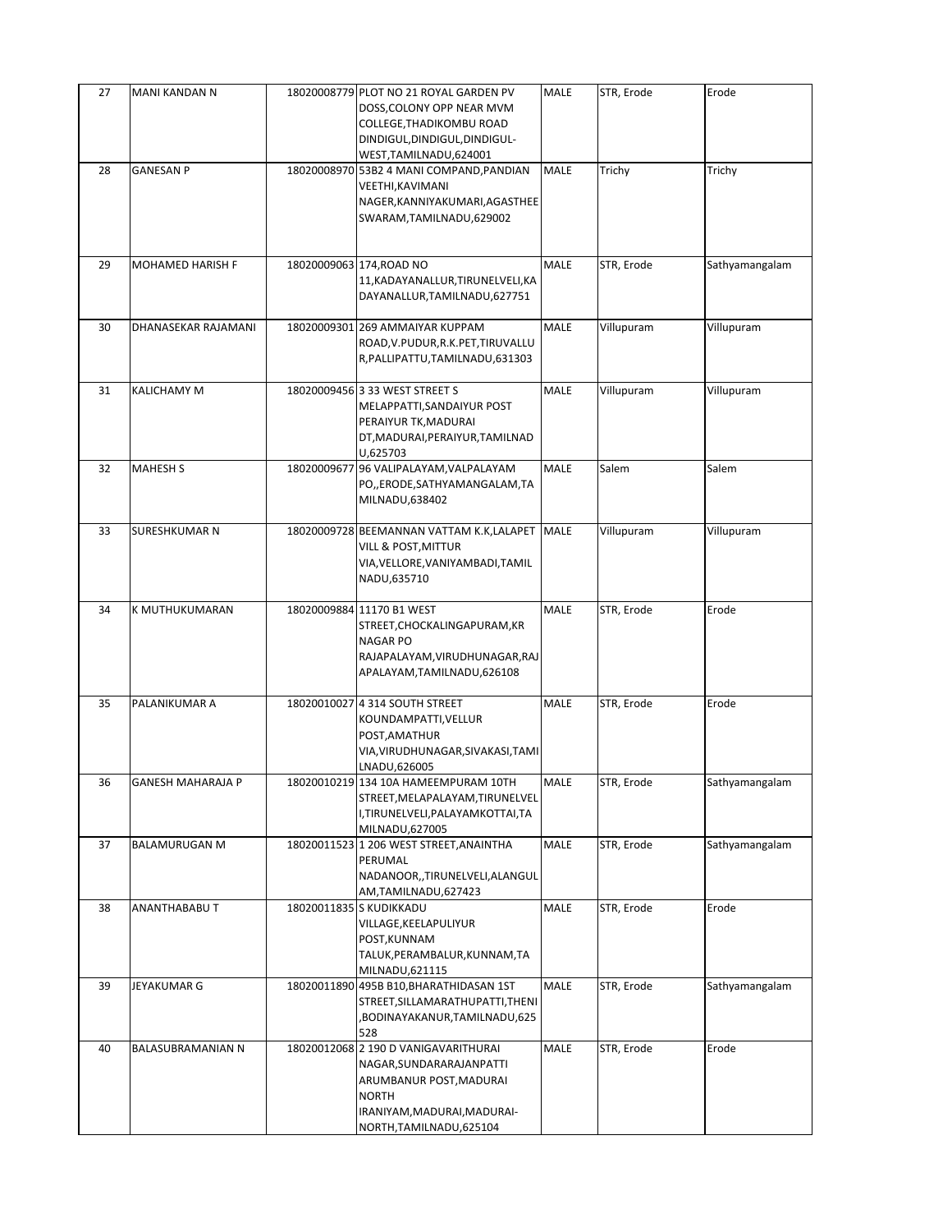| 27 | MANI KANDAN N            | 18020008779 PLOT NO 21 ROYAL GARDEN PV                         | MALE        | STR, Erode | Erode          |
|----|--------------------------|----------------------------------------------------------------|-------------|------------|----------------|
|    |                          | DOSS, COLONY OPP NEAR MVM<br>COLLEGE, THADIKOMBU ROAD          |             |            |                |
|    |                          | DINDIGUL, DINDIGUL, DINDIGUL-                                  |             |            |                |
|    |                          | WEST, TAMILNADU, 624001                                        |             |            |                |
| 28 | <b>GANESAN P</b>         | 18020008970 53B2 4 MANI COMPAND, PANDIAN                       | MALE        | Trichy     | Trichy         |
|    |                          | VEETHI, KAVIMANI                                               |             |            |                |
|    |                          | NAGER, KANNIYAKUMARI, AGASTHEE<br>SWARAM, TAMILNADU, 629002    |             |            |                |
|    |                          |                                                                |             |            |                |
|    |                          |                                                                |             |            |                |
| 29 | MOHAMED HARISH F         | 18020009063 174, ROAD NO                                       | <b>MALE</b> | STR, Erode | Sathyamangalam |
|    |                          | 11, KADAYANALLUR, TIRUNELVELI, KA                              |             |            |                |
|    |                          | DAYANALLUR, TAMILNADU, 627751                                  |             |            |                |
| 30 | DHANASEKAR RAJAMANI      | 18020009301 269 AMMAIYAR KUPPAM                                | <b>MALE</b> | Villupuram | Villupuram     |
|    |                          | ROAD, V.PUDUR, R.K. PET, TIRUVALLU                             |             |            |                |
|    |                          | R, PALLIPATTU, TAMILNADU, 631303                               |             |            |                |
| 31 | KALICHAMY M              | 18020009456 3 33 WEST STREET S                                 | MALE        | Villupuram | Villupuram     |
|    |                          | MELAPPATTI, SANDAIYUR POST                                     |             |            |                |
|    |                          | PERAIYUR TK, MADURAI                                           |             |            |                |
|    |                          | DT, MADURAI, PERAIYUR, TAMILNAD                                |             |            |                |
| 32 | <b>MAHESH S</b>          | U,625703<br>18020009677 96 VALIPALAYAM, VALPALAYAM             | MALE        | Salem      | Salem          |
|    |                          | PO,,ERODE,SATHYAMANGALAM,TA                                    |             |            |                |
|    |                          | MILNADU,638402                                                 |             |            |                |
|    |                          |                                                                |             |            |                |
| 33 | <b>SURESHKUMAR N</b>     | 18020009728 BEEMANNAN VATTAM K.K,LALAPET<br>VILL & POST,MITTUR | <b>MALE</b> | Villupuram | Villupuram     |
|    |                          | VIA, VELLORE, VANIYAMBADI, TAMIL                               |             |            |                |
|    |                          | NADU,635710                                                    |             |            |                |
|    |                          |                                                                |             |            |                |
| 34 | K MUTHUKUMARAN           | 18020009884 11170 B1 WEST<br>STREET, CHOCKALINGAPURAM, KR      | <b>MALE</b> | STR, Erode | Erode          |
|    |                          | <b>NAGAR PO</b>                                                |             |            |                |
|    |                          | RAJAPALAYAM, VIRUDHUNAGAR, RAJ                                 |             |            |                |
|    |                          | APALAYAM, TAMILNADU, 626108                                    |             |            |                |
| 35 | PALANIKUMAR A            | 18020010027 4 314 SOUTH STREET                                 | MALE        | STR, Erode | Erode          |
|    |                          | KOUNDAMPATTI, VELLUR                                           |             |            |                |
|    |                          | POST, AMATHUR                                                  |             |            |                |
|    |                          | VIA, VIRUDHUNAGAR, SIVAKASI, TAMI                              |             |            |                |
| 36 | <b>GANESH MAHARAJA P</b> | LNADU,626005<br>18020010219 134 10A HAMEEMPURAM 10TH           | <b>MALE</b> | STR, Erode | Sathyamangalam |
|    |                          | STREET, MELAPALAYAM, TIRUNELVEL                                |             |            |                |
|    |                          | I,TIRUNELVELI,PALAYAMKOTTAI,TA                                 |             |            |                |
|    |                          | MILNADU,627005                                                 |             |            |                |
| 37 | <b>BALAMURUGAN M</b>     | 18020011523 1 206 WEST STREET, ANAINTHA<br>PERUMAL             | <b>MALE</b> | STR, Erode | Sathyamangalam |
|    |                          | NADANOOR,,TIRUNELVELI,ALANGUL                                  |             |            |                |
|    |                          | AM,TAMILNADU,627423                                            |             |            |                |
| 38 | ANANTHABABU T            | 18020011835 S KUDIKKADU                                        | MALE        | STR, Erode | Erode          |
|    |                          | VILLAGE, KEELAPULIYUR                                          |             |            |                |
|    |                          | POST, KUNNAM<br>TALUK, PERAMBALUR, KUNNAM, TA                  |             |            |                |
|    |                          | MILNADU,621115                                                 |             |            |                |
| 39 | JEYAKUMAR G              | 18020011890 495B B10, BHARATHIDASAN 1ST                        | MALE        | STR, Erode | Sathyamangalam |
|    |                          | STREET, SILLAMARATHUPATTI, THENI                               |             |            |                |
|    |                          | BODINAYAKANUR,TAMILNADU,625,<br>528                            |             |            |                |
| 40 | BALASUBRAMANIAN N        | 18020012068 2 190 D VANIGAVARITHURAI                           | <b>MALE</b> | STR, Erode | Erode          |
|    |                          | NAGAR, SUNDARARAJANPATTI                                       |             |            |                |
|    |                          | ARUMBANUR POST, MADURAI                                        |             |            |                |
|    |                          | <b>NORTH</b><br>IRANIYAM, MADURAI, MADURAI-                    |             |            |                |
|    |                          | NORTH, TAMILNADU, 625104                                       |             |            |                |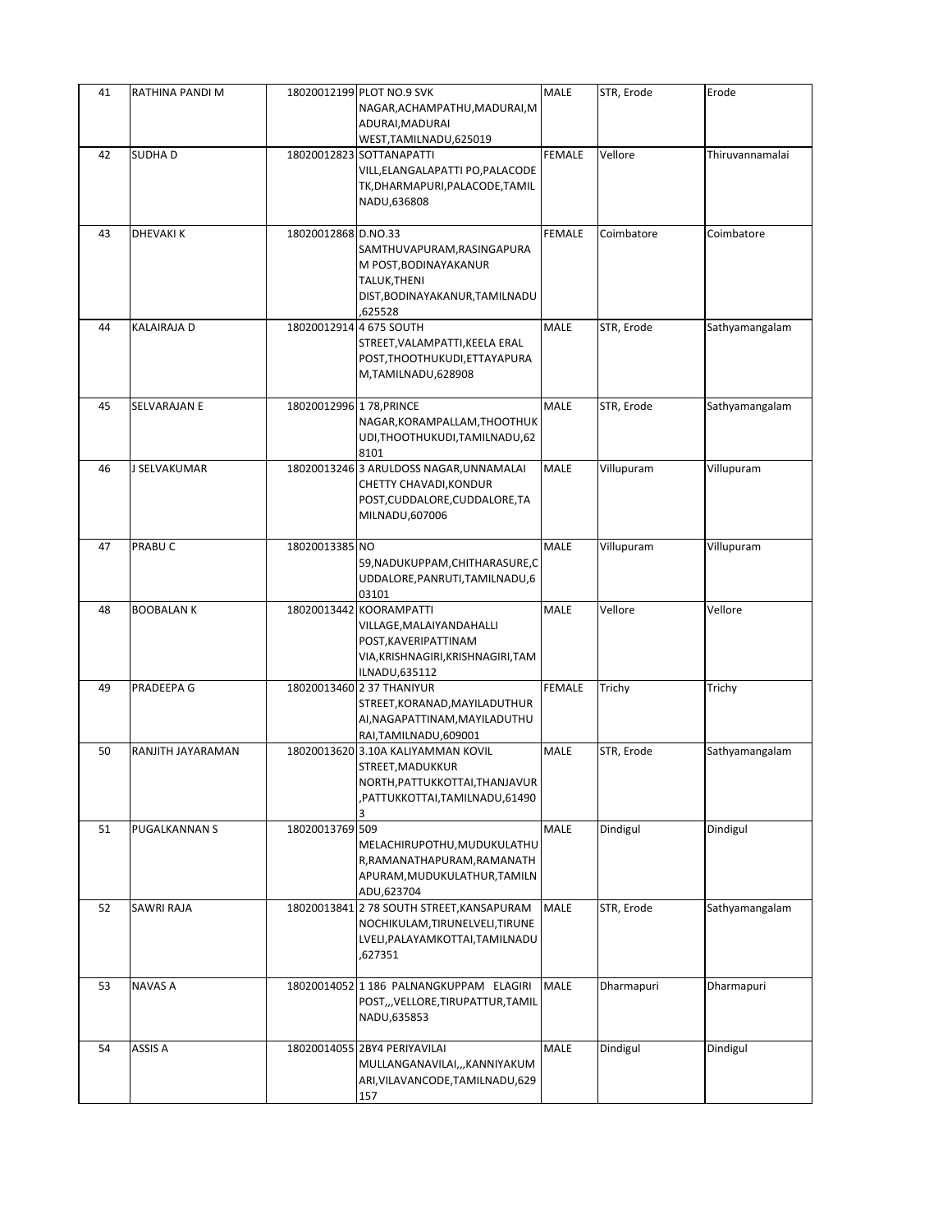| 41 | RATHINA PANDI M   |                          | 18020012199 PLOT NO.9 SVK<br>NAGAR, ACHAMPATHU, MADURAI, M<br>ADURAI, MADURAI                                                             | <b>MALE</b>   | STR, Erode | Erode           |
|----|-------------------|--------------------------|-------------------------------------------------------------------------------------------------------------------------------------------|---------------|------------|-----------------|
| 42 | <b>SUDHAD</b>     |                          | WEST, TAMILNADU, 625019<br>18020012823 SOTTANAPATTI<br>VILL, ELANGALAPATTI PO, PALACODE<br>TK, DHARMAPURI, PALACODE, TAMIL<br>NADU,636808 | <b>FEMALE</b> | Vellore    | Thiruvannamalai |
| 43 | <b>DHEVAKI K</b>  | 18020012868 D.NO.33      | SAMTHUVAPURAM, RASINGAPURA<br>M POST, BODINAYAKANUR<br>TALUK, THENI<br>DIST, BODINAYAKANUR, TAMILNADU<br>625528,                          | FEMALE        | Coimbatore | Coimbatore      |
| 44 | KALAIRAJA D       |                          | 18020012914 4 675 SOUTH<br>STREET, VALAMPATTI, KEELA ERAL<br>POST, THOOTHUKUDI, ETTAYAPURA<br>M,TAMILNADU,628908                          | <b>MALE</b>   | STR, Erode | Sathyamangalam  |
| 45 | SELVARAJAN E      | 18020012996 1 78, PRINCE | NAGAR, KORAMPALLAM, THOOTHUK<br>UDI, THOOTHUKUDI, TAMILNADU, 62<br>8101                                                                   | <b>MALE</b>   | STR, Erode | Sathyamangalam  |
| 46 | <b>SELVAKUMAR</b> |                          | 18020013246 3 ARULDOSS NAGAR, UNNAMALAI<br>CHETTY CHAVADI, KONDUR<br>POST, CUDDALORE, CUDDALORE, TA<br>MILNADU,607006                     | MALE          | Villupuram | Villupuram      |
| 47 | PRABU C           | 18020013385 NO           | 59, NADUKUPPAM, CHITHARASURE, C<br>UDDALORE, PANRUTI, TAMILNADU, 6<br>03101                                                               | <b>MALE</b>   | Villupuram | Villupuram      |
| 48 | <b>BOOBALANK</b>  |                          | 18020013442 KOORAMPATTI<br>VILLAGE, MALAIYANDAHALLI<br>POST, KAVERIPATTINAM<br>VIA, KRISHNAGIRI, KRISHNAGIRI, TAM<br>ILNADU,635112        | MALE          | Vellore    | Vellore         |
| 49 | PRADEEPA G        |                          | 18020013460 2 37 THANIYUR<br>STREET, KORANAD, MAYILADUTHUR<br>AI, NAGAPATTINAM, MAYILADUTHU<br>RAI, TAMILNADU, 609001                     | FEMALE        | Trichy     | Trichy          |
| 50 | RANJITH JAYARAMAN |                          | 18020013620 3.10A KALIYAMMAN KOVIL<br>STREET, MADUKKUR<br>NORTH, PATTUKKOTTAI, THANJAVUR<br>PATTUKKOTTAI,TAMILNADU,61490,                 | <b>MALE</b>   | STR, Erode | Sathyamangalam  |
| 51 | PUGALKANNAN S     | 18020013769 509          | MELACHIRUPOTHU, MUDUKULATHU<br>R, RAMANATHAPURAM, RAMANATH<br>APURAM, MUDUKULATHUR, TAMILN<br>ADU,623704                                  | MALE          | Dindigul   | Dindigul        |
| 52 | SAWRI RAJA        |                          | 18020013841 2 78 SOUTH STREET, KANSAPURAM<br>NOCHIKULAM, TIRUNELVELI, TIRUNE<br>LVELI, PALAYAMKOTTAI, TAMILNADU<br>,627351                | <b>MALE</b>   | STR, Erode | Sathyamangalam  |
| 53 | NAVAS A           |                          | 18020014052 1 186 PALNANGKUPPAM ELAGIRI<br>POST,,,VELLORE,TIRUPATTUR,TAMIL<br>NADU,635853                                                 | <b>MALE</b>   | Dharmapuri | Dharmapuri      |
| 54 | ASSIS A           |                          | 18020014055 2BY4 PERIYAVILAI<br>MULLANGANAVILAI,,,KANNIYAKUM<br>ARI, VILAVANCODE, TAMILNADU, 629<br>157                                   | MALE          | Dindigul   | Dindigul        |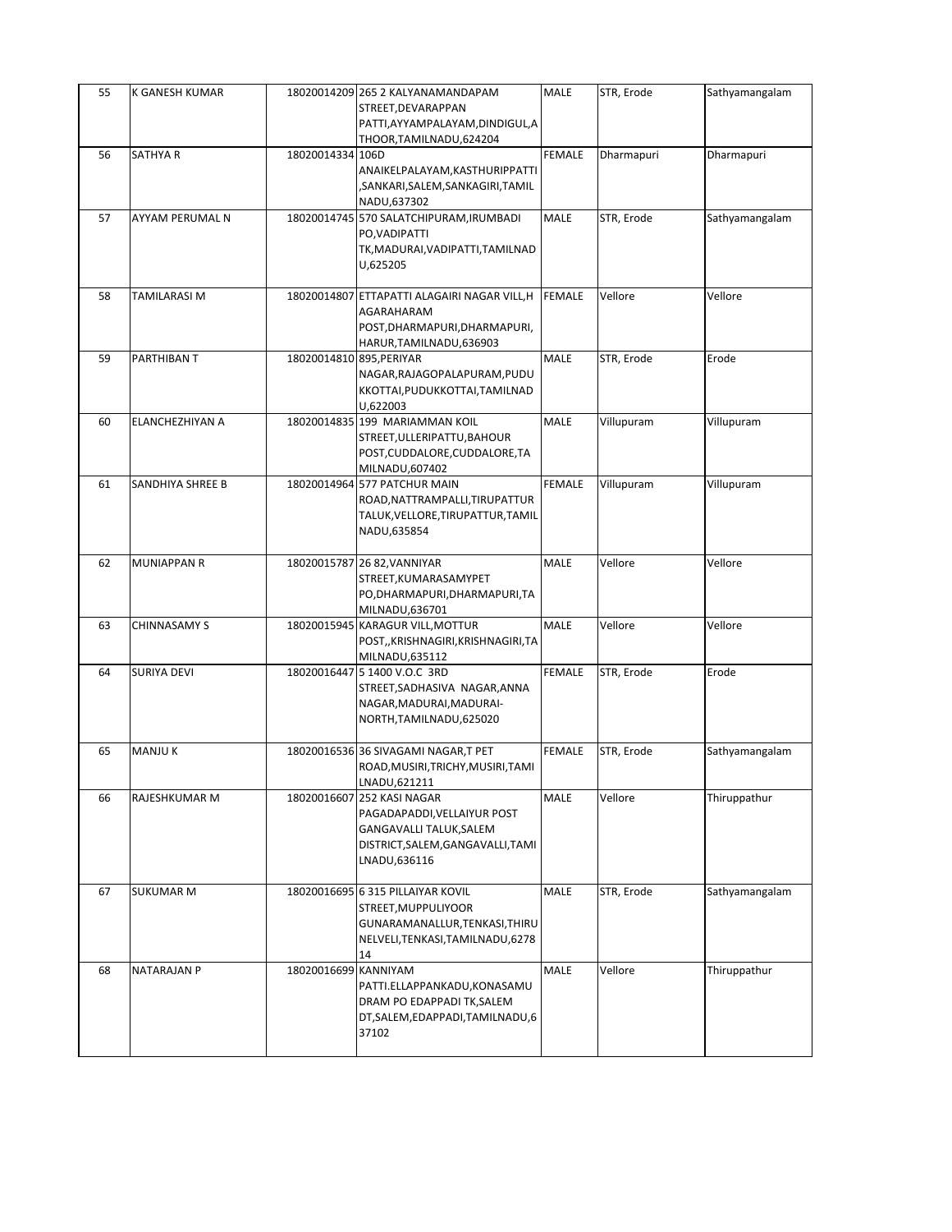| 55 | K GANESH KUMAR     |                          | 18020014209 265 2 KALYANAMANDAPAM<br>STREET, DEVARAPPAN<br>PATTI, AYYAMPALAYAM, DINDIGUL, A                                               | MALE          | STR, Erode | Sathyamangalam |
|----|--------------------|--------------------------|-------------------------------------------------------------------------------------------------------------------------------------------|---------------|------------|----------------|
| 56 | SATHYA R           | 18020014334 106D         | THOOR,TAMILNADU,624204<br>ANAIKELPALAYAM, KASTHURIPPATTI<br>,SANKARI,SALEM,SANKAGIRI,TAMIL<br>NADU,637302                                 | <b>FEMALE</b> | Dharmapuri | Dharmapuri     |
| 57 | AYYAM PERUMAL N    |                          | 18020014745 570 SALATCHIPURAM, IRUMBADI<br>PO, VADIPATTI<br>TK, MADURAI, VADIPATTI, TAMILNAD<br>U,625205                                  | <b>MALE</b>   | STR, Erode | Sathyamangalam |
| 58 | TAMILARASI M       |                          | 18020014807 ETTAPATTI ALAGAIRI NAGAR VILL, H<br>AGARAHARAM<br>POST, DHARMAPURI, DHARMAPURI,<br>HARUR, TAMILNADU, 636903                   | <b>FEMALE</b> | Vellore    | Vellore        |
| 59 | PARTHIBAN T        | 18020014810 895, PERIYAR | NAGAR, RAJAGOPALAPURAM, PUDU<br>KKOTTAI, PUDUKKOTTAI, TAMILNAD<br>U,622003                                                                | MALE          | STR, Erode | Erode          |
| 60 | ELANCHEZHIYAN A    |                          | 18020014835 199 MARIAMMAN KOIL<br>STREET, ULLERIPATTU, BAHOUR<br>POST, CUDDALORE, CUDDALORE, TA<br>MILNADU,607402                         | <b>MALE</b>   | Villupuram | Villupuram     |
| 61 | SANDHIYA SHREE B   |                          | 18020014964 577 PATCHUR MAIN<br>ROAD, NATTRAMPALLI, TIRUPATTUR<br>TALUK, VELLORE, TIRUPATTUR, TAMIL<br>NADU,635854                        | <b>FEMALE</b> | Villupuram | Villupuram     |
| 62 | <b>MUNIAPPAN R</b> |                          | 18020015787 26 82, VANNIYAR<br>STREET, KUMARASAMYPET<br>PO, DHARMAPURI, DHARMAPURI, TA<br>MILNADU,636701                                  | MALE          | Vellore    | Vellore        |
| 63 | CHINNASAMY S       |                          | 18020015945 KARAGUR VILL, MOTTUR<br>POST,, KRISHNAGIRI, KRISHNAGIRI, TA<br>MILNADU,635112                                                 | MALE          | Vellore    | Vellore        |
| 64 | SURIYA DEVI        |                          | 18020016447 5 1400 V.O.C 3RD<br>STREET, SADHASIVA NAGAR, ANNA<br>NAGAR, MADURAI, MADURAI-<br>NORTH, TAMILNADU, 625020                     | <b>FEMALE</b> | STR, Erode | Erode          |
| 65 | <b>MANJUK</b>      |                          | 18020016536 36 SIVAGAMI NAGAR, T PET<br>ROAD, MUSIRI, TRICHY, MUSIRI, TAMI<br>LNADU,621211                                                | <b>FEMALE</b> | STR, Erode | Sathyamangalam |
| 66 | RAJESHKUMAR M      |                          | 18020016607 252 KASI NAGAR<br>PAGADAPADDI, VELLAIYUR POST<br>GANGAVALLI TALUK, SALEM<br>DISTRICT, SALEM, GANGAVALLI, TAMI<br>LNADU,636116 | MALE          | Vellore    | Thiruppathur   |
| 67 | <b>SUKUMAR M</b>   |                          | 18020016695 6 315 PILLAIYAR KOVIL<br>STREET, MUPPULIYOOR<br>GUNARAMANALLUR, TENKASI, THIRU<br>NELVELI, TENKASI, TAMILNADU, 6278<br>14     | MALE          | STR, Erode | Sathyamangalam |
| 68 | NATARAJAN P        | 18020016699 KANNIYAM     | PATTI.ELLAPPANKADU,KONASAMU<br>DRAM PO EDAPPADI TK, SALEM<br>DT, SALEM, EDAPPADI, TAMILNADU, 6<br>37102                                   | <b>MALE</b>   | Vellore    | Thiruppathur   |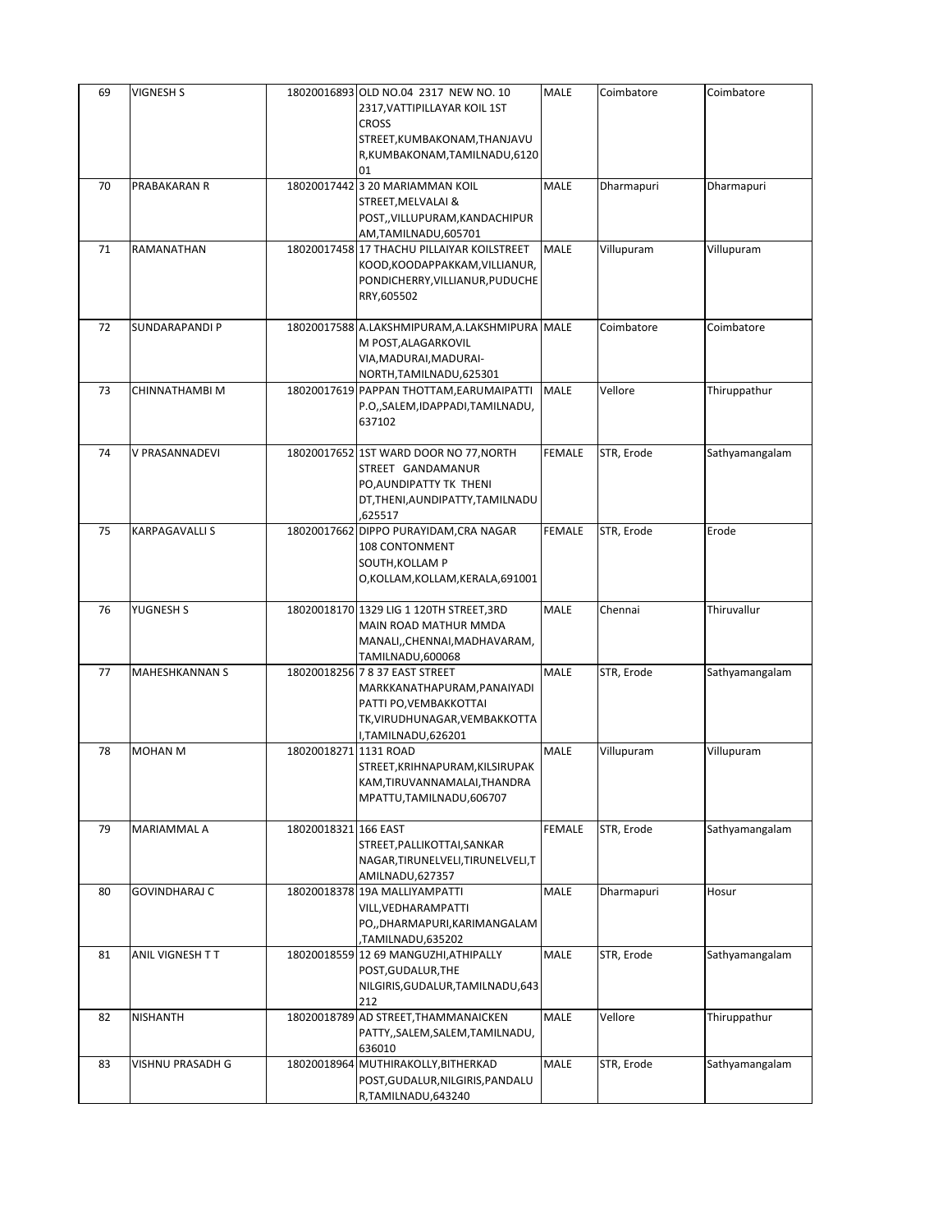| 69 | <b>VIGNESH S</b>      |                       | 18020016893 OLD NO.04 2317 NEW NO. 10<br>2317, VATTIPILLAYAR KOIL 1ST<br><b>CROSS</b>                                                          | MALE          | Coimbatore | Coimbatore     |
|----|-----------------------|-----------------------|------------------------------------------------------------------------------------------------------------------------------------------------|---------------|------------|----------------|
|    |                       |                       | STREET, KUMBAKONAM, THANJAVU<br>R,KUMBAKONAM,TAMILNADU,6120<br>01                                                                              |               |            |                |
| 70 | PRABAKARAN R          |                       | 18020017442 3 20 MARIAMMAN KOIL<br>STREET, MELVALAI &<br>POST,, VILLUPURAM, KANDACHIPUR<br>AM,TAMILNADU,605701                                 | MALE          | Dharmapuri | Dharmapuri     |
| 71 | RAMANATHAN            |                       | 18020017458 17 THACHU PILLAIYAR KOILSTREET<br>KOOD, KOODAPPAKKAM, VILLIANUR,<br>PONDICHERRY, VILLIANUR, PUDUCHE<br>RRY,605502                  | <b>MALE</b>   | Villupuram | Villupuram     |
| 72 | SUNDARAPANDI P        |                       | 18020017588 A.LAKSHMIPURAM, A.LAKSHMIPURA MALE<br>M POST, ALAGARKOVIL<br>VIA, MADURAI, MADURAI-<br>NORTH, TAMILNADU, 625301                    |               | Coimbatore | Coimbatore     |
| 73 | CHINNATHAMBI M        |                       | 18020017619 PAPPAN THOTTAM, EARUMAIPATTI<br>P.O., SALEM, IDAPPADI, TAMILNADU,<br>637102                                                        | <b>MALE</b>   | Vellore    | Thiruppathur   |
| 74 | V PRASANNADEVI        |                       | 18020017652 1ST WARD DOOR NO 77, NORTH<br>STREET GANDAMANUR<br>PO, AUNDIPATTY TK THENI<br>DT, THENI, AUNDIPATTY, TAMILNADU<br>625517,          | <b>FEMALE</b> | STR, Erode | Sathyamangalam |
| 75 | <b>KARPAGAVALLI S</b> |                       | 18020017662 DIPPO PURAYIDAM, CRA NAGAR<br>108 CONTONMENT<br>SOUTH, KOLLAM P<br>O,KOLLAM,KOLLAM,KERALA,691001                                   | <b>FEMALE</b> | STR, Erode | Erode          |
| 76 | YUGNESH S             |                       | 18020018170 1329 LIG 1 120TH STREET, 3RD<br>MAIN ROAD MATHUR MMDA<br>MANALI,, CHENNAI, MADHAVARAM,<br>TAMILNADU,600068                         | <b>MALE</b>   | Chennai    | Thiruvallur    |
| 77 | <b>MAHESHKANNAN S</b> |                       | 18020018256 7 8 37 EAST STREET<br>MARKKANATHAPURAM, PANAIYADI<br>PATTI PO, VEMBAKKOTTAI<br>TK, VIRUDHUNAGAR, VEMBAKKOTTA<br>I,TAMILNADU,626201 | MALE          | STR, Erode | Sathyamangalam |
| 78 | <b>MOHAN M</b>        | 18020018271 1131 ROAD | STREET, KRIHNAPURAM, KILSIRUPAK<br>KAM,TIRUVANNAMALAI,THANDRA<br>MPATTU, TAMILNADU, 606707                                                     | MALE          | Villupuram | Villupuram     |
| 79 | MARIAMMAL A           | 18020018321 166 EAST  | STREET, PALLIKOTTAI, SANKAR<br>NAGAR, TIRUNELVELI, TIRUNELVELI, T<br>AMILNADU, 627357                                                          | <b>FEMALE</b> | STR, Erode | Sathyamangalam |
| 80 | <b>GOVINDHARAJ C</b>  |                       | 18020018378 19A MALLIYAMPATTI<br>VILL, VEDHARAMPATTI<br>PO,, DHARMAPURI, KARIMANGALAM<br>TAMILNADU,635202                                      | MALE          | Dharmapuri | Hosur          |
| 81 | ANIL VIGNESH T T      |                       | 18020018559 12 69 MANGUZHI, ATHIPALLY<br>POST, GUDALUR, THE<br>NILGIRIS, GUDALUR, TAMILNADU, 643<br>212                                        | MALE          | STR, Erode | Sathyamangalam |
| 82 | <b>NISHANTH</b>       |                       | 18020018789 AD STREET, THAMMANAICKEN<br>PATTY,, SALEM, SALEM, TAMILNADU,<br>636010                                                             | MALE          | Vellore    | Thiruppathur   |
| 83 | VISHNU PRASADH G      |                       | 18020018964 MUTHIRAKOLLY, BITHERKAD<br>POST, GUDALUR, NILGIRIS, PANDALU<br>R,TAMILNADU,643240                                                  | MALE          | STR, Erode | Sathyamangalam |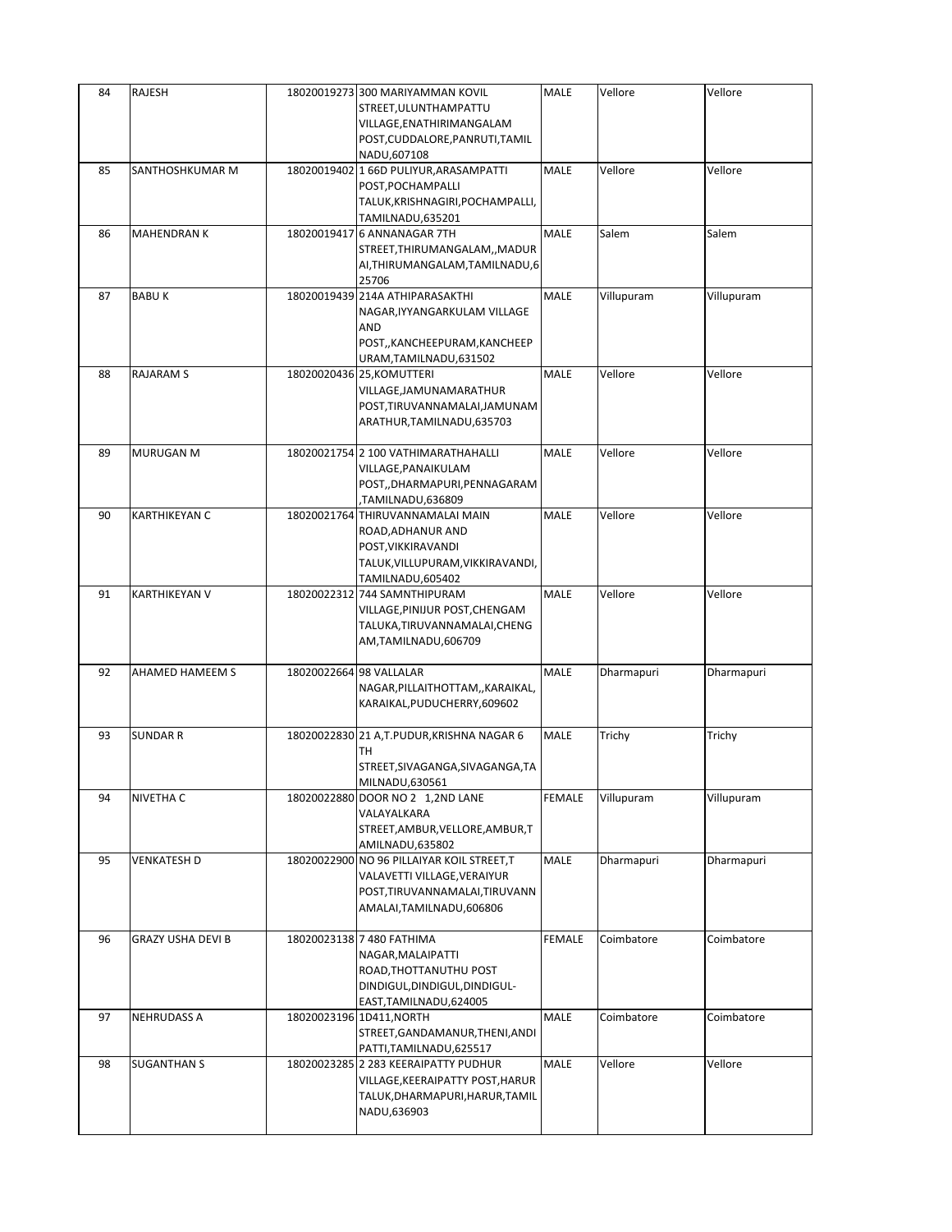| 84 | RAJESH                   |                         | 18020019273 300 MARIYAMMAN KOVIL<br>STREET, ULUNTHAMPATTU<br>VILLAGE, ENATHIRIMANGALAM<br>POST, CUDDALORE, PANRUTI, TAMIL<br>NADU,607108 | MALE          | Vellore    | Vellore    |
|----|--------------------------|-------------------------|------------------------------------------------------------------------------------------------------------------------------------------|---------------|------------|------------|
| 85 | SANTHOSHKUMAR M          |                         | 18020019402 1 66D PULIYUR, ARASAMPATTI<br>POST, POCHAMPALLI<br>TALUK, KRISHNAGIRI, POCHAMPALLI,<br>TAMILNADU,635201                      | MALE          | Vellore    | Vellore    |
| 86 | <b>MAHENDRAN K</b>       |                         | 18020019417 6 ANNANAGAR 7TH<br>STREET, THIRUMANGALAM, , MADUR<br>AI, THIRUMANGALAM, TAMILNADU, 6<br>25706                                | MALE          | Salem      | Salem      |
| 87 | <b>BABUK</b>             |                         | 18020019439 214A ATHIPARASAKTHI<br>NAGAR, IYYANGARKULAM VILLAGE<br>AND<br>POST,, KANCHEEPURAM, KANCHEEP<br>URAM, TAMILNADU, 631502       | <b>MALE</b>   | Villupuram | Villupuram |
| 88 | <b>RAJARAM S</b>         |                         | 18020020436 25, KOMUTTERI<br>VILLAGE, JAMUNAMARATHUR<br>POST, TIRUVANNAMALAI, JAMUNAM<br>ARATHUR, TAMILNADU, 635703                      | MALE          | Vellore    | Vellore    |
| 89 | <b>MURUGAN M</b>         |                         | 18020021754 2 100 VATHIMARATHAHALLI<br>VILLAGE, PANAIKULAM<br>POST,,DHARMAPURI,PENNAGARAM<br>TAMILNADU,636809                            | MALE          | Vellore    | Vellore    |
| 90 | <b>KARTHIKEYAN C</b>     |                         | 18020021764 THIRUVANNAMALAI MAIN<br>ROAD, ADHANUR AND<br>POST, VIKKIRAVANDI<br>TALUK, VILLUPURAM, VIKKIRAVANDI,<br>TAMILNADU,605402      | MALE          | Vellore    | Vellore    |
| 91 | KARTHIKEYAN V            |                         | 18020022312 744 SAMNTHIPURAM<br>VILLAGE, PINIJUR POST, CHENGAM<br>TALUKA, TIRUVANNAMALAI, CHENG<br>AM,TAMILNADU,606709                   | <b>MALE</b>   | Vellore    | Vellore    |
| 92 | AHAMED HAMEEM S          | 18020022664 98 VALLALAR | NAGAR, PILLAITHOTTAM, , KARAIKAL,<br>KARAIKAL, PUDUCHERRY, 609602                                                                        | MALE          | Dharmapuri | Dharmapuri |
| 93 | <b>SUNDAR R</b>          |                         | 18020022830 21 A,T.PUDUR,KRISHNA NAGAR 6<br>TН<br>STREET, SIVAGANGA, SIVAGANGA, TA<br>MILNADU,630561                                     | MALE          | Trichy     | Trichy     |
| 94 | NIVETHA C                |                         | 18020022880 DOOR NO 2 1,2ND LANE<br>VALAYALKARA<br>STREET, AMBUR, VELLORE, AMBUR, T<br>AMILNADU,635802                                   | FEMALE        | Villupuram | Villupuram |
| 95 | VENKATESH D              |                         | 18020022900 NO 96 PILLAIYAR KOIL STREET, T<br>VALAVETTI VILLAGE,VERAIYUR<br>POST, TIRUVANNAMALAI, TIRUVANN<br>AMALAI, TAMILNADU, 606806  | MALE          | Dharmapuri | Dharmapuri |
| 96 | <b>GRAZY USHA DEVI B</b> |                         | 18020023138 7 480 FATHIMA<br>NAGAR, MALAIPATTI<br>ROAD, THOTTANUTHU POST<br>DINDIGUL, DINDIGUL, DINDIGUL-<br>EAST, TAMILNADU, 624005     | <b>FEMALE</b> | Coimbatore | Coimbatore |
| 97 | <b>NEHRUDASS A</b>       |                         | 18020023196 1D411, NORTH<br>STREET, GANDAMANUR, THENI, ANDI<br>PATTI, TAMILNADU, 625517                                                  | MALE          | Coimbatore | Coimbatore |
| 98 | <b>SUGANTHAN S</b>       |                         | 18020023285 2 283 KEERAIPATTY PUDHUR<br>VILLAGE,KEERAIPATTY POST,HARUR<br>TALUK, DHARMAPURI, HARUR, TAMIL<br>NADU,636903                 | MALE          | Vellore    | Vellore    |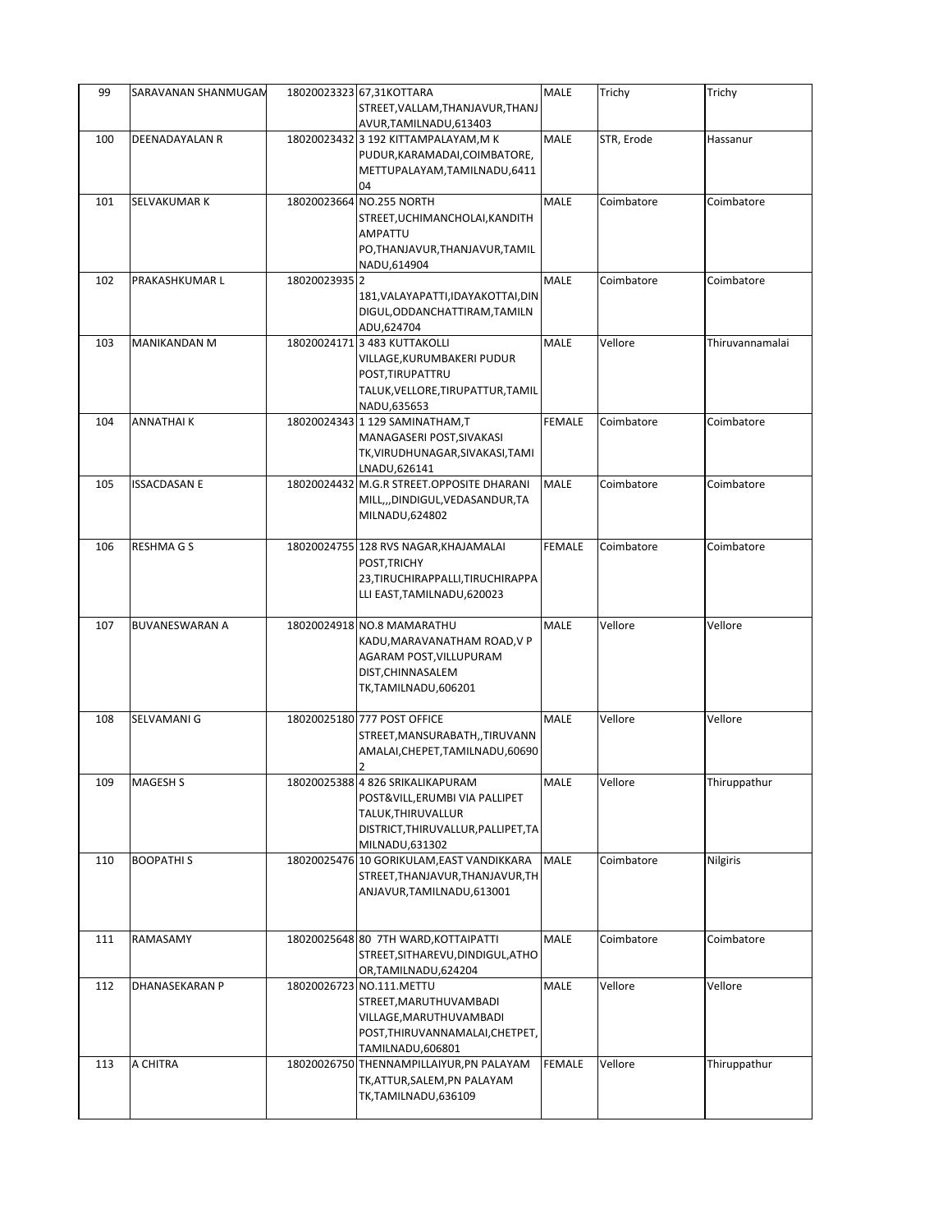| 99  | SARAVANAN SHANMUGAN   |               | 18020023323 67,31KOTTARA<br>STREET, VALLAM, THANJAVUR, THANJ<br>AVUR, TAMILNADU, 613403                                                           | <b>MALE</b>   | Trichy     | Trichy          |
|-----|-----------------------|---------------|---------------------------------------------------------------------------------------------------------------------------------------------------|---------------|------------|-----------------|
| 100 | DEENADAYALAN R        |               | 18020023432 3 192 KITTAMPALAYAM, M K<br>PUDUR, KARAMADAI, COIMBATORE,<br>METTUPALAYAM, TAMILNADU, 6411<br>04                                      | MALE          | STR, Erode | Hassanur        |
| 101 | SELVAKUMAR K          |               | 18020023664 NO.255 NORTH<br>STREET, UCHIMANCHOLAI, KANDITH<br>AMPATTU<br>PO, THANJAVUR, THANJAVUR, TAMIL<br>NADU,614904                           | <b>MALE</b>   | Coimbatore | Coimbatore      |
| 102 | PRAKASHKUMAR L        | 18020023935 2 | 181, VALAYAPATTI, IDAYAKOTTAI, DIN<br>DIGUL, ODDANCHATTIRAM, TAMILN<br>ADU,624704                                                                 | MALE          | Coimbatore | Coimbatore      |
| 103 | <b>MANIKANDAN M</b>   |               | 18020024171 3 483 KUTTAKOLLI<br>VILLAGE,KURUMBAKERI PUDUR<br>POST, TIRUPATTRU<br>TALUK, VELLORE, TIRUPATTUR, TAMIL<br>NADU,635653                 | <b>MALE</b>   | Vellore    | Thiruvannamalai |
| 104 | ANNATHAI K            |               | 18020024343 1 129 SAMINATHAM,T<br>MANAGASERI POST, SIVAKASI<br>TK, VIRUDHUNAGAR, SIVAKASI, TAMI<br>LNADU,626141                                   | <b>FEMALE</b> | Coimbatore | Coimbatore      |
| 105 | <b>ISSACDASAN E</b>   |               | 18020024432 M.G.R STREET.OPPOSITE DHARANI<br>MILL,,,DINDIGUL,VEDASANDUR,TA<br>MILNADU,624802                                                      | <b>MALE</b>   | Coimbatore | Coimbatore      |
| 106 | <b>RESHMAGS</b>       |               | 18020024755 128 RVS NAGAR, KHAJAMALAI<br>POST, TRICHY<br>23, TIRUCHIRAPPALLI, TIRUCHIRAPPA<br>LLI EAST, TAMILNADU, 620023                         | <b>FEMALE</b> | Coimbatore | Coimbatore      |
| 107 | <b>BUVANESWARAN A</b> |               | 18020024918 NO.8 MAMARATHU<br>KADU, MARAVANATHAM ROAD, V P<br>AGARAM POST, VILLUPURAM<br>DIST, CHINNASALEM<br>TK,TAMILNADU,606201                 | <b>MALE</b>   | Vellore    | Vellore         |
| 108 | SELVAMANI G           |               | 18020025180 777 POST OFFICE<br>STREET, MANSURABATH, , TIRUVANN<br>AMALAI, CHEPET, TAMILNADU, 60690                                                | <b>MALE</b>   | Vellore    | Vellore         |
| 109 | MAGESH <sub>S</sub>   |               | 18020025388 4 826 SRIKALIKAPURAM<br>POST&VILL, ERUMBI VIA PALLIPET<br>TALUK, THIRUVALLUR<br>DISTRICT, THIRUVALLUR, PALLIPET, TA<br>MILNADU,631302 | <b>MALE</b>   | Vellore    | Thiruppathur    |
| 110 | <b>BOOPATHIS</b>      |               | 18020025476 10 GORIKULAM, EAST VANDIKKARA<br>STREET, THANJAVUR, THANJAVUR, TH<br>ANJAVUR, TAMILNADU, 613001                                       | <b>MALE</b>   | Coimbatore | Nilgiris        |
| 111 | RAMASAMY              |               | 18020025648 80 7TH WARD, KOTTAIPATTI<br>STREET, SITHAREVU, DINDIGUL, ATHO<br>OR, TAMILNADU, 624204                                                | <b>MALE</b>   | Coimbatore | Coimbatore      |
| 112 | DHANASEKARAN P        | 18020026723   | NO.111.METTU<br>STREET, MARUTHUVAMBADI<br>VILLAGE, MARUTHUVAMBADI<br>POST, THIRUVANNAMALAI, CHETPET,<br>TAMILNADU,606801                          | <b>MALE</b>   | Vellore    | Vellore         |
| 113 | A CHITRA              |               | 18020026750 THENNAMPILLAIYUR, PN PALAYAM<br>TK,ATTUR,SALEM,PN PALAYAM<br>TK,TAMILNADU,636109                                                      | <b>FEMALE</b> | Vellore    | Thiruppathur    |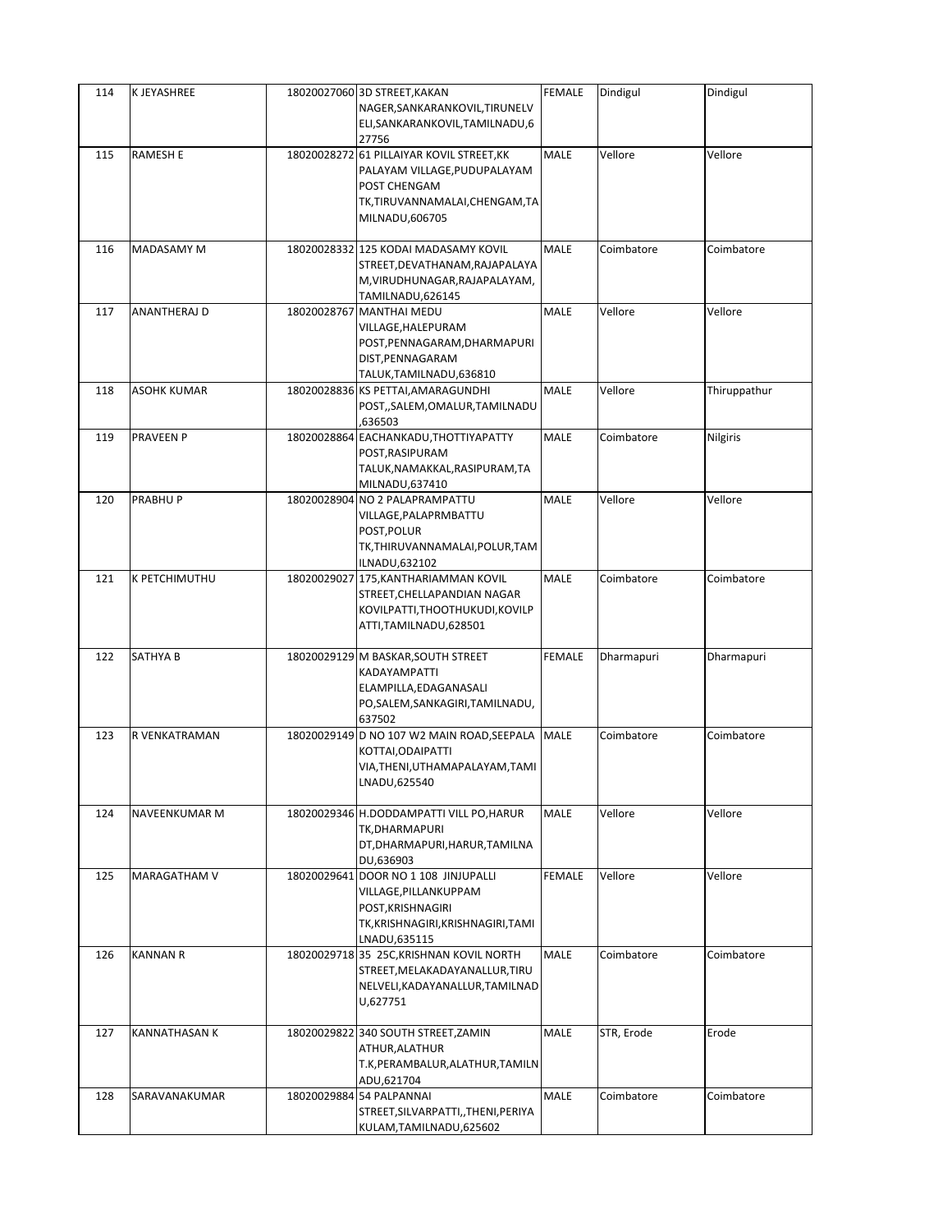| 114 | K JEYASHREE        | 18020027060 3D STREET, KAKAN<br>NAGER, SANKARANKOVIL, TIRUNELV<br>ELI, SANKARANKOVIL, TAMILNADU, 6                                                   | <b>FEMALE</b> | Dindigul   | Dindigul     |
|-----|--------------------|------------------------------------------------------------------------------------------------------------------------------------------------------|---------------|------------|--------------|
| 115 | RAMESH E           | 27756<br>18020028272 61 PILLAIYAR KOVIL STREET, KK<br>PALAYAM VILLAGE, PUDUPALAYAM<br>POST CHENGAM<br>TK,TIRUVANNAMALAI,CHENGAM,TA<br>MILNADU,606705 | MALE          | Vellore    | Vellore      |
| 116 | <b>MADASAMY M</b>  | 18020028332 125 KODAI MADASAMY KOVIL<br>STREET, DEVATHANAM, RAJAPALAYA<br>M, VIRUDHUNAGAR, RAJAPALAYAM,<br>TAMILNADU,626145                          | <b>MALE</b>   | Coimbatore | Coimbatore   |
| 117 | ANANTHERAJ D       | 18020028767 MANTHAI MEDU<br>VILLAGE, HALEPURAM<br>POST, PENNAGARAM, DHARMAPURI<br>DIST, PENNAGARAM<br>TALUK, TAMILNADU, 636810                       | MALE          | Vellore    | Vellore      |
| 118 | <b>ASOHK KUMAR</b> | 18020028836 KS PETTAI, AMARAGUNDHI<br>POST,,SALEM,OMALUR,TAMILNADU<br>636503,                                                                        | <b>MALE</b>   | Vellore    | Thiruppathur |
| 119 | <b>PRAVEEN P</b>   | 18020028864 EACHANKADU, THOTTIYAPATTY<br>POST, RASIPURAM<br>TALUK, NAMAKKAL, RASIPURAM, TA<br>MILNADU,637410                                         | <b>MALE</b>   | Coimbatore | Nilgiris     |
| 120 | PRABHUP            | 18020028904 NO 2 PALAPRAMPATTU<br>VILLAGE, PALAPRMBATTU<br>POST, POLUR<br>TK, THIRUVANNAMALAI, POLUR, TAM<br>ILNADU,632102                           | MALE          | Vellore    | Vellore      |
| 121 | K PETCHIMUTHU      | 18020029027 175, KANTHARIAMMAN KOVIL<br>STREET, CHELLAPANDIAN NAGAR<br>KOVILPATTI, THOOTHUKUDI, KOVILP<br>ATTI, TAMILNADU, 628501                    | MALE          | Coimbatore | Coimbatore   |
| 122 | SATHYA B           | 18020029129 M BASKAR, SOUTH STREET<br>KADAYAMPATTI<br>ELAMPILLA, EDAGANASALI<br>PO, SALEM, SANKAGIRI, TAMILNADU,<br>637502                           | <b>FEMALE</b> | Dharmapuri | Dharmapuri   |
| 123 | R VENKATRAMAN      | 18020029149 D NO 107 W2 MAIN ROAD, SEEPALA MALE<br>KOTTAI, ODAIPATTI<br>VIA, THENI, UTHAMAPALAYAM, TAMI<br>LNADU,625540                              |               | Coimbatore | Coimbatore   |
| 124 | NAVEENKUMAR M      | 18020029346 H.DODDAMPATTI VILL PO, HARUR<br>TK, DHARMAPURI<br>DT, DHARMAPURI, HARUR, TAMILNA<br>DU,636903                                            | <b>MALE</b>   | Vellore    | Vellore      |
| 125 | MARAGATHAM V       | 18020029641 DOOR NO 1 108 JINJUPALLI<br>VILLAGE, PILLANKUPPAM<br>POST, KRISHNAGIRI<br>TK, KRISHNAGIRI, KRISHNAGIRI, TAMI<br>LNADU,635115             | <b>FEMALE</b> | Vellore    | Vellore      |
| 126 | <b>KANNAN R</b>    | 18020029718 35 25C, KRISHNAN KOVIL NORTH<br>STREET, MELAKADAYANALLUR, TIRU<br>NELVELI, KADAYANALLUR, TAMILNAD<br>U,627751                            | MALE          | Coimbatore | Coimbatore   |
| 127 | KANNATHASAN K      | 18020029822 340 SOUTH STREET, ZAMIN<br>ATHUR, ALATHUR<br>T.K, PERAMBALUR, ALATHUR, TAMILN<br>ADU,621704                                              | MALE          | STR, Erode | Erode        |
| 128 | SARAVANAKUMAR      | 18020029884 54 PALPANNAI<br>STREET, SILVARPATTI, , THENI, PERIYA<br>KULAM, TAMILNADU, 625602                                                         | MALE          | Coimbatore | Coimbatore   |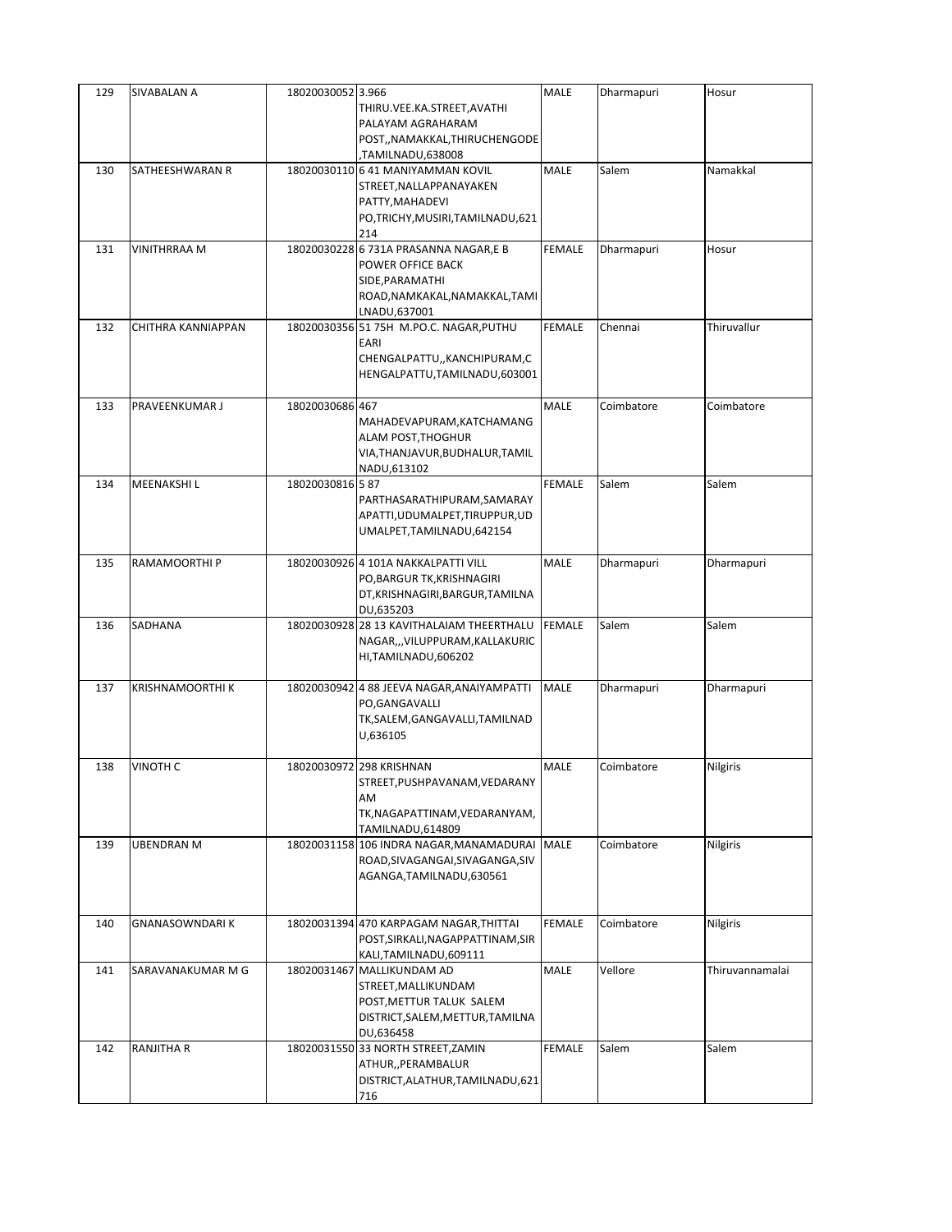| 129 | SIVABALAN A         | 18020030052 3.966 | THIRU.VEE.KA.STREET, AVATHI<br>PALAYAM AGRAHARAM<br>POST,, NAMAKKAL, THIRUCHENGODE                                                               | MALE          | Dharmapuri | Hosur           |
|-----|---------------------|-------------------|--------------------------------------------------------------------------------------------------------------------------------------------------|---------------|------------|-----------------|
| 130 | SATHEESHWARAN R     |                   | TAMILNADU,638008,<br>18020030110 6 41 MANIYAMMAN KOVIL<br>STREET, NALLAPPANAYAKEN<br>PATTY, MAHADEVI<br>PO,TRICHY, MUSIRI, TAMILNADU, 621<br>214 | MALE          | Salem      | Namakkal        |
| 131 | <b>VINITHRRAA M</b> |                   | 18020030228 6 731A PRASANNA NAGAR,E B<br>POWER OFFICE BACK<br>SIDE, PARAMATHI<br>ROAD, NAMKAKAL, NAMAKKAL, TAMI<br>LNADU,637001                  | <b>FEMALE</b> | Dharmapuri | Hosur           |
| 132 | CHITHRA KANNIAPPAN  |                   | 18020030356 51 75H M.PO.C. NAGAR, PUTHU<br>EARI<br>CHENGALPATTU,, KANCHIPURAM, C<br>HENGALPATTU, TAMILNADU, 603001                               | <b>FEMALE</b> | Chennai    | Thiruvallur     |
| 133 | PRAVEENKUMAR J      | 18020030686 467   | MAHADEVAPURAM, KATCHAMANG<br>ALAM POST, THOGHUR<br>VIA, THANJAVUR, BUDHALUR, TAMIL<br>NADU,613102                                                | <b>MALE</b>   | Coimbatore | Coimbatore      |
| 134 | <b>MEENAKSHIL</b>   | 18020030816 587   | PARTHASARATHIPURAM, SAMARAY<br>APATTI, UDUMALPET, TIRUPPUR, UD<br>UMALPET, TAMILNADU, 642154                                                     | <b>FEMALE</b> | Salem      | Salem           |
| 135 | RAMAMOORTHI P       |                   | 18020030926 4 101A NAKKALPATTI VILL<br>PO, BARGUR TK, KRISHNAGIRI<br>DT, KRISHNAGIRI, BARGUR, TAMILNA<br>DU,635203                               | MALE          | Dharmapuri | Dharmapuri      |
| 136 | SADHANA             |                   | 18020030928 28 13 KAVITHALAIAM THEERTHALU<br>NAGAR,,,VILUPPURAM,KALLAKURIC<br>HI, TAMILNADU, 606202                                              | <b>FEMALE</b> | Salem      | Salem           |
| 137 | KRISHNAMOORTHI K    |                   | 18020030942 4 88 JEEVA NAGAR, ANAIYAMPATTI<br>PO, GANGAVALLI<br>TK,SALEM,GANGAVALLI,TAMILNAD<br>U,636105                                         | <b>MALE</b>   | Dharmapuri | Dharmapuri      |
| 138 | <b>VINOTH C</b>     |                   | 18020030972 298 KRISHNAN<br>STREET, PUSHPAVANAM, VEDARANY<br>AM<br>TK, NAGAPATTINAM, VEDARANYAM,<br>TAMILNADU,614809                             | MALE          | Coimbatore | Nilgiris        |
| 139 | UBENDRAN M          |                   | 18020031158 106 INDRA NAGAR, MANAMADURAI<br>ROAD, SIVAGANGAI, SIVAGANGA, SIV<br>AGANGA, TAMILNADU, 630561                                        | <b>MALE</b>   | Coimbatore | Nilgiris        |
| 140 | GNANASOWNDARI K     |                   | 18020031394 470 KARPAGAM NAGAR, THITTAI<br>POST, SIRKALI, NAGAPPATTINAM, SIR<br>KALI, TAMILNADU, 609111                                          | <b>FEMALE</b> | Coimbatore | Nilgiris        |
| 141 | SARAVANAKUMAR M G   |                   | 18020031467 MALLIKUNDAM AD<br>STREET, MALLIKUNDAM<br>POST, METTUR TALUK SALEM<br>DISTRICT, SALEM, METTUR, TAMILNA<br>DU,636458                   | MALE          | Vellore    | Thiruvannamalai |
| 142 | RANJITHA R          |                   | 18020031550 33 NORTH STREET, ZAMIN<br>ATHUR,, PERAMBALUR<br>DISTRICT, ALATHUR, TAMILNADU, 621<br>716                                             | <b>FEMALE</b> | Salem      | Salem           |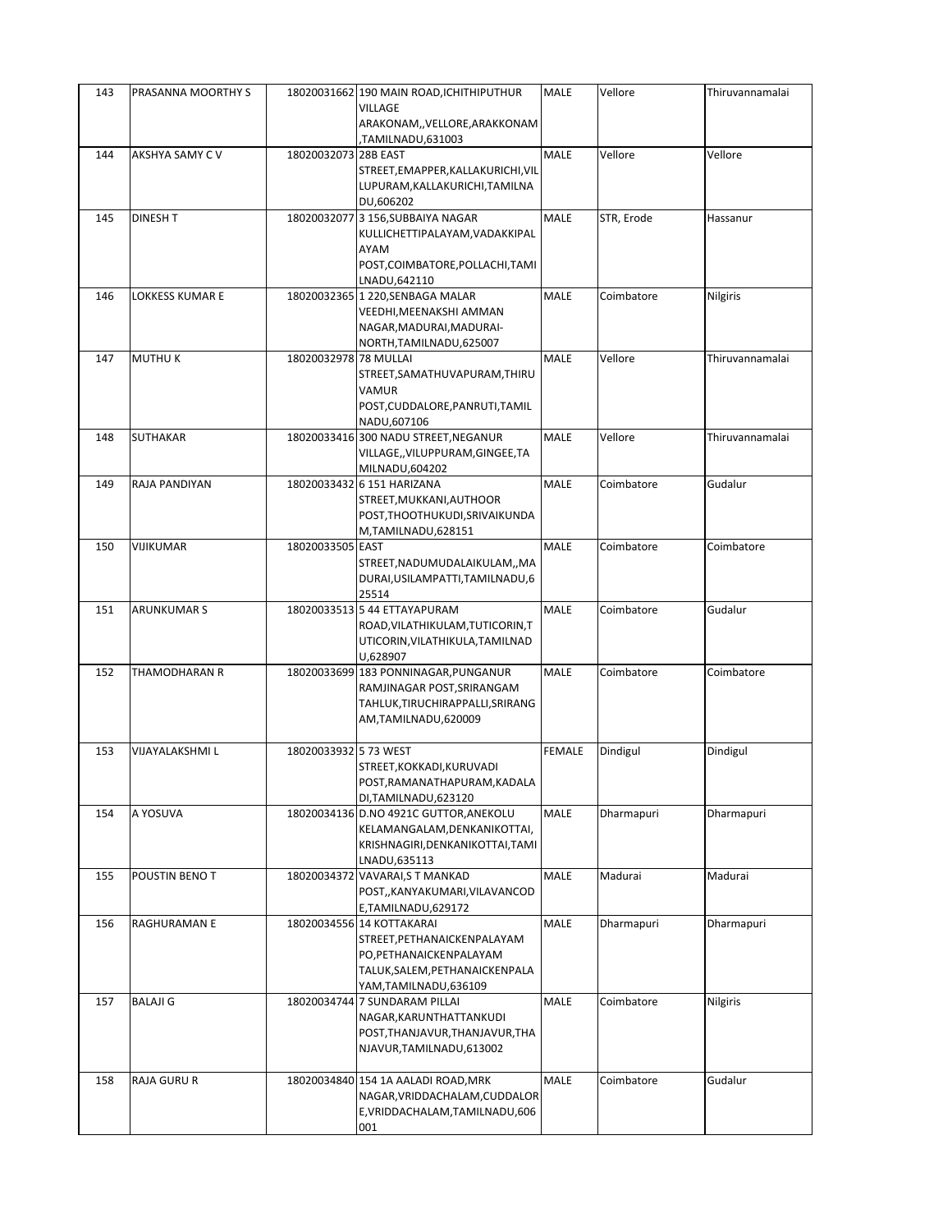| 143 | PRASANNA MOORTHY S |                       | 18020031662 190 MAIN ROAD, ICHITHIPUTHUR<br>VILLAGE<br>ARAKONAM,, VELLORE, ARAKKONAM                                                          | MALE          | Vellore    | Thiruvannamalai |
|-----|--------------------|-----------------------|-----------------------------------------------------------------------------------------------------------------------------------------------|---------------|------------|-----------------|
| 144 | AKSHYA SAMY C V    | 18020032073 28B EAST  | TAMILNADU,631003<br>STREET, EMAPPER, KALLAKURICHI, VIL<br>LUPURAM, KALLAKURICHI, TAMILNA<br>DU,606202                                         | <b>MALE</b>   | Vellore    | Vellore         |
| 145 | <b>DINESH T</b>    |                       | 18020032077 3 156, SUBBAIYA NAGAR<br>KULLICHETTIPALAYAM, VADAKKIPAL<br>AYAM<br>POST, COIMBATORE, POLLACHI, TAMI<br>LNADU,642110               | <b>MALE</b>   | STR, Erode | Hassanur        |
| 146 | LOKKESS KUMAR E    |                       | 18020032365 1 220, SENBAGA MALAR<br>VEEDHI, MEENAKSHI AMMAN<br>NAGAR, MADURAI, MADURAI-<br>NORTH, TAMILNADU, 625007                           | MALE          | Coimbatore | Nilgiris        |
| 147 | <b>MUTHUK</b>      | 18020032978 78 MULLAI | STREET, SAMATHUVAPURAM, THIRU<br>VAMUR<br>POST, CUDDALORE, PANRUTI, TAMIL<br>NADU,607106                                                      | <b>MALE</b>   | Vellore    | Thiruvannamalai |
| 148 | <b>SUTHAKAR</b>    |                       | 18020033416 300 NADU STREET, NEGANUR<br>VILLAGE,, VILUPPURAM, GINGEE, TA<br>MILNADU,604202                                                    | MALE          | Vellore    | Thiruvannamalai |
| 149 | RAJA PANDIYAN      |                       | 18020033432 6 151 HARIZANA<br>STREET, MUKKANI, AUTHOOR<br>POST, THOOTHUKUDI, SRIVAIKUNDA<br>M,TAMILNADU,628151                                | MALE          | Coimbatore | Gudalur         |
| 150 | VIJIKUMAR          | 18020033505 EAST      | STREET, NADUMUDALAIKULAM, , MA<br>DURAI, USILAMPATTI, TAMILNADU, 6<br>25514                                                                   | <b>MALE</b>   | Coimbatore | Coimbatore      |
| 151 | <b>ARUNKUMAR S</b> |                       | 18020033513 5 44 ETTAYAPURAM<br>ROAD, VILATHIKULAM, TUTICORIN, T<br>UTICORIN, VILATHIKULA, TAMILNAD<br>U,628907                               | MALE          | Coimbatore | Gudalur         |
| 152 | THAMODHARAN R      |                       | 18020033699 183 PONNINAGAR, PUNGANUR<br>RAMJINAGAR POST, SRIRANGAM<br>TAHLUK, TIRUCHIRAPPALLI, SRIRANG<br>AM,TAMILNADU,620009                 | MALE          | Coimbatore | Coimbatore      |
| 153 | VIJAYALAKSHMI L    | 18020033932 5 73 WEST | STREET, KOKKADI, KURUVADI<br>POST, RAMANATHAPURAM, KADALA<br>DI, TAMILNADU, 623120                                                            | <b>FEMALE</b> | Dindigul   | Dindigul        |
| 154 | A YOSUVA           |                       | 18020034136 D.NO 4921C GUTTOR, ANEKOLU<br>KELAMANGALAM, DENKANIKOTTAI,<br>KRISHNAGIRI, DENKANIKOTTAI, TAMI<br>LNADU,635113                    | MALE          | Dharmapuri | Dharmapuri      |
| 155 | POUSTIN BENO T     |                       | 18020034372 VAVARAI, ST MANKAD<br>POST,, KANYAKUMARI, VILAVANCOD<br>E,TAMILNADU,629172                                                        | MALE          | Madurai    | Madurai         |
| 156 | RAGHURAMAN E       |                       | 18020034556 14 KOTTAKARAI<br>STREET, PETHANAICKENPALAYAM<br>PO, PETHANAICKENPALAYAM<br>TALUK, SALEM, PETHANAICKENPALA<br>YAM,TAMILNADU,636109 | MALE          | Dharmapuri | Dharmapuri      |
| 157 | <b>BALAJI G</b>    |                       | 18020034744 7 SUNDARAM PILLAI<br>NAGAR, KARUNTHATTANKUDI<br>POST, THANJAVUR, THANJAVUR, THA<br>NJAVUR, TAMILNADU, 613002                      | MALE          | Coimbatore | Nilgiris        |
| 158 | <b>RAJA GURU R</b> |                       | 18020034840 154 1A AALADI ROAD, MRK<br>NAGAR, VRIDDACHALAM, CUDDALOR<br>E, VRIDDACHALAM, TAMILNADU, 606<br>001                                | MALE          | Coimbatore | Gudalur         |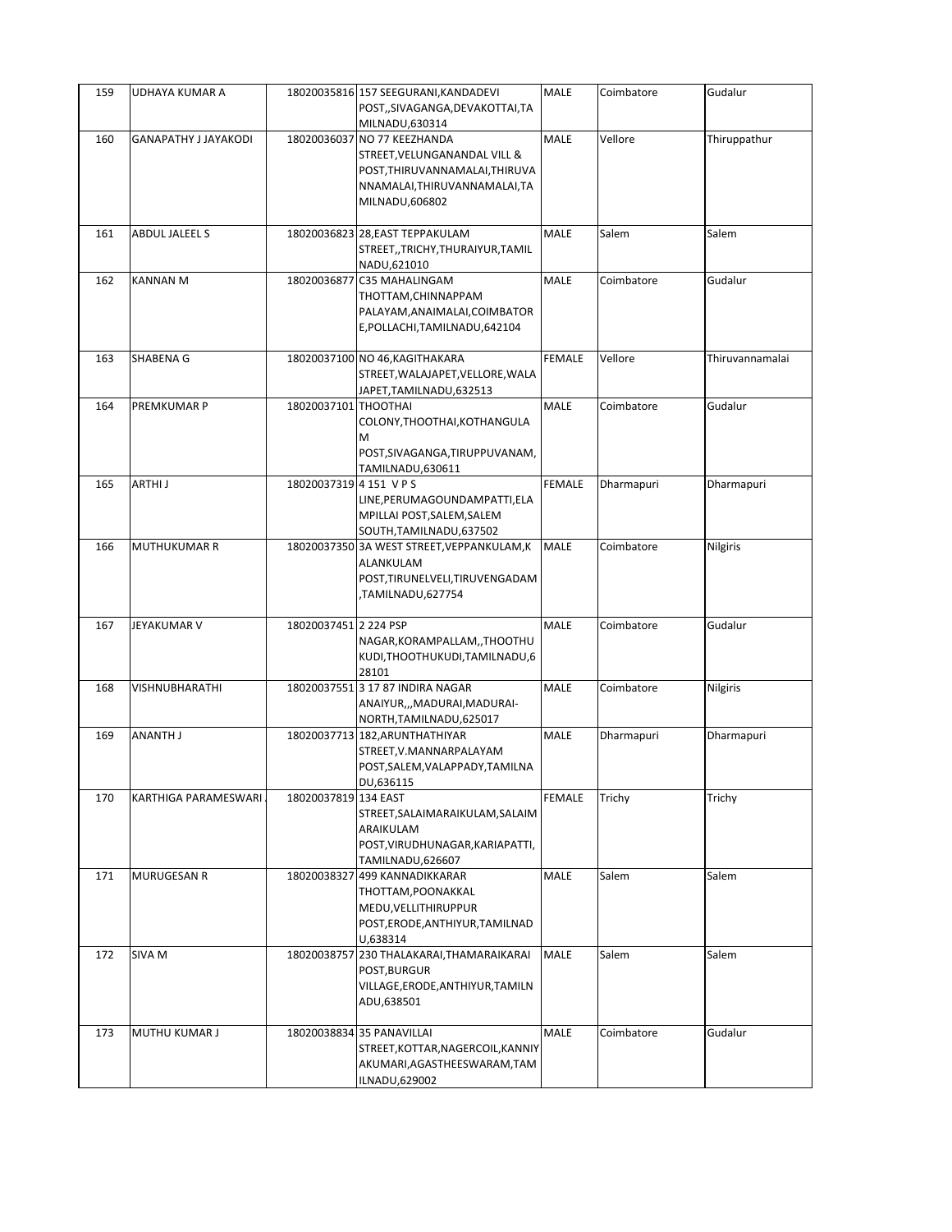| 159 | UDHAYA KUMAR A              |                       | 18020035816 157 SEEGURANI, KANDADEVI<br>POST,,SIVAGANGA,DEVAKOTTAI,TA<br>MILNADU,630314                                                          | <b>MALE</b>   | Coimbatore | Gudalur         |
|-----|-----------------------------|-----------------------|--------------------------------------------------------------------------------------------------------------------------------------------------|---------------|------------|-----------------|
| 160 | <b>GANAPATHY J JAYAKODI</b> |                       | 18020036037 NO 77 KEEZHANDA<br>STREET, VELUNGANANDAL VILL &<br>POST, THIRUVANNAMALAI, THIRUVA<br>NNAMALAI, THIRUVANNAMALAI, TA<br>MILNADU,606802 | <b>MALE</b>   | Vellore    | Thiruppathur    |
| 161 | ABDUL JALEEL S              |                       | 18020036823 28, EAST TEPPAKULAM<br>STREET, TRICHY, THURAIYUR, TAMIL<br>NADU,621010                                                               | MALE          | Salem      | Salem           |
| 162 | <b>KANNAN M</b>             |                       | 18020036877 C35 MAHALINGAM<br>THOTTAM, CHINNAPPAM<br>PALAYAM, ANAIMALAI, COIMBATOR<br>E, POLLACHI, TAMILNADU, 642104                             | MALE          | Coimbatore | Gudalur         |
| 163 | SHABENA G                   |                       | 18020037100 NO 46, KAGITHAKARA<br>STREET, WALAJAPET, VELLORE, WALA<br>JAPET, TAMILNADU, 632513                                                   | <b>FEMALE</b> | Vellore    | Thiruvannamalai |
| 164 | PREMKUMAR P                 | 18020037101 THOOTHAI  | COLONY, THOOTHAI, KOTHANGULA<br>M<br>POST, SIVAGANGA, TIRUPPUVANAM,<br>TAMILNADU,630611                                                          | <b>MALE</b>   | Coimbatore | Gudalur         |
| 165 | ARTHI J                     | 18020037319 4 151 VPS | LINE, PERUMAGOUNDAMPATTI, ELA<br>MPILLAI POST, SALEM, SALEM<br>SOUTH, TAMILNADU, 637502                                                          | <b>FEMALE</b> | Dharmapuri | Dharmapuri      |
| 166 | <b>MUTHUKUMAR R</b>         |                       | 18020037350 3A WEST STREET, VEPPANKULAM, K<br>ALANKULAM<br>POST, TIRUNELVELI, TIRUVENGADAM<br>TAMILNADU,627754,                                  | <b>MALE</b>   | Coimbatore | Nilgiris        |
| 167 | JEYAKUMAR V                 | 18020037451 2 224 PSP | NAGAR, KORAMPALLAM, , THOOTHU<br>KUDI, THOOTHUKUDI, TAMILNADU, 6<br>28101                                                                        | MALE          | Coimbatore | Gudalur         |
| 168 | VISHNUBHARATHI              |                       | 18020037551 3 17 87 INDIRA NAGAR<br>ANAIYUR,,,MADURAI,MADURAI-<br>NORTH, TAMILNADU, 625017                                                       | <b>MALE</b>   | Coimbatore | Nilgiris        |
| 169 | ANANTH J                    |                       | 18020037713 182, ARUNTHATHIYAR<br>STREET, V. MANNARPALAYAM<br>POST, SALEM, VALAPPADY, TAMILNA<br>DU,636115                                       | <b>MALE</b>   | Dharmapuri | Dharmapuri      |
| 170 | KARTHIGA PARAMESWARI        | 18020037819 134 EAST  | STREET, SALAIMARAIKULAM, SALAIM<br>ARAIKULAM<br>POST, VIRUDHUNAGAR, KARIAPATTI,<br>TAMILNADU,626607                                              | <b>FEMALE</b> | Trichy     | Trichy          |
| 171 | MURUGESAN R                 |                       | 18020038327 499 KANNADIKKARAR<br>THOTTAM, POONAKKAL<br>MEDU, VELLITHIRUPPUR<br>POST, ERODE, ANTHIYUR, TAMILNAD<br>U,638314                       | MALE          | Salem      | Salem           |
| 172 | SIVA <sub>M</sub>           | 18020038757           | 230 THALAKARAI, THAMARAIKARAI<br>POST, BURGUR<br>VILLAGE, ERODE, ANTHIYUR, TAMILN<br>ADU,638501                                                  | <b>MALE</b>   | Salem      | Salem           |
| 173 | MUTHU KUMAR J               |                       | 18020038834 35 PANAVILLAI<br>STREET, KOTTAR, NAGERCOIL, KANNIY<br>AKUMARI, AGASTHEESWARAM, TAM<br>ILNADU,629002                                  | <b>MALE</b>   | Coimbatore | Gudalur         |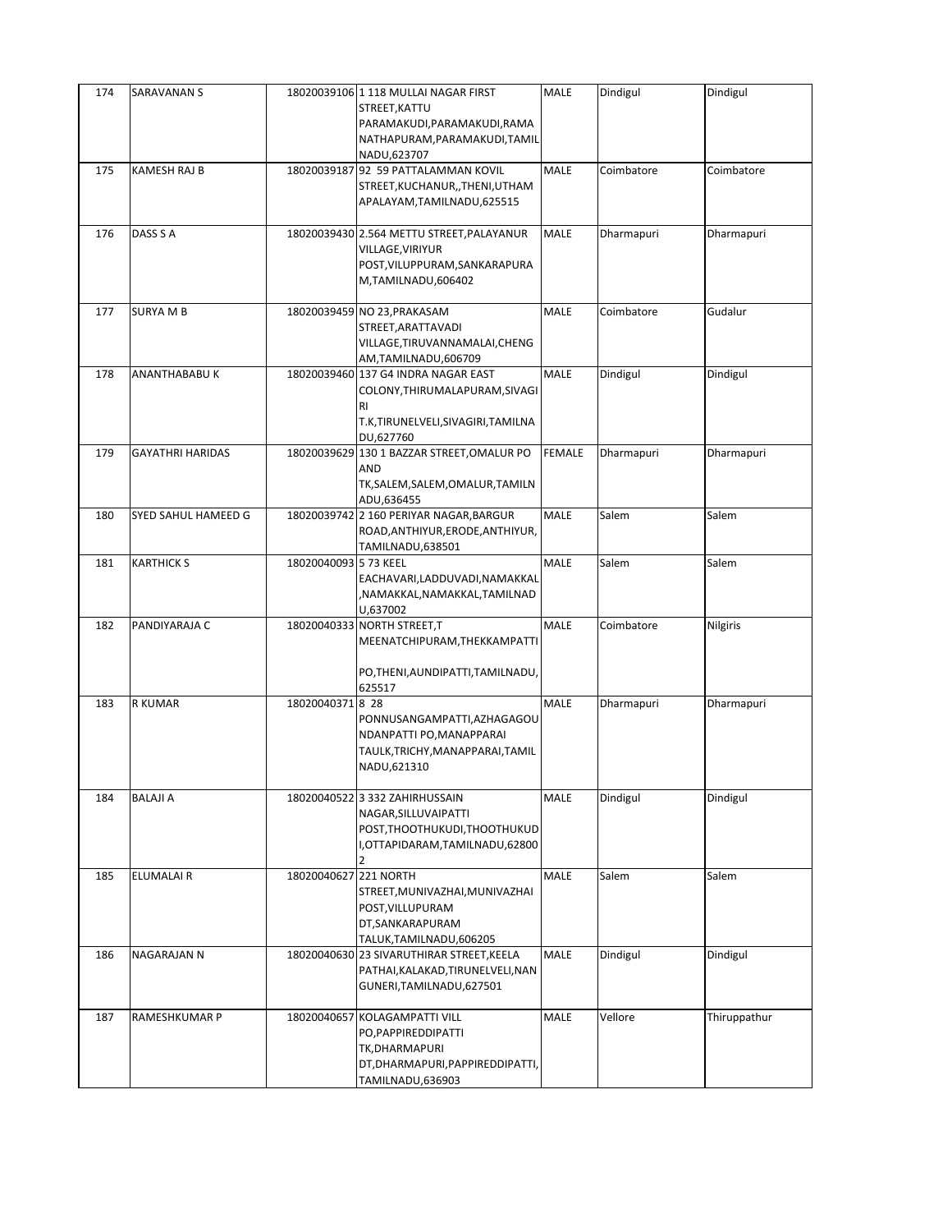| 174 | <b>SARAVANAN S</b>      |                       | 18020039106 1 118 MULLAI NAGAR FIRST<br>STREET, KATTU<br>PARAMAKUDI, PARAMAKUDI, RAMA<br>NATHAPURAM, PARAMAKUDI, TAMIL<br>NADU,623707 | <b>MALE</b>   | Dindigul   | Dindigul     |
|-----|-------------------------|-----------------------|---------------------------------------------------------------------------------------------------------------------------------------|---------------|------------|--------------|
| 175 | KAMESH RAJ B            |                       | 18020039187 92 59 PATTALAMMAN KOVIL<br>STREET, KUCHANUR, , THENI, UTHAM<br>APALAYAM, TAMILNADU, 625515                                | MALE          | Coimbatore | Coimbatore   |
| 176 | DASS S A                |                       | 18020039430 2.564 METTU STREET, PALAYANUR<br>VILLAGE, VIRIYUR<br>POST, VILUPPURAM, SANKARAPURA<br>M,TAMILNADU,606402                  | MALE          | Dharmapuri | Dharmapuri   |
| 177 | <b>SURYA M B</b>        |                       | 18020039459 NO 23, PRAKASAM<br>STREET, ARATTAVADI<br>VILLAGE, TIRUVANNAMALAI, CHENG<br>AM,TAMILNADU,606709                            | MALE          | Coimbatore | Gudalur      |
| 178 | ANANTHABABU K           |                       | 18020039460 137 G4 INDRA NAGAR EAST<br>COLONY, THIRUMALAPURAM, SIVAGI<br><b>RI</b><br>T.K,TIRUNELVELI,SIVAGIRI,TAMILNA<br>DU,627760   | MALE          | Dindigul   | Dindigul     |
| 179 | <b>GAYATHRI HARIDAS</b> |                       | 18020039629 130 1 BAZZAR STREET, OMALUR PO<br><b>AND</b><br>TK, SALEM, SALEM, OMALUR, TAMILN<br>ADU,636455                            | <b>FEMALE</b> | Dharmapuri | Dharmapuri   |
| 180 | SYED SAHUL HAMEED G     |                       | 18020039742 2 160 PERIYAR NAGAR, BARGUR<br>ROAD, ANTHIYUR, ERODE, ANTHIYUR,<br>TAMILNADU,638501                                       | MALE          | Salem      | Salem        |
| 181 | <b>KARTHICK S</b>       | 18020040093 5 73 KEEL | EACHAVARI, LADDUVADI, NAMAKKAL<br>NAMAKKAL,NAMAKKAL,TAMILNAD,<br>U,637002                                                             | <b>MALE</b>   | Salem      | Salem        |
| 182 | PANDIYARAJA C           |                       | 18020040333 NORTH STREET, T<br>MEENATCHIPURAM, THEKKAMPATTI<br>PO, THENI, AUNDIPATTI, TAMILNADU,<br>625517                            | MALE          | Coimbatore | Nilgiris     |
| 183 | <b>R KUMAR</b>          | 18020040371 8 28      | PONNUSANGAMPATTI, AZHAGAGOU<br>NDANPATTI PO, MANAPPARAI<br>TAULK, TRICHY, MANAPPARAI, TAMIL<br>NADU,621310                            | MALE          | Dharmapuri | Dharmapuri   |
| 184 | BALAJI A                |                       | 18020040522 3 332 ZAHIRHUSSAIN<br>NAGAR, SILLUVAIPATTI<br>POST, THOOTHUKUDI, THOOTHUKUD<br>I,OTTAPIDARAM,TAMILNADU,62800              | MALE          | Dindigul   | Dindigul     |
| 185 | ELUMALAI R              | 18020040627 221 NORTH | STREET, MUNIVAZHAI, MUNIVAZHAI<br>POST, VILLUPURAM<br>DT, SANKARAPURAM<br>TALUK, TAMILNADU, 606205                                    | MALE          | Salem      | Salem        |
| 186 | NAGARAJAN N             |                       | 18020040630 23 SIVARUTHIRAR STREET, KEELA<br>PATHAI, KALAKAD, TIRUNELVELI, NAN<br>GUNERI, TAMILNADU, 627501                           | MALE          | Dindigul   | Dindigul     |
| 187 | RAMESHKUMAR P           |                       | 18020040657 KOLAGAMPATTI VILL<br>PO, PAPPIREDDIPATTI<br>TK, DHARMAPURI<br>DT, DHARMAPURI, PAPPIRE DDIPATTI,<br>TAMILNADU,636903       | MALE          | Vellore    | Thiruppathur |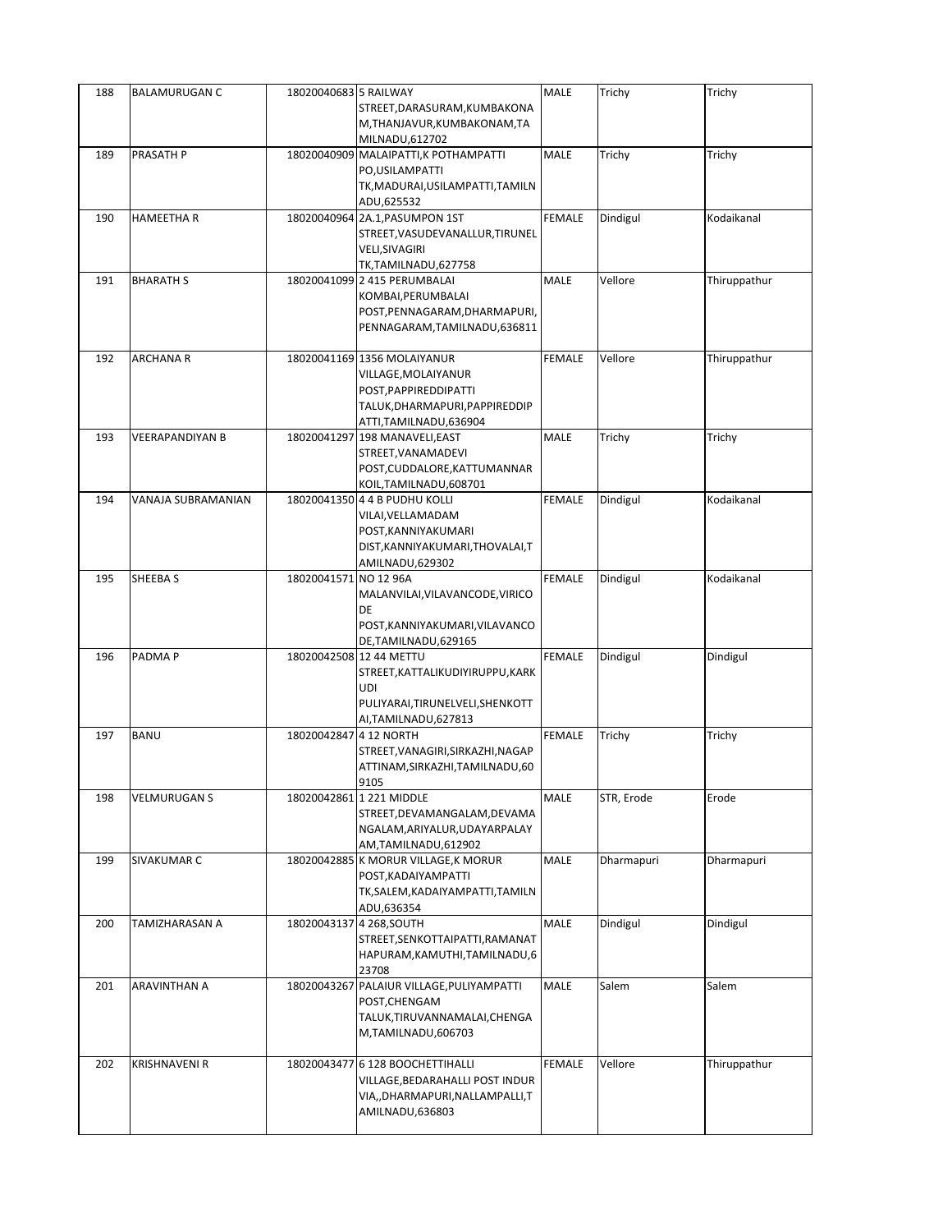| 188 | <b>BALAMURUGAN C</b>   | 18020040683 5 RAILWAY    |                                                                       | MALE          | Trichy     | Trichy       |
|-----|------------------------|--------------------------|-----------------------------------------------------------------------|---------------|------------|--------------|
|     |                        |                          | STREET, DARASURAM, KUMBAKONA                                          |               |            |              |
|     |                        |                          | M, THANJAVUR, KUMBAKONAM, TA                                          |               |            |              |
|     |                        |                          | MILNADU, 612702                                                       |               |            |              |
| 189 | PRASATH P              |                          | 18020040909 MALAIPATTI, K POTHAMPATTI                                 | <b>MALE</b>   | Trichy     | Trichy       |
|     |                        |                          | PO, USILAMPATTI                                                       |               |            |              |
|     |                        |                          | TK, MADURAI, USILAMPATTI, TAMILN                                      |               |            |              |
|     |                        |                          | ADU,625532                                                            |               |            |              |
| 190 | HAMEETHA R             |                          | 18020040964 2A.1, PASUMPON 1ST                                        | <b>FEMALE</b> | Dindigul   | Kodaikanal   |
|     |                        |                          | STREET, VASUDEVANALLUR, TIRUNEL                                       |               |            |              |
|     |                        |                          | <b>VELI, SIVAGIRI</b>                                                 |               |            |              |
|     |                        |                          | TK,TAMILNADU,627758                                                   |               |            |              |
| 191 | <b>BHARATH S</b>       |                          | 18020041099 2 415 PERUMBALAI                                          | MALE          | Vellore    | Thiruppathur |
|     |                        |                          | KOMBAI, PERUMBALAI                                                    |               |            |              |
|     |                        |                          | POST, PENNAGARAM, DHARMAPURI,                                         |               |            |              |
|     |                        |                          | PENNAGARAM, TAMILNADU, 636811                                         |               |            |              |
| 192 | <b>ARCHANA R</b>       |                          | 18020041169 1356 MOLAIYANUR                                           | <b>FEMALE</b> | Vellore    | Thiruppathur |
|     |                        |                          | VILLAGE, MOLAIYANUR                                                   |               |            |              |
|     |                        |                          | POST, PAPPIREDDIPATTI                                                 |               |            |              |
|     |                        |                          | TALUK, DHARMAPURI, PAPPIREDDIP                                        |               |            |              |
|     |                        |                          | ATTI,TAMILNADU,636904                                                 |               |            |              |
| 193 | <b>VEERAPANDIYAN B</b> |                          | 18020041297 198 MANAVELI, EAST                                        | MALE          | Trichy     | Trichy       |
|     |                        |                          | STREET, VANAMADEVI                                                    |               |            |              |
|     |                        |                          | POST, CUDDALORE, KATTUMANNAR                                          |               |            |              |
|     |                        |                          | KOIL, TAMILNADU, 608701                                               |               |            |              |
| 194 | VANAJA SUBRAMANIAN     |                          | 18020041350 4 4 B PUDHU KOLLI                                         | <b>FEMALE</b> | Dindigul   | Kodaikanal   |
|     |                        |                          | VILAI, VELLAMADAM                                                     |               |            |              |
|     |                        |                          | POST, KANNIYAKUMARI                                                   |               |            |              |
|     |                        |                          | DIST, KANNIYAKUMARI, THOVALAI, T                                      |               |            |              |
|     |                        |                          | AMILNADU,629302                                                       |               |            |              |
| 195 | SHEEBA S               | 18020041571 NO 12 96A    |                                                                       | <b>FEMALE</b> | Dindigul   | Kodaikanal   |
|     |                        |                          | MALANVILAI, VILAVANCODE, VIRICO                                       |               |            |              |
|     |                        |                          | DE                                                                    |               |            |              |
|     |                        |                          | POST, KANNIYAKUMARI, VILAVANCO                                        |               |            |              |
|     |                        |                          | DE, TAMILNADU, 629165                                                 |               |            |              |
| 196 | PADMA P                |                          | 18020042508 12 44 METTU                                               | <b>FEMALE</b> | Dindigul   | Dindigul     |
|     |                        |                          | STREET, KATTALIKUDIYIRUPPU, KARK                                      |               |            |              |
|     |                        |                          | UDI                                                                   |               |            |              |
|     |                        |                          | PULIYARAI, TIRUNELVELI, SHENKOTT                                      |               |            |              |
|     |                        |                          | AI, TAMILNADU, 627813                                                 |               |            |              |
| 197 | BANU                   | 18020042847 4 12 NORTH   |                                                                       | <b>FEMALE</b> | Trichy     | Trichy       |
|     |                        |                          | STREET, VANAGIRI, SIRKAZHI, NAGAP<br>ATTINAM, SIRKAZHI, TAMILNADU, 60 |               |            |              |
|     |                        |                          | 9105                                                                  |               |            |              |
| 198 | VELMURUGAN S           |                          | 18020042861 1 221 MIDDLE                                              | MALE          | STR, Erode | Erode        |
|     |                        |                          | STREET, DEVAMANGALAM, DEVAMA                                          |               |            |              |
|     |                        |                          | NGALAM, ARIYALUR, UDAYARPALAY                                         |               |            |              |
|     |                        |                          | AM,TAMILNADU,612902                                                   |               |            |              |
| 199 | SIVAKUMAR C            |                          | 18020042885 K MORUR VILLAGE, K MORUR                                  | MALE          | Dharmapuri | Dharmapuri   |
|     |                        |                          | POST, KADAIYAMPATTI                                                   |               |            |              |
|     |                        |                          | TK, SALEM, KADAIYAMPATTI, TAMILN                                      |               |            |              |
|     |                        |                          | ADU,636354                                                            |               |            |              |
| 200 | TAMIZHARASAN A         | 18020043137 4 268, SOUTH |                                                                       | <b>MALE</b>   | Dindigul   | Dindigul     |
|     |                        |                          | STREET, SENKOTTAIPATTI, RAMANAT                                       |               |            |              |
|     |                        |                          | HAPURAM, KAMUTHI, TAMILNADU, 6                                        |               |            |              |
|     |                        |                          | 23708                                                                 |               |            |              |
| 201 | ARAVINTHAN A           |                          | 18020043267 PALAIUR VILLAGE, PULIYAMPATTI                             | MALE          | Salem      | Salem        |
|     |                        |                          | POST, CHENGAM                                                         |               |            |              |
|     |                        |                          | TALUK, TIRUVANNAMALAI, CHENGA                                         |               |            |              |
|     |                        |                          | M,TAMILNADU,606703                                                    |               |            |              |
|     |                        |                          |                                                                       |               |            |              |
| 202 | KRISHNAVENI R          |                          | 18020043477 6 128 BOOCHETTIHALLI                                      | FEMALE        | Vellore    | Thiruppathur |
|     |                        |                          | VILLAGE, BEDARAHALLI POST INDUR                                       |               |            |              |
|     |                        |                          | VIA,, DHARMAPURI, NALLAMPALLI, T                                      |               |            |              |
|     |                        |                          | AMILNADU,636803                                                       |               |            |              |
|     |                        |                          |                                                                       |               |            |              |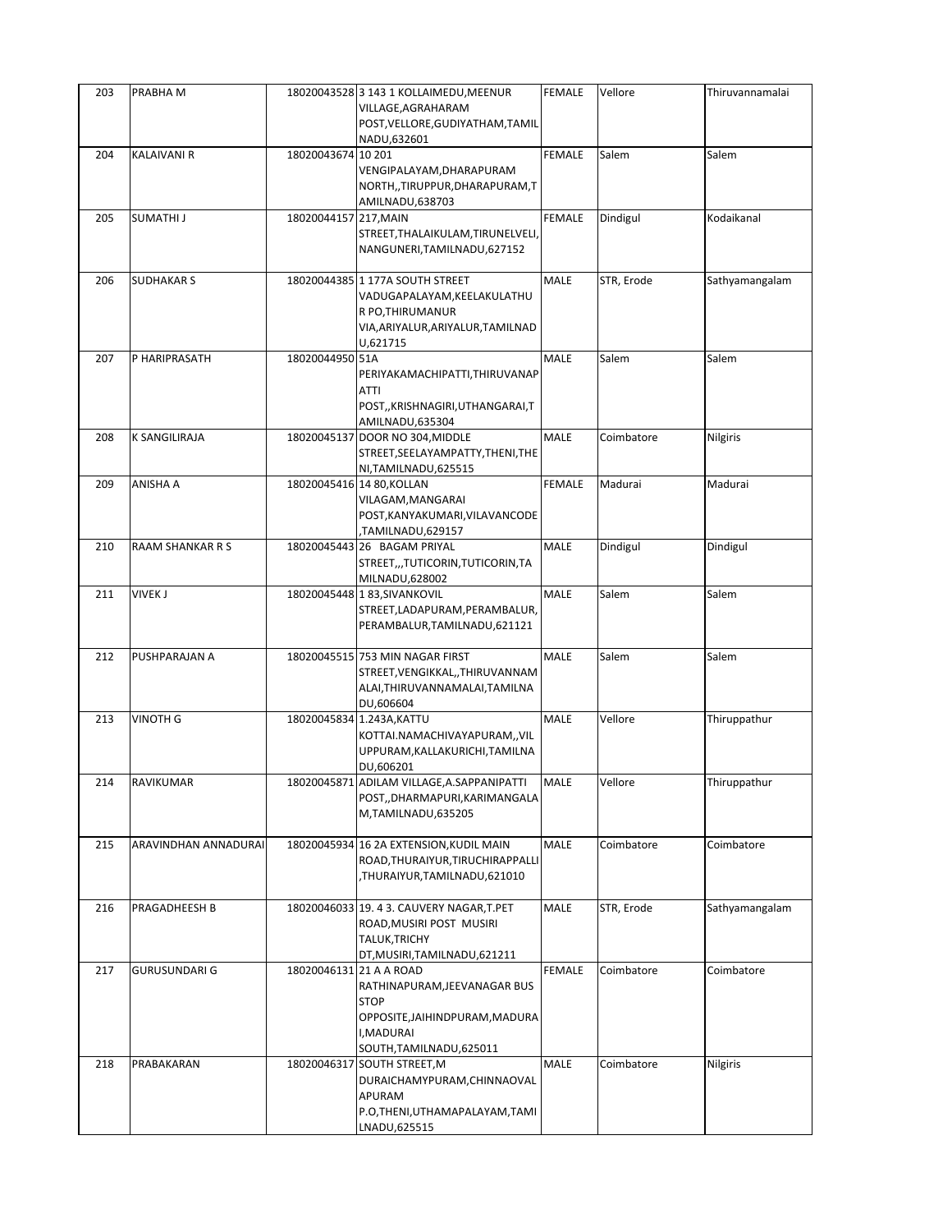| 203 | PRABHA M                |                         | 18020043528 3 143 1 KOLLAIMEDU, MEENUR<br>VILLAGE, AGRAHARAM<br>POST, VELLORE, GUDIYATHAM, TAMIL<br>NADU,632601                     | FEMALE        | Vellore    | Thiruvannamalai |
|-----|-------------------------|-------------------------|-------------------------------------------------------------------------------------------------------------------------------------|---------------|------------|-----------------|
| 204 | <b>KALAIVANI R</b>      | 18020043674 10 201      | VENGIPALAYAM, DHARAPURAM<br>NORTH,,TIRUPPUR,DHARAPURAM,T<br>AMILNADU,638703                                                         | FEMALE        | Salem      | Salem           |
| 205 | SUMATHI J               | 18020044157 217, MAIN   | STREET, THALAIKULAM, TIRUNELVELI,<br>NANGUNERI, TAMILNADU, 627152                                                                   | <b>FEMALE</b> | Dindigul   | Kodaikanal      |
| 206 | <b>SUDHAKAR S</b>       |                         | 18020044385 1 177A SOUTH STREET<br>VADUGAPALAYAM, KEELAKULATHU<br>R PO, THIRUMANUR<br>VIA, ARIYALUR, ARIYALUR, TAMILNAD<br>U,621715 | <b>MALE</b>   | STR, Erode | Sathyamangalam  |
| 207 | P HARIPRASATH           | 18020044950 51A         | PERIYAKAMACHIPATTI, THIRUVANAP<br>ATTI<br>POST,, KRISHNAGIRI, UTHANGARAI, T<br>AMILNADU,635304                                      | MALE          | Salem      | Salem           |
| 208 | <b>K SANGILIRAJA</b>    |                         | 18020045137 DOOR NO 304, MIDDLE<br>STREET, SEELAYAMPATTY, THENI, THE<br>NI, TAMILNADU, 625515                                       | MALE          | Coimbatore | Nilgiris        |
| 209 | ANISHA A                |                         | 18020045416 14 80, KOLLAN<br>VILAGAM, MANGARAI<br>POST, KANYAKUMARI, VILAVANCODE<br>TAMILNADU,629157                                | <b>FEMALE</b> | Madurai    | Madurai         |
| 210 | <b>RAAM SHANKAR R S</b> |                         | 18020045443 26 BAGAM PRIYAL<br>STREET,,,TUTICORIN,TUTICORIN,TA<br>MILNADU,628002                                                    | MALE          | Dindigul   | Dindigul        |
| 211 | <b>VIVEK J</b>          |                         | 18020045448 183, SIVANKOVIL<br>STREET,LADAPURAM,PERAMBALUR,<br>PERAMBALUR, TAMILNADU, 621121                                        | MALE          | Salem      | Salem           |
| 212 | PUSHPARAJAN A           |                         | 18020045515 753 MIN NAGAR FIRST<br>STREET, VENGIKKAL, , THIRUVANNAM<br>ALAI, THIRUVANNAMALAI, TAMILNA<br>DU,606604                  | MALE          | Salem      | Salem           |
| 213 | <b>VINOTH G</b>         |                         | 18020045834 1.243A, KATTU<br>KOTTAI.NAMACHIVAYAPURAM,, VIL<br>UPPURAM, KALLAKURICHI, TAMILNA<br>DU,606201                           | <b>MALE</b>   | Vellore    | Thiruppathur    |
| 214 | RAVIKUMAR               |                         | 18020045871 ADILAM VILLAGE, A.SAPPANIPATTI<br>POST,,DHARMAPURI,KARIMANGALA<br>M,TAMILNADU,635205                                    | MALE          | Vellore    | Thiruppathur    |
| 215 | ARAVINDHAN ANNADURAI    |                         | 18020045934 16 2A EXTENSION, KUDIL MAIN<br>ROAD, THURAIYUR, TIRUCHIRAPPALLI<br>THURAIYUR,TAMILNADU,621010,                          | MALE          | Coimbatore | Coimbatore      |
| 216 | PRAGADHEESH B           |                         | 18020046033 19. 4 3. CAUVERY NAGAR, T. PET<br>ROAD, MUSIRI POST MUSIRI<br>TALUK, TRICHY<br>DT, MUSIRI, TAMILNADU, 621211            | MALE          | STR, Erode | Sathyamangalam  |
| 217 | <b>GURUSUNDARI G</b>    | 18020046131 21 A A ROAD | RATHINAPURAM, JEEVANAGAR BUS<br><b>STOP</b><br>OPPOSITE, JAIHINDPURAM, MADURA<br>I, MADURAI<br>SOUTH, TAMILNADU, 625011             | <b>FEMALE</b> | Coimbatore | Coimbatore      |
| 218 | PRABAKARAN              |                         | 18020046317 SOUTH STREET, M<br>DURAICHAMYPURAM, CHINNAOVAL<br>APURAM<br>P.O,THENI,UTHAMAPALAYAM,TAMI<br>LNADU,625515                | MALE          | Coimbatore | Nilgiris        |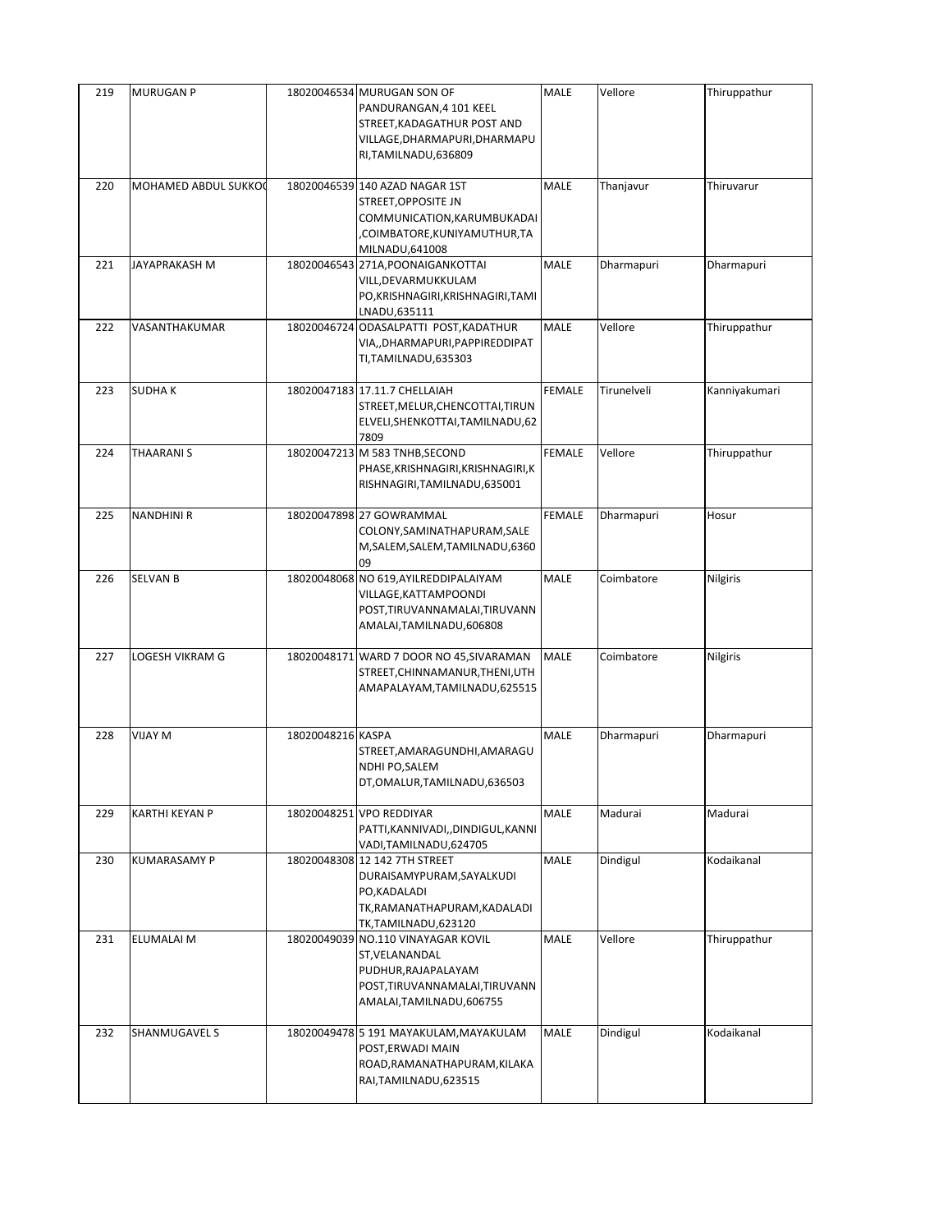| 219 | <b>MURUGAN P</b>     |                   | 18020046534 MURUGAN SON OF<br>PANDURANGAN, 4 101 KEEL<br>STREET, KADAGATHUR POST AND<br>VILLAGE, DHARMAPURI, DHARMAPU<br>RI, TAMILNADU, 636809 | <b>MALE</b>   | Vellore     | Thiruppathur  |
|-----|----------------------|-------------------|------------------------------------------------------------------------------------------------------------------------------------------------|---------------|-------------|---------------|
| 220 | MOHAMED ABDUL SUKKOO |                   | 18020046539 140 AZAD NAGAR 1ST<br>STREET, OPPOSITE JN<br>COMMUNICATION, KARUMBUKADAI<br>COIMBATORE, KUNIYAMUTHUR, TA<br>MILNADU,641008         | MALE          | Thanjavur   | Thiruvarur    |
| 221 | JAYAPRAKASH M        |                   | 18020046543 271A, POONAIGANKOTTAI<br>VILL, DEVARMUKKULAM<br>PO, KRISHNAGIRI, KRISHNAGIRI, TAMI<br>LNADU,635111                                 | MALE          | Dharmapuri  | Dharmapuri    |
| 222 | VASANTHAKUMAR        |                   | 18020046724 ODASALPATTI POST, KADATHUR<br>VIA,,DHARMAPURI,PAPPIREDDIPAT<br>TI, TAMILNADU, 635303                                               | MALE          | Vellore     | Thiruppathur  |
| 223 | <b>SUDHAK</b>        |                   | 18020047183 17.11.7 CHELLAIAH<br>STREET, MELUR, CHENCOTTAI, TIRUN<br>ELVELI, SHENKOTTAI, TAMILNADU, 62<br>7809                                 | <b>FEMALE</b> | Tirunelveli | Kanniyakumari |
| 224 | <b>THAARANIS</b>     |                   | 18020047213 M 583 TNHB, SECOND<br>PHASE, KRISHNAGIRI, KRISHNAGIRI, K<br>RISHNAGIRI, TAMILNADU, 635001                                          | <b>FEMALE</b> | Vellore     | Thiruppathur  |
| 225 | <b>NANDHINI R</b>    |                   | 18020047898 27 GOWRAMMAL<br>COLONY, SAMINATHAPURAM, SALE<br>M, SALEM, SALEM, TAMILNADU, 6360<br>09                                             | FEMALE        | Dharmapuri  | Hosur         |
| 226 | <b>SELVAN B</b>      |                   | 18020048068 NO 619, AYILREDDIPALAIYAM<br>VILLAGE, KATTAMPOONDI<br>POST, TIRUVANNAMALAI, TIRUVANN<br>AMALAI, TAMILNADU, 606808                  | MALE          | Coimbatore  | Nilgiris      |
| 227 | LOGESH VIKRAM G      |                   | 18020048171 WARD 7 DOOR NO 45, SIVARAMAN<br>STREET, CHINNAMANUR, THENI, UTH<br>AMAPALAYAM, TAMILNADU, 625515                                   | MALE          | Coimbatore  | Nilgiris      |
| 228 | VIJAY M              | 18020048216 KASPA | STREET, AMARAGUNDHI, AMARAGU<br>NDHI PO, SALEM<br>DT, OMALUR, TAMILNADU, 636503                                                                | MALE          | Dharmapuri  | Dharmapuri    |
| 229 | KARTHI KEYAN P       |                   | 18020048251 VPO REDDIYAR<br>PATTI, KANNIVADI, , DINDIGUL, KANNI<br>VADI, TAMILNADU, 624705                                                     | MALE          | Madurai     | Madurai       |
| 230 | <b>KUMARASAMY P</b>  |                   | 18020048308 12 142 7TH STREET<br>DURAISAMYPURAM, SAYALKUDI<br>PO, KADALADI<br>TK,RAMANATHAPURAM,KADALADI<br>TK,TAMILNADU,623120                | MALE          | Dindigul    | Kodaikanal    |
| 231 | ELUMALAI M           |                   | 18020049039 NO.110 VINAYAGAR KOVIL<br>ST, VELANANDAL<br>PUDHUR, RAJAPALAYAM<br>POST, TIRUVANNAMALAI, TIRUVANN<br>AMALAI, TAMILNADU, 606755     | <b>MALE</b>   | Vellore     | Thiruppathur  |
| 232 | SHANMUGAVEL S        |                   | 18020049478 5 191 MAYAKULAM, MAYAKULAM<br>POST, ERWADI MAIN<br>ROAD, RAMANATHAPURAM, KILAKA<br>RAI, TAMILNADU, 623515                          | <b>MALE</b>   | Dindigul    | Kodaikanal    |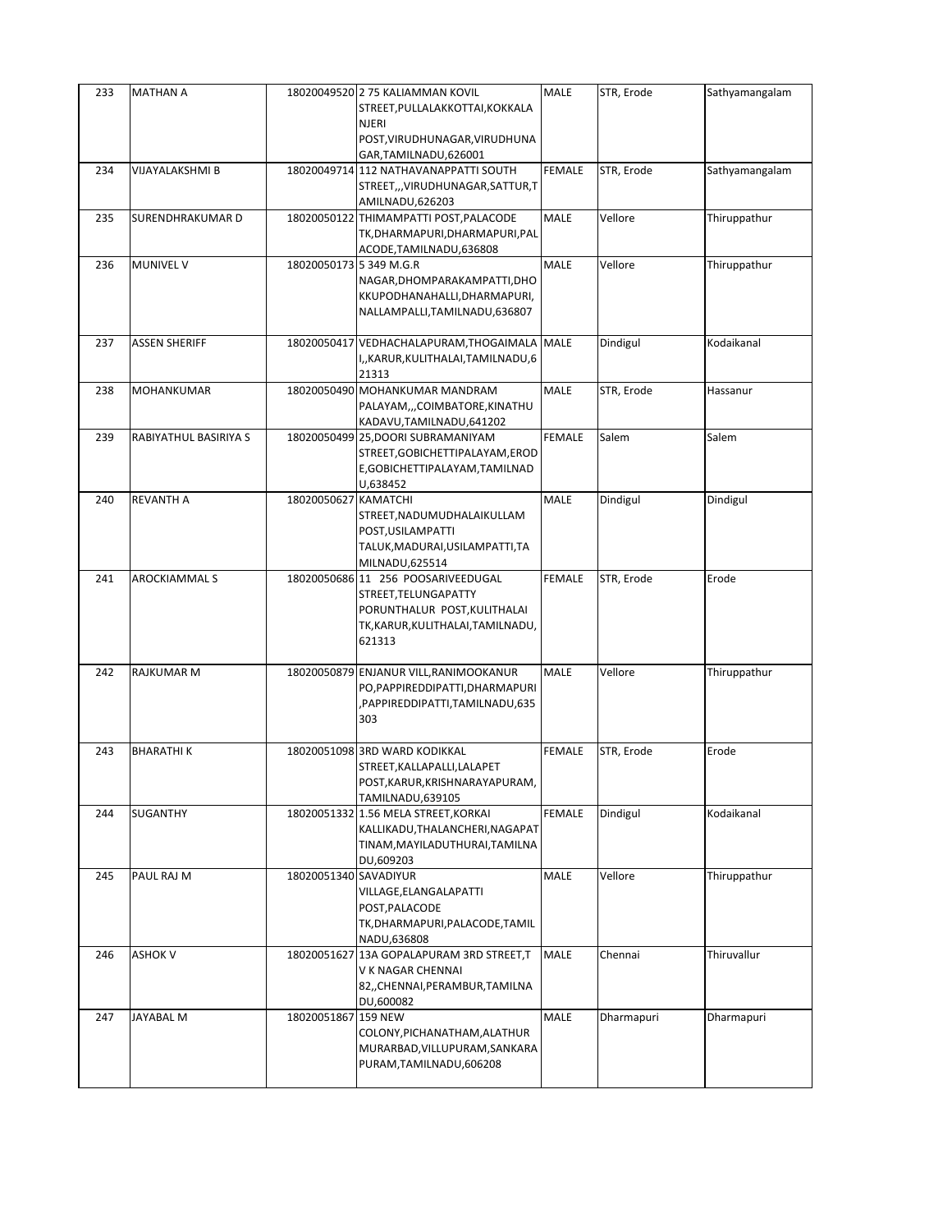| 233 | <b>MATHAN A</b>       |                         | 18020049520 2 75 KALIAMMAN KOVIL<br>STREET, PULLALAKKOTTAI, KOKKALA<br>NJERI<br>POST, VIRUDHUNAGAR, VIRUDHUNA<br>GAR, TAMILNADU, 626001   | MALE          | STR, Erode | Sathyamangalam |
|-----|-----------------------|-------------------------|-------------------------------------------------------------------------------------------------------------------------------------------|---------------|------------|----------------|
| 234 | VIJAYALAKSHMI B       |                         | 18020049714 112 NATHAVANAPPATTI SOUTH<br>STREET,,,VIRUDHUNAGAR,SATTUR,T<br>AMILNADU, 626203                                               | FEMALE        | STR, Erode | Sathyamangalam |
| 235 | SURENDHRAKUMAR D      |                         | 18020050122 THIMAMPATTI POST, PALACODE<br>TK, DHARMAPURI, DHARMAPURI, PAL<br>ACODE, TAMILNADU, 636808                                     | MALE          | Vellore    | Thiruppathur   |
| 236 | <b>MUNIVEL V</b>      | 18020050173 5 349 M.G.R | NAGAR, DHOMPARAKAMPATTI, DHO<br>KKUPODHANAHALLI, DHARMAPURI,<br>NALLAMPALLI, TAMILNADU, 636807                                            | <b>MALE</b>   | Vellore    | Thiruppathur   |
| 237 | <b>ASSEN SHERIFF</b>  |                         | 18020050417 VEDHACHALAPURAM, THOGAIMALA MALE<br>I,,KARUR,KULITHALAI,TAMILNADU,6<br>21313                                                  |               | Dindigul   | Kodaikanal     |
| 238 | MOHANKUMAR            |                         | 18020050490 MOHANKUMAR MANDRAM<br>PALAYAM,,,COIMBATORE,KINATHU<br>KADAVU, TAMILNADU, 641202                                               | MALE          | STR, Erode | Hassanur       |
| 239 | RABIYATHUL BASIRIYA S |                         | 18020050499 25, DOORI SUBRAMANIYAM<br>STREET, GOBICHETTIPALAYAM, EROD<br>E, GOBICHETTIPALAYAM, TAMILNAD<br>U,638452                       | <b>FEMALE</b> | Salem      | Salem          |
| 240 | <b>REVANTH A</b>      | 18020050627 KAMATCHI    | STREET, NADUMUDHALAIKULLAM<br>POST, USILAMPATTI<br>TALUK, MADURAI, USILAMPATTI, TA<br>MILNADU,625514                                      | <b>MALE</b>   | Dindigul   | Dindigul       |
| 241 | <b>AROCKIAMMAL S</b>  |                         | 18020050686 11 256 POOSARIVEEDUGAL<br>STREET, TELUNGAPATTY<br>PORUNTHALUR POST, KULITHALAI<br>TK, KARUR, KULITHALAI, TAMILNADU,<br>621313 | <b>FEMALE</b> | STR, Erode | Erode          |
| 242 | RAJKUMAR M            |                         | 18020050879 ENJANUR VILL, RANIMOOKANUR<br>PO, PAPPIRE DDIPATTI, DHARMAPURI<br>PAPPIREDDIPATTI, TAMILNADU, 635<br>303                      | MALE          | Vellore    | Thiruppathur   |
| 243 | <b>BHARATHIK</b>      |                         | 18020051098 3RD WARD KODIKKAL<br>STREET, KALLAPALLI, LALAPET<br>POST, KARUR, KRISHNARAYAPURAM,<br>TAMILNADU,639105                        | <b>FEMALE</b> | STR, Erode | Erode          |
| 244 | SUGANTHY              |                         | 18020051332 1.56 MELA STREET, KORKAI<br>KALLIKADU, THALANCHERI, NAGAPAT<br>TINAM, MAYILADUTHURAI, TAMILNA<br>DU,609203                    | FEMALE        | Dindigul   | Kodaikanal     |
| 245 | PAUL RAJ M            | 18020051340 SAVADIYUR   | VILLAGE, ELANGALAPATTI<br>POST, PALACODE<br>TK, DHARMAPURI, PALACODE, TAMIL<br>NADU,636808                                                | <b>MALE</b>   | Vellore    | Thiruppathur   |
| 246 | <b>ASHOK V</b>        |                         | 18020051627 13A GOPALAPURAM 3RD STREET, T<br>V K NAGAR CHENNAI<br>82,, CHENNAI, PERAMBUR, TAMILNA<br>DU,600082                            | MALE          | Chennai    | Thiruvallur    |
| 247 | JAYABAL M             | 18020051867 159 NEW     | COLONY, PICHANATHAM, ALATHUR<br>MURARBAD, VILLUPURAM, SANKARA<br>PURAM, TAMILNADU, 606208                                                 | <b>MALE</b>   | Dharmapuri | Dharmapuri     |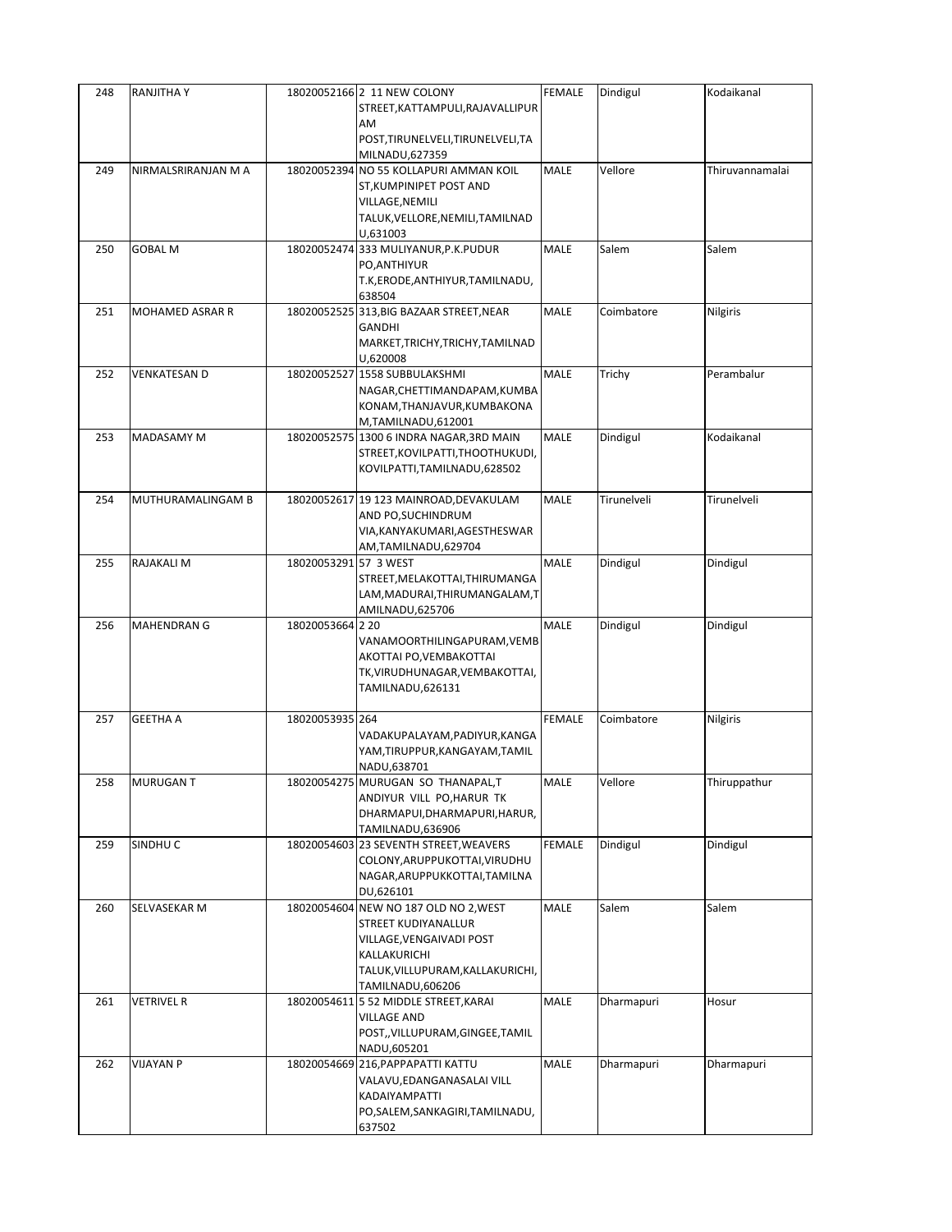| 248 | RANJITHA Y             |                       | 18020052166 2 11 NEW COLONY<br>STREET, KATTAMPULI, RAJAVALLIPUR<br>AM                                                                                            | <b>FEMALE</b> | Dindigul    | Kodaikanal      |
|-----|------------------------|-----------------------|------------------------------------------------------------------------------------------------------------------------------------------------------------------|---------------|-------------|-----------------|
|     |                        |                       | POST, TIRUNELVELI, TIRUNELVELI, TA<br>MILNADU,627359                                                                                                             |               |             |                 |
| 249 | NIRMALSRIRANJAN M A    |                       | 18020052394 NO 55 KOLLAPURI AMMAN KOIL<br>ST, KUMPINIPET POST AND<br>VILLAGE, NEMILI<br>TALUK, VELLORE, NEMILI, TAMILNAD<br>U,631003                             | MALE          | Vellore     | Thiruvannamalai |
| 250 | <b>GOBAL M</b>         |                       | 18020052474 333 MULIYANUR, P.K. PUDUR<br>PO, ANTHIYUR<br>T.K, ERODE, ANTHIYUR, TAMILNADU,<br>638504                                                              | MALE          | Salem       | Salem           |
| 251 | <b>MOHAMED ASRAR R</b> |                       | 18020052525 313, BIG BAZAAR STREET, NEAR<br>GANDHI<br>MARKET, TRICHY, TRICHY, TAMILNAD<br>U,620008                                                               | MALE          | Coimbatore  | Nilgiris        |
| 252 | VENKATESAN D           |                       | 18020052527 1558 SUBBULAKSHMI<br>NAGAR, CHETTIMANDAPAM, KUMBA<br>KONAM, THANJAVUR, KUMBAKONA<br>M,TAMILNADU,612001                                               | MALE          | Trichy      | Perambalur      |
| 253 | MADASAMY M             |                       | 18020052575 1300 6 INDRA NAGAR, 3RD MAIN<br>STREET, KOVILPATTI, THOOTHUKUDI,<br>KOVILPATTI, TAMILNADU, 628502                                                    | MALE          | Dindigul    | Kodaikanal      |
| 254 | MUTHURAMALINGAM B      |                       | 18020052617 19 123 MAINROAD, DEVAKULAM<br>AND PO, SUCHINDRUM<br>VIA, KANYAKUMARI, AGESTHESWAR<br>AM,TAMILNADU,629704                                             | MALE          | Tirunelveli | Tirunelveli     |
| 255 | RAJAKALI M             | 18020053291 57 3 WEST | STREET, MELAKOTTAI, THIRUMANGA<br>LAM, MADURAI, THIRUMANGALAM, T<br>AMILNADU,625706                                                                              | <b>MALE</b>   | Dindigul    | Dindigul        |
| 256 | <b>MAHENDRAN G</b>     | 18020053664 2 20      | VANAMOORTHILINGAPURAM,VEMB<br>AKOTTAI PO, VEMBAKOTTAI<br>TK,VIRUDHUNAGAR,VEMBAKOTTAI,<br>TAMILNADU,626131                                                        | MALE          | Dindigul    | Dindigul        |
| 257 | <b>GEETHA A</b>        | 18020053935 264       | VADAKUPALAYAM,PADIYUR,KANGA<br>YAM, TIRUPPUR, KANGAYAM, TAMIL<br>NADU,638701                                                                                     | <b>FEMALE</b> | Coimbatore  | Nilgiris        |
| 258 | <b>MURUGANT</b>        |                       | 18020054275 MURUGAN SO THANAPAL,T<br>ANDIYUR VILL PO, HARUR TK<br>DHARMAPUI, DHARMAPURI, HARUR,<br>TAMILNADU,636906                                              | MALE          | Vellore     | Thiruppathur    |
| 259 | SINDHU C               |                       | 18020054603 23 SEVENTH STREET, WEAVERS<br>COLONY, ARUPPUKOTTAI, VIRUDHU<br>NAGAR, ARUPPUKKOTTAI, TAMILNA<br>DU,626101                                            | FEMALE        | Dindigul    | Dindigul        |
| 260 | SELVASEKAR M           |                       | 18020054604 NEW NO 187 OLD NO 2, WEST<br>STREET KUDIYANALLUR<br>VILLAGE, VENGAIVADI POST<br>KALLAKURICHI<br>TALUK, VILLUPURAM, KALLAKURICHI,<br>TAMILNADU,606206 | MALE          | Salem       | Salem           |
| 261 | VETRIVEL R             |                       | 18020054611 5 52 MIDDLE STREET, KARAI<br><b>VILLAGE AND</b><br>POST,, VILLUPURAM, GINGEE, TAMIL<br>NADU,605201                                                   | MALE          | Dharmapuri  | Hosur           |
| 262 | <b>VIJAYAN P</b>       |                       | 18020054669 216, PAPPAPATTI KATTU<br>VALAVU, EDANGANASALAI VILL<br>KADAIYAMPATTI<br>PO, SALEM, SANKAGIRI, TAMILNADU,<br>637502                                   | MALE          | Dharmapuri  | Dharmapuri      |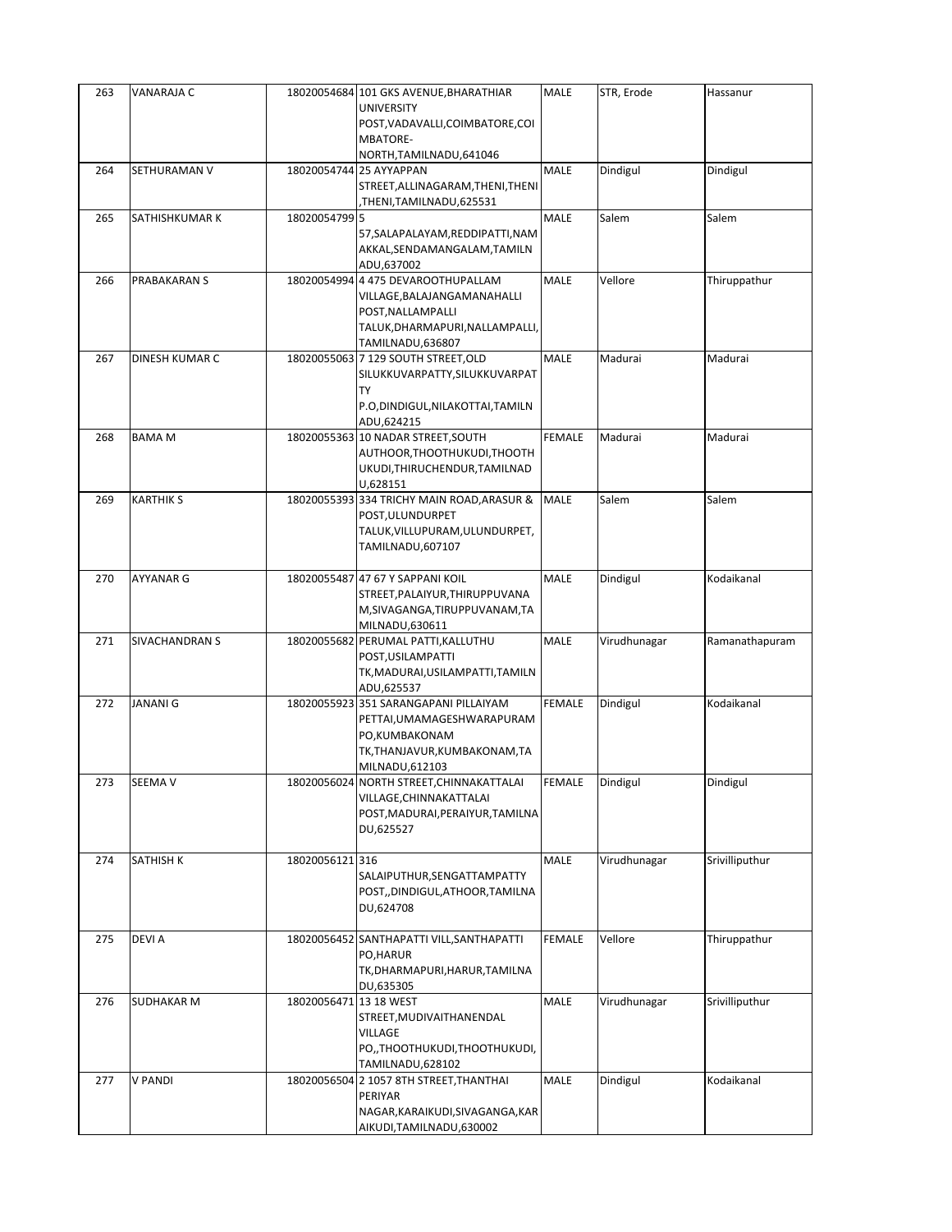| 263 | VANARAJA C            |                        | 18020054684 101 GKS AVENUE, BHARATHIAR<br>UNIVERSITY<br>POST, VADAVALLI, COIMBATORE, COI<br>MBATORE-                                          | <b>MALE</b>   | STR, Erode   | Hassanur       |
|-----|-----------------------|------------------------|-----------------------------------------------------------------------------------------------------------------------------------------------|---------------|--------------|----------------|
|     |                       |                        | NORTH, TAMILNADU, 641046                                                                                                                      |               |              |                |
| 264 | SETHURAMAN V          |                        | 18020054744 25 AYYAPPAN<br>STREET, ALLINAGARAM, THENI, THENI<br>THENI,TAMILNADU,625531,                                                       | MALE          | Dindigul     | Dindigul       |
| 265 | SATHISHKUMAR K        | 18020054799 5          |                                                                                                                                               | MALE          | Salem        | Salem          |
|     |                       |                        | 57, SALAPALAYAM, REDDIPATTI, NAM<br>AKKAL, SENDAMANGALAM, TAMILN<br>ADU,637002                                                                |               |              |                |
| 266 | PRABAKARAN S          |                        | 18020054994 4 475 DEVAROOTHUPALLAM<br>VILLAGE, BALAJANGAMANAHALLI<br>POST, NALLAMPALLI<br>TALUK, DHARMAPURI, NALLAMPALLI,<br>TAMILNADU,636807 | MALE          | Vellore      | Thiruppathur   |
| 267 | DINESH KUMAR C        |                        | 18020055063 7 129 SOUTH STREET, OLD<br>SILUKKUVARPATTY, SILUKKUVARPAT<br><b>TY</b><br>P.O,DINDIGUL,NILAKOTTAI,TAMILN<br>ADU,624215            | MALE          | Madurai      | Madurai        |
| 268 | <b>BAMA M</b>         |                        | 18020055363 10 NADAR STREET, SOUTH<br>AUTHOOR, THOOTHUKUDI, THOOTH<br>UKUDI, THIRUCHENDUR, TAMILNAD<br>U,628151                               | <b>FEMALE</b> | Madurai      | Madurai        |
| 269 | <b>KARTHIK S</b>      |                        | 18020055393 334 TRICHY MAIN ROAD, ARASUR &<br>POST, ULUNDURPET<br>TALUK, VILLUPURAM, ULUNDURPET,<br>TAMILNADU,607107                          | <b>MALE</b>   | Salem        | Salem          |
| 270 | <b>AYYANAR G</b>      |                        | 18020055487 47 67 Y SAPPANI KOIL<br>STREET, PALAIYUR, THIRUPPUVANA<br>M, SIVAGANGA, TIRUPPUVANAM, TA<br>MILNADU,630611                        | MALE          | Dindigul     | Kodaikanal     |
| 271 | <b>SIVACHANDRAN S</b> |                        | 18020055682 PERUMAL PATTI, KALLUTHU<br>POST, USILAMPATTI<br>TK, MADURAI, USILAMPATTI, TAMILN<br>ADU,625537                                    | MALE          | Virudhunagar | Ramanathapuram |
| 272 | <b>JANANI G</b>       |                        | 18020055923 351 SARANGAPANI PILLAIYAM<br>PETTAI, UMAMAGESHWARAPURAM<br>PO,KUMBAKONAM<br>TK,THANJAVUR,KUMBAKONAM,TA<br>MILNADU,612103          | <b>FEMALE</b> | Dindigul     | Kodaikanal     |
| 273 | <b>SEEMA V</b>        |                        | 18020056024 NORTH STREET, CHINNAKATTALAI<br>VILLAGE, CHINNAKATTALAI<br>POST, MADURAI, PERAIYUR, TAMILNA<br>DU,625527                          | FEMALE        | Dindigul     | Dindigul       |
| 274 | SATHISH K             | 18020056121316         | SALAIPUTHUR, SENGATTAMPATTY<br>POST,,DINDIGUL,ATHOOR,TAMILNA<br>DU,624708                                                                     | MALE          | Virudhunagar | Srivilliputhur |
| 275 | <b>DEVIA</b>          |                        | 18020056452 SANTHAPATTI VILL, SANTHAPATTI<br>PO, HARUR<br>TK, DHARMAPURI, HARUR, TAMILNA<br>DU,635305                                         | <b>FEMALE</b> | Vellore      | Thiruppathur   |
| 276 | SUDHAKAR M            | 18020056471 13 18 WEST | STREET, MUDIVAITHANENDAL<br>VILLAGE<br>PO,, THOOTHUKUDI, THOOTHUKUDI,<br>TAMILNADU,628102                                                     | MALE          | Virudhunagar | Srivilliputhur |
| 277 | <b>V PANDI</b>        |                        | 18020056504 2 1057 8TH STREET, THANTHAI<br>PERIYAR<br>NAGAR, KARAIKUDI, SIVAGANGA, KAR<br>AIKUDI, TAMILNADU, 630002                           | MALE          | Dindigul     | Kodaikanal     |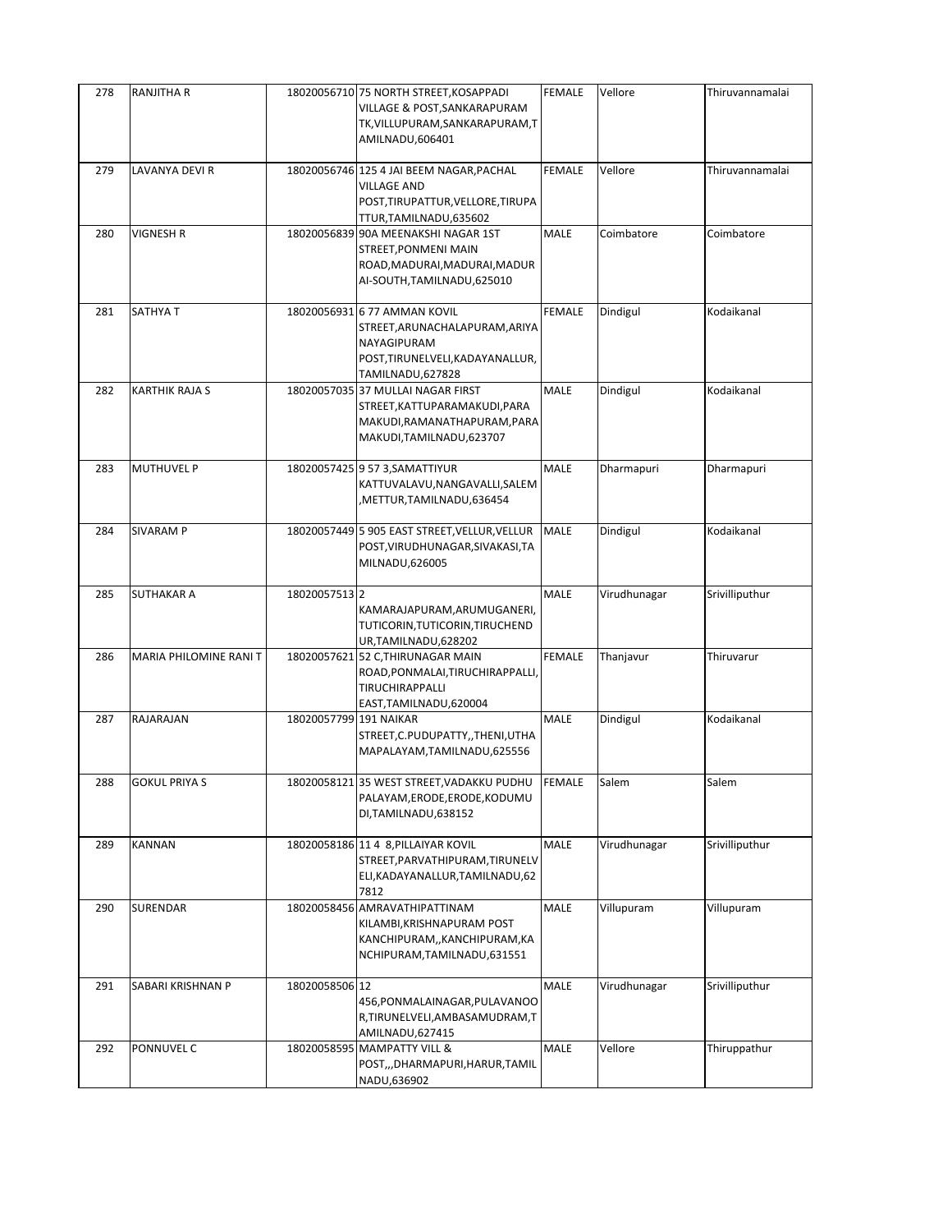| 278 | <b>RANJITHA R</b>      |                        | 18020056710 75 NORTH STREET, KOSAPPADI<br>VILLAGE & POST, SANKARAPURAM<br>TK, VILLUPURAM, SANKARAPURAM, T<br>AMILNADU,606401          | <b>FEMALE</b> | Vellore      | Thiruvannamalai |
|-----|------------------------|------------------------|---------------------------------------------------------------------------------------------------------------------------------------|---------------|--------------|-----------------|
| 279 | LAVANYA DEVI R         |                        | 18020056746 125 4 JAI BEEM NAGAR, PACHAL<br><b>VILLAGE AND</b><br>POST, TIRUPATTUR, VELLORE, TIRUPA<br>TTUR, TAMILNADU, 635602        | <b>FEMALE</b> | Vellore      | Thiruvannamalai |
| 280 | VIGNESH R              |                        | 18020056839 90A MEENAKSHI NAGAR 1ST<br>STREET, PONMENI MAIN<br>ROAD, MADURAI, MADURAI, MADUR<br>AI-SOUTH, TAMILNADU, 625010           | MALE          | Coimbatore   | Coimbatore      |
| 281 | SATHYA T               |                        | 18020056931 6 77 AMMAN KOVIL<br>STREET, ARUNACHALAPURAM, ARIYA<br>NAYAGIPURAM<br>POST, TIRUNELVELI, KADAYANALLUR,<br>TAMILNADU,627828 | <b>FEMALE</b> | Dindigul     | Kodaikanal      |
| 282 | <b>KARTHIK RAJA S</b>  |                        | 18020057035 37 MULLAI NAGAR FIRST<br>STREET, KATTUPARAMAKUDI, PARA<br>MAKUDI, RAMANATHAPURAM, PARA<br>MAKUDI, TAMILNADU, 623707       | MALE          | Dindigul     | Kodaikanal      |
| 283 | <b>MUTHUVEL P</b>      |                        | 18020057425 9 57 3, SAMATTIYUR<br>KATTUVALAVU, NANGAVALLI, SALEM<br>METTUR,TAMILNADU,636454,                                          | MALE          | Dharmapuri   | Dharmapuri      |
| 284 | SIVARAM P              |                        | 18020057449 5 905 EAST STREET, VELLUR, VELLUR<br>POST, VIRUDHUNAGAR, SIVAKASI, TA<br>MILNADU,626005                                   | <b>MALE</b>   | Dindigul     | Kodaikanal      |
| 285 | <b>SUTHAKAR A</b>      | 18020057513 2          | KAMARAJAPURAM, ARUMUGANERI,<br>TUTICORIN, TUTICORIN, TIRUCHEND<br>UR,TAMILNADU,628202                                                 | MALE          | Virudhunagar | Srivilliputhur  |
| 286 | MARIA PHILOMINE RANI T |                        | 18020057621 52 C, THIRUNAGAR MAIN<br>ROAD, PONMALAI, TIRUCHIRAPPALLI,<br>TIRUCHIRAPPALLI<br>EAST, TAMILNADU, 620004                   | <b>FEMALE</b> | Thanjavur    | Thiruvarur      |
| 287 | RAJARAJAN              | 18020057799 191 NAIKAR | STREET, C. PUDUPATTY, , THENI, UTHA<br>MAPALAYAM, TAMILNADU, 625556                                                                   | MALE          | Dindigul     | Kodaikanal      |
| 288 | <b>GOKUL PRIYA S</b>   |                        | 18020058121 35 WEST STREET, VADAKKU PUDHU FEMALE<br>PALAYAM, ERODE, ERODE, KODUMU<br>DI, TAMILNADU, 638152                            |               | Salem        | Salem           |
| 289 | KANNAN                 |                        | 18020058186 11 4 8, PILLAIYAR KOVIL<br>STREET, PARVATHIPURAM, TIRUNELV<br>ELI, KADAYANALLUR, TAMILNADU, 62<br>7812                    | MALE          | Virudhunagar | Srivilliputhur  |
| 290 | SURENDAR               |                        | 18020058456 AMRAVATHIPATTINAM<br>KILAMBI, KRISHNAPURAM POST<br>KANCHIPURAM,, KANCHIPURAM, KA<br>NCHIPURAM, TAMILNADU, 631551          | <b>MALE</b>   | Villupuram   | Villupuram      |
| 291 | SABARI KRISHNAN P      | 18020058506 12         | 456, PONMALAINAGAR, PULAVANOO<br>R,TIRUNELVELI,AMBASAMUDRAM,T<br>AMILNADU,627415                                                      | <b>MALE</b>   | Virudhunagar | Srivilliputhur  |
| 292 | PONNUVEL C             |                        | 18020058595 MAMPATTY VILL &<br>POST,,,DHARMAPURI,HARUR,TAMIL<br>NADU,636902                                                           | MALE          | Vellore      | Thiruppathur    |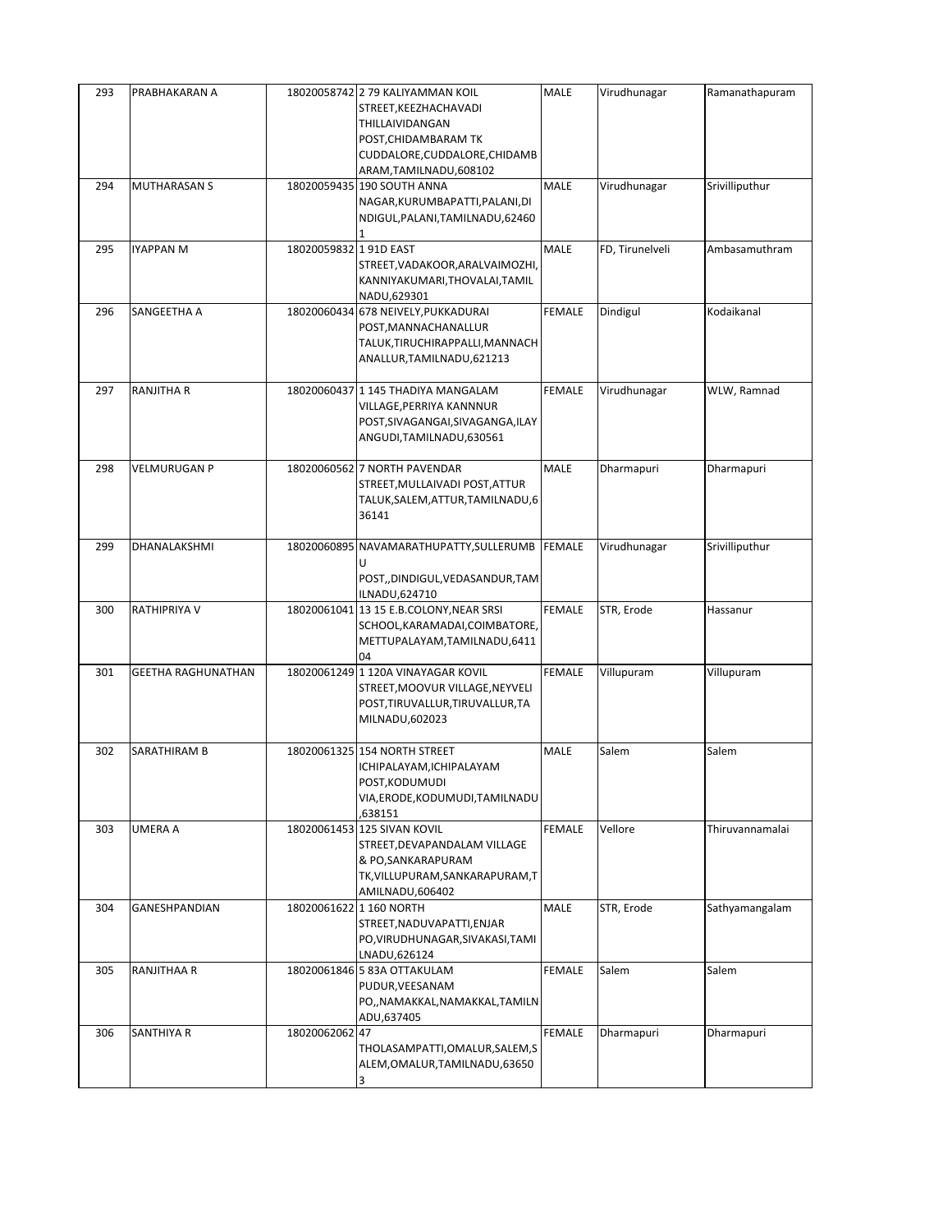| 293 | PRABHAKARAN A             |                        | 18020058742 2 79 KALIYAMMAN KOIL<br>STREET, KEEZHACHAVADI<br>THILLAIVIDANGAN<br>POST, CHIDAMBARAM TK<br>CUDDALORE, CUDDALORE, CHIDAMB<br>ARAM, TAMILNADU, 608102 | MALE          | Virudhunagar    | Ramanathapuram  |
|-----|---------------------------|------------------------|------------------------------------------------------------------------------------------------------------------------------------------------------------------|---------------|-----------------|-----------------|
| 294 | <b>MUTHARASAN S</b>       |                        | 18020059435 190 SOUTH ANNA<br>NAGAR, KURUMBAPATTI, PALANI, DI<br>NDIGUL, PALANI, TAMILNADU, 62460<br>1                                                           | MALE          | Virudhunagar    | Srivilliputhur  |
| 295 | <b>IYAPPAN M</b>          | 18020059832 1 91D EAST | STREET, VADAKOOR, ARALVAIMOZHI,<br>KANNIYAKUMARI, THOVALAI, TAMIL<br>NADU,629301                                                                                 | <b>MALE</b>   | FD, Tirunelveli | Ambasamuthram   |
| 296 | SANGEETHA A               |                        | 18020060434 678 NEIVELY, PUKKADURAI<br>POST, MANNACHANALLUR<br>TALUK, TIRUCHIRAPPALLI, MANNACH<br>ANALLUR, TAMILNADU, 621213                                     | <b>FEMALE</b> | Dindigul        | Kodaikanal      |
| 297 | <b>RANJITHA R</b>         |                        | 18020060437 1 145 THADIYA MANGALAM<br>VILLAGE, PERRIYA KANNNUR<br>POST, SIVAGANGAI, SIVAGANGA, ILAY<br>ANGUDI, TAMILNADU, 630561                                 | <b>FEMALE</b> | Virudhunagar    | WLW, Ramnad     |
| 298 | VELMURUGAN P              |                        | 18020060562 7 NORTH PAVENDAR<br>STREET, MULLAIVADI POST, ATTUR<br>TALUK, SALEM, ATTUR, TAMILNADU, 6<br>36141                                                     | <b>MALE</b>   | Dharmapuri      | Dharmapuri      |
| 299 | DHANALAKSHMI              |                        | 18020060895 NAVAMARATHUPATTY, SULLERUMB<br>U<br>POST,,DINDIGUL,VEDASANDUR,TAM<br>ILNADU,624710                                                                   | <b>FEMALE</b> | Virudhunagar    | Srivilliputhur  |
| 300 | RATHIPRIYA V              |                        | 18020061041 13 15 E.B.COLONY, NEAR SRSI<br>SCHOOL, KARAMADAI, COIMBATORE,<br>METTUPALAYAM, TAMILNADU, 6411<br>04                                                 | <b>FEMALE</b> | STR, Erode      | Hassanur        |
| 301 | <b>GEETHA RAGHUNATHAN</b> |                        | 18020061249 1 120A VINAYAGAR KOVIL<br>STREET, MOOVUR VILLAGE, NEYVELI<br>POST, TIRUVALLUR, TIRUVALLUR, TA<br>MILNADU,602023                                      | <b>FEMALE</b> | Villupuram      | Villupuram      |
| 302 | SARATHIRAM B              |                        | 18020061325 154 NORTH STREET<br>ICHIPALAYAM, ICHIPALAYAM<br>POST, KODUMUDI<br>VIA,ERODE,KODUMUDI,TAMILNADU<br>.638151                                            | MALE          | Salem           | Salem           |
| 303 | UMERA A                   |                        | 18020061453 125 SIVAN KOVIL<br>STREET, DEVAPANDALAM VILLAGE<br>& PO, SANKARAPURAM<br>TK, VILLUPURAM, SANKARAPURAM, T<br>AMILNADU,606402                          | <b>FEMALE</b> | Vellore         | Thiruvannamalai |
| 304 | GANESHPANDIAN             |                        | 18020061622 1 160 NORTH<br>STREET, NADUVAPATTI, ENJAR<br>PO, VIRUDHUNAGAR, SIVAKASI, TAMI<br>LNADU,626124                                                        | <b>MALE</b>   | STR, Erode      | Sathyamangalam  |
| 305 | RANJITHAA R               |                        | 18020061846 5 83A OTTAKULAM<br>PUDUR, VEESANAM<br>PO,, NAMAKKAL, NAMAKKAL, TAMILN<br>ADU,637405                                                                  | <b>FEMALE</b> | Salem           | Salem           |
| 306 | SANTHIYA R                | 1802006206247          | THOLASAMPATTI,OMALUR,SALEM,S<br>ALEM, OMALUR, TAMILNADU, 63650<br>3                                                                                              | <b>FEMALE</b> | Dharmapuri      | Dharmapuri      |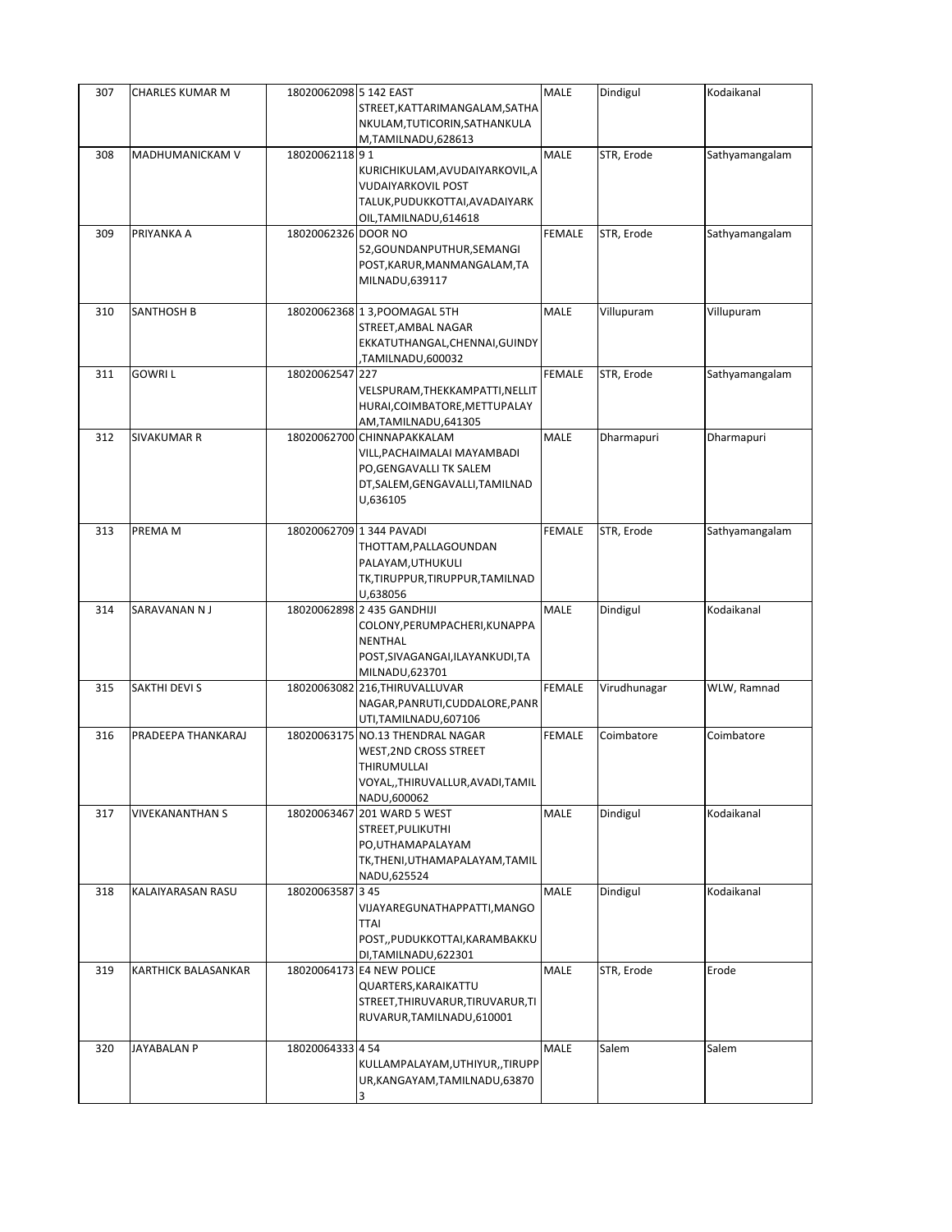| 307 | CHARLES KUMAR M     | 18020062098 5 142 EAST |                                                              | MALE          | Dindigul     | Kodaikanal     |
|-----|---------------------|------------------------|--------------------------------------------------------------|---------------|--------------|----------------|
|     |                     |                        | STREET, KATTARIMANGALAM, SATHA                               |               |              |                |
|     |                     |                        | NKULAM, TUTICORIN, SATHANKULA                                |               |              |                |
| 308 | MADHUMANICKAM V     | 1802006211891          | M,TAMILNADU,628613                                           | MALE          | STR, Erode   |                |
|     |                     |                        |                                                              |               |              | Sathyamangalam |
|     |                     |                        | KURICHIKULAM, AVUDAIYARKOVIL, A<br><b>VUDAIYARKOVIL POST</b> |               |              |                |
|     |                     |                        | TALUK, PUDUKKOTTAI, AVADAIYARK                               |               |              |                |
|     |                     |                        | OIL, TAMILNADU, 614618                                       |               |              |                |
| 309 | PRIYANKA A          | 18020062326 DOOR NO    |                                                              | <b>FEMALE</b> | STR, Erode   | Sathyamangalam |
|     |                     |                        | 52, GOUNDANPUTHUR, SEMANGI                                   |               |              |                |
|     |                     |                        | POST, KARUR, MANMANGALAM, TA                                 |               |              |                |
|     |                     |                        | MILNADU,639117                                               |               |              |                |
|     |                     |                        |                                                              |               |              |                |
| 310 | SANTHOSH B          |                        | 18020062368 1 3, POOMAGAL 5TH                                | MALE          | Villupuram   | Villupuram     |
|     |                     |                        | STREET, AMBAL NAGAR                                          |               |              |                |
|     |                     |                        | EKKATUTHANGAL, CHENNAI, GUINDY                               |               |              |                |
|     |                     |                        | TAMILNADU,600032,                                            |               |              |                |
| 311 | <b>GOWRIL</b>       | 18020062547 227        |                                                              | <b>FEMALE</b> | STR, Erode   | Sathyamangalam |
|     |                     |                        | VELSPURAM, THEKKAMPATTI, NELLIT                              |               |              |                |
|     |                     |                        | HURAI, COIMBATORE, METTUPALAY                                |               |              |                |
|     |                     |                        | AM,TAMILNADU,641305                                          |               |              |                |
| 312 | SIVAKUMAR R         |                        | 18020062700 CHINNAPAKKALAM                                   | MALE          | Dharmapuri   | Dharmapuri     |
|     |                     |                        | VILL, PACHAIMALAI MAYAMBADI                                  |               |              |                |
|     |                     |                        | PO, GENGAVALLI TK SALEM                                      |               |              |                |
|     |                     |                        | DT, SALEM, GENGAVALLI, TAMILNAD                              |               |              |                |
|     |                     |                        | U,636105                                                     |               |              |                |
|     |                     |                        |                                                              |               |              |                |
| 313 | PREMA M             |                        | 18020062709 1 344 PAVADI                                     | <b>FEMALE</b> | STR, Erode   | Sathyamangalam |
|     |                     |                        | THOTTAM, PALLAGOUNDAN                                        |               |              |                |
|     |                     |                        | PALAYAM, UTHUKULI                                            |               |              |                |
|     |                     |                        | TK,TIRUPPUR,TIRUPPUR,TAMILNAD                                |               |              |                |
|     |                     |                        | U,638056                                                     |               |              |                |
|     |                     |                        |                                                              |               |              |                |
| 314 | SARAVANAN N J       |                        | 18020062898 2 435 GANDHIJI                                   | MALE          | Dindigul     | Kodaikanal     |
|     |                     |                        | COLONY, PERUMPACHERI, KUNAPPA                                |               |              |                |
|     |                     |                        | <b>NENTHAL</b>                                               |               |              |                |
|     |                     |                        | POST, SIVAGANGAI, ILAYANKUDI, TA                             |               |              |                |
|     |                     |                        | MILNADU,623701                                               |               |              |                |
| 315 | SAKTHI DEVI S       |                        | 18020063082 216, THIRUVALLUVAR                               | <b>FEMALE</b> | Virudhunagar | WLW, Ramnad    |
|     |                     |                        | NAGAR, PANRUTI, CUDDALORE, PANR                              |               |              |                |
|     |                     |                        | UTI,TAMILNADU,607106                                         |               |              |                |
| 316 | PRADEEPA THANKARAJ  |                        | 18020063175 NO.13 THENDRAL NAGAR                             | <b>FEMALE</b> | Coimbatore   | Coimbatore     |
|     |                     |                        | <b>WEST, 2ND CROSS STREET</b>                                |               |              |                |
|     |                     |                        | THIRUMULLAI                                                  |               |              |                |
|     |                     |                        | VOYAL,,THIRUVALLUR,AVADI,TAMIL<br>NADU,600062                |               |              |                |
| 317 | VIVEKANANTHAN S     |                        | 18020063467 201 WARD 5 WEST                                  | MALE          | Dindigul     | Kodaikanal     |
|     |                     |                        | STREET, PULIKUTHI                                            |               |              |                |
|     |                     |                        | PO, UTHAMAPALAYAM                                            |               |              |                |
|     |                     |                        | TK, THENI, UTHAMAPALAYAM, TAMIL                              |               |              |                |
|     |                     |                        | NADU,625524                                                  |               |              |                |
| 318 | KALAIYARASAN RASU   | 18020063587 3 45       |                                                              | MALE          | Dindigul     | Kodaikanal     |
|     |                     |                        | VIJAYAREGUNATHAPPATTI, MANGO                                 |               |              |                |
|     |                     |                        | <b>TTAI</b>                                                  |               |              |                |
|     |                     |                        | POST,, PUDUKKOTTAI, KARAMBAKKU                               |               |              |                |
|     |                     |                        | DI, TAMILNADU, 622301                                        |               |              |                |
| 319 | KARTHICK BALASANKAR |                        | 18020064173 E4 NEW POLICE                                    | MALE          | STR, Erode   | Erode          |
|     |                     |                        | QUARTERS, KARAIKATTU                                         |               |              |                |
|     |                     |                        | STREET, THIRUVARUR, TIRUVARUR, TI                            |               |              |                |
|     |                     |                        | RUVARUR, TAMILNADU, 610001                                   |               |              |                |
|     |                     |                        |                                                              |               |              |                |
| 320 | JAYABALAN P         | 18020064333 4 54       |                                                              | MALE          | Salem        | Salem          |
|     |                     |                        | KULLAMPALAYAM, UTHIYUR,, TIRUPP                              |               |              |                |
|     |                     |                        | UR, KANGAYAM, TAMILNADU, 63870<br>3                          |               |              |                |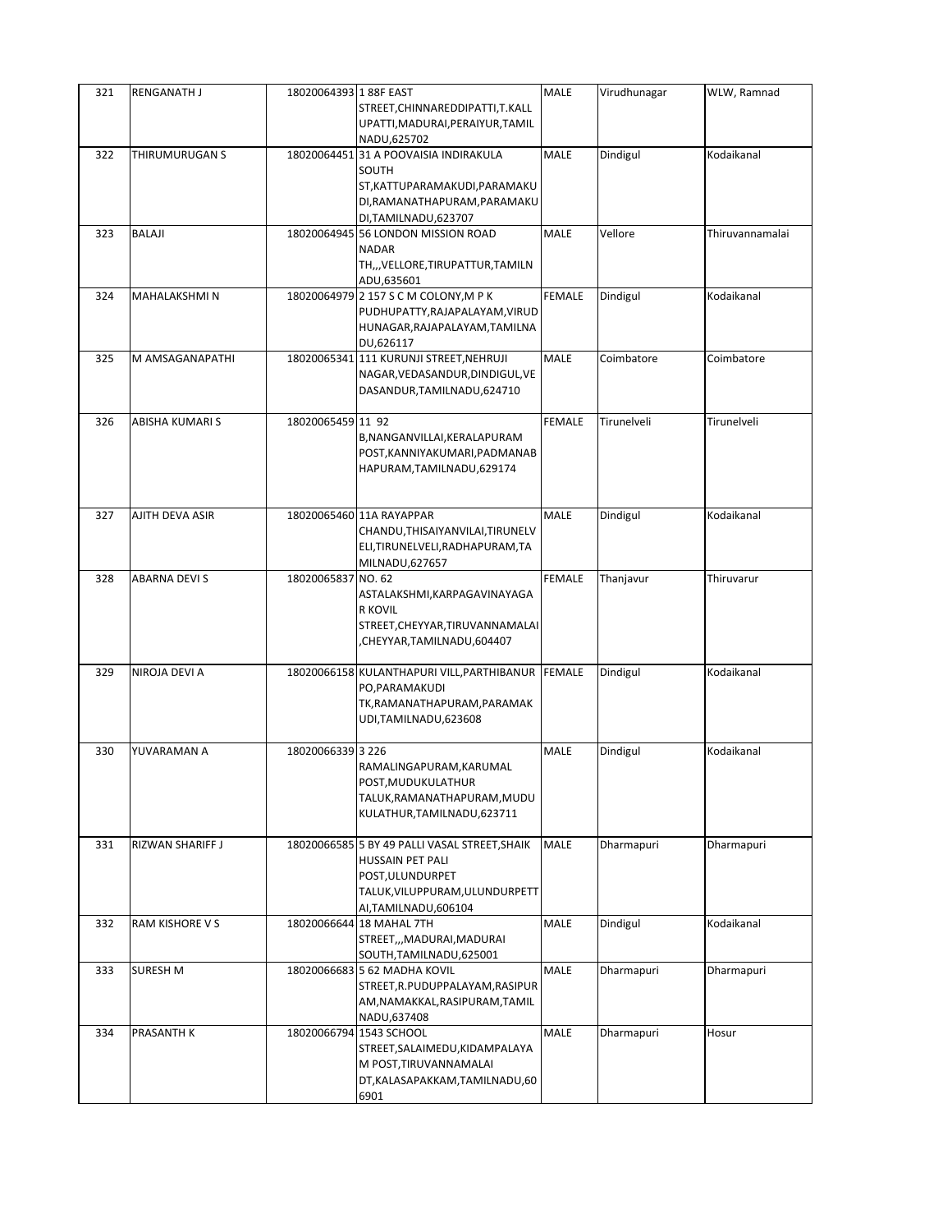| 321 | <b>RENGANATH J</b>     | 18020064393 1 88F EAST | STREET, CHINNAREDDIPATTI, T.KALL                                    | <b>MALE</b>   | Virudhunagar | WLW, Ramnad     |
|-----|------------------------|------------------------|---------------------------------------------------------------------|---------------|--------------|-----------------|
|     |                        |                        | UPATTI, MADURAI, PERAIYUR, TAMIL<br>NADU,625702                     |               |              |                 |
| 322 | THIRUMURUGAN S         |                        | 18020064451 31 A POOVAISIA INDIRAKULA<br>SOUTH                      | <b>MALE</b>   | Dindigul     | Kodaikanal      |
|     |                        |                        | ST, KATTUPARAMAKUDI, PARAMAKU                                       |               |              |                 |
|     |                        |                        | DI, RAMANATHAPURAM, PARAMAKU<br>DI, TAMILNADU, 623707               |               |              |                 |
| 323 | BALAJI                 |                        | 18020064945 56 LONDON MISSION ROAD                                  | MALE          | Vellore      | Thiruvannamalai |
|     |                        |                        | <b>NADAR</b><br>TH,,,VELLORE,TIRUPATTUR,TAMILN                      |               |              |                 |
|     |                        |                        | ADU,635601                                                          |               |              |                 |
| 324 | MAHALAKSHMI N          |                        | 18020064979 2 157 S C M COLONY, M P K                               | <b>FEMALE</b> | Dindigul     | Kodaikanal      |
|     |                        |                        | PUDHUPATTY, RAJAPALAYAM, VIRUD<br>HUNAGAR, RAJAPALAYAM, TAMILNA     |               |              |                 |
|     |                        |                        | DU,626117                                                           |               |              |                 |
| 325 | M AMSAGANAPATHI        |                        | 18020065341 111 KURUNJI STREET, NEHRUJI                             | MALE          | Coimbatore   | Coimbatore      |
|     |                        |                        | NAGAR, VEDASANDUR, DINDIGUL, VE<br>DASANDUR, TAMILNADU, 624710      |               |              |                 |
|     |                        |                        |                                                                     |               |              |                 |
| 326 | <b>ABISHA KUMARI S</b> | 18020065459 11 92      |                                                                     | <b>FEMALE</b> | Tirunelveli  | Tirunelveli     |
|     |                        |                        | B, NANGANVILLAI, KERALAPURAM<br>POST, KANNIYAKUMARI, PADMANAB       |               |              |                 |
|     |                        |                        | HAPURAM, TAMILNADU, 629174                                          |               |              |                 |
|     |                        |                        |                                                                     |               |              |                 |
| 327 | AJITH DEVA ASIR        |                        | 18020065460 11A RAYAPPAR                                            | MALE          | Dindigul     | Kodaikanal      |
|     |                        |                        | CHANDU, THISAIYANVILAI, TIRUNELV                                    |               |              |                 |
|     |                        |                        | ELI, TIRUNELVELI, RADHAPURAM, TA                                    |               |              |                 |
| 328 | ABARNA DEVI S          | 18020065837 NO. 62     | MILNADU,627657                                                      | <b>FEMALE</b> | Thanjavur    | Thiruvarur      |
|     |                        |                        | ASTALAKSHMI, KARPAGAVINAYAGA                                        |               |              |                 |
|     |                        |                        | <b>R KOVIL</b>                                                      |               |              |                 |
|     |                        |                        | STREET, CHEYYAR, TIRUVANNAMALAI<br>CHEYYAR,TAMILNADU,604407,        |               |              |                 |
|     |                        |                        |                                                                     |               |              |                 |
| 329 | NIROJA DEVI A          |                        | 18020066158 KULANTHAPURI VILL, PARTHIBANUR FEMALE<br>PO, PARAMAKUDI |               | Dindigul     | Kodaikanal      |
|     |                        |                        | TK, RAMANATHAPURAM, PARAMAK                                         |               |              |                 |
|     |                        |                        | UDI,TAMILNADU,623608                                                |               |              |                 |
| 330 | YUVARAMAN A            | 18020066339 3 226      |                                                                     | MALE          | Dindigul     | Kodaikanal      |
|     |                        |                        | RAMALINGAPURAM, KARUMAL                                             |               |              |                 |
|     |                        |                        | POST, MUDUKULATHUR<br>TALUK, RAMANATHAPURAM, MUDU                   |               |              |                 |
|     |                        |                        | KULATHUR, TAMILNADU, 623711                                         |               |              |                 |
| 331 | RIZWAN SHARIFF J       |                        | 18020066585 5 BY 49 PALLI VASAL STREET, SHAIK                       | <b>MALE</b>   | Dharmapuri   | Dharmapuri      |
|     |                        |                        | HUSSAIN PET PALI                                                    |               |              |                 |
|     |                        |                        | POST, ULUNDURPET                                                    |               |              |                 |
|     |                        |                        | TALUK, VILUPPURAM, ULUNDURPETT                                      |               |              |                 |
| 332 | RAM KISHORE V S        |                        | AI, TAMILNADU, 606104<br>18020066644 18 MAHAL 7TH                   | MALE          | Dindigul     | Kodaikanal      |
|     |                        |                        | STREET,,,MADURAI,MADURAI                                            |               |              |                 |
| 333 | SURESH M               |                        | SOUTH, TAMILNADU, 625001<br>18020066683 5 62 MADHA KOVIL            | MALE          | Dharmapuri   | Dharmapuri      |
|     |                        |                        | STREET, R. PUDUPPALAYAM, RASIPUR                                    |               |              |                 |
|     |                        |                        | AM, NAMAKKAL, RASIPURAM, TAMIL                                      |               |              |                 |
|     |                        |                        | NADU,637408                                                         |               |              |                 |
| 334 | PRASANTH K             |                        | 18020066794 1543 SCHOOL<br>STREET, SALAIMEDU, KIDAMPALAYA           | <b>MALE</b>   | Dharmapuri   | Hosur           |
|     |                        |                        | M POST, TIRUVANNAMALAI                                              |               |              |                 |
|     |                        |                        | DT, KALASAPAKKAM, TAMILNADU, 60                                     |               |              |                 |
|     |                        |                        | 6901                                                                |               |              |                 |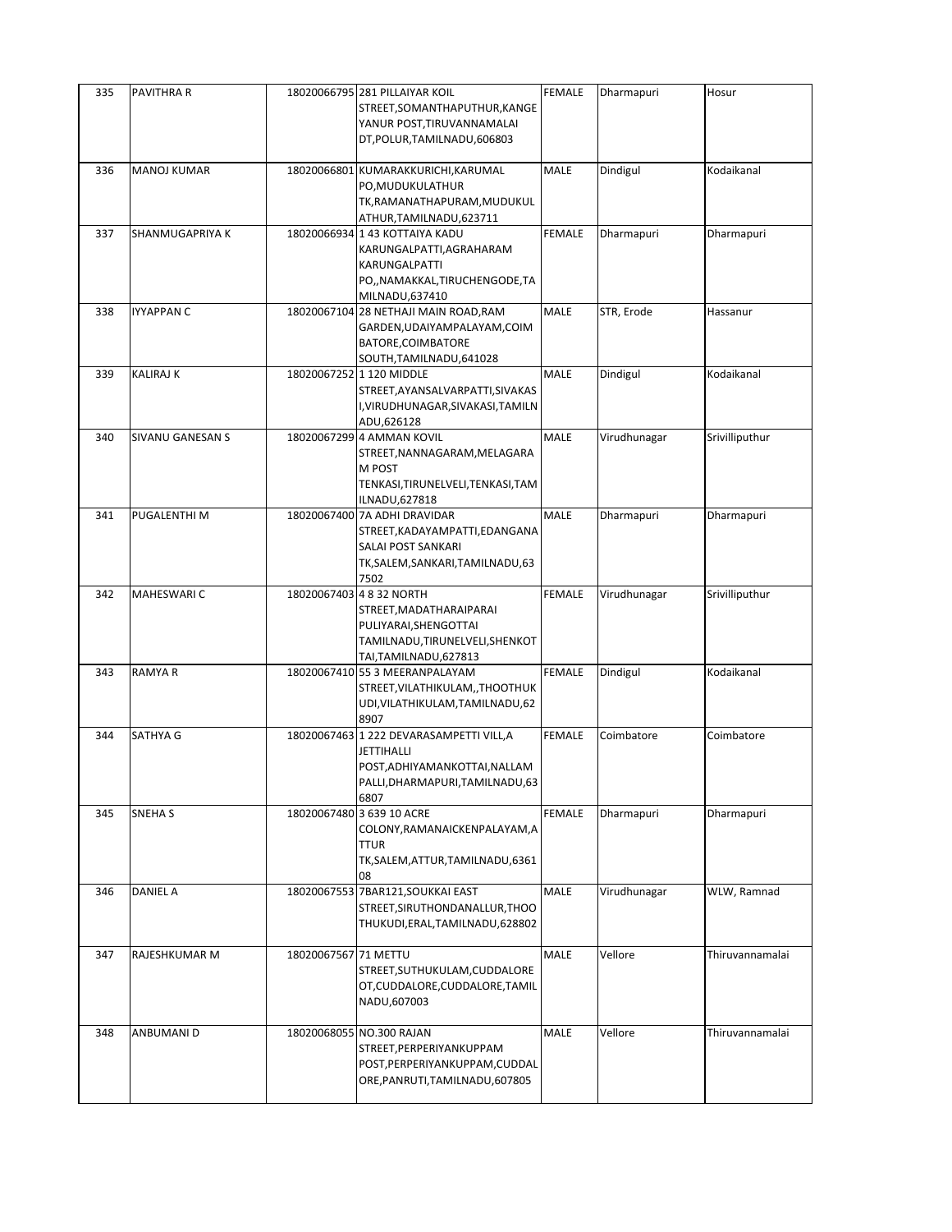| 335 | PAVITHRA R              |                      | 18020066795 281 PILLAIYAR KOIL<br>STREET, SOMANTHAPUTHUR, KANGE<br>YANUR POST, TIRUVANNAMALAI<br>DT, POLUR, TAMILNADU, 606803             | <b>FEMALE</b> | Dharmapuri   | Hosur           |
|-----|-------------------------|----------------------|-------------------------------------------------------------------------------------------------------------------------------------------|---------------|--------------|-----------------|
| 336 | <b>MANOJ KUMAR</b>      |                      | 18020066801 KUMARAKKURICHI, KARUMAL<br>PO, MUDUKULATHUR<br>TK, RAMANATHAPURAM, MUDUKUL<br>ATHUR, TAMILNADU, 623711                        | MALE          | Dindigul     | Kodaikanal      |
| 337 | SHANMUGAPRIYA K         |                      | 18020066934 1 43 KOTTAIYA KADU<br>KARUNGALPATTI, AGRAHARAM<br>KARUNGALPATTI<br>PO,, NAMAKKAL, TIRUCHENGODE, TA<br>MILNADU,637410          | <b>FEMALE</b> | Dharmapuri   | Dharmapuri      |
| 338 | IYYAPPAN C              |                      | 18020067104 28 NETHAJI MAIN ROAD, RAM<br>GARDEN, UDAIYAMPALAYAM, COIM<br>BATORE, COIMBATORE<br>SOUTH, TAMILNADU, 641028                   | MALE          | STR, Erode   | Hassanur        |
| 339 | <b>KALIRAJ K</b>        |                      | 18020067252 1 120 MIDDLE<br>STREET, AYANSALVARPATTI, SIVAKAS<br>I, VIRUDHUNAGAR, SIVAKASI, TAMILN<br>ADU,626128                           | MALE          | Dindigul     | Kodaikanal      |
| 340 | <b>SIVANU GANESAN S</b> |                      | 18020067299 4 AMMAN KOVIL<br>STREET, NANNAGARAM, MELAGARA<br>M POST<br>TENKASI, TIRUNELVELI, TENKASI, TAM<br>ILNADU, 627818               | MALE          | Virudhunagar | Srivilliputhur  |
| 341 | PUGALENTHI M            |                      | 18020067400 7A ADHI DRAVIDAR<br>STREET, KADAYAMPATTI, EDANGANA<br>SALAI POST SANKARI<br>TK, SALEM, SANKARI, TAMILNADU, 63<br>7502         | <b>MALE</b>   | Dharmapuri   | Dharmapuri      |
| 342 | MAHESWARI C             |                      | 18020067403 4 8 32 NORTH<br>STREET, MADATHARAIPARAI<br>PULIYARAI, SHENGOTTAI<br>TAMILNADU, TIRUNELVELI, SHENKOT<br>TAI, TAMILNADU, 627813 | <b>FEMALE</b> | Virudhunagar | Srivilliputhur  |
| 343 | RAMYA R                 |                      | 18020067410 55 3 MEERANPALAYAM<br>STREET, VILATHIKULAM, , THOOTHUK<br>UDI, VILATHIKULAM, TAMILNADU, 62<br>8907                            | FEMALE        | Dindigul     | Kodaikanal      |
| 344 | SATHYA G                |                      | 18020067463 1 222 DEVARASAMPETTI VILL, A<br>JETTIHALLI<br>POST, ADHIYAMANKOTTAI, NALLAM<br>PALLI, DHARMAPURI, TAMILNADU, 63<br>6807       | <b>FEMALE</b> | Coimbatore   | Coimbatore      |
| 345 | <b>SNEHA S</b>          |                      | 18020067480 3 639 10 ACRE<br>COLONY, RAMANAICKENPALAYAM, A<br><b>TTUR</b><br>TK, SALEM, ATTUR, TAMILNADU, 6361<br>08                      | FEMALE        | Dharmapuri   | Dharmapuri      |
| 346 | <b>DANIEL A</b>         |                      | 18020067553 7BAR121, SOUKKAI EAST<br>STREET, SIRUTHONDANALLUR, THOO<br>THUKUDI, ERAL, TAMILNADU, 628802                                   | MALE          | Virudhunagar | WLW, Ramnad     |
| 347 | RAJESHKUMAR M           | 18020067567 71 METTU | STREET, SUTHUKULAM, CUDDALORE<br>OT, CUDDALORE, CUDDALORE, TAMIL<br>NADU,607003                                                           | MALE          | Vellore      | Thiruvannamalai |
| 348 | ANBUMANI D              |                      | 18020068055 NO.300 RAJAN<br>STREET, PERPERIYANKUPPAM<br>POST, PERPERIYANKUPPAM, CUDDAL<br>ORE, PANRUTI, TAMILNADU, 607805                 | MALE          | Vellore      | Thiruvannamalai |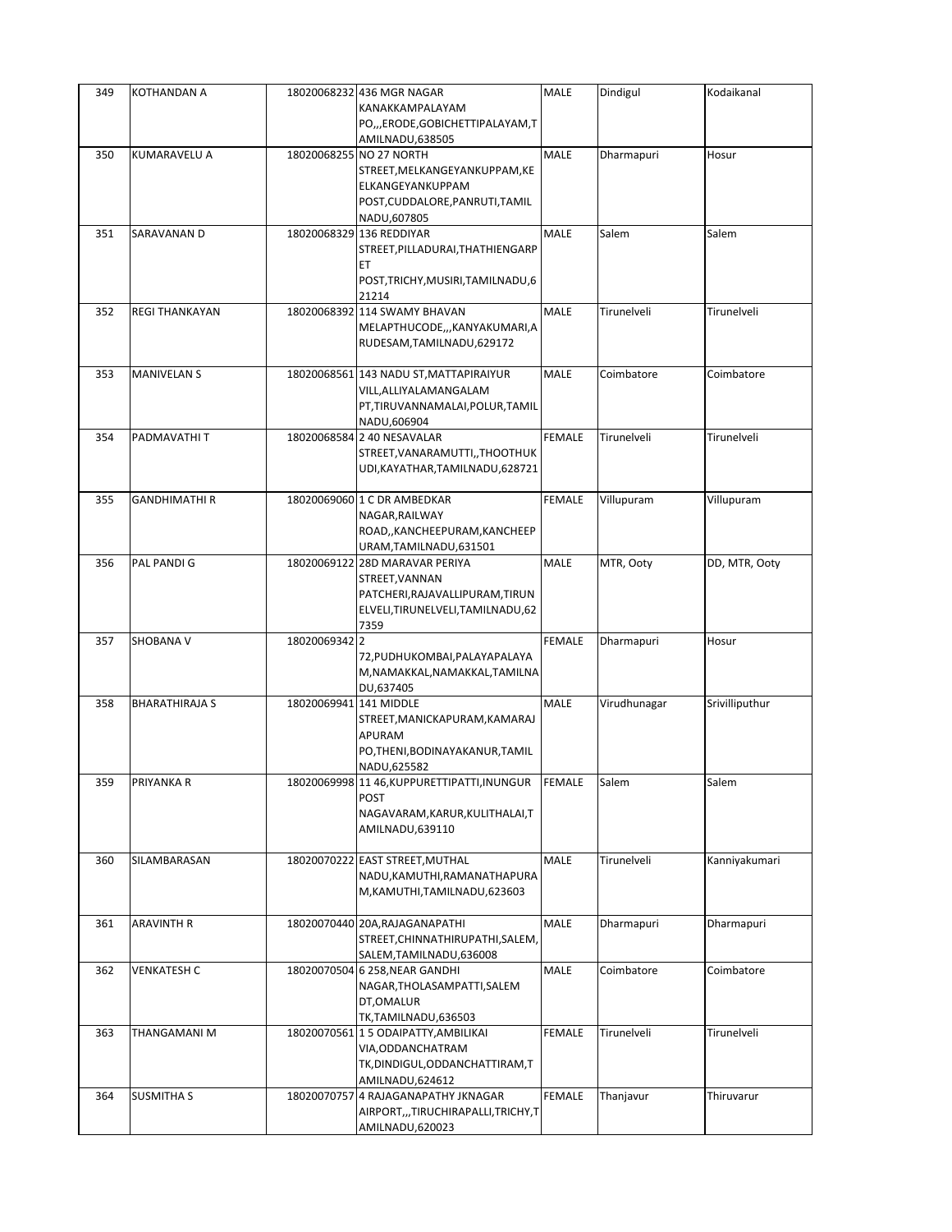| 349 | KOTHANDAN A           |                        | 18020068232 436 MGR NAGAR<br>KANAKKAMPALAYAM                                                                                      | MALE          | Dindigul     | Kodaikanal     |
|-----|-----------------------|------------------------|-----------------------------------------------------------------------------------------------------------------------------------|---------------|--------------|----------------|
|     |                       |                        | PO,,,ERODE,GOBICHETTIPALAYAM,T<br>AMILNADU,638505                                                                                 |               |              |                |
| 350 | KUMARAVELU A          |                        | 18020068255 NO 27 NORTH<br>STREET, MELKANGEYANKUPPAM, KE<br>ELKANGEYANKUPPAM<br>POST, CUDDALORE, PANRUTI, TAMIL<br>NADU,607805    | MALE          | Dharmapuri   | Hosur          |
| 351 | SARAVANAN D           |                        | 18020068329 136 REDDIYAR<br>STREET, PILLADURAI, THATHIENGARP<br>EТ<br>POST, TRICHY, MUSIRI, TAMILNADU, 6<br>21214                 | MALE          | Salem        | Salem          |
| 352 | <b>REGI THANKAYAN</b> |                        | 18020068392 114 SWAMY BHAVAN<br>MELAPTHUCODE,,,KANYAKUMARI,A<br>RUDESAM, TAMILNADU, 629172                                        | MALE          | Tirunelveli  | Tirunelveli    |
| 353 | <b>MANIVELAN S</b>    |                        | 18020068561 143 NADU ST, MATTAPIRAIYUR<br>VILL, ALLIYALAMANGALAM<br>PT,TIRUVANNAMALAI,POLUR,TAMIL<br>NADU,606904                  | MALE          | Coimbatore   | Coimbatore     |
| 354 | PADMAVATHI T          |                        | 18020068584 2 40 NESAVALAR<br>STREET, VANARAMUTTI,, THOOTHUK<br>UDI, KAYATHAR, TAMILNADU, 628721                                  | <b>FEMALE</b> | Tirunelveli  | Tirunelveli    |
| 355 | <b>GANDHIMATHI R</b>  |                        | 18020069060 1 C DR AMBEDKAR<br>NAGAR, RAILWAY<br>ROAD,, KANCHEEPURAM, KANCHEEP<br>URAM, TAMILNADU, 631501                         | <b>FEMALE</b> | Villupuram   | Villupuram     |
| 356 | PAL PANDI G           |                        | 18020069122 28D MARAVAR PERIYA<br>STREET, VANNAN<br>PATCHERI, RAJAVALLIPURAM, TIRUN<br>ELVELI, TIRUNELVELI, TAMILNADU, 62<br>7359 | MALE          | MTR, Ooty    | DD, MTR, Ooty  |
| 357 | SHOBANA V             | 18020069342 2          | 72, PUDHUKOMBAI, PALAYAPALAYA<br>M, NAMAKKAL, NAMAKKAL, TAMILNA<br>DU,637405                                                      | <b>FEMALE</b> | Dharmapuri   | Hosur          |
| 358 | <b>BHARATHIRAJA S</b> | 18020069941 141 MIDDLE | STREET, MANICKAPURAM, KAMARAJ<br>APURAM<br>PO, THENI, BODINAYAKANUR, TAMIL<br>NADU,625582                                         | MALE          | Virudhunagar | Srivilliputhur |
| 359 | PRIYANKA R            |                        | 18020069998 1146, KUPPURETTIPATTI, INUNGUR FEMALE<br><b>POST</b><br>NAGAVARAM, KARUR, KULITHALAI, T<br>AMILNADU,639110            |               | Salem        | Salem          |
| 360 | SILAMBARASAN          |                        | 18020070222 EAST STREET, MUTHAL<br>NADU, KAMUTHI, RAMANATHAPURA<br>M, KAMUTHI, TAMILNADU, 623603                                  | MALE          | Tirunelveli  | Kanniyakumari  |
| 361 | ARAVINTH R            |                        | 18020070440 20A, RAJAGANAPATHI<br>STREET, CHINNATHIRUPATHI, SALEM,<br>SALEM, TAMILNADU, 636008                                    | MALE          | Dharmapuri   | Dharmapuri     |
| 362 | <b>VENKATESH C</b>    |                        | 18020070504 6 258, NEAR GANDHI<br>NAGAR, THOLASAMPATTI, SALEM<br>DT, OMALUR<br>TK,TAMILNADU,636503                                | MALE          | Coimbatore   | Coimbatore     |
| 363 | THANGAMANI M          |                        | 18020070561 1 5 ODAIPATTY, AMBILIKAI<br>VIA, ODDANCHATRAM<br>TK, DINDIGUL, ODDANCHATTIRAM, T<br>AMILNADU,624612                   | <b>FEMALE</b> | Tirunelveli  | Tirunelveli    |
| 364 | <b>SUSMITHA S</b>     |                        | 18020070757 4 RAJAGANAPATHY JKNAGAR<br>AIRPORT,,,TIRUCHIRAPALLI,TRICHY,T<br>AMILNADU,620023                                       | <b>FEMALE</b> | Thanjavur    | Thiruvarur     |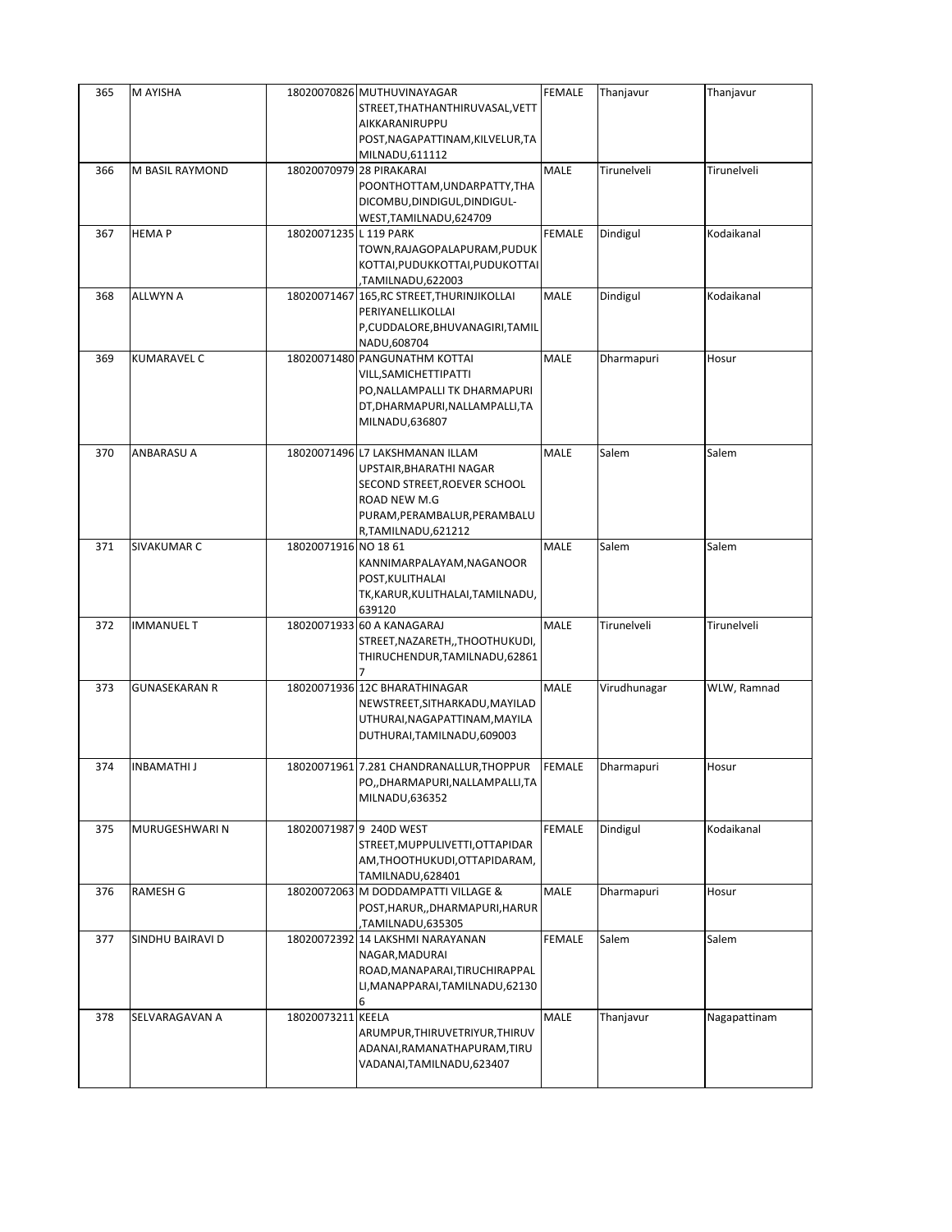| 365 | M AYISHA             |                        | 18020070826 MUTHUVINAYAGAR<br>STREET, THATHANTHIRUVASAL, VETT<br>AIKKARANIRUPPU<br>POST, NAGAPATTINAM, KILVELUR, TA<br>MILNADU, 611112                          | <b>FEMALE</b> | Thanjavur    | Thanjavur    |
|-----|----------------------|------------------------|-----------------------------------------------------------------------------------------------------------------------------------------------------------------|---------------|--------------|--------------|
| 366 | M BASIL RAYMOND      |                        | 18020070979 28 PIRAKARAI<br>POONTHOTTAM, UNDARPATTY, THA<br>DICOMBU, DINDIGUL, DINDIGUL-<br>WEST, TAMILNADU, 624709                                             | MALE          | Tirunelveli  | Tirunelveli  |
| 367 | <b>HEMAP</b>         | 18020071235 L 119 PARK | TOWN, RAJAGOPALAPURAM, PUDUK<br>KOTTAI, PUDUKKOTTAI, PUDUKOTTAI<br>TAMILNADU,622003,                                                                            | <b>FEMALE</b> | Dindigul     | Kodaikanal   |
| 368 | <b>ALLWYN A</b>      |                        | 18020071467 165, RC STREET, THURINJIKOLLAI<br>PERIYANELLIKOLLAI<br>P,CUDDALORE, BHUVANAGIRI, TAMIL<br>NADU,608704                                               | MALE          | Dindigul     | Kodaikanal   |
| 369 | <b>KUMARAVEL C</b>   |                        | 18020071480 PANGUNATHM KOTTAI<br>VILL, SAMICHETTIPATTI<br>PO, NALLAMPALLI TK DHARMAPURI<br>DT, DHARMAPURI, NALLAMPALLI, TA<br>MILNADU,636807                    | MALE          | Dharmapuri   | Hosur        |
| 370 | ANBARASU A           |                        | 18020071496 L7 LAKSHMANAN ILLAM<br>UPSTAIR,BHARATHI NAGAR<br>SECOND STREET, ROEVER SCHOOL<br>ROAD NEW M.G<br>PURAM, PERAMBALUR, PERAMBALU<br>R,TAMILNADU,621212 | <b>MALE</b>   | Salem        | Salem        |
| 371 | SIVAKUMAR C          | 18020071916 NO 18 61   | KANNIMARPALAYAM, NAGANOOR<br>POST, KULITHALAI<br>TK, KARUR, KULITHALAI, TAMILNADU,<br>639120                                                                    | <b>MALE</b>   | Salem        | Salem        |
| 372 | <b>IMMANUEL T</b>    |                        | 18020071933 60 A KANAGARAJ<br>STREET, NAZARETH, , THOOTHUKUDI,<br>THIRUCHENDUR, TAMILNADU, 62861                                                                | MALE          | Tirunelveli  | Tirunelveli  |
| 373 | <b>GUNASEKARAN R</b> |                        | 18020071936 12C BHARATHINAGAR<br>NEWSTREET, SITHARKADU, MAYILAD<br>UTHURAI, NAGAPATTINAM, MAYILA<br>DUTHURAI, TAMILNADU, 609003                                 | <b>MALE</b>   | Virudhunagar | WLW, Ramnad  |
| 374 | <b>INBAMATHI J</b>   |                        | 18020071961 7.281 CHANDRANALLUR, THOPPUR<br>PO,, DHARMAPURI, NALLAMPALLI, TA<br>MILNADU,636352                                                                  | <b>FEMALE</b> | Dharmapuri   | Hosur        |
| 375 | MURUGESHWARI N       |                        | 18020071987 9 240D WEST<br>STREET, MUPPULIVETTI, OTTAPIDAR<br>AM, THOOTHUKUDI, OTTAPIDARAM,<br>TAMILNADU,628401                                                 | <b>FEMALE</b> | Dindigul     | Kodaikanal   |
| 376 | <b>RAMESH G</b>      |                        | 18020072063 M DODDAMPATTI VILLAGE &<br>POST, HARUR, , DHARMAPURI, HARUR<br>TAMILNADU,635305                                                                     | MALE          | Dharmapuri   | Hosur        |
| 377 | SINDHU BAIRAVI D     |                        | 18020072392 14 LAKSHMI NARAYANAN<br>NAGAR, MADURAI<br>ROAD, MANAPARAI, TIRUCHIRAPPAL<br>LI, MANAPPARAI, TAMILNADU, 62130<br>6                                   | <b>FEMALE</b> | Salem        | Salem        |
| 378 | SELVARAGAVAN A       | 18020073211 KEELA      | ARUMPUR, THIRUVETRIYUR, THIRUV<br>ADANAI, RAMANATHAPURAM, TIRU<br>VADANAI, TAMILNADU, 623407                                                                    | MALE          | Thanjavur    | Nagapattinam |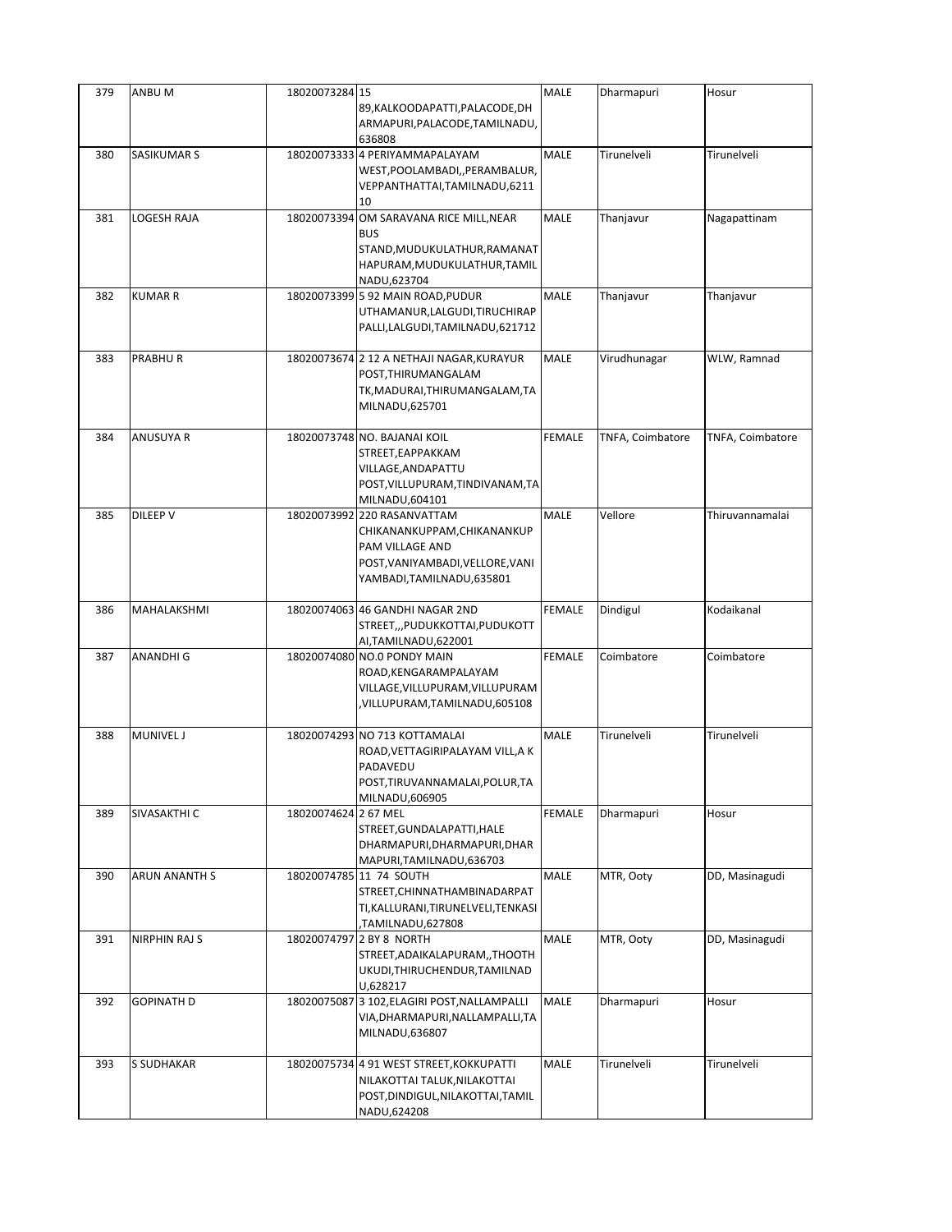| 379 | ANBU M            | 18020073284 15       | 89, KALKOODAPATTI, PALACODE, DH<br>ARMAPURI, PALACODE, TAMILNADU,<br>636808                                                                     | MALE          | Dharmapuri       | Hosur            |
|-----|-------------------|----------------------|-------------------------------------------------------------------------------------------------------------------------------------------------|---------------|------------------|------------------|
| 380 | SASIKUMAR S       |                      | 18020073333 4 PERIYAMMAPALAYAM<br>WEST, POOLAMBADI, , PERAMBALUR,<br>VEPPANTHATTAI, TAMILNADU, 6211<br>10                                       | <b>MALE</b>   | Tirunelveli      | Tirunelveli      |
| 381 | LOGESH RAJA       | 18020073394          | OM SARAVANA RICE MILL, NEAR<br><b>BUS</b><br>STAND, MUDUKULATHUR, RAMANAT<br>HAPURAM, MUDUKULATHUR, TAMIL<br>NADU,623704                        | <b>MALE</b>   | Thanjavur        | Nagapattinam     |
| 382 | <b>KUMAR R</b>    |                      | 18020073399 5 92 MAIN ROAD.PUDUR<br>UTHAMANUR, LALGUDI, TIRUCHIRAP<br>PALLI,LALGUDI,TAMILNADU,621712                                            | MALE          | Thanjavur        | Thanjavur        |
| 383 | PRABHUR           |                      | 18020073674 2 12 A NETHAJI NAGAR, KURAYUR<br>POST, THIRUMANGALAM<br>TK, MADURAI, THIRUMANGALAM, TA<br>MILNADU,625701                            | MALE          | Virudhunagar     | WLW, Ramnad      |
| 384 | ANUSUYA R         |                      | 18020073748 NO. BAJANAI KOIL<br>STREET, EAPPAKKAM<br>VILLAGE, AND APATTU<br>POST, VILLUPURAM, TINDIVANAM, TA<br>MILNADU,604101                  | <b>FEMALE</b> | TNFA, Coimbatore | TNFA, Coimbatore |
| 385 | DILEEP V          |                      | 18020073992 220 RASANVATTAM<br>CHIKANANKUPPAM, CHIKANANKUP<br>PAM VILLAGE AND<br>POST, VANIYAMBADI, VELLORE, VANI<br>YAMBADI, TAMILNADU, 635801 | MALE          | Vellore          | Thiruvannamalai  |
| 386 | MAHALAKSHMI       |                      | 18020074063 46 GANDHI NAGAR 2ND<br>STREET,,,PUDUKKOTTAI,PUDUKOTT<br>AI,TAMILNADU,622001                                                         | <b>FEMALE</b> | Dindigul         | Kodaikanal       |
| 387 | ANANDHI G         |                      | 18020074080 NO.0 PONDY MAIN<br>ROAD, KENGARAMPALAYAM<br>VILLAGE, VILLUPURAM, VILLUPURAM<br>VILLUPURAM,TAMILNADU,605108,                         | FEMALE        | Coimbatore       | Coimbatore       |
| 388 | <b>MUNIVEL J</b>  |                      | 18020074293 NO 713 KOTTAMALAI<br>ROAD, VETTAGIRIPALAYAM VILL, AK<br>PADAVEDU<br>POST, TIRUVANNAMALAI, POLUR, TA<br>MILNADU,606905               | <b>MALE</b>   | Tirunelveli      | Tirunelveli      |
| 389 | SIVASAKTHI C      | 18020074624 2 67 MEL | STREET, GUNDALAPATTI, HALE<br>DHARMAPURI, DHARMAPURI, DHAR<br>MAPURI, TAMILNADU, 636703                                                         | <b>FEMALE</b> | Dharmapuri       | Hosur            |
| 390 | ARUN ANANTH S     |                      | 18020074785 11 74 SOUTH<br>STREET, CHINNATHAMBINADARPAT<br>TI, KALLURANI, TIRUNELVELI, TENKASI<br>TAMILNADU,627808                              | MALE          | MTR, Ooty        | DD, Masinagudi   |
| 391 | NIRPHIN RAJ S     |                      | 18020074797 2 BY 8 NORTH<br>STREET, ADAIKALAPURAM, , THOOTH<br>UKUDI, THIRUCHENDUR, TAMILNAD<br>U,628217                                        | MALE          | MTR, Ooty        | DD, Masinagudi   |
| 392 | <b>GOPINATH D</b> |                      | 18020075087 3 102, ELAGIRI POST, NALLAMPALLI<br>VIA,DHARMAPURI,NALLAMPALLI,TA<br>MILNADU,636807                                                 | MALE          | Dharmapuri       | Hosur            |
| 393 | S SUDHAKAR        |                      | 18020075734 4 91 WEST STREET, KOKKUPATTI<br>NILAKOTTAI TALUK, NILAKOTTAI<br>POST, DINDIGUL, NILAKOTTAI, TAMIL<br>NADU,624208                    | MALE          | Tirunelveli      | Tirunelveli      |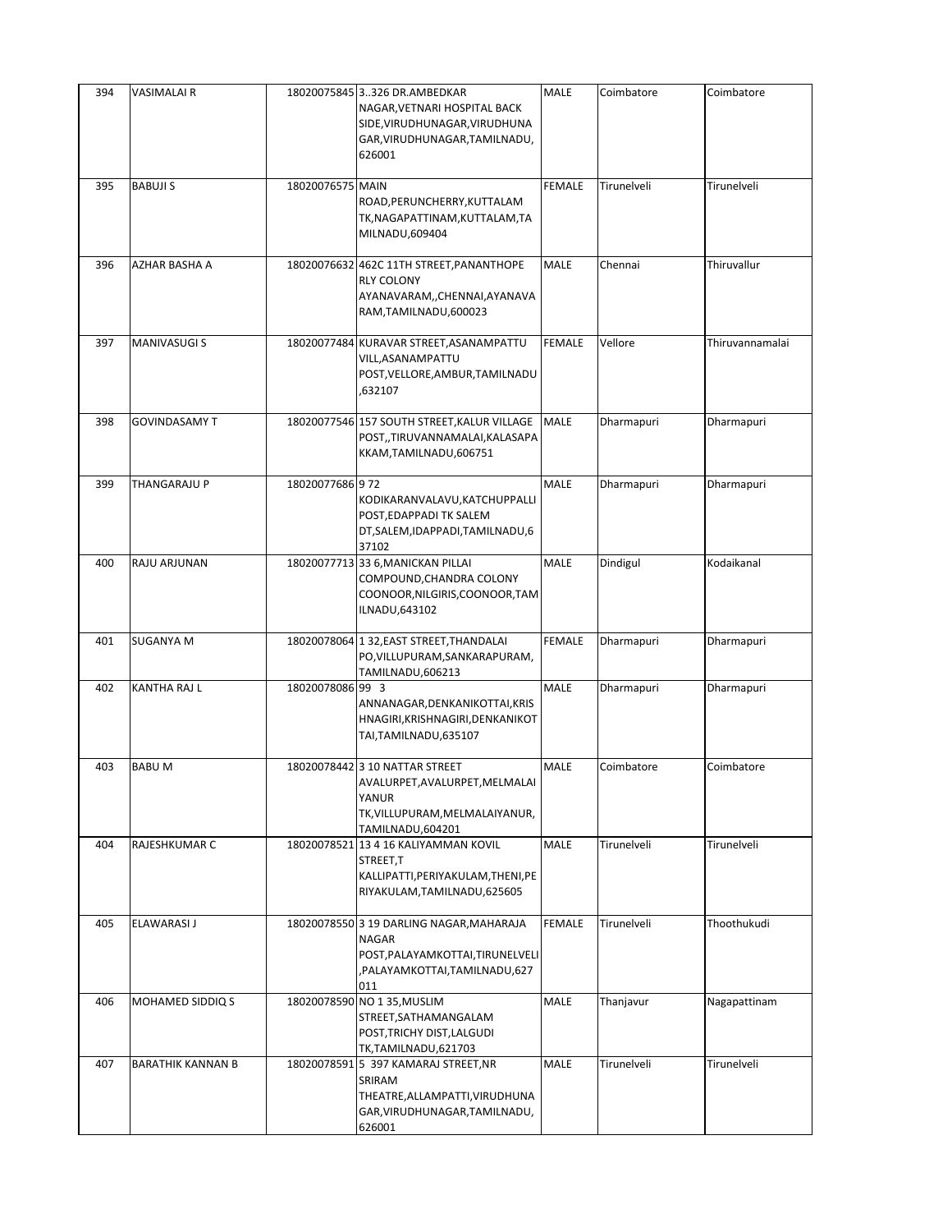| 394 | <b>VASIMALAIR</b>        |                  | 18020075845 3326 DR.AMBEDKAR<br>NAGAR, VETNARI HOSPITAL BACK<br>SIDE, VIRUDHUNAGAR, VIRUDHUNA<br>GAR, VIRUDHUNAGAR, TAMILNADU,<br>626001 | MALE          | Coimbatore  | Coimbatore      |
|-----|--------------------------|------------------|------------------------------------------------------------------------------------------------------------------------------------------|---------------|-------------|-----------------|
| 395 | <b>BABUJIS</b>           | 18020076575 MAIN | ROAD, PERUNCHERRY, KUTTALAM<br>TK, NAGAPATTINAM, KUTTALAM, TA<br>MILNADU,609404                                                          | <b>FEMALE</b> | Tirunelveli | Tirunelveli     |
| 396 | AZHAR BASHA A            |                  | 18020076632 462C 11TH STREET, PANANTHOPE<br><b>RLY COLONY</b><br>AYANAVARAM,, CHENNAI, AYANAVA<br>RAM,TAMILNADU,600023                   | <b>MALE</b>   | Chennai     | Thiruvallur     |
| 397 | <b>MANIVASUGI S</b>      |                  | 18020077484 KURAVAR STREET, ASANAMPATTU<br>VILL, ASANAMPATTU<br>POST, VELLORE, AMBUR, TAMILNADU<br>632107,                               | <b>FEMALE</b> | Vellore     | Thiruvannamalai |
| 398 | <b>GOVINDASAMY T</b>     |                  | 18020077546 157 SOUTH STREET, KALUR VILLAGE<br>POST,,TIRUVANNAMALAI,KALASAPA<br>KKAM,TAMILNADU,606751                                    | <b>MALE</b>   | Dharmapuri  | Dharmapuri      |
| 399 | THANGARAJU P             | 18020077686 972  | KODIKARANVALAVU, KATCHUPPALLI<br>POST, EDAPPADI TK SALEM<br>DT, SALEM, IDAPPADI, TAMILNADU, 6<br>37102                                   | MALE          | Dharmapuri  | Dharmapuri      |
| 400 | RAJU ARJUNAN             |                  | 18020077713 33 6, MANICKAN PILLAI<br>COMPOUND, CHANDRA COLONY<br>COONOOR, NILGIRIS, COONOOR, TAM<br>ILNADU,643102                        | <b>MALE</b>   | Dindigul    | Kodaikanal      |
| 401 | <b>SUGANYA M</b>         |                  | 18020078064 1 32, EAST STREET, THANDALAI<br>PO, VILLUPURAM, SANKARAPURAM,<br>TAMILNADU,606213                                            | <b>FEMALE</b> | Dharmapuri  | Dharmapuri      |
| 402 | KANTHA RAJ L             | 18020078086 99 3 | ANNANAGAR, DENKANIKOTTAI, KRIS<br>HNAGIRI, KRISHNAGIRI, DENKANIKOT<br>TAI, TAMILNADU, 635107                                             | <b>MALE</b>   | Dharmapuri  | Dharmapuri      |
| 403 | <b>BABUM</b>             |                  | 18020078442 3 10 NATTAR STREET<br>AVALURPET, AVALURPET, MELMALAI<br>YANUR<br>TK, VILLUPURAM, MELMALAIYANUR,<br>TAMILNADU,604201          | <b>MALE</b>   | Coimbatore  | Coimbatore      |
| 404 | RAJESHKUMAR C            |                  | 18020078521 13 4 16 KALIYAMMAN KOVIL<br>STREET,T<br>KALLIPATTI, PERIYAKULAM, THENI, PE<br>RIYAKULAM, TAMILNADU, 625605                   | <b>MALE</b>   | Tirunelveli | Tirunelveli     |
| 405 | <b>ELAWARASI J</b>       |                  | 18020078550 3 19 DARLING NAGAR, MAHARAJA<br><b>NAGAR</b><br>POST, PALAYAMKOTTAI, TIRUNELVELI<br>,PALAYAMKOTTAI,TAMILNADU,627<br>011      | <b>FEMALE</b> | Tirunelveli | Thoothukudi     |
| 406 | MOHAMED SIDDIQ S         | 18020078590      | NO 135, MUSLIM<br>STREET, SATHAMANGALAM<br>POST, TRICHY DIST, LALGUDI<br>TK,TAMILNADU,621703                                             | <b>MALE</b>   | Thanjavur   | Nagapattinam    |
| 407 | <b>BARATHIK KANNAN B</b> |                  | 18020078591 5 397 KAMARAJ STREET, NR<br>SRIRAM<br>THEATRE, ALLAMPATTI, VIRUDHUNA<br>GAR, VIRUDHUNAGAR, TAMILNADU,<br>626001              | MALE          | Tirunelveli | Tirunelveli     |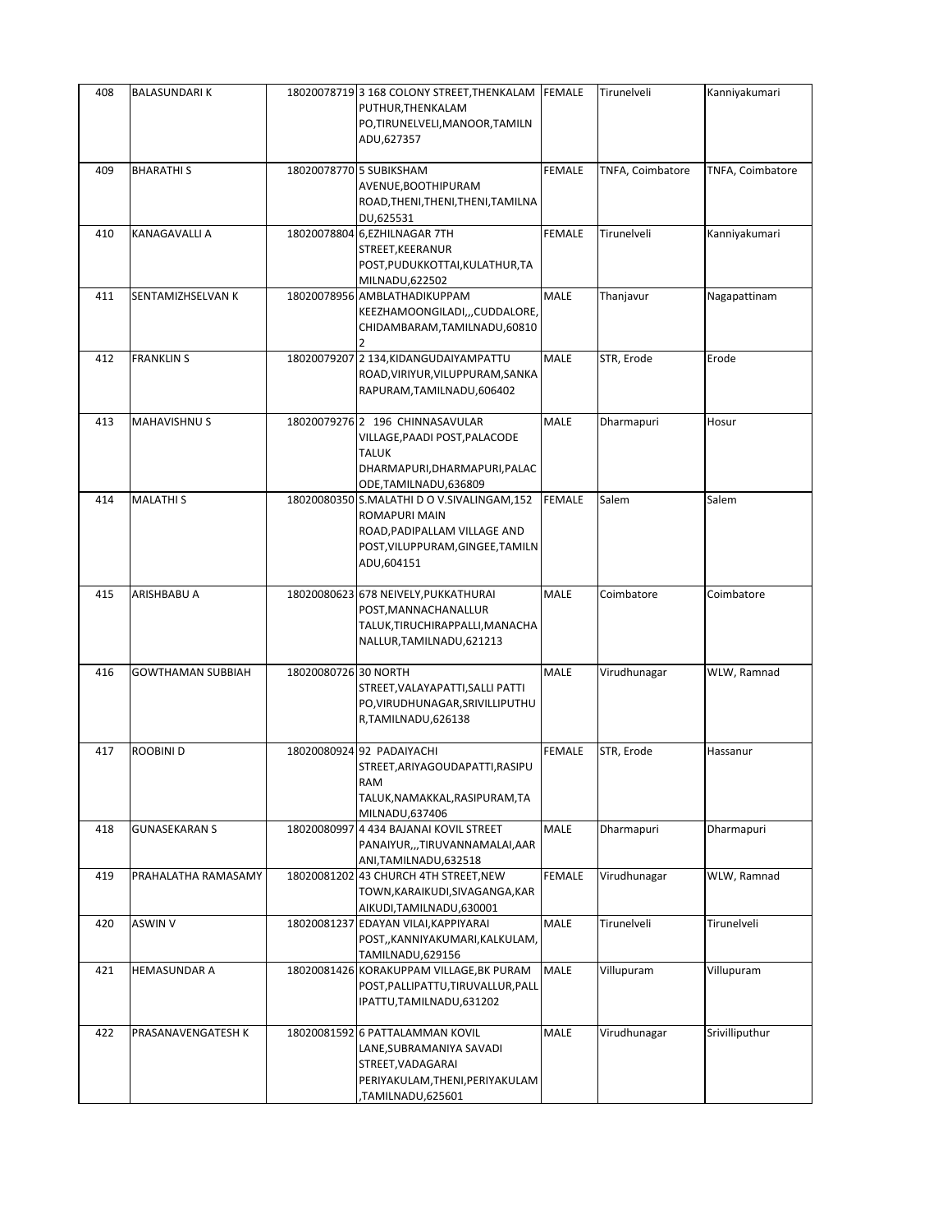| 408 | <b>BALASUNDARIK</b>  |                      | 18020078719 3 168 COLONY STREET, THENKALAM FEMALE<br>PUTHUR, THENKALAM<br>PO,TIRUNELVELI,MANOOR,TAMILN<br>ADU,627357                          |               | Tirunelveli      | Kanniyakumari    |
|-----|----------------------|----------------------|-----------------------------------------------------------------------------------------------------------------------------------------------|---------------|------------------|------------------|
| 409 | <b>BHARATHIS</b>     |                      | 18020078770 5 SUBIKSHAM<br>AVENUE, BOOTHIPURAM<br>ROAD, THENI, THENI, THENI, TAMILNA<br>DU,625531                                             | <b>FEMALE</b> | TNFA, Coimbatore | TNFA, Coimbatore |
| 410 | KANAGAVALLI A        |                      | 18020078804 6, EZHILNAGAR 7TH<br>STREET, KEERANUR<br>POST, PUDUKKOTTAI, KULATHUR, TA<br>MILNADU,622502                                        | <b>FEMALE</b> | Tirunelveli      | Kanniyakumari    |
| 411 | SENTAMIZHSELVAN K    |                      | 18020078956 AMBLATHADIKUPPAM<br>KEEZHAMOONGILADI,,,CUDDALORE,<br>CHIDAMBARAM, TAMILNADU, 60810                                                | MALE          | Thanjavur        | Nagapattinam     |
| 412 | <b>FRANKLIN S</b>    |                      | 18020079207 2 134, KIDANGUDAIYAMPATTU<br>ROAD, VIRIYUR, VILUPPURAM, SANKA<br>RAPURAM, TAMILNADU, 606402                                       | MALE          | STR, Erode       | Erode            |
| 413 | MAHAVISHNU S         |                      | 18020079276 2 196 CHINNASAVULAR<br>VILLAGE, PAADI POST, PALACODE<br><b>TALUK</b><br>DHARMAPURI, DHARMAPURI, PALAC<br>ODE, TAMILNADU, 636809   | MALE          | Dharmapuri       | Hosur            |
| 414 | <b>MALATHIS</b>      |                      | 18020080350 S.MALATHI D O V.SIVALINGAM,152<br>ROMAPURI MAIN<br>ROAD, PADIPALLAM VILLAGE AND<br>POST, VILUPPURAM, GINGEE, TAMILN<br>ADU,604151 | <b>FEMALE</b> | Salem            | Salem            |
| 415 | ARISHBABU A          |                      | 18020080623 678 NEIVELY, PUKKATHURAI<br>POST, MANNACHANALLUR<br>TALUK, TIRUCHIRAPPALLI, MANACHA<br>NALLUR, TAMILNADU, 621213                  | <b>MALE</b>   | Coimbatore       | Coimbatore       |
| 416 | GOWTHAMAN SUBBIAH    | 18020080726 30 NORTH | STREET, VALAYAPATTI, SALLI PATTI<br>PO, VIRUDHUNAGAR, SRIVILLIPUTHU<br>R,TAMILNADU,626138                                                     | MALE          | Virudhunagar     | WLW, Ramnad      |
| 417 | ROOBINI D            |                      | 18020080924 92 PADAIYACHI<br>STREET, ARIYAGOUDAPATTI, RASIPU<br>RAM<br>TALUK, NAMAKKAL, RASIPURAM, TA<br>MILNADU,637406                       | <b>FEMALE</b> | STR, Erode       | Hassanur         |
| 418 | <b>GUNASEKARAN S</b> |                      | 18020080997 4 434 BAJANAI KOVIL STREET<br>PANAIYUR,,,TIRUVANNAMALAI,AAR<br>ANI,TAMILNADU,632518                                               | MALE          | Dharmapuri       | Dharmapuri       |
| 419 | PRAHALATHA RAMASAMY  |                      | 18020081202 43 CHURCH 4TH STREET, NEW<br>TOWN, KARAIKUDI, SIVAGANGA, KAR<br>AIKUDI, TAMILNADU, 630001                                         | <b>FEMALE</b> | Virudhunagar     | WLW, Ramnad      |
| 420 | ASWIN V              |                      | 18020081237 EDAYAN VILAI, KAPPIYARAI<br>POST,, KANNIYAKUMARI, KALKULAM,<br>TAMILNADU,629156                                                   | MALE          | Tirunelveli      | Tirunelveli      |
| 421 | HEMASUNDAR A         |                      | 18020081426 KORAKUPPAM VILLAGE, BK PURAM<br>POST, PALLIPATTU, TIRUVALLUR, PALL<br>IPATTU, TAMILNADU, 631202                                   | MALE          | Villupuram       | Villupuram       |
| 422 | PRASANAVENGATESH K   |                      | 18020081592 6 PATTALAMMAN KOVIL<br>LANE,SUBRAMANIYA SAVADI<br>STREET, VADAGARAI<br>PERIYAKULAM, THENI, PERIYAKULAM<br>TAMILNADU,625601,       | MALE          | Virudhunagar     | Srivilliputhur   |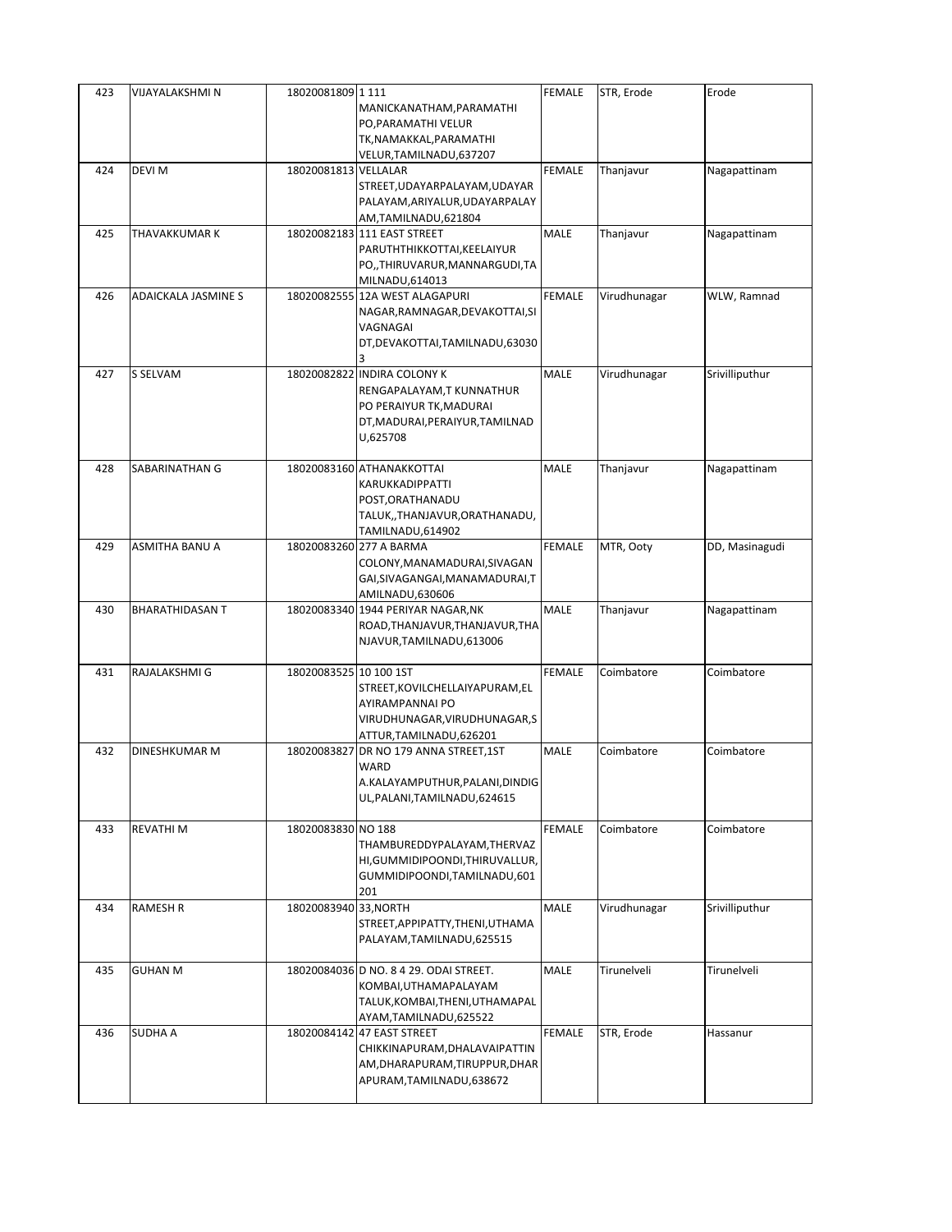| 423 | VIJAYALAKSHMI N            | 18020081809 1111       | MANICKANATHAM, PARAMATHI<br>PO, PARAMATHI VELUR                                                                                    | <b>FEMALE</b> | STR, Erode   | Erode          |
|-----|----------------------------|------------------------|------------------------------------------------------------------------------------------------------------------------------------|---------------|--------------|----------------|
|     |                            |                        | TK, NAMAKKAL, PARAMATHI<br>VELUR,TAMILNADU,637207                                                                                  |               |              |                |
| 424 | DEVI M                     | 18020081813 VELLALAR   | STREET, UDAYARPALAYAM, UDAYAR<br>PALAYAM, ARIYALUR, UDAYARPALAY<br>AM,TAMILNADU,621804                                             | FEMALE        | Thanjavur    | Nagapattinam   |
| 425 | THAVAKKUMAR K              |                        | 18020082183 111 EAST STREET<br>PARUTHTHIKKOTTAI, KEELAIYUR<br>PO,,THIRUVARUR,MANNARGUDI,TA<br>MILNADU,614013                       | MALE          | Thanjavur    | Nagapattinam   |
| 426 | <b>ADAICKALA JASMINE S</b> |                        | 18020082555 12A WEST ALAGAPURI<br>NAGAR, RAMNAGAR, DEVAKOTTAI, SI<br>VAGNAGAI<br>DT, DEVAKOTTAI, TAMILNADU, 63030<br>3             | <b>FEMALE</b> | Virudhunagar | WLW, Ramnad    |
| 427 | S SELVAM                   |                        | 18020082822 INDIRA COLONY K<br>RENGAPALAYAM, T KUNNATHUR<br>PO PERAIYUR TK, MADURAI<br>DT, MADURAI, PERAIYUR, TAMILNAD<br>U,625708 | <b>MALE</b>   | Virudhunagar | Srivilliputhur |
| 428 | SABARINATHAN G             |                        | 18020083160 ATHANAKKOTTAI<br>KARUKKADIPPATTI<br>POST, ORATHANADU<br>TALUK,,THANJAVUR,ORATHANADU,<br>TAMILNADU,614902               | <b>MALE</b>   | Thanjavur    | Nagapattinam   |
| 429 | ASMITHA BANU A             |                        | 18020083260 277 A BARMA<br>COLONY, MANAMADURAI, SIVAGAN<br>GAI, SIVAGANGAI, MANAMADURAI, T<br>AMILNADU,630606                      | <b>FEMALE</b> | MTR, Ooty    | DD, Masinagudi |
| 430 | <b>BHARATHIDASAN T</b>     |                        | 18020083340 1944 PERIYAR NAGAR, NK<br>ROAD, THANJAVUR, THANJAVUR, THA<br>NJAVUR, TAMILNADU, 613006                                 | <b>MALE</b>   | Thanjavur    | Nagapattinam   |
| 431 | RAJALAKSHMI G              | 18020083525 10 100 1ST | STREET, KOVILCHELLAIYAPURAM, EL<br>AYIRAMPANNAI PO<br>VIRUDHUNAGAR, VIRUDHUNAGAR, S<br>ATTUR, TAMILNADU, 626201                    | <b>FEMALE</b> | Coimbatore   | Coimbatore     |
| 432 | <b>DINESHKUMAR M</b>       | 18020083827            | DR NO 179 ANNA STREET, 1ST<br>WARD<br>A.KALAYAMPUTHUR, PALANI, DINDIG<br>UL, PALANI, TAMILNADU, 624615                             | MALE          | Coimbatore   | Coimbatore     |
| 433 | <b>REVATHIM</b>            | 18020083830 NO 188     | THAMBUREDDYPALAYAM, THERVAZ<br>HI, GUMMIDIPOONDI, THIRUVALLUR,<br>GUMMIDIPOONDI, TAMILNADU, 601<br>201                             | <b>FEMALE</b> | Coimbatore   | Coimbatore     |
| 434 | <b>RAMESH R</b>            | 18020083940 33, NORTH  | STREET, APPIPATTY, THENI, UTHAMA<br>PALAYAM, TAMILNADU, 625515                                                                     | <b>MALE</b>   | Virudhunagar | Srivilliputhur |
| 435 | <b>GUHAN M</b>             |                        | 18020084036 D NO. 8 4 29. ODAI STREET.<br>KOMBAI, UTHAMAPALAYAM<br>TALUK, KOMBAI, THENI, UTHAMAPAL<br>AYAM, TAMILNADU, 625522      | <b>MALE</b>   | Tirunelveli  | Tirunelveli    |
| 436 | <b>SUDHA A</b>             |                        | 18020084142 47 EAST STREET<br>CHIKKINAPURAM, DHALAVAIPATTIN<br>AM, DHARAPURAM, TIRUPPUR, DHAR<br>APURAM, TAMILNADU, 638672         | <b>FEMALE</b> | STR, Erode   | Hassanur       |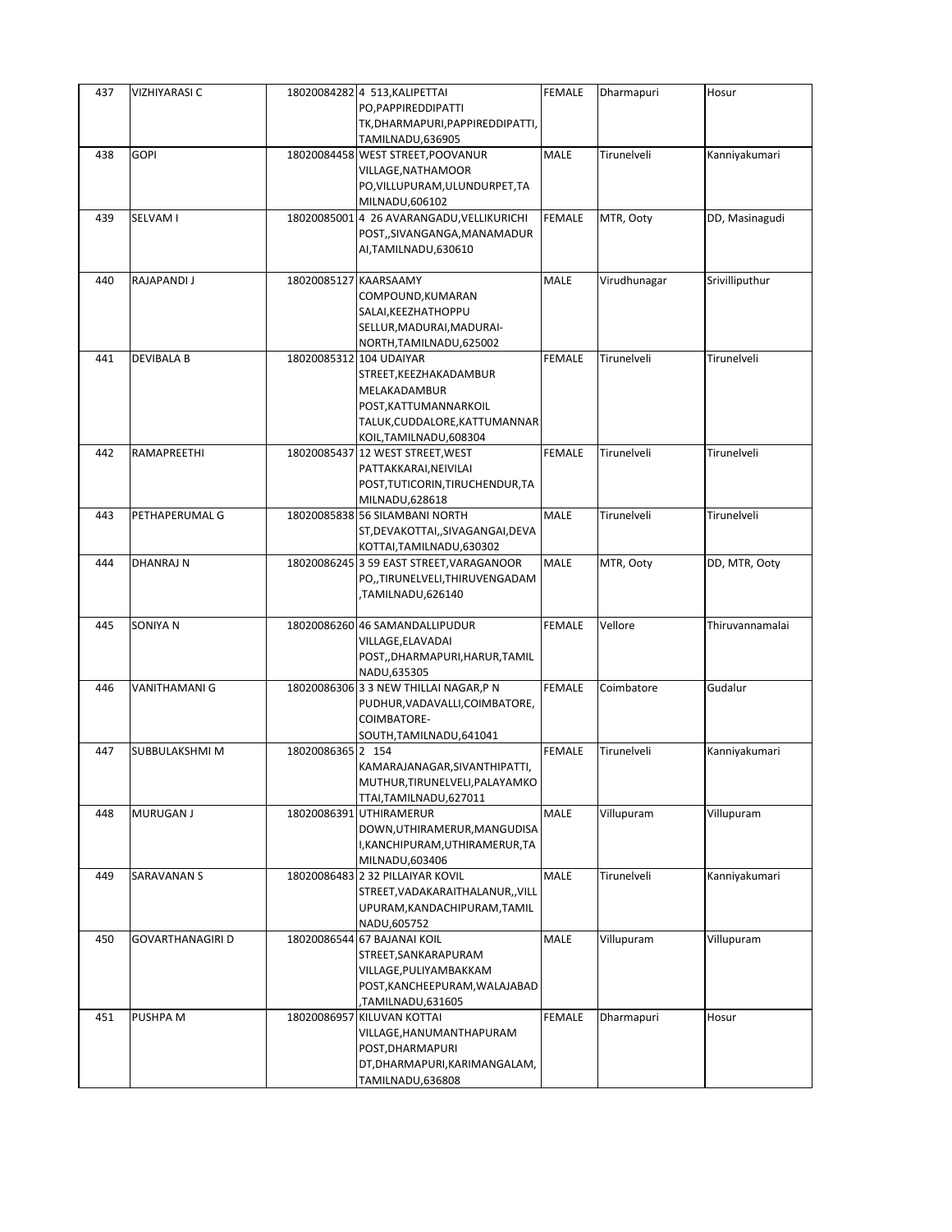| 437 | VIZHIYARASI C           |                       | 18020084282 4 513, KALIPETTAI                                   | <b>FEMALE</b> | Dharmapuri   | Hosur           |
|-----|-------------------------|-----------------------|-----------------------------------------------------------------|---------------|--------------|-----------------|
|     |                         |                       | PO, PAPPIRE DDIPATTI                                            |               |              |                 |
|     |                         |                       | TK, DHARMAPURI, PAPPIRE DDIPATTI,                               |               |              |                 |
|     |                         |                       | TAMILNADU,636905                                                |               |              |                 |
| 438 | <b>GOPI</b>             |                       | 18020084458 WEST STREET, POOVANUR                               | MALE          | Tirunelveli  | Kanniyakumari   |
|     |                         |                       | VILLAGE, NATHAMOOR                                              |               |              |                 |
|     |                         |                       | PO, VILLUPURAM, ULUNDURPET, TA                                  |               |              |                 |
|     |                         |                       | MILNADU,606102                                                  |               |              |                 |
| 439 | SELVAM I                |                       | 18020085001 4 26 AVARANGADU, VELLIKURICHI                       | FEMALE        | MTR, Ooty    | DD, Masinagudi  |
|     |                         |                       | POST,,SIVANGANGA,MANAMADUR                                      |               |              |                 |
|     |                         |                       | AI, TAMILNADU, 630610                                           |               |              |                 |
|     |                         |                       |                                                                 |               |              |                 |
| 440 | RAJAPANDI J             | 18020085127 KAARSAAMY |                                                                 | MALE          | Virudhunagar | Srivilliputhur  |
|     |                         |                       | COMPOUND, KUMARAN                                               |               |              |                 |
|     |                         |                       | SALAI, KEEZHATHOPPU                                             |               |              |                 |
|     |                         |                       | SELLUR, MADURAI, MADURAI-                                       |               |              |                 |
|     |                         |                       | NORTH, TAMILNADU, 625002                                        |               |              |                 |
| 441 | <b>DEVIBALA B</b>       |                       | 18020085312 104 UDAIYAR                                         | FEMALE        | Tirunelveli  | Tirunelveli     |
|     |                         |                       | STREET, KEEZHAKADAMBUR                                          |               |              |                 |
|     |                         |                       | MELAKADAMBUR                                                    |               |              |                 |
|     |                         |                       | POST, KATTUMANNARKOIL                                           |               |              |                 |
|     |                         |                       | TALUK, CUDDALORE, KATTUMANNAR                                   |               |              |                 |
|     |                         |                       | KOIL, TAMILNADU, 608304                                         |               |              |                 |
| 442 | RAMAPREETHI             |                       | 18020085437 12 WEST STREET, WEST                                | <b>FEMALE</b> | Tirunelveli  | Tirunelveli     |
|     |                         |                       | PATTAKKARAI, NEIVILAI                                           |               |              |                 |
|     |                         |                       | POST, TUTICORIN, TIRUCHENDUR, TA                                |               |              |                 |
|     |                         |                       | MILNADU,628618                                                  |               |              |                 |
| 443 | PETHAPERUMAL G          |                       | 18020085838 56 SILAMBANI NORTH                                  | MALE          | Tirunelveli  | Tirunelveli     |
|     |                         |                       | ST, DEVAKOTTAI, , SIVAGANGAI, DEVA                              |               |              |                 |
|     |                         |                       | KOTTAI, TAMILNADU, 630302                                       |               |              |                 |
| 444 | DHANRAJ N               |                       | 18020086245 3 59 EAST STREET, VARAGANOOR                        | MALE          | MTR, Ooty    | DD, MTR, Ooty   |
|     |                         |                       | PO,,TIRUNELVELI,THIRUVENGADAM                                   |               |              |                 |
|     |                         |                       | TAMILNADU,626140,                                               |               |              |                 |
| 445 | SONIYA N                |                       |                                                                 | FEMALE        | Vellore      | Thiruvannamalai |
|     |                         |                       | 18020086260 46 SAMANDALLIPUDUR<br>VILLAGE,ELAVADAI              |               |              |                 |
|     |                         |                       |                                                                 |               |              |                 |
|     |                         |                       | POST,,DHARMAPURI,HARUR,TAMIL<br>NADU,635305                     |               |              |                 |
| 446 | VANITHAMANI G           |                       | 18020086306 3 3 NEW THILLAI NAGAR, P N                          | <b>FEMALE</b> | Coimbatore   | Gudalur         |
|     |                         |                       | PUDHUR, VADAVALLI, COIMBATORE,                                  |               |              |                 |
|     |                         |                       | COIMBATORE-                                                     |               |              |                 |
|     |                         |                       | SOUTH, TAMILNADU, 641041                                        |               |              |                 |
| 447 | SUBBULAKSHMI M          | 18020086365 2 154     |                                                                 | <b>FEMALE</b> | Tirunelveli  | Kanniyakumari   |
|     |                         |                       |                                                                 |               |              |                 |
|     |                         |                       | KAMARAJANAGAR, SIVANTHIPATTI,<br>MUTHUR, TIRUNELVELI, PALAYAMKO |               |              |                 |
|     |                         |                       | TTAI, TAMILNADU, 627011                                         |               |              |                 |
| 448 | MURUGAN J               |                       | 18020086391 UTHIRAMERUR                                         | MALE          | Villupuram   | Villupuram      |
|     |                         |                       | DOWN, UTHIRAMERUR, MANGUDISA                                    |               |              |                 |
|     |                         |                       | I,KANCHIPURAM,UTHIRAMERUR,TA                                    |               |              |                 |
|     |                         |                       | MILNADU,603406                                                  |               |              |                 |
| 449 | SARAVANAN S             |                       | 18020086483 2 32 PILLAIYAR KOVIL                                | MALE          | Tirunelveli  | Kanniyakumari   |
|     |                         |                       | STREET, VADAKARAITHALANUR,, VILL                                |               |              |                 |
|     |                         |                       | UPURAM, KANDACHIPURAM, TAMIL                                    |               |              |                 |
|     |                         |                       | NADU,605752                                                     |               |              |                 |
| 450 | <b>GOVARTHANAGIRI D</b> |                       | 18020086544 67 BAJANAI KOIL                                     | MALE          | Villupuram   | Villupuram      |
|     |                         |                       | STREET, SANKARAPURAM                                            |               |              |                 |
|     |                         |                       | VILLAGE, PULIYAMBAKKAM                                          |               |              |                 |
|     |                         |                       | POST, KANCHEEPURAM, WALAJABAD                                   |               |              |                 |
|     |                         |                       | TAMILNADU,631605                                                |               |              |                 |
| 451 | PUSHPA M                |                       | 18020086957 KILUVAN KOTTAI                                      | FEMALE        | Dharmapuri   | Hosur           |
|     |                         |                       | VILLAGE, HANUMANTHAPURAM                                        |               |              |                 |
|     |                         |                       | POST, DHARMAPURI                                                |               |              |                 |
|     |                         |                       | DT, DHARMAPURI, KARIMANGALAM,                                   |               |              |                 |
|     |                         |                       | TAMILNADU,636808                                                |               |              |                 |
|     |                         |                       |                                                                 |               |              |                 |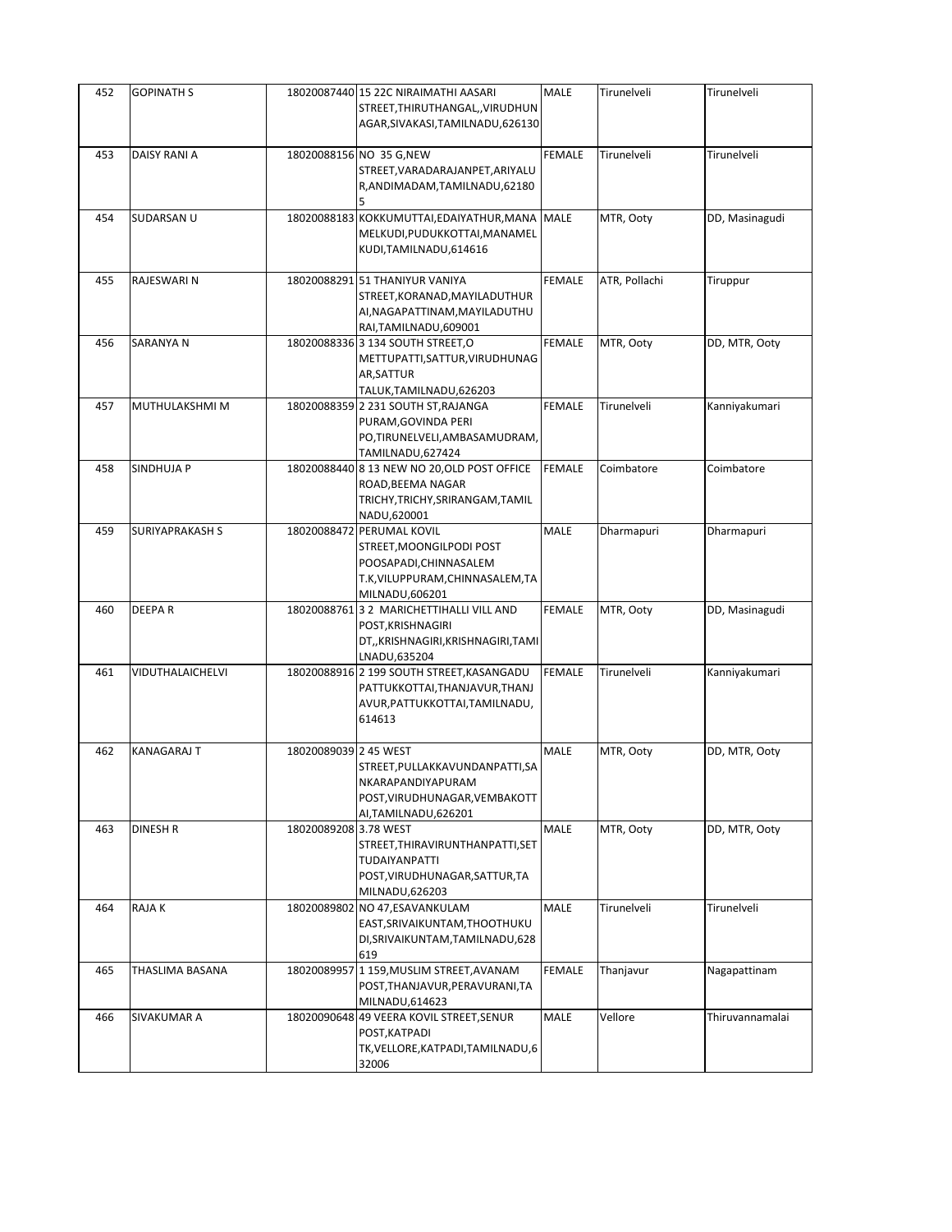| 452 | <b>GOPINATH S</b>      |                       | 18020087440 15 22C NIRAIMATHI AASARI<br>STREET, THIRUTHANGAL, , VIRUDHUN<br>AGAR, SIVAKASI, TAMILNADU, 626130                         | <b>MALE</b>   | Tirunelveli   | Tirunelveli     |
|-----|------------------------|-----------------------|---------------------------------------------------------------------------------------------------------------------------------------|---------------|---------------|-----------------|
| 453 | DAISY RANI A           |                       | 18020088156 NO 35 G, NEW<br>STREET, VARADARAJANPET, ARIYALU<br>R, ANDIMADAM, TAMILNADU, 62180                                         | <b>FEMALE</b> | Tirunelveli   | Tirunelveli     |
| 454 | SUDARSAN U             |                       | 18020088183 KOKKUMUTTAI, EDAIYATHUR, MANA<br>MELKUDI, PUDUKKOTTAI, MANAMEL<br>KUDI, TAMILNADU, 614616                                 | <b>MALE</b>   | MTR, Ooty     | DD, Masinagudi  |
| 455 | RAJESWARI N            |                       | 18020088291 51 THANIYUR VANIYA<br>STREET, KORANAD, MAYILADUTHUR<br>AI, NAGAPATTINAM, MAYILADUTHU<br>RAI, TAMILNADU, 609001            | <b>FEMALE</b> | ATR, Pollachi | Tiruppur        |
| 456 | SARANYA N              |                       | 18020088336 3 134 SOUTH STREET, O<br>METTUPATTI, SATTUR, VIRUDHUNAG<br>AR, SATTUR<br>TALUK, TAMILNADU, 626203                         | <b>FEMALE</b> | MTR, Ooty     | DD, MTR, Ooty   |
| 457 | MUTHULAKSHMI M         |                       | 18020088359 2 231 SOUTH ST, RAJANGA<br>PURAM, GOVINDA PERI<br>PO,TIRUNELVELI,AMBASAMUDRAM,<br>TAMILNADU,627424                        | <b>FEMALE</b> | Tirunelveli   | Kanniyakumari   |
| 458 | SINDHUJA P             |                       | 18020088440 8 13 NEW NO 20, OLD POST OFFICE<br>ROAD, BEEMA NAGAR<br>TRICHY, TRICHY, SRIRANGAM, TAMIL<br>NADU,620001                   | <b>FEMALE</b> | Coimbatore    | Coimbatore      |
| 459 | <b>SURIYAPRAKASH S</b> |                       | 18020088472 PERUMAL KOVIL<br>STREET, MOONGILPODI POST<br>POOSAPADI, CHINNASALEM<br>T.K, VILUPPURAM, CHINNASALEM, TA<br>MILNADU,606201 | MALE          | Dharmapuri    | Dharmapuri      |
| 460 | DEEPAR                 |                       | 18020088761 3 2 MARICHETTIHALLI VILL AND<br>POST, KRISHNAGIRI<br>DT,,KRISHNAGIRI,KRISHNAGIRI,TAMI<br>LNADU,635204                     | <b>FEMALE</b> | MTR, Ooty     | DD, Masinagudi  |
| 461 | VIDUTHALAICHELVI       |                       | 18020088916 2 199 SOUTH STREET, KASANGADU<br>PATTUKKOTTAI, THANJAVUR, THANJ<br>AVUR, PATTUKKOTTAI, TAMILNADU,<br>614613               | <b>FEMALE</b> | Tirunelveli   | Kanniyakumari   |
| 462 | <b>KANAGARAJ T</b>     | 18020089039 2 45 WEST | STREET, PULLAKKAVUNDANPATTI, SA<br>NKARAPANDIYAPURAM<br>POST, VIRUDHUNAGAR, VEMBAKOTT<br>AI, TAMILNADU, 626201                        | <b>MALE</b>   | MTR, Ooty     | DD, MTR, Ooty   |
| 463 | DINESH R               | 18020089208 3.78 WEST | STREET, THIRAVIRUNTHANPATTI, SET<br>TUDAIYANPATTI<br>POST, VIRUDHUNAGAR, SATTUR, TA<br>MILNADU,626203                                 | <b>MALE</b>   | MTR, Ooty     | DD, MTR, Ooty   |
| 464 | RAJA K                 | 18020089802           | NO 47,ESAVANKULAM<br>EAST, SRIVAIKUNTAM, THOOTHUKU<br>DI, SRIVAIKUNTAM, TAMILNADU, 628<br>619                                         | MALE          | Tirunelveli   | Tirunelveli     |
| 465 | THASLIMA BASANA        |                       | 18020089957 1 159, MUSLIM STREET, AVANAM<br>POST, THANJAVUR, PERAVURANI, TA<br>MILNADU,614623                                         | <b>FEMALE</b> | Thanjavur     | Nagapattinam    |
| 466 | SIVAKUMAR A            |                       | 18020090648 49 VEERA KOVIL STREET, SENUR<br>POST, KATPADI<br>TK, VELLORE, KATPADI, TAMILNADU, 6<br>32006                              | MALE          | Vellore       | Thiruvannamalai |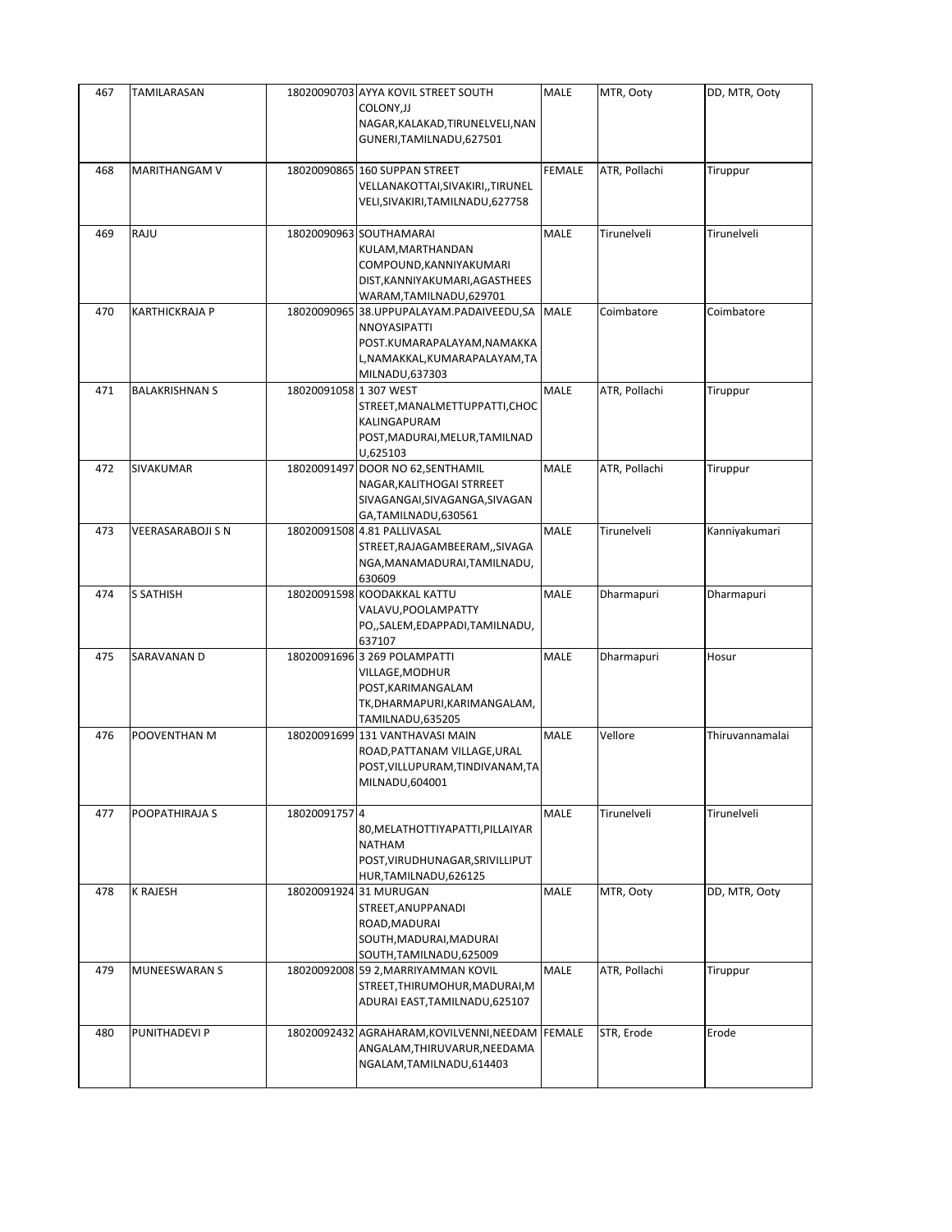| 467 | TAMILARASAN              |                        | 18020090703 AYYA KOVIL STREET SOUTH<br>COLONY, JJ<br>NAGAR, KALAKAD, TIRUNELVELI, NAN<br>GUNERI, TAMILNADU, 627501                         | <b>MALE</b>   | MTR, Ooty     | DD, MTR, Ooty   |
|-----|--------------------------|------------------------|--------------------------------------------------------------------------------------------------------------------------------------------|---------------|---------------|-----------------|
| 468 | MARITHANGAM V            |                        | 18020090865 160 SUPPAN STREET<br>VELLANAKOTTAI, SIVAKIRI,, TIRUNEL<br>VELI, SIVAKIRI, TAMILNADU, 627758                                    | FEMALE        | ATR, Pollachi | Tiruppur        |
| 469 | RAJU                     |                        | 18020090963 SOUTHAMARAI<br>KULAM, MARTHANDAN<br>COMPOUND, KANNIYAKUMARI<br>DIST, KANNIYAKUMARI, AGASTHEES<br>WARAM, TAMILNADU, 629701      | MALE          | Tirunelveli   | Tirunelveli     |
| 470 | KARTHICKRAJA P           |                        | 18020090965 38.UPPUPALAYAM.PADAIVEEDU,SA<br>NNOYASIPATTI<br>POST.KUMARAPALAYAM,NAMAKKA<br>L, NAMAKKAL, KUMARAPALAYAM, TA<br>MILNADU,637303 | MALE          | Coimbatore    | Coimbatore      |
| 471 | <b>BALAKRISHNAN S</b>    | 18020091058 1 307 WEST | STREET, MANALMETTUPPATTI, CHOC<br>KALINGAPURAM<br>POST, MADURAI, MELUR, TAMILNAD<br>U,625103                                               | <b>MALE</b>   | ATR, Pollachi | Tiruppur        |
| 472 | <b>SIVAKUMAR</b>         |                        | 18020091497 DOOR NO 62, SENTHAMIL<br>NAGAR, KALITHOGAI STRREET<br>SIVAGANGAI, SIVAGANGA, SIVAGAN<br>GA,TAMILNADU,630561                    | MALE          | ATR, Pollachi | Tiruppur        |
| 473 | <b>VEERASARABOJI S N</b> |                        | 18020091508 4.81 PALLIVASAL<br>STREET, RAJAGAMBEERAM, , SIVAGA<br>NGA, MANAMADURAI, TAMILNADU,<br>630609                                   | MALE          | Tirunelveli   | Kanniyakumari   |
| 474 | <b>S SATHISH</b>         |                        | 18020091598 KOODAKKAL KATTU<br>VALAVU, POOLAMPATTY<br>PO,, SALEM, EDAPPADI, TAMILNADU,<br>637107                                           | MALE          | Dharmapuri    | Dharmapuri      |
| 475 | SARAVANAN D              |                        | 18020091696 3 269 POLAMPATTI<br>VILLAGE, MODHUR<br>POST, KARIMANGALAM<br>TK, DHARMAPURI, KARIMANGALAM,<br>TAMILNADU,635205                 | <b>MALE</b>   | Dharmapuri    | Hosur           |
| 476 | POOVENTHAN M             |                        | 18020091699 131 VANTHAVASI MAIN<br>ROAD, PATTANAM VILLAGE, URAL<br>POST, VILLUPURAM, TINDIVANAM, TA<br>MILNADU,604001                      | <b>MALE</b>   | Vellore       | Thiruvannamalai |
| 477 | POOPATHIRAJA S           | 18020091757 4          | 80, MELATHOTTIYAPATTI, PILLAIYAR<br><b>NATHAM</b><br>POST, VIRUDHUNAGAR, SRIVILLIPUT<br>HUR, TAMILNADU, 626125                             | MALE          | Tirunelveli   | Tirunelveli     |
| 478 | <b>K RAJESH</b>          |                        | 18020091924 31 MURUGAN<br>STREET, ANUPPANADI<br>ROAD, MADURAI<br>SOUTH, MADURAI, MADURAI<br>SOUTH, TAMILNADU, 625009                       | MALE          | MTR, Ooty     | DD, MTR, Ooty   |
| 479 | MUNEESWARAN S            |                        | 18020092008 59 2, MARRIYAMMAN KOVIL<br>STREET, THIRUMOHUR, MADURAI, M<br>ADURAI EAST, TAMILNADU, 625107                                    | MALE          | ATR, Pollachi | Tiruppur        |
| 480 | PUNITHADEVI P            |                        | 18020092432 AGRAHARAM, KOVILVENNI, NEEDAM<br>ANGALAM, THIRUVARUR, NEEDAMA<br>NGALAM, TAMILNADU, 614403                                     | <b>FEMALE</b> | STR, Erode    | Erode           |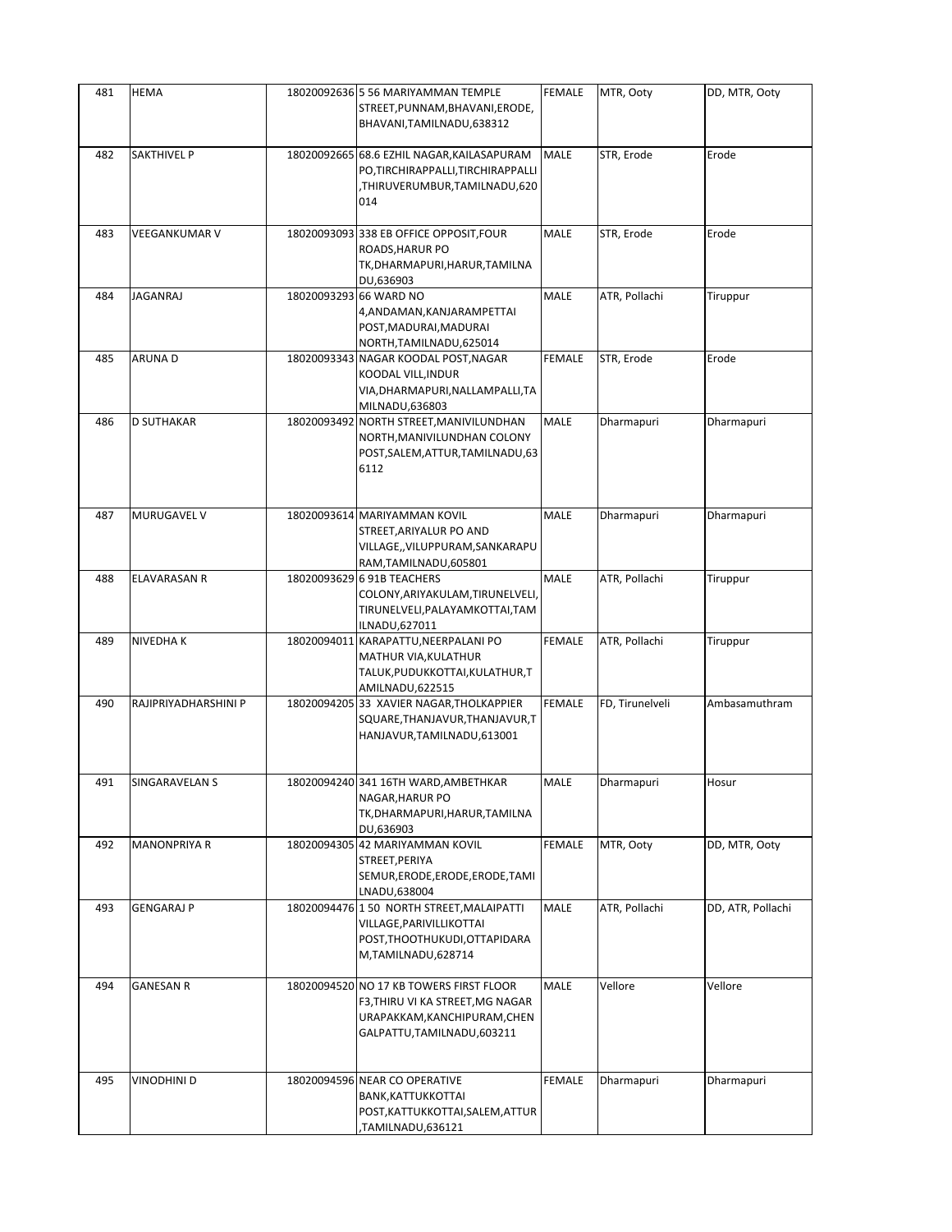| 481 | HEMA                 | 18020092636 5 56 MARIYAMMAN TEMPLE<br>STREET, PUNNAM, BHAVANI, ERODE,                                                                      | FEMALE        | MTR, Ooty       | DD, MTR, Ooty     |
|-----|----------------------|--------------------------------------------------------------------------------------------------------------------------------------------|---------------|-----------------|-------------------|
|     | <b>SAKTHIVEL P</b>   | BHAVANI, TAMILNADU, 638312                                                                                                                 | <b>MALE</b>   |                 | Erode             |
| 482 |                      | 18020092665 68.6 EZHIL NAGAR, KAILASAPURAM<br>PO, TIRCHIRAPPALLI, TIRCHIRAPPALLI<br>THIRUVERUMBUR,TAMILNADU,620,<br>014                    |               | STR, Erode      |                   |
| 483 | VEEGANKUMAR V        | 18020093093 338 EB OFFICE OPPOSIT, FOUR<br>ROADS, HARUR PO<br>TK, DHARMAPURI, HARUR, TAMILNA<br>DU,636903                                  | MALE          | STR, Erode      | Erode             |
| 484 | JAGANRAJ             | 18020093293 66 WARD NO<br>4,ANDAMAN,KANJARAMPETTAI<br>POST, MADURAI, MADURAI<br>NORTH, TAMILNADU, 625014                                   | MALE          | ATR, Pollachi   | Tiruppur          |
| 485 | ARUNA D              | 18020093343 NAGAR KOODAL POST, NAGAR<br>KOODAL VILL, INDUR<br>VIA, DHARMAPURI, NALLAMPALLI, TA<br>MILNADU,636803                           | <b>FEMALE</b> | STR, Erode      | Erode             |
| 486 | <b>D SUTHAKAR</b>    | 18020093492 NORTH STREET, MANIVILUNDHAN<br>NORTH, MANIVILUNDHAN COLONY<br>POST, SALEM, ATTUR, TAMILNADU, 63<br>6112                        | <b>MALE</b>   | Dharmapuri      | Dharmapuri        |
| 487 | MURUGAVEL V          | 18020093614 MARIYAMMAN KOVIL<br>STREET, ARIYALUR PO AND<br>VILLAGE,, VILUPPURAM, SANKARAPU<br>RAM,TAMILNADU,605801                         | MALE          | Dharmapuri      | Dharmapuri        |
| 488 | ELAVARASAN R         | 18020093629 6 91B TEACHERS<br>COLONY, ARIYAKULAM, TIRUNELVELI,<br>TIRUNELVELI, PALAYAMKOTTAI, TAM<br>ILNADU,627011                         | MALE          | ATR, Pollachi   | Tiruppur          |
| 489 | NIVEDHA K            | 18020094011 KARAPATTU, NEERPALANI PO<br>MATHUR VIA, KULATHUR<br>TALUK, PUDUKKOTTAI, KULATHUR, T<br>AMILNADU, 622515                        | <b>FEMALE</b> | ATR, Pollachi   | Tiruppur          |
| 490 | RAJIPRIYADHARSHINI P | 18020094205 33 XAVIER NAGAR, THOLKAPPIER<br>SQUARE, THANJAVUR, THANJAVUR, T<br>HANJAVUR, TAMILNADU, 613001                                 | <b>FEMALE</b> | FD, Tirunelveli | Ambasamuthram     |
| 491 | SINGARAVELAN S       | 18020094240 341 16TH WARD, AMBETHKAR<br>NAGAR, HARUR PO<br>TK, DHARMAPURI, HARUR, TAMILNA<br>DU,636903                                     | MALE          | Dharmapuri      | Hosur             |
| 492 | <b>MANONPRIYA R</b>  | 18020094305 42 MARIYAMMAN KOVIL<br>STREET, PERIYA<br>SEMUR, ERODE, ERODE, ERODE, TAMI<br>LNADU,638004                                      | <b>FEMALE</b> | MTR, Ooty       | DD, MTR, Ooty     |
| 493 | GENGARAJ P           | 18020094476 150 NORTH STREET, MALAIPATTI<br>VILLAGE, PARIVILLIKOTTAI<br>POST, THOOTHUKUDI, OTTAPIDARA<br>M,TAMILNADU,628714                | MALE          | ATR, Pollachi   | DD, ATR, Pollachi |
| 494 | <b>GANESAN R</b>     | 18020094520 NO 17 KB TOWERS FIRST FLOOR<br>F3, THIRU VI KA STREET, MG NAGAR<br>URAPAKKAM, KANCHIPURAM, CHEN<br>GALPATTU, TAMILNADU, 603211 | <b>MALE</b>   | Vellore         | Vellore           |
| 495 | VINODHINI D          | 18020094596 NEAR CO OPERATIVE<br>BANK, KATTUKKOTTAI<br>POST, KATTUKKOTTAI, SALEM, ATTUR<br>TAMILNADU,636121,                               | <b>FEMALE</b> | Dharmapuri      | Dharmapuri        |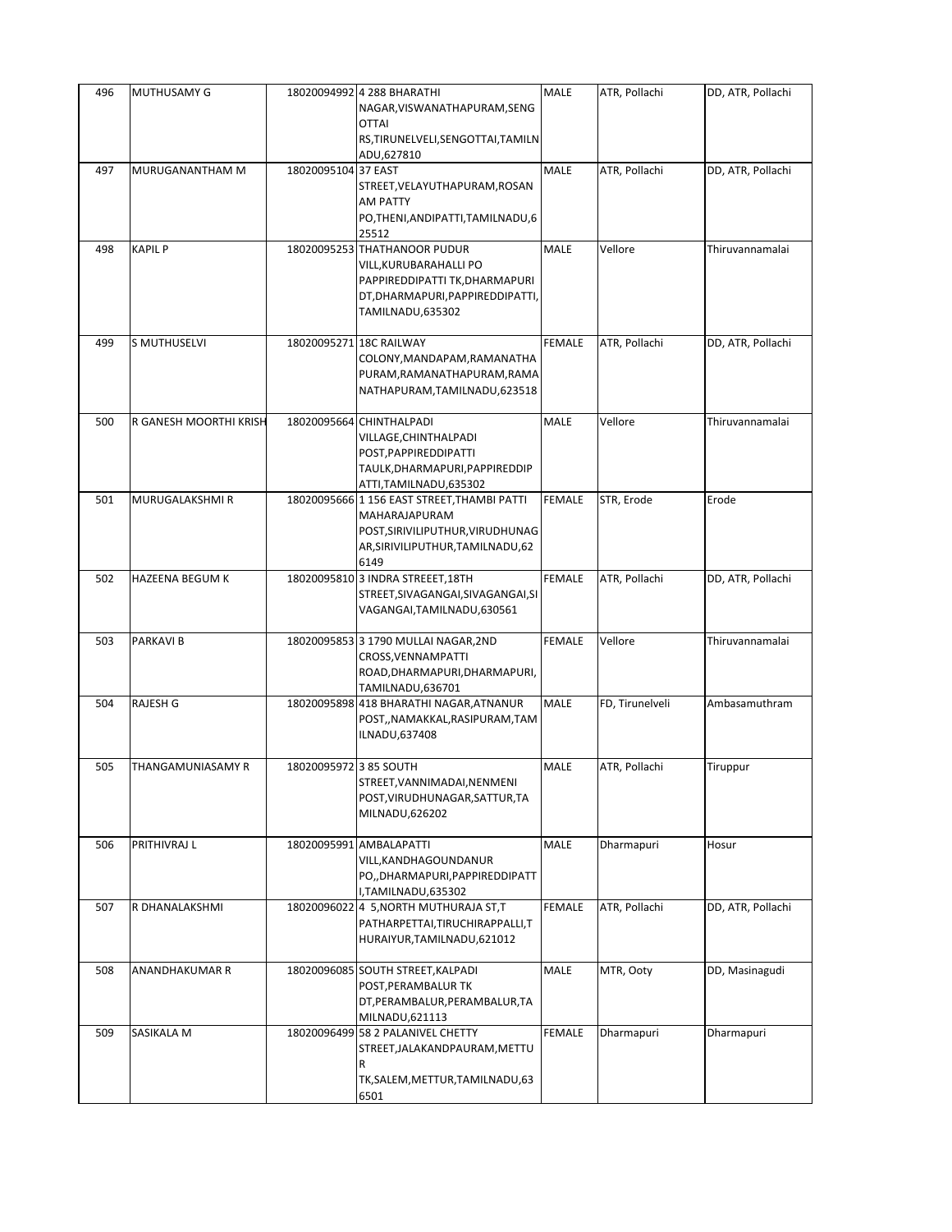| 496 | MUTHUSAMY G            |                        | 18020094992 4 288 BHARATHI<br>NAGAR, VISWANATHAPURAM, SENG<br><b>OTTAI</b><br>RS, TIRUNELVELI, SENGOTTAI, TAMILN<br>ADU,627810                    | <b>MALE</b>   | ATR, Pollachi   | DD, ATR, Pollachi |
|-----|------------------------|------------------------|---------------------------------------------------------------------------------------------------------------------------------------------------|---------------|-----------------|-------------------|
| 497 | MURUGANANTHAM M        | 18020095104 37 EAST    | STREET, VELAYUTHAPURAM, ROSAN<br><b>AM PATTY</b><br>PO, THENI, ANDIPATTI, TAMILNADU, 6<br>25512                                                   | <b>MALE</b>   | ATR, Pollachi   | DD, ATR, Pollachi |
| 498 | <b>KAPIL P</b>         |                        | 18020095253 THATHANOOR PUDUR<br>VILL, KURUBARAHALLI PO<br>PAPPIREDDIPATTI TK, DHARMAPURI<br>DT, DHARMAPURI, PAPPIRE DDIPATTI,<br>TAMILNADU,635302 | <b>MALE</b>   | Vellore         | Thiruvannamalai   |
| 499 | S MUTHUSELVI           |                        | 18020095271 18C RAILWAY<br>COLONY, MANDAPAM, RAMANATHA<br>PURAM, RAMANATHAPURAM, RAMA<br>NATHAPURAM, TAMILNADU, 623518                            | <b>FEMALE</b> | ATR, Pollachi   | DD, ATR, Pollachi |
| 500 | R GANESH MOORTHI KRISH |                        | 18020095664 CHINTHALPADI<br>VILLAGE, CHINTHALPADI<br>POST, PAPPIREDDIPATTI<br>TAULK, DHARMAPURI, PAPPIREDDIP<br>ATTI,TAMILNADU,635302             | <b>MALE</b>   | Vellore         | Thiruvannamalai   |
| 501 | MURUGALAKSHMI R        |                        | 18020095666 1 156 EAST STREET, THAMBI PATTI<br>MAHARAJAPURAM<br>POST, SIRIVILIPUTHUR, VIRUDHUNAG<br>AR, SIRIVILIPUTHUR, TAMILNADU, 62<br>6149     | <b>FEMALE</b> | STR, Erode      | Erode             |
| 502 | <b>HAZEENA BEGUM K</b> |                        | 18020095810 3 INDRA STREEET, 18TH<br>STREET,SIVAGANGAI,SIVAGANGAI,SI<br>VAGANGAI, TAMILNADU, 630561                                               | <b>FEMALE</b> | ATR, Pollachi   | DD, ATR, Pollachi |
| 503 | <b>PARKAVIB</b>        |                        | 18020095853 3 1790 MULLAI NAGAR, 2ND<br>CROSS, VENNAMPATTI<br>ROAD, DHARMAPURI, DHARMAPURI,<br>TAMILNADU,636701                                   | <b>FEMALE</b> | Vellore         | Thiruvannamalai   |
| 504 | <b>RAJESH G</b>        |                        | 18020095898 418 BHARATHI NAGAR, ATNANUR<br>POST,,NAMAKKAL,RASIPURAM,TAM<br>ILNADU,637408                                                          | <b>MALE</b>   | FD, Tirunelveli | Ambasamuthram     |
| 505 | THANGAMUNIASAMY R      | 18020095972 3 85 SOUTH | STREET, VANNIMADAI, NENMENI<br>POST, VIRUDHUNAGAR, SATTUR, TA<br>MILNADU,626202                                                                   | MALE          | ATR, Pollachi   | Tiruppur          |
| 506 | PRITHIVRAJ L           |                        | 18020095991 AMBALAPATTI<br>VILL, KANDHAGOUNDANUR<br>PO,, DHARMAPURI, PAPPIREDDIPATT<br>I,TAMILNADU,635302                                         | <b>MALE</b>   | Dharmapuri      | Hosur             |
| 507 | R DHANALAKSHMI         |                        | 18020096022 4 5, NORTH MUTHURAJA ST, T<br>PATHARPETTAI, TIRUCHIRAPPALLI, T<br>HURAIYUR, TAMILNADU, 621012                                         | <b>FEMALE</b> | ATR, Pollachi   | DD, ATR, Pollachi |
| 508 | <b>ANANDHAKUMAR R</b>  |                        | 18020096085 SOUTH STREET, KALPADI<br>POST, PERAMBALUR TK<br>DT, PERAMBALUR, PERAMBALUR, TA<br>MILNADU,621113                                      | MALE          | MTR, Ooty       | DD, Masinagudi    |
| 509 | SASIKALA M             |                        | 18020096499 58 2 PALANIVEL CHETTY<br>STREET, JALAKANDPAURAM, METTU<br>R<br>TK, SALEM, METTUR, TAMILNADU, 63<br>6501                               | <b>FEMALE</b> | Dharmapuri      | Dharmapuri        |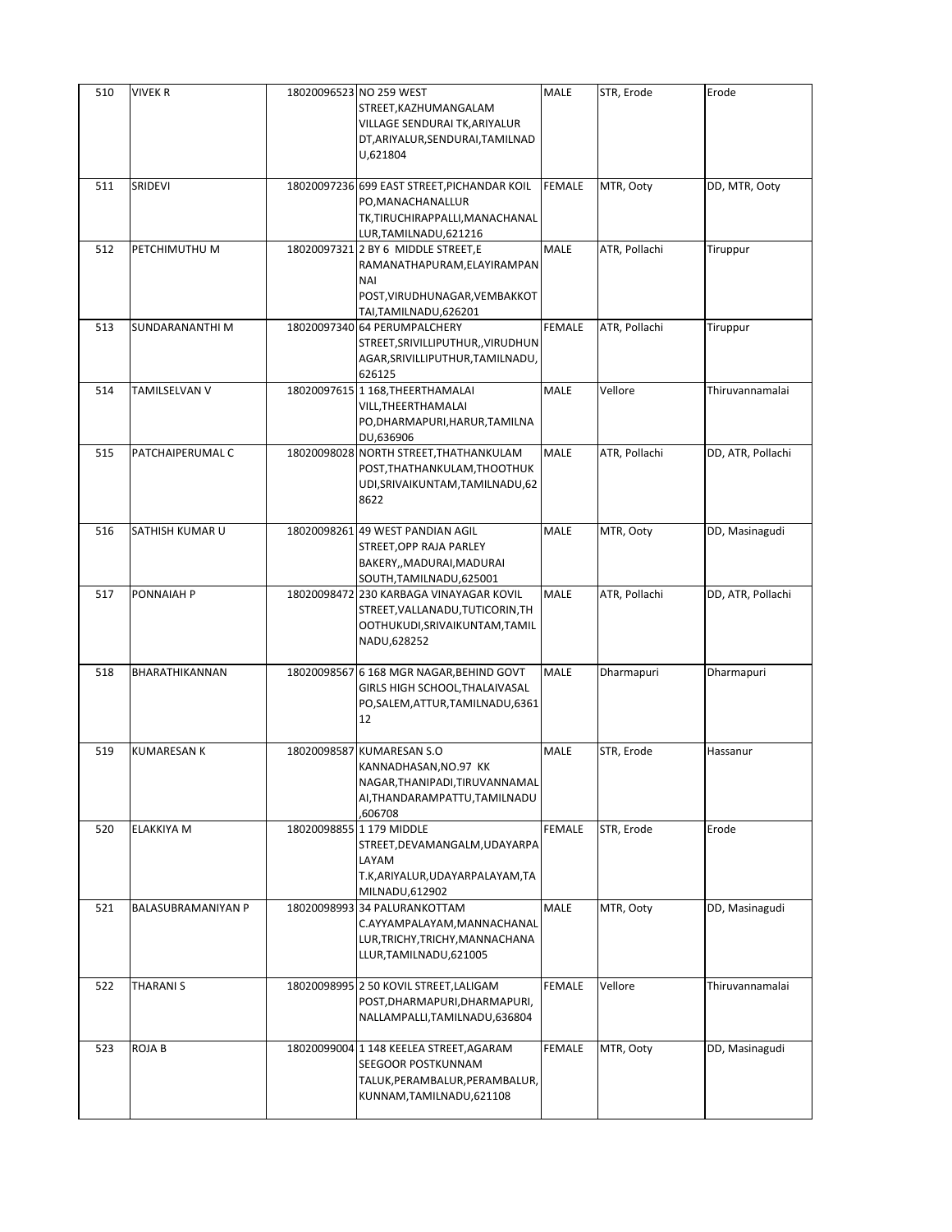| 510 | <b>VIVEK R</b>     | 18020096523 NO 259 WEST<br>STREET, KAZHUMANGALAM<br>VILLAGE SENDURAI TK, ARIYALUR<br>DT, ARIYALUR, SENDURAI, TAMILNAD                | <b>MALE</b>   | STR, Erode    | Erode             |
|-----|--------------------|--------------------------------------------------------------------------------------------------------------------------------------|---------------|---------------|-------------------|
|     |                    | U,621804                                                                                                                             |               |               |                   |
| 511 | SRIDEVI            | 18020097236 699 EAST STREET, PICHANDAR KOIL<br>PO, MANACHANALLUR<br>TK,TIRUCHIRAPPALLI,MANACHANAL<br>LUR, TAMILNADU, 621216          | <b>FEMALE</b> | MTR, Ooty     | DD, MTR, Ooty     |
| 512 | PETCHIMUTHU M      | 18020097321 2 BY 6 MIDDLE STREET, E<br>RAMANATHAPURAM, ELAYIRAMPAN<br>NAI<br>POST, VIRUDHUNAGAR, VEMBAKKOT<br>TAI, TAMILNADU, 626201 | <b>MALE</b>   | ATR, Pollachi | Tiruppur          |
| 513 | SUNDARANANTHI M    | 18020097340 64 PERUMPALCHERY<br>STREET, SRIVILLIPUTHUR, , VIRUDHUN<br>AGAR, SRIVILLIPUTHUR, TAMILNADU,<br>626125                     | <b>FEMALE</b> | ATR, Pollachi | Tiruppur          |
| 514 | TAMILSELVAN V      | 18020097615 1 168, THEERTHAMALAI<br>VILL, THE ERTHAMALAI<br>PO, DHARMAPURI, HARUR, TAMILNA<br>DU,636906                              | <b>MALE</b>   | Vellore       | Thiruvannamalai   |
| 515 | PATCHAIPERUMAL C   | 18020098028 NORTH STREET, THATHANKULAM<br>POST, THATHANKULAM, THOOTHUK<br>UDI, SRIVAIKUNTAM, TAMILNADU, 62<br>8622                   | <b>MALE</b>   | ATR, Pollachi | DD, ATR, Pollachi |
| 516 | SATHISH KUMAR U    | 18020098261 49 WEST PANDIAN AGIL<br>STREET, OPP RAJA PARLEY<br>BAKERY,, MADURAI, MADURAI<br>SOUTH, TAMILNADU, 625001                 | <b>MALE</b>   | MTR, Ooty     | DD, Masinagudi    |
| 517 | <b>PONNAIAH P</b>  | 18020098472 230 KARBAGA VINAYAGAR KOVIL<br>STREET, VALLANADU, TUTICORIN, TH<br>OOTHUKUDI, SRIVAIKUNTAM, TAMIL<br>NADU,628252         | <b>MALE</b>   | ATR, Pollachi | DD, ATR, Pollachi |
| 518 | BHARATHIKANNAN     | 18020098567 6 168 MGR NAGAR, BEHIND GOVT<br>GIRLS HIGH SCHOOL, THALAIVASAL<br>PO, SALEM, ATTUR, TAMILNADU, 6361<br>12                | <b>MALE</b>   | Dharmapuri    | Dharmapuri        |
| 519 | <b>KUMARESAN K</b> | 18020098587 KUMARESAN S.O<br>KANNADHASAN, NO.97 KK<br>NAGAR, THANIPADI, TIRUVANNAMAL<br>AI, THANDARAMPATTU, TAMILNADU<br>606708,     | <b>MALE</b>   | STR, Erode    | Hassanur          |
| 520 | ELAKKIYA M         | 18020098855 1 179 MIDDLE<br>STREET, DEVAMANGALM, UDAYARPA<br>LAYAM<br>T.K, ARIYALUR, UDAYARPALAYAM, TA<br>MILNADU,612902             | <b>FEMALE</b> | STR, Erode    | Erode             |
| 521 | BALASUBRAMANIYAN P | 18020098993 34 PALURANKOTTAM<br>C.AYYAMPALAYAM, MANNACHANAL<br>LUR, TRICHY, TRICHY, MANNACHANA<br>LLUR, TAMILNADU, 621005            | MALE          | MTR, Ooty     | DD, Masinagudi    |
| 522 | <b>THARANIS</b>    | 18020098995 2 50 KOVIL STREET, LALIGAM<br>POST, DHARMAPURI, DHARMAPURI,<br>NALLAMPALLI, TAMILNADU, 636804                            | <b>FEMALE</b> | Vellore       | Thiruvannamalai   |
| 523 | ROJA B             | 18020099004 1 148 KEELEA STREET, AGARAM<br>SEEGOOR POSTKUNNAM<br>TALUK, PERAMBALUR, PERAMBALUR,<br>KUNNAM, TAMILNADU, 621108         | <b>FEMALE</b> | MTR, Ooty     | DD, Masinagudi    |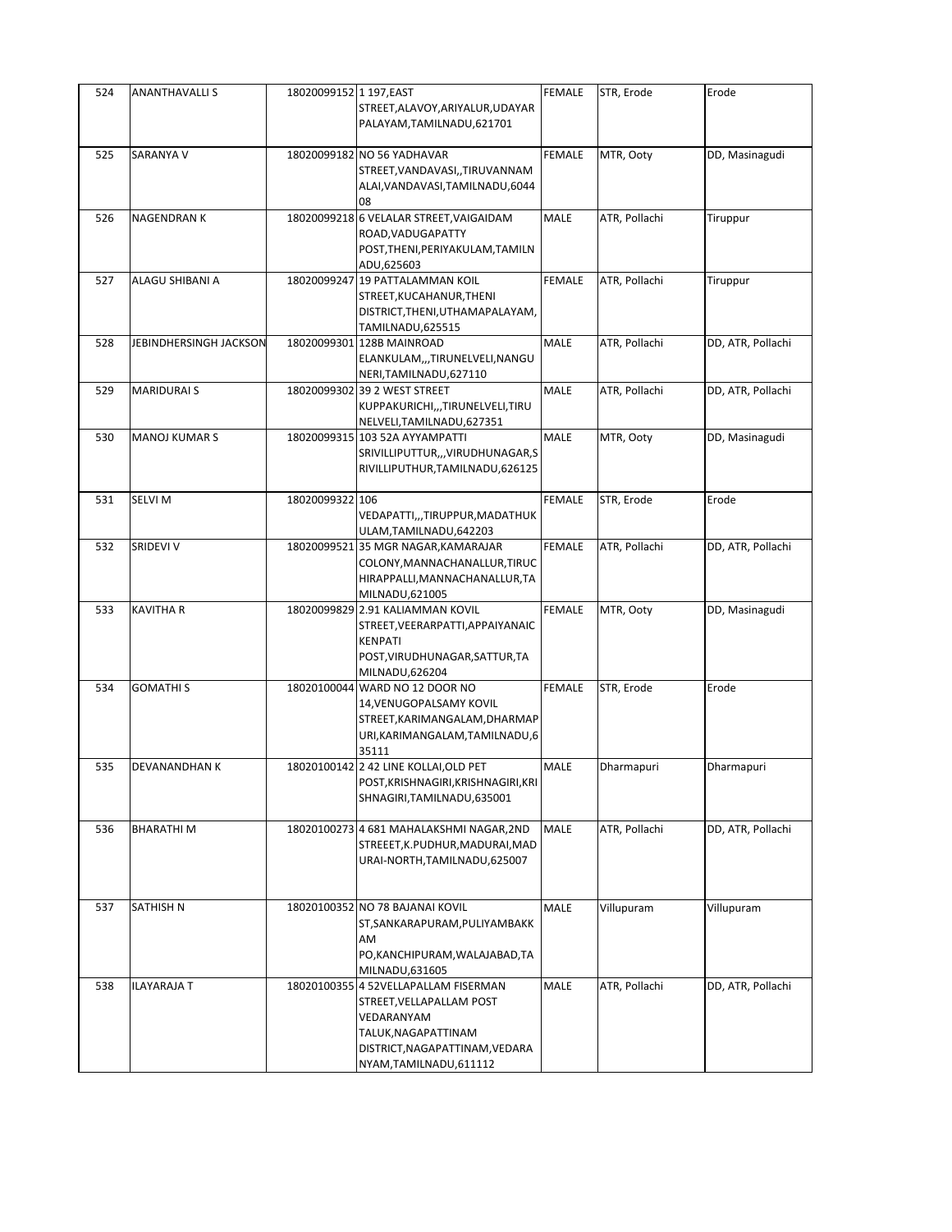| 524 | <b>ANANTHAVALLI S</b>  | 18020099152 1 197, EAST | STREET, ALAVOY, ARIYALUR, UDAYAR<br>PALAYAM, TAMILNADU, 621701                                                                                                     | FEMALE        | STR, Erode    | Erode             |
|-----|------------------------|-------------------------|--------------------------------------------------------------------------------------------------------------------------------------------------------------------|---------------|---------------|-------------------|
| 525 | SARANYA V              |                         | 18020099182 NO 56 YADHAVAR<br>STREET, VANDAVASI, , TIRUVANNAM<br>ALAI, VANDAVASI, TAMILNADU, 6044<br>08                                                            | <b>FEMALE</b> | MTR, Ooty     | DD, Masinagudi    |
| 526 | <b>NAGENDRANK</b>      |                         | 18020099218 6 VELALAR STREET, VAIGAIDAM<br>ROAD, VADUGAPATTY<br>POST, THENI, PERIYAKULAM, TAMILN<br>ADU,625603                                                     | MALE          | ATR, Pollachi | Tiruppur          |
| 527 | ALAGU SHIBANI A        |                         | 18020099247 19 PATTALAMMAN KOIL<br>STREET, KUCAHANUR, THENI<br>DISTRICT, THENI, UTHAMAPALAYAM,<br>TAMILNADU,625515                                                 | <b>FEMALE</b> | ATR, Pollachi | Tiruppur          |
| 528 | JEBINDHERSINGH JACKSON |                         | 18020099301 128B MAINROAD<br>ELANKULAM,,,TIRUNELVELI,NANGU<br>NERI, TAMILNADU, 627110                                                                              | <b>MALE</b>   | ATR, Pollachi | DD, ATR, Pollachi |
| 529 | <b>MARIDURAI S</b>     |                         | 18020099302 39 2 WEST STREET<br>KUPPAKURICHI,,,TIRUNELVELI,TIRU<br>NELVELI, TAMILNADU, 627351                                                                      | MALE          | ATR, Pollachi | DD, ATR, Pollachi |
| 530 | <b>MANOJ KUMAR S</b>   |                         | 18020099315 103 52A AYYAMPATTI<br>SRIVILLIPUTTUR,,,VIRUDHUNAGAR,S<br>RIVILLIPUTHUR, TAMILNADU, 626125                                                              | <b>MALE</b>   | MTR, Ooty     | DD, Masinagudi    |
| 531 | SELVI M                | 18020099322 106         | VEDAPATTI,,,TIRUPPUR,MADATHUK<br>ULAM, TAMILNADU, 642203                                                                                                           | <b>FEMALE</b> | STR, Erode    | Erode             |
| 532 | <b>SRIDEVI V</b>       |                         | 18020099521 35 MGR NAGAR, KAMARAJAR<br>COLONY, MANNACHANALLUR, TIRUC<br>HIRAPPALLI, MANNACHANALLUR, TA<br>MILNADU,621005                                           | <b>FEMALE</b> | ATR, Pollachi | DD, ATR, Pollachi |
| 533 | <b>KAVITHA R</b>       |                         | 18020099829 2.91 KALIAMMAN KOVIL<br>STREET, VEERARPATTI, APPAIYANAIC<br><b>KENPATI</b><br>POST, VIRUDHUNAGAR, SATTUR, TA<br>MILNADU,626204                         | <b>FEMALE</b> | MTR, Ooty     | DD, Masinagudi    |
| 534 | <b>GOMATHIS</b>        |                         | 18020100044 WARD NO 12 DOOR NO<br>14, VENUGOPALSAMY KOVIL<br>STREET, KARIMANGALAM, DHARMAP<br>URI, KARIMANGALAM, TAMILNADU, 6<br>35111                             | <b>FEMALE</b> | STR, Erode    | Erode             |
| 535 | <b>DEVANANDHAN K</b>   |                         | 18020100142 2 42 LINE KOLLAI, OLD PET<br>POST, KRISHNAGIRI, KRISHNAGIRI, KRI<br>SHNAGIRI, TAMILNADU, 635001                                                        | <b>MALE</b>   | Dharmapuri    | Dharmapuri        |
| 536 | <b>BHARATHIM</b>       |                         | 18020100273 4 681 MAHALAKSHMI NAGAR,2ND<br>STREEET, K.PUDHUR, MADURAI, MAD<br>URAI-NORTH, TAMILNADU, 625007                                                        | <b>MALE</b>   | ATR, Pollachi | DD, ATR, Pollachi |
| 537 | SATHISH N              |                         | 18020100352 NO 78 BAJANAI KOVIL<br>ST, SANKARAPURAM, PULIYAMBAKK<br>AM<br>PO, KANCHIPURAM, WALAJABAD, TA<br>MILNADU,631605                                         | MALE          | Villupuram    | Villupuram        |
| 538 | <b>ILAYARAJA T</b>     |                         | 18020100355 4 52VELLAPALLAM FISERMAN<br>STREET, VELLAPALLAM POST<br>VEDARANYAM<br>TALUK, NAGAPATTINAM<br>DISTRICT, NAGAPATTINAM, VEDARA<br>NYAM, TAMILNADU, 611112 | MALE          | ATR, Pollachi | DD, ATR, Pollachi |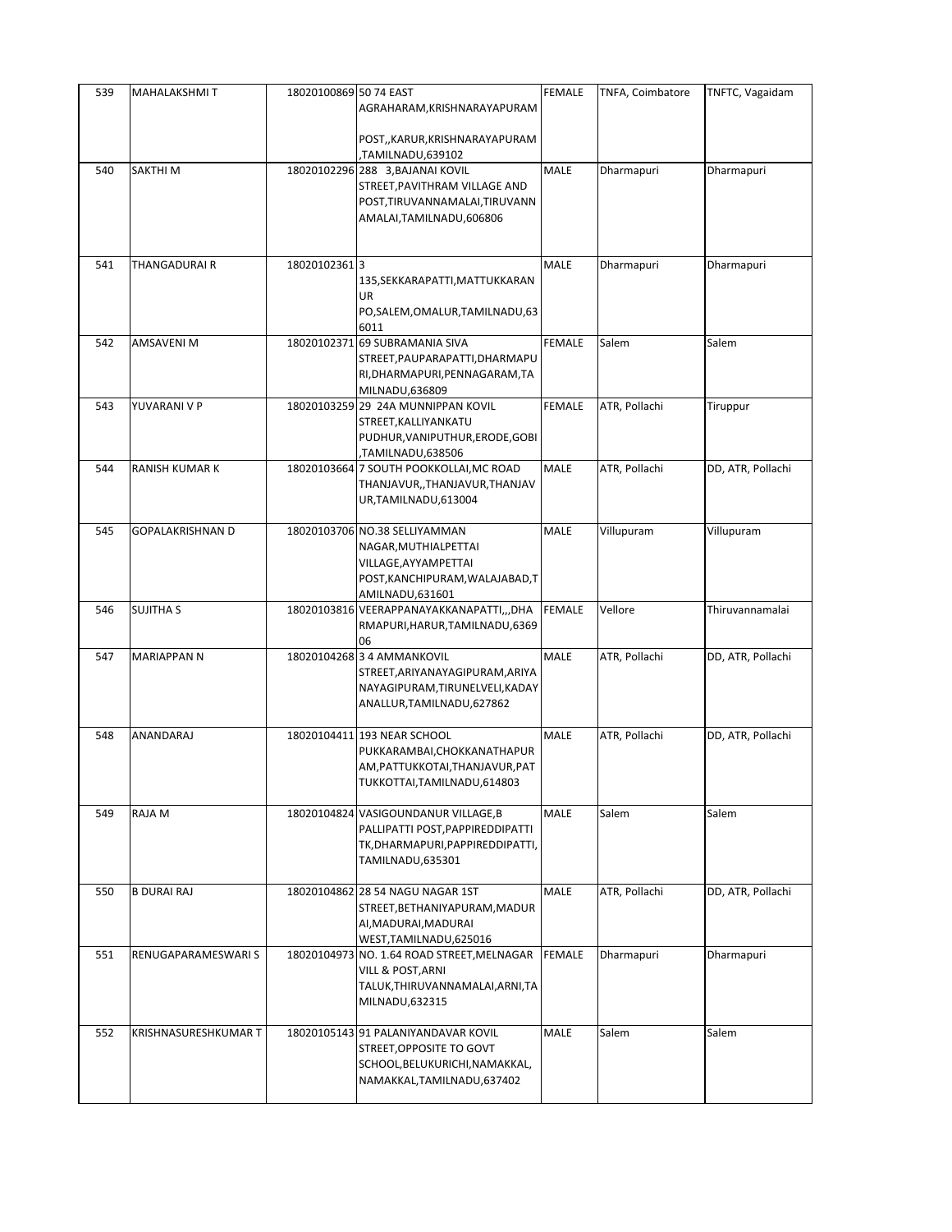| 539 | MAHALAKSHMIT            | 18020100869 50 74 EAST | AGRAHARAM, KRISHNARAYAPURAM                                                                                                          | <b>FEMALE</b> | TNFA, Coimbatore | TNFTC, Vagaidam   |
|-----|-------------------------|------------------------|--------------------------------------------------------------------------------------------------------------------------------------|---------------|------------------|-------------------|
|     |                         |                        | POST,,KARUR,KRISHNARAYAPURAM<br>TAMILNADU,639102,                                                                                    |               |                  |                   |
| 540 | SAKTHI M                |                        | 18020102296 288 3, BAJANAI KOVIL<br>STREET, PAVITHRAM VILLAGE AND<br>POST, TIRUVANNAMALAI, TIRUVANN<br>AMALAI, TAMILNADU, 606806     | <b>MALE</b>   | Dharmapuri       | Dharmapuri        |
| 541 | THANGADURAI R           | 180201023613           | 135, SEKKARAPATTI, MATTUKKARAN<br>UR<br>PO, SALEM, OMALUR, TAMILNADU, 63<br>6011                                                     | MALE          | Dharmapuri       | Dharmapuri        |
| 542 | AMSAVENI M              |                        | 18020102371 69 SUBRAMANIA SIVA<br>STREET, PAUPARAPATTI, DHARMAPU<br>RI, DHARMAPURI, PENNAGARAM, TA<br>MILNADU,636809                 | <b>FEMALE</b> | Salem            | Salem             |
| 543 | YUVARANI V P            |                        | 18020103259 29 24A MUNNIPPAN KOVIL<br>STREET, KALLIYANKATU<br>PUDHUR, VANIPUTHUR, ERODE, GOBI<br>TAMILNADU,638506                    | <b>FEMALE</b> | ATR, Pollachi    | Tiruppur          |
| 544 | RANISH KUMAR K          |                        | 18020103664 7 SOUTH POOKKOLLAI, MC ROAD<br>THANJAVUR,, THANJAVUR, THANJAV<br>UR, TAMILNADU, 613004                                   | MALE          | ATR, Pollachi    | DD, ATR, Pollachi |
| 545 | <b>GOPALAKRISHNAN D</b> |                        | 18020103706 NO.38 SELLIYAMMAN<br>NAGAR, MUTHIALPETTAI<br>VILLAGE, AYYAMPETTAI<br>POST, KANCHIPURAM, WALAJABAD, T<br>AMILNADU, 631601 | MALE          | Villupuram       | Villupuram        |
| 546 | <b>SUJITHA S</b>        |                        | 18020103816 VEERAPPANAYAKKANAPATTI,,,DHA<br>RMAPURI, HARUR, TAMILNADU, 6369<br>06                                                    | <b>FEMALE</b> | Vellore          | Thiruvannamalai   |
| 547 | <b>MARIAPPAN N</b>      |                        | 18020104268 3 4 AMMANKOVIL<br>STREET, ARIYANAYAGIPURAM, ARIYA<br>NAYAGIPURAM, TIRUNELVELI, KADAY<br>ANALLUR, TAMILNADU, 627862       | MALE          | ATR, Pollachi    | DD, ATR, Pollachi |
| 548 | ANANDARAJ               |                        | 18020104411 193 NEAR SCHOOL<br>PUKKARAMBAI, CHOKKANATHAPUR<br>AM, PATTUKKOTAI, THANJAVUR, PAT<br>TUKKOTTAI, TAMILNADU, 614803        | <b>MALE</b>   | ATR, Pollachi    | DD, ATR, Pollachi |
| 549 | RAJA M                  |                        | 18020104824 VASIGOUNDANUR VILLAGE, B<br>PALLIPATTI POST, PAPPIREDDIPATTI<br>TK, DHARMAPURI, PAPPIREDDIPATTI,<br>TAMILNADU,635301     | MALE          | Salem            | Salem             |
| 550 | <b>B DURAI RAJ</b>      |                        | 18020104862 28 54 NAGU NAGAR 1ST<br>STREET, BETHANIYAPURAM, MADUR<br>AI, MADURAI, MADURAI<br>WEST, TAMILNADU, 625016                 | <b>MALE</b>   | ATR, Pollachi    | DD, ATR, Pollachi |
| 551 | RENUGAPARAMESWARI S     |                        | 18020104973 NO. 1.64 ROAD STREET, MELNAGAR<br>VILL & POST, ARNI<br>TALUK, THIRUVANNAMALAI, ARNI, TA<br>MILNADU,632315                | <b>FEMALE</b> | Dharmapuri       | Dharmapuri        |
| 552 | KRISHNASURESHKUMAR T    |                        | 18020105143 91 PALANIYANDAVAR KOVIL<br>STREET, OPPOSITE TO GOVT<br>SCHOOL, BELUKURICHI, NAMAKKAL,<br>NAMAKKAL,TAMILNADU,637402       | <b>MALE</b>   | Salem            | Salem             |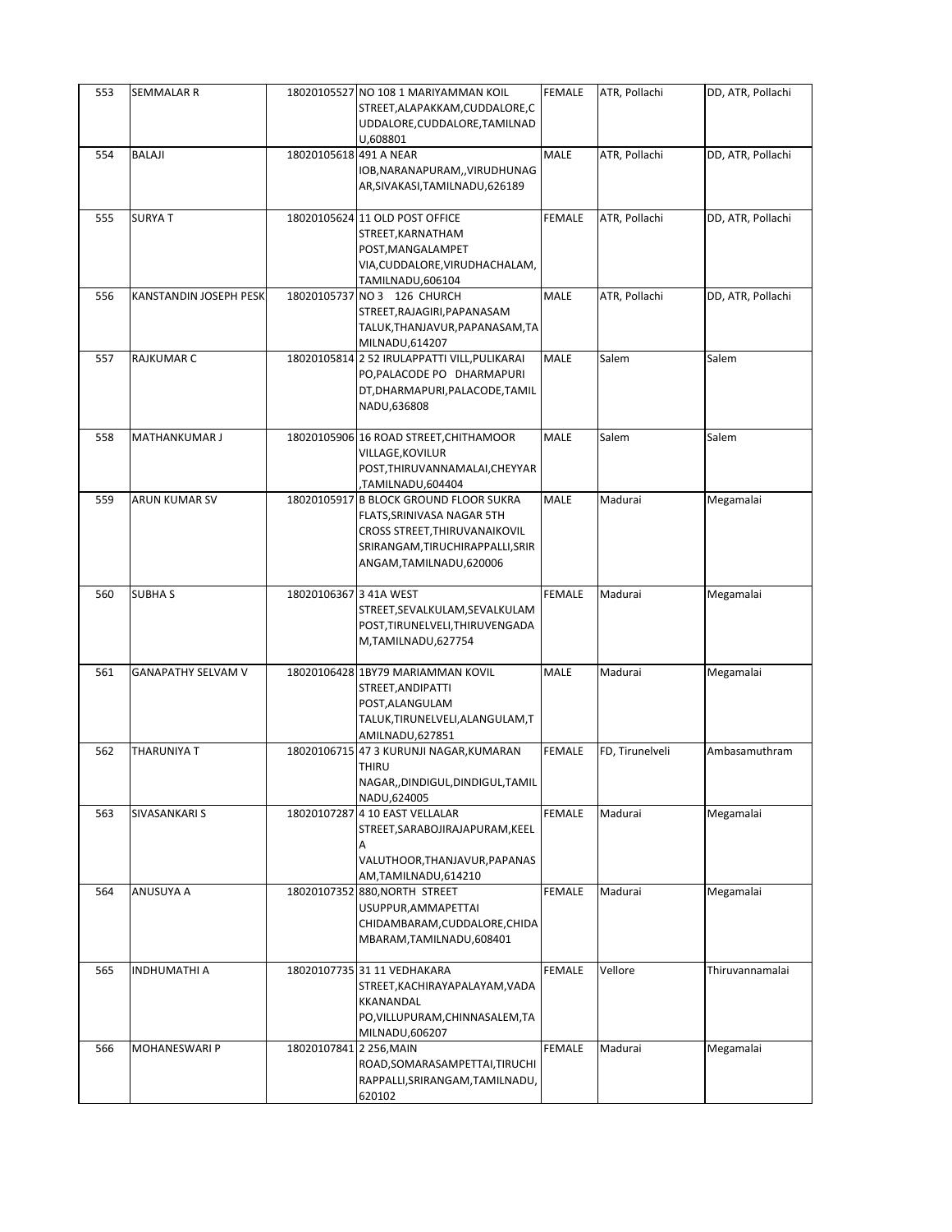| 553 | SEMMALAR R                |                         | 18020105527 NO 108 1 MARIYAMMAN KOIL<br>STREET, ALAPAKKAM, CUDDALORE, C<br>UDDALORE, CUDDALORE, TAMILNAD<br>U,608801                                                  | <b>FEMALE</b> | ATR, Pollachi   | DD, ATR, Pollachi |
|-----|---------------------------|-------------------------|-----------------------------------------------------------------------------------------------------------------------------------------------------------------------|---------------|-----------------|-------------------|
| 554 | BALAJI                    | 18020105618 491 A NEAR  | IOB, NARANAPURAM, , VIRUDHUNAG<br>AR, SIVAKASI, TAMILNADU, 626189                                                                                                     | MALE          | ATR, Pollachi   | DD, ATR, Pollachi |
| 555 | <b>SURYAT</b>             |                         | 18020105624 11 OLD POST OFFICE<br>STREET, KARNATHAM<br>POST, MANGALAMPET<br>VIA, CUDDALORE, VIRUDHACHALAM,<br>TAMILNADU,606104                                        | <b>FEMALE</b> | ATR, Pollachi   | DD, ATR, Pollachi |
| 556 | KANSTANDIN JOSEPH PESK    |                         | 18020105737 NO 3 126 CHURCH<br>STREET, RAJAGIRI, PAPANASAM<br>TALUK, THANJAVUR, PAPANASAM, TA<br>MILNADU,614207                                                       | MALE          | ATR, Pollachi   | DD, ATR, Pollachi |
| 557 | <b>RAJKUMAR C</b>         |                         | 18020105814 2 52 IRULAPPATTI VILL, PULIKARAI<br>PO, PALACODE PO DHARMAPURI<br>DT, DHARMAPURI, PALACODE, TAMIL<br>NADU,636808                                          | MALE          | Salem           | Salem             |
| 558 | MATHANKUMAR J             |                         | 18020105906 16 ROAD STREET, CHITHAMOOR<br>VILLAGE, KOVILUR<br>POST, THIRUVANNAMALAI, CHEYYAR<br>TAMILNADU,604404,                                                     | MALE          | Salem           | Salem             |
| 559 | ARUN KUMAR SV             |                         | 18020105917 B BLOCK GROUND FLOOR SUKRA<br>FLATS, SRINIVASA NAGAR 5TH<br>CROSS STREET, THIRUVANAIKOVIL<br>SRIRANGAM, TIRUCHIRAPPALLI, SRIR<br>ANGAM, TAMILNADU, 620006 | MALE          | Madurai         | Megamalai         |
| 560 | <b>SUBHAS</b>             | 18020106367 3 41A WEST  | STREET, SEVALKULAM, SEVALKULAM<br>POST, TIRUNELVELI, THIRUVENGADA<br>M,TAMILNADU,627754                                                                               | <b>FEMALE</b> | Madurai         | Megamalai         |
| 561 | <b>GANAPATHY SELVAM V</b> |                         | 18020106428 1BY79 MARIAMMAN KOVIL<br>STREET, ANDIPATTI<br>POST, ALANGULAM<br>TALUK, TIRUNELVELI, ALANGULAM, T<br>AMILNADU, 627851                                     | MALE          | Madurai         | Megamalai         |
| 562 | THARUNIYA T               |                         | 18020106715 47 3 KURUNJI NAGAR, KUMARAN<br>THIRU<br>NAGAR,,DINDIGUL,DINDIGUL,TAMIL<br>NADU,624005                                                                     | <b>FEMALE</b> | FD, Tirunelveli | Ambasamuthram     |
| 563 | SIVASANKARI S             |                         | 18020107287 4 10 EAST VELLALAR<br>STREET, SARABOJIRAJAPURAM, KEEL<br>A<br>VALUTHOOR, THANJAVUR, PAPANAS<br>AM,TAMILNADU,614210                                        | <b>FEMALE</b> | Madurai         | Megamalai         |
| 564 | ANUSUYA A                 |                         | 18020107352 880, NORTH STREET<br>USUPPUR, AMMAPETTAI<br>CHIDAMBARAM, CUDDALORE, CHIDA<br>MBARAM, TAMILNADU, 608401                                                    | <b>FEMALE</b> | Madurai         | Megamalai         |
| 565 | INDHUMATHI A              |                         | 18020107735 31 11 VEDHAKARA<br>STREET, KACHIRAYAPALAYAM, VADA<br>KKANANDAL<br>PO, VILLUPURAM, CHINNASALEM, TA<br>MILNADU,606207                                       | <b>FEMALE</b> | Vellore         | Thiruvannamalai   |
| 566 | <b>MOHANESWARI P</b>      | 18020107841 2 256, MAIN | ROAD, SOMARASAMPETTAI, TIRUCHI<br>RAPPALLI, SRIRANGAM, TAMILNADU,<br>620102                                                                                           | <b>FEMALE</b> | Madurai         | Megamalai         |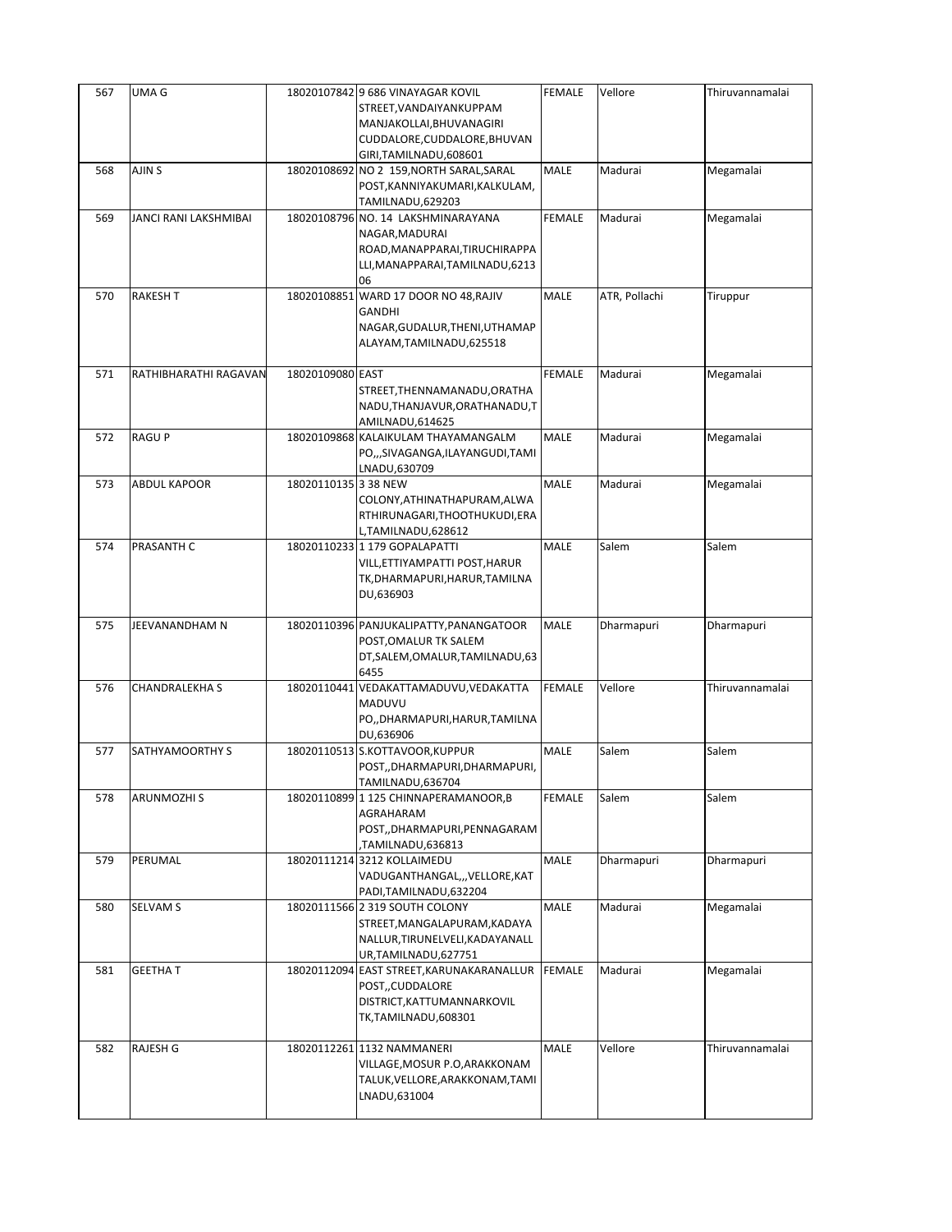| 567 | UMA G                 |                      | 18020107842 9 686 VINAYAGAR KOVIL<br>STREET, VANDAIYANKUPPAM<br>MANJAKOLLAI, BHUVANAGIRI<br>CUDDALORE, CUDDALORE, BHUVAN         | <b>FEMALE</b> | Vellore       | Thiruvannamalai |
|-----|-----------------------|----------------------|----------------------------------------------------------------------------------------------------------------------------------|---------------|---------------|-----------------|
|     |                       |                      | GIRI, TAMILNADU, 608601                                                                                                          |               |               |                 |
| 568 | AJIN S                |                      | 18020108692 NO 2 159, NORTH SARAL, SARAL<br>POST, KANNIYAKUMARI, KALKULAM,<br>TAMILNADU,629203                                   | MALE          | Madurai       | Megamalai       |
| 569 | JANCI RANI LAKSHMIBAI |                      | 18020108796 NO. 14 LAKSHMINARAYANA<br>NAGAR, MADURAI<br>ROAD, MANAPPARAI, TIRUCHIRAPPA<br>LLI, MANAPPARAI, TAMILNADU, 6213<br>06 | <b>FEMALE</b> | Madurai       | Megamalai       |
| 570 | <b>RAKESH T</b>       |                      | 18020108851 WARD 17 DOOR NO 48, RAJIV<br><b>GANDHI</b><br>NAGAR, GUDALUR, THENI, UTHAMAP<br>ALAYAM, TAMILNADU, 625518            | MALE          | ATR, Pollachi | Tiruppur        |
| 571 | RATHIBHARATHI RAGAVAN | 18020109080 EAST     | STREET, THENNAMANADU, ORATHA<br>NADU, THANJAVUR, ORATHANADU, T<br>AMILNADU, 614625                                               | <b>FEMALE</b> | Madurai       | Megamalai       |
| 572 | <b>RAGUP</b>          |                      | 18020109868 KALAIKULAM THAYAMANGALM<br>PO,,,SIVAGANGA,ILAYANGUDI,TAMI<br>LNADU,630709                                            | <b>MALE</b>   | Madurai       | Megamalai       |
| 573 | ABDUL KAPOOR          | 18020110135 3 38 NEW | COLONY, ATHINATHAPURAM, ALWA<br>RTHIRUNAGARI, THOOTHUKUDI, ERA<br>L,TAMILNADU,628612                                             | MALE          | Madurai       | Megamalai       |
| 574 | PRASANTH C            |                      | 18020110233 1 179 GOPALAPATTI<br>VILL,ETTIYAMPATTI POST,HARUR<br>TK,DHARMAPURI,HARUR,TAMILNA<br>DU,636903                        | MALE          | Salem         | Salem           |
| 575 | JEEVANANDHAM N        |                      | 18020110396 PANJUKALIPATTY, PANANGATOOR<br>POST, OMALUR TK SALEM<br>DT, SALEM, OMALUR, TAMILNADU, 63<br>6455                     | MALE          | Dharmapuri    | Dharmapuri      |
| 576 | CHANDRALEKHA S        |                      | 18020110441 VEDAKATTAMADUVU, VEDAKATTA<br>MADUVU<br>PO,, DHARMAPURI, HARUR, TAMILNA<br>DU,636906                                 | <b>FEMALE</b> | Vellore       | Thiruvannamalai |
| 577 | SATHYAMOORTHY S       |                      | 18020110513 S.KOTTAVOOR, KUPPUR<br>POST,,DHARMAPURI,DHARMAPURI,<br>TAMILNADU,636704                                              | MALE          | Salem         | Salem           |
| 578 | ARUNMOZHI S           |                      | 18020110899 1 125 CHINNAPERAMANOOR, B<br>AGRAHARAM<br>POST,,DHARMAPURI,PENNAGARAM<br>TAMILNADU,636813                            | FEMALE        | Salem         | Salem           |
| 579 | PERUMAL               |                      | 18020111214 3212 KOLLAIMEDU<br>VADUGANTHANGAL,,,VELLORE,KAT<br>PADI, TAMILNADU, 632204                                           | MALE          | Dharmapuri    | Dharmapuri      |
| 580 | SELVAM S              |                      | 18020111566 2 319 SOUTH COLONY<br>STREET, MANGALAPURAM, KADAYA<br>NALLUR, TIRUNELVELI, KADAYANALL<br>UR, TAMILNADU, 627751       | MALE          | Madurai       | Megamalai       |
| 581 | <b>GEETHAT</b>        |                      | 18020112094 EAST STREET, KARUNAKARANALLUR<br>POST,,CUDDALORE<br>DISTRICT, KATTUMANNARKOVIL<br>TK,TAMILNADU,608301                | <b>FEMALE</b> | Madurai       | Megamalai       |
| 582 | RAJESH G              |                      | 18020112261 1132 NAMMANERI<br>VILLAGE,MOSUR P.O,ARAKKONAM<br>TALUK, VELLORE, ARAKKONAM, TAMI<br>LNADU,631004                     | MALE          | Vellore       | Thiruvannamalai |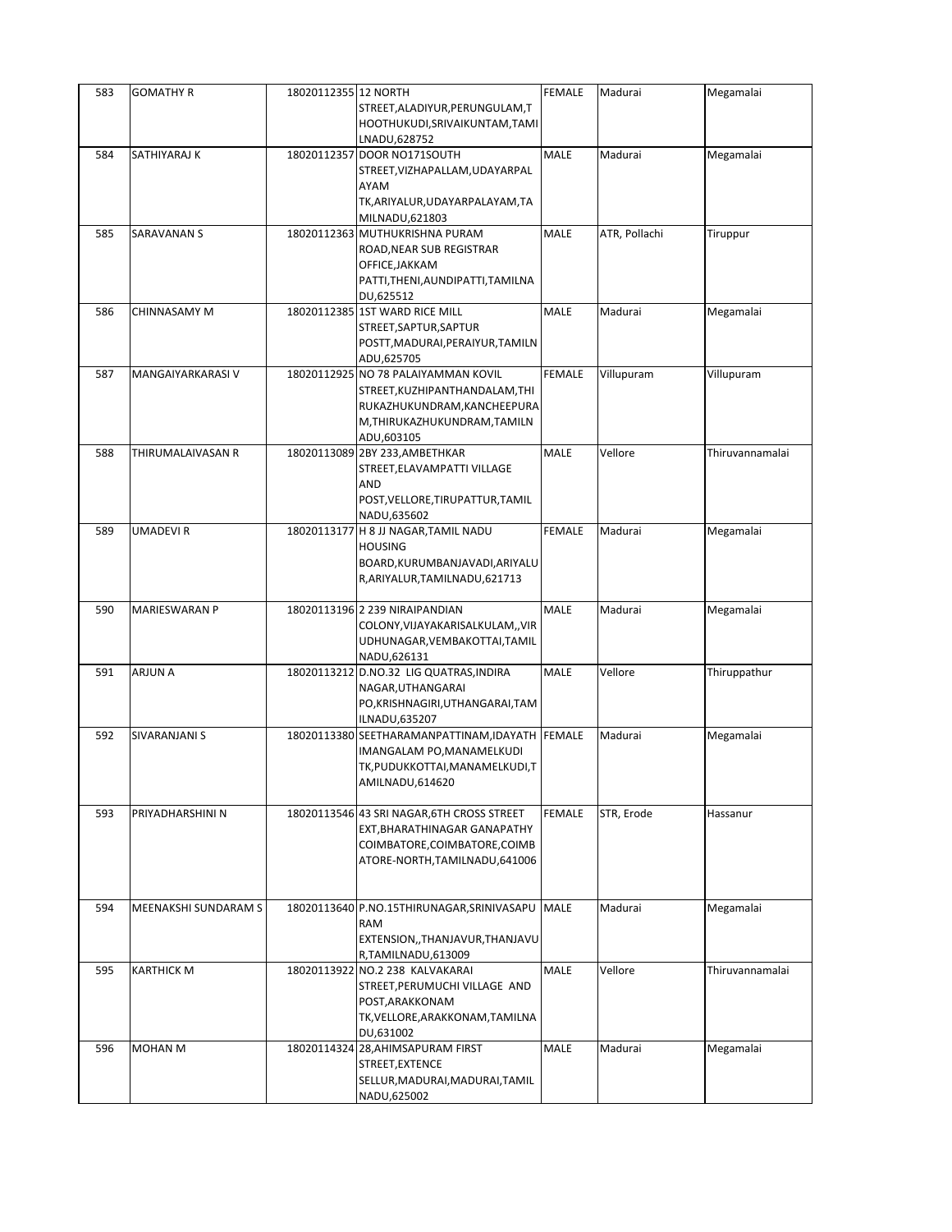| 583 | <b>GOMATHY R</b>     | 18020112355 12 NORTH |                                                 | FEMALE        | Madurai       | Megamalai       |
|-----|----------------------|----------------------|-------------------------------------------------|---------------|---------------|-----------------|
|     |                      |                      | STREET, ALADIYUR, PERUNGULAM, T                 |               |               |                 |
|     |                      |                      | HOOTHUKUDI, SRIVAIKUNTAM, TAMI                  |               |               |                 |
|     |                      |                      | LNADU,628752                                    |               |               |                 |
| 584 | SATHIYARAJ K         | 18020112357          | DOOR NO171SOUTH                                 | <b>MALE</b>   | Madurai       | Megamalai       |
|     |                      |                      | STREET, VIZHAPALLAM, UDAYARPAL                  |               |               |                 |
|     |                      |                      | <b>AYAM</b>                                     |               |               |                 |
|     |                      |                      | TK, ARIYALUR, UDAYARPALAYAM, TA                 |               |               |                 |
|     |                      |                      | MILNADU,621803                                  |               |               |                 |
| 585 | SARAVANAN S          |                      | 18020112363 MUTHUKRISHNA PURAM                  | MALE          | ATR, Pollachi | Tiruppur        |
|     |                      |                      | ROAD, NEAR SUB REGISTRAR                        |               |               |                 |
|     |                      |                      | OFFICE, JAKKAM                                  |               |               |                 |
|     |                      |                      | PATTI, THENI, AUNDIPATTI, TAMILNA               |               |               |                 |
|     |                      |                      | DU,625512                                       |               |               |                 |
| 586 | CHINNASAMY M         |                      | 18020112385 1ST WARD RICE MILL                  | MALE          | Madurai       | Megamalai       |
|     |                      |                      | STREET, SAPTUR, SAPTUR                          |               |               |                 |
|     |                      |                      | POSTT, MADURAI, PERAIYUR, TAMILN                |               |               |                 |
|     |                      |                      | ADU,625705                                      |               |               |                 |
| 587 | MANGAIYARKARASI V    |                      | 18020112925 NO 78 PALAIYAMMAN KOVIL             | <b>FEMALE</b> | Villupuram    | Villupuram      |
|     |                      |                      | STREET, KUZHIPANTHANDALAM, THI                  |               |               |                 |
|     |                      |                      | RUKAZHUKUNDRAM, KANCHEEPURA                     |               |               |                 |
|     |                      |                      | M, THIRUKAZHUKUNDRAM, TAMILN                    |               |               |                 |
|     |                      |                      | ADU,603105                                      |               |               |                 |
| 588 | THIRUMALAIVASAN R    |                      | 18020113089 2BY 233, AMBETHKAR                  | MALE          | Vellore       | Thiruvannamalai |
|     |                      |                      | STREET, ELAVAMPATTI VILLAGE                     |               |               |                 |
|     |                      |                      | AND                                             |               |               |                 |
|     |                      |                      | POST, VELLORE, TIRUPATTUR, TAMIL                |               |               |                 |
|     |                      |                      | NADU,635602                                     |               |               |                 |
| 589 | UMADEVI R            |                      | 18020113177 H 8 JJ NAGAR, TAMIL NADU            | <b>FEMALE</b> | Madurai       | Megamalai       |
|     |                      |                      | <b>HOUSING</b>                                  |               |               |                 |
|     |                      |                      | BOARD, KURUMBANJAVADI, ARIYALU                  |               |               |                 |
|     |                      |                      | R, ARIYALUR, TAMILNADU, 621713                  |               |               |                 |
|     |                      |                      |                                                 |               |               |                 |
| 590 | MARIESWARAN P        |                      | 18020113196 2 239 NIRAIPANDIAN                  | <b>MALE</b>   | Madurai       | Megamalai       |
|     |                      |                      | COLONY, VIJAYAKARISALKULAM,, VIR                |               |               |                 |
|     |                      |                      | UDHUNAGAR, VEMBAKOTTAI, TAMIL                   |               |               |                 |
|     |                      |                      | NADU,626131                                     |               |               |                 |
| 591 | ARJUN A              |                      | 18020113212 D.NO.32 LIG QUATRAS, INDIRA         | MALE          | Vellore       | Thiruppathur    |
|     |                      |                      | NAGAR, UTHANGARAI                               |               |               |                 |
|     |                      |                      | PO, KRISHNAGIRI, UTHANGARAI, TAM                |               |               |                 |
|     |                      |                      | ILNADU,635207                                   |               |               |                 |
| 592 | SIVARANJANI S        |                      | 18020113380 SEETHARAMANPATTINAM, IDAYATH FEMALE |               | Madurai       | Megamalai       |
|     |                      |                      | IMANGALAM PO, MANAMELKUDI                       |               |               |                 |
|     |                      |                      | TK,PUDUKKOTTAI,MANAMELKUDI,T                    |               |               |                 |
|     |                      |                      | AMILNADU,614620                                 |               |               |                 |
|     |                      |                      |                                                 |               |               |                 |
| 593 | PRIYADHARSHINI N     |                      | 18020113546 43 SRI NAGAR, 6TH CROSS STREET      | <b>FEMALE</b> | STR, Erode    | Hassanur        |
|     |                      |                      | EXT, BHARATHINAGAR GANAPATHY                    |               |               |                 |
|     |                      |                      | COIMBATORE, COIMBATORE, COIMB                   |               |               |                 |
|     |                      |                      | ATORE-NORTH, TAMILNADU, 641006                  |               |               |                 |
|     |                      |                      |                                                 |               |               |                 |
|     |                      |                      |                                                 |               |               |                 |
| 594 | MEENAKSHI SUNDARAM S |                      | 18020113640 P.NO.15THIRUNAGAR, SRINIVASAPU      | <b>MALE</b>   | Madurai       | Megamalai       |
|     |                      |                      | RAM                                             |               |               |                 |
|     |                      |                      | EXTENSION,, THANJAVUR, THANJAVU                 |               |               |                 |
|     | <b>KARTHICK M</b>    |                      | R,TAMILNADU,613009                              |               | Vellore       | Thiruvannamalai |
| 595 |                      |                      | 18020113922 NO.2 238 KALVAKARAI                 | MALE          |               |                 |
|     |                      |                      | STREET, PERUMUCHI VILLAGE AND                   |               |               |                 |
|     |                      |                      | POST, ARAKKONAM                                 |               |               |                 |
|     |                      |                      | TK, VELLORE, ARAKKONAM, TAMILNA                 |               |               |                 |
|     |                      |                      | DU,631002                                       |               |               |                 |
| 596 | MOHAN M              |                      | 18020114324 28, AHIMSAPURAM FIRST               | MALE          | Madurai       | Megamalai       |
|     |                      |                      | STREET, EXTENCE                                 |               |               |                 |
|     |                      |                      | SELLUR, MADURAI, MADURAI, TAMIL<br>NADU,625002  |               |               |                 |
|     |                      |                      |                                                 |               |               |                 |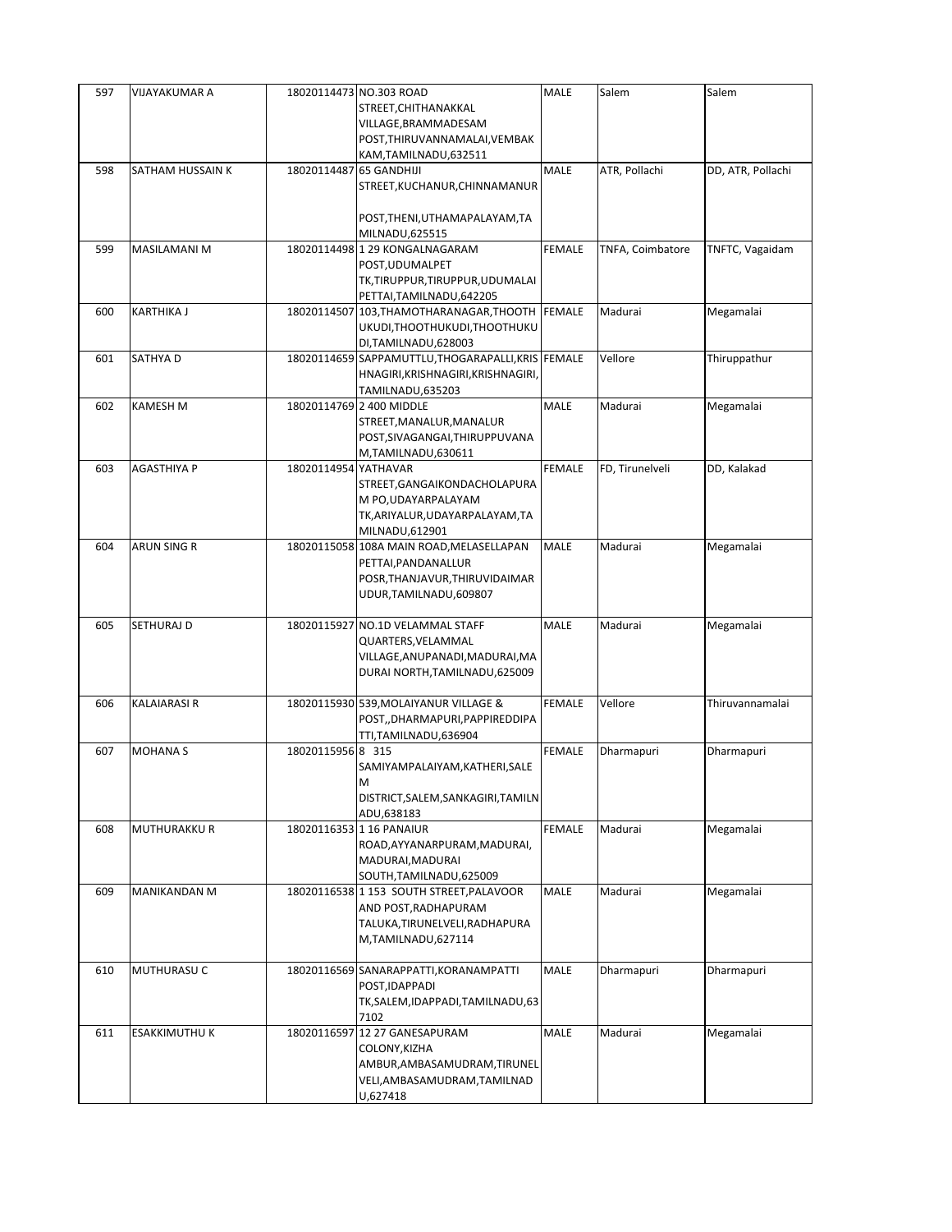| 597 | <b>VIJAYAKUMAR A</b> |                         | 18020114473 NO.303 ROAD                            | MALE          | Salem            | Salem             |
|-----|----------------------|-------------------------|----------------------------------------------------|---------------|------------------|-------------------|
|     |                      |                         | STREET, CHITHANAKKAL                               |               |                  |                   |
|     |                      |                         | VILLAGE, BRAMMADESAM                               |               |                  |                   |
|     |                      |                         | POST, THIRUVANNAMALAI, VEMBAK                      |               |                  |                   |
|     |                      |                         | KAM, TAMILNADU, 632511                             |               |                  |                   |
| 598 | SATHAM HUSSAIN K     | 18020114487 65 GANDHIJI |                                                    | MALE          | ATR, Pollachi    | DD, ATR, Pollachi |
|     |                      |                         | STREET, KUCHANUR, CHINNAMANUR                      |               |                  |                   |
|     |                      |                         |                                                    |               |                  |                   |
|     |                      |                         | POST, THENI, UTHAMAPALAYAM, TA                     |               |                  |                   |
|     |                      |                         |                                                    |               |                  |                   |
|     |                      |                         | MILNADU,625515                                     |               |                  |                   |
| 599 | MASILAMANI M         |                         | 18020114498 1 29 KONGALNAGARAM                     | <b>FEMALE</b> | TNFA, Coimbatore | TNFTC, Vagaidam   |
|     |                      |                         | POST, UDUMALPET                                    |               |                  |                   |
|     |                      |                         | TK,TIRUPPUR,TIRUPPUR,UDUMALAI                      |               |                  |                   |
|     |                      |                         | PETTAI, TAMILNADU, 642205                          |               |                  |                   |
| 600 | <b>KARTHIKA J</b>    |                         | 18020114507 103, THAMOTHARANAGAR, THOOTH           | <b>FEMALE</b> | Madurai          | Megamalai         |
|     |                      |                         | UKUDI,THOOTHUKUDI,THOOTHUKU                        |               |                  |                   |
|     |                      |                         | DI, TAMILNADU, 628003                              |               |                  |                   |
| 601 | SATHYA D             |                         | 18020114659 SAPPAMUTTLU, THOGARAPALLI, KRIS FEMALE |               | Vellore          | Thiruppathur      |
|     |                      |                         | HNAGIRI, KRISHNAGIRI, KRISHNAGIRI,                 |               |                  |                   |
|     |                      |                         | TAMILNADU,635203                                   |               |                  |                   |
| 602 | <b>KAMESH M</b>      |                         | 18020114769 2 400 MIDDLE                           | <b>MALE</b>   | Madurai          | Megamalai         |
|     |                      |                         | STREET, MANALUR, MANALUR                           |               |                  |                   |
|     |                      |                         | POST, SIVAGANGAI, THIRUPPUVANA                     |               |                  |                   |
|     |                      |                         | M,TAMILNADU,630611                                 |               |                  |                   |
| 603 | <b>AGASTHIYA P</b>   | 18020114954 YATHAVAR    |                                                    | <b>FEMALE</b> | FD, Tirunelveli  | DD, Kalakad       |
|     |                      |                         | STREET, GANGAIKONDACHOLAPURA                       |               |                  |                   |
|     |                      |                         | M PO, UDAYARPALAYAM                                |               |                  |                   |
|     |                      |                         |                                                    |               |                  |                   |
|     |                      |                         | TK, ARIYALUR, UDAYARPALAYAM, TA                    |               |                  |                   |
|     |                      |                         | MILNADU,612901                                     |               |                  |                   |
| 604 | <b>ARUN SING R</b>   |                         | 18020115058 108A MAIN ROAD, MELASELLAPAN           | <b>MALE</b>   | Madurai          | Megamalai         |
|     |                      |                         | PETTAI, PANDANALLUR                                |               |                  |                   |
|     |                      |                         | POSR, THANJAVUR, THIRUVIDAIMAR                     |               |                  |                   |
|     |                      |                         | UDUR, TAMILNADU, 609807                            |               |                  |                   |
|     |                      |                         |                                                    |               |                  |                   |
| 605 | SETHURAJ D           |                         | 18020115927 NO.1D VELAMMAL STAFF                   | <b>MALE</b>   | Madurai          | Megamalai         |
|     |                      |                         | QUARTERS, VELAMMAL                                 |               |                  |                   |
|     |                      |                         | VILLAGE, ANUPANADI, MADURAI, MA                    |               |                  |                   |
|     |                      |                         | DURAI NORTH, TAMILNADU, 625009                     |               |                  |                   |
|     |                      |                         |                                                    |               |                  |                   |
| 606 | <b>KALAIARASI R</b>  |                         | 18020115930 539, MOLAIYANUR VILLAGE &              | <b>FEMALE</b> | Vellore          | Thiruvannamalai   |
|     |                      |                         | POST,,DHARMAPURI,PAPPIREDDIPA                      |               |                  |                   |
|     |                      |                         | TTI, TAMILNADU, 636904                             |               |                  |                   |
| 607 | <b>MOHANA S</b>      | 18020115956 8 315       |                                                    | <b>FEMALE</b> | Dharmapuri       | Dharmapuri        |
|     |                      |                         | SAMIYAMPALAIYAM, KATHERI, SALE                     |               |                  |                   |
|     |                      |                         | M                                                  |               |                  |                   |
|     |                      |                         | DISTRICT, SALEM, SANKAGIRI, TAMILN                 |               |                  |                   |
|     |                      |                         | ADU,638183                                         |               |                  |                   |
| 608 | MUTHURAKKU R         |                         | 18020116353 1 16 PANAIUR                           | <b>FEMALE</b> | Madurai          | Megamalai         |
|     |                      |                         |                                                    |               |                  |                   |
|     |                      |                         | ROAD, AYYANARPURAM, MADURAI,                       |               |                  |                   |
|     |                      |                         | MADURAI, MADURAI                                   |               |                  |                   |
|     |                      |                         | SOUTH, TAMILNADU, 625009                           |               |                  |                   |
| 609 | MANIKANDAN M         |                         | 18020116538 1 153 SOUTH STREET, PALAVOOR           | MALE          | Madurai          | Megamalai         |
|     |                      |                         | AND POST, RADHAPURAM                               |               |                  |                   |
|     |                      |                         | TALUKA, TIRUNELVELI, RADHAPURA                     |               |                  |                   |
|     |                      |                         | M,TAMILNADU,627114                                 |               |                  |                   |
|     |                      |                         |                                                    |               |                  |                   |
| 610 | MUTHURASU C          |                         | 18020116569 SANARAPPATTI, KORANAMPATTI             | MALE          | Dharmapuri       | Dharmapuri        |
|     |                      |                         | POST, IDAPPADI                                     |               |                  |                   |
|     |                      |                         | TK, SALEM, IDAPPADI, TAMILNADU, 63                 |               |                  |                   |
|     |                      |                         | 7102                                               |               |                  |                   |
| 611 | <b>ESAKKIMUTHU K</b> |                         | 18020116597 12 27 GANESAPURAM                      | MALE          | Madurai          | Megamalai         |
|     |                      |                         | COLONY, KIZHA                                      |               |                  |                   |
|     |                      |                         | AMBUR, AMBASAMUDRAM, TIRUNEL                       |               |                  |                   |
|     |                      |                         | VELI, AMBASAMUDRAM, TAMILNAD                       |               |                  |                   |
|     |                      |                         | U,627418                                           |               |                  |                   |
|     |                      |                         |                                                    |               |                  |                   |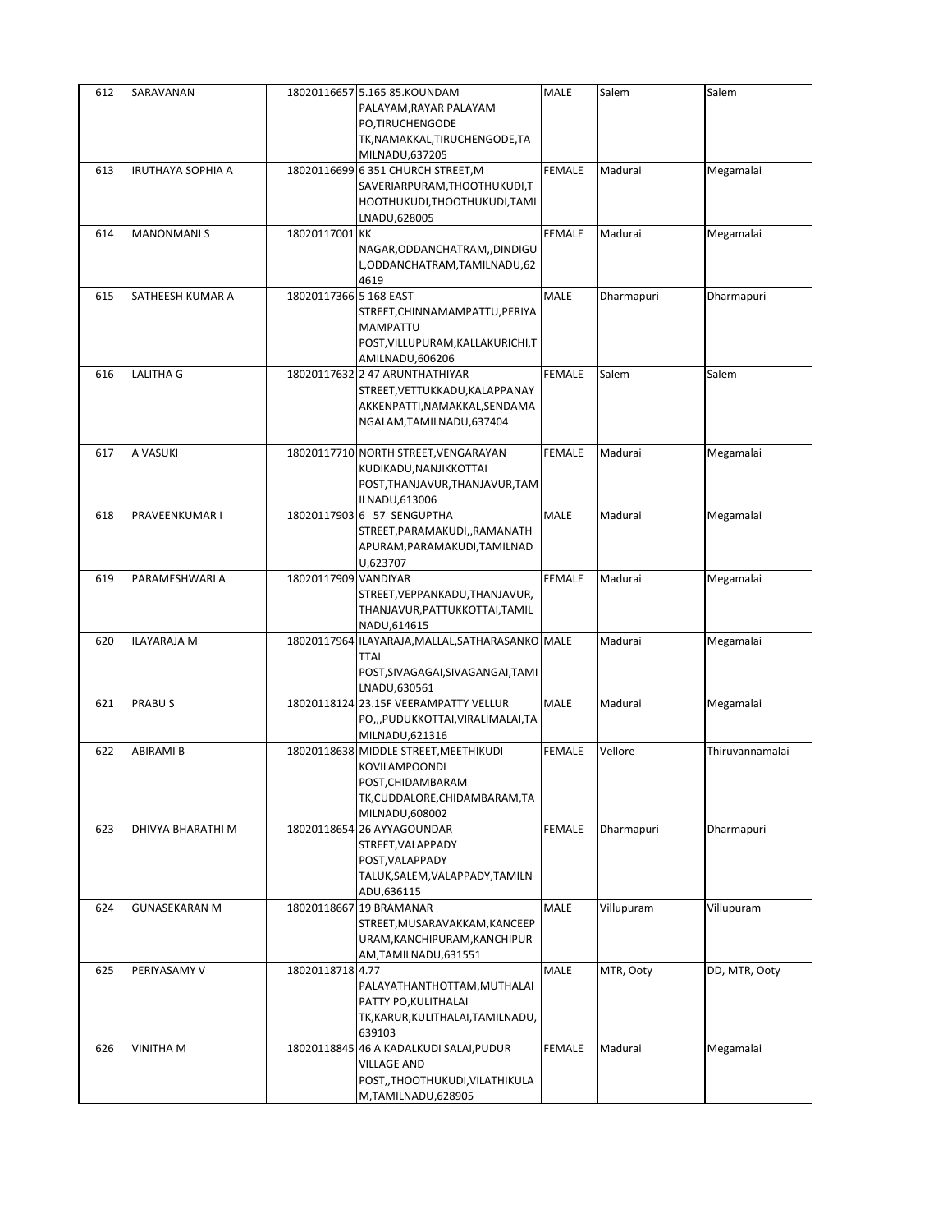| 612 | SARAVANAN            |                        | 18020116657 5.165 85.KOUNDAM                     | MALE          | Salem      | Salem           |
|-----|----------------------|------------------------|--------------------------------------------------|---------------|------------|-----------------|
|     |                      |                        | PALAYAM, RAYAR PALAYAM                           |               |            |                 |
|     |                      |                        | PO,TIRUCHENGODE                                  |               |            |                 |
|     |                      |                        | TK, NAMAKKAL, TIRUCHENGODE, TA                   |               |            |                 |
|     |                      |                        | MILNADU,637205                                   |               |            |                 |
| 613 | IRUTHAYA SOPHIA A    |                        | 18020116699 6 351 CHURCH STREET, M               | <b>FEMALE</b> | Madurai    | Megamalai       |
|     |                      |                        | SAVERIARPURAM, THOOTHUKUDI, T                    |               |            |                 |
|     |                      |                        | HOOTHUKUDI, THOOTHUKUDI, TAMI                    |               |            |                 |
|     |                      |                        | LNADU,628005                                     |               |            |                 |
| 614 | <b>MANONMANIS</b>    | 18020117001 KK         |                                                  | <b>FEMALE</b> | Madurai    | Megamalai       |
|     |                      |                        |                                                  |               |            |                 |
|     |                      |                        | NAGAR, ODDANCHATRAM, , DINDIGU                   |               |            |                 |
|     |                      |                        | L, ODDANCHATRAM, TAMILNADU, 62                   |               |            |                 |
|     |                      |                        | 4619                                             |               |            |                 |
| 615 | SATHEESH KUMAR A     | 18020117366 5 168 EAST |                                                  | MALE          | Dharmapuri | Dharmapuri      |
|     |                      |                        | STREET, CHINNAMAMPATTU, PERIYA                   |               |            |                 |
|     |                      |                        | <b>MAMPATTU</b>                                  |               |            |                 |
|     |                      |                        | POST, VILLUPURAM, KALLAKURICHI, T                |               |            |                 |
|     |                      |                        | AMILNADU,606206                                  |               |            |                 |
| 616 | LALITHA G            |                        | 18020117632 2 47 ARUNTHATHIYAR                   | <b>FEMALE</b> | Salem      | Salem           |
|     |                      |                        | STREET, VETTUKKADU, KALAPPANAY                   |               |            |                 |
|     |                      |                        | AKKENPATTI, NAMAKKAL, SENDAMA                    |               |            |                 |
|     |                      |                        | NGALAM, TAMILNADU, 637404                        |               |            |                 |
|     |                      |                        |                                                  |               |            |                 |
| 617 | A VASUKI             |                        | 18020117710 NORTH STREET, VENGARAYAN             | <b>FEMALE</b> | Madurai    | Megamalai       |
|     |                      |                        | KUDIKADU, NANJIKKOTTAI                           |               |            |                 |
|     |                      |                        | POST, THANJAVUR, THANJAVUR, TAM                  |               |            |                 |
|     |                      |                        |                                                  |               |            |                 |
|     |                      |                        | ILNADU,613006                                    |               |            |                 |
| 618 | PRAVEENKUMAR I       |                        | 18020117903 6 57 SENGUPTHA                       | <b>MALE</b>   | Madurai    | Megamalai       |
|     |                      |                        | STREET, PARAMAKUDI, , RAMANATH                   |               |            |                 |
|     |                      |                        | APURAM, PARAMAKUDI, TAMILNAD                     |               |            |                 |
|     |                      |                        | U,623707                                         |               |            |                 |
| 619 | PARAMESHWARI A       | 18020117909 VANDIYAR   |                                                  | <b>FEMALE</b> | Madurai    | Megamalai       |
|     |                      |                        | STREET, VEPPANKADU, THANJAVUR,                   |               |            |                 |
|     |                      |                        | THANJAVUR, PATTUKKOTTAI, TAMIL                   |               |            |                 |
|     |                      |                        | NADU,614615                                      |               |            |                 |
| 620 | <b>ILAYARAJA M</b>   |                        | 18020117964 ILAYARAJA, MALLAL, SATHARASANKO MALE |               | Madurai    | Megamalai       |
|     |                      |                        | TTAI                                             |               |            |                 |
|     |                      |                        | POST, SIVAGAGAI, SIVAGANGAI, TAMI                |               |            |                 |
|     |                      |                        | LNADU,630561                                     |               |            |                 |
| 621 | PRABU <sub>S</sub>   | 18020118124            | 23.15F VEERAMPATTY VELLUR                        | MALE          | Madurai    | Megamalai       |
|     |                      |                        |                                                  |               |            |                 |
|     |                      |                        | PO,,,PUDUKKOTTAI,VIRALIMALAI,TA                  |               |            |                 |
|     |                      |                        | MILNADU,621316                                   |               |            |                 |
| 622 | ABIRAMI B            | 18020118638            | MIDDLE STREET, MEETHIKUDI                        | <b>FEMALE</b> | Vellore    | Thiruvannamalai |
|     |                      |                        | KOVILAMPOONDI                                    |               |            |                 |
|     |                      |                        | POST, CHIDAMBARAM                                |               |            |                 |
|     |                      |                        | TK, CUDDALORE, CHIDAMBARAM, TA                   |               |            |                 |
|     |                      |                        | MILNADU,608002                                   |               |            |                 |
| 623 | DHIVYA BHARATHI M    |                        | 18020118654 26 AYYAGOUNDAR                       | <b>FEMALE</b> | Dharmapuri | Dharmapuri      |
|     |                      |                        | STREET, VALAPPADY                                |               |            |                 |
|     |                      |                        | POST, VALAPPADY                                  |               |            |                 |
|     |                      |                        | TALUK, SALEM, VALAPPADY, TAMILN                  |               |            |                 |
|     |                      |                        | ADU,636115                                       |               |            |                 |
| 624 | <b>GUNASEKARAN M</b> |                        | 18020118667 19 BRAMANAR                          | MALE          | Villupuram | Villupuram      |
|     |                      |                        | STREET, MUSARAVAKKAM, KANCEEP                    |               |            |                 |
|     |                      |                        |                                                  |               |            |                 |
|     |                      |                        | URAM, KANCHIPURAM, KANCHIPUR                     |               |            |                 |
|     |                      |                        | AM,TAMILNADU,631551                              |               |            |                 |
| 625 | PERIYASAMY V         | 18020118718 4.77       |                                                  | MALE          | MTR, Ooty  | DD, MTR, Ooty   |
|     |                      |                        | PALAYATHANTHOTTAM, MUTHALAI                      |               |            |                 |
|     |                      |                        | PATTY PO, KULITHALAI                             |               |            |                 |
|     |                      |                        | TK, KARUR, KULITHALAI, TAMILNADU,                |               |            |                 |
|     |                      |                        | 639103                                           |               |            |                 |
| 626 | VINITHA M            |                        | 18020118845 46 A KADALKUDI SALAI, PUDUR          | <b>FEMALE</b> | Madurai    | Megamalai       |
|     |                      |                        | <b>VILLAGE AND</b>                               |               |            |                 |
|     |                      |                        | POST,, THOOTHUKUDI, VILATHIKULA                  |               |            |                 |
|     |                      |                        | M,TAMILNADU,628905                               |               |            |                 |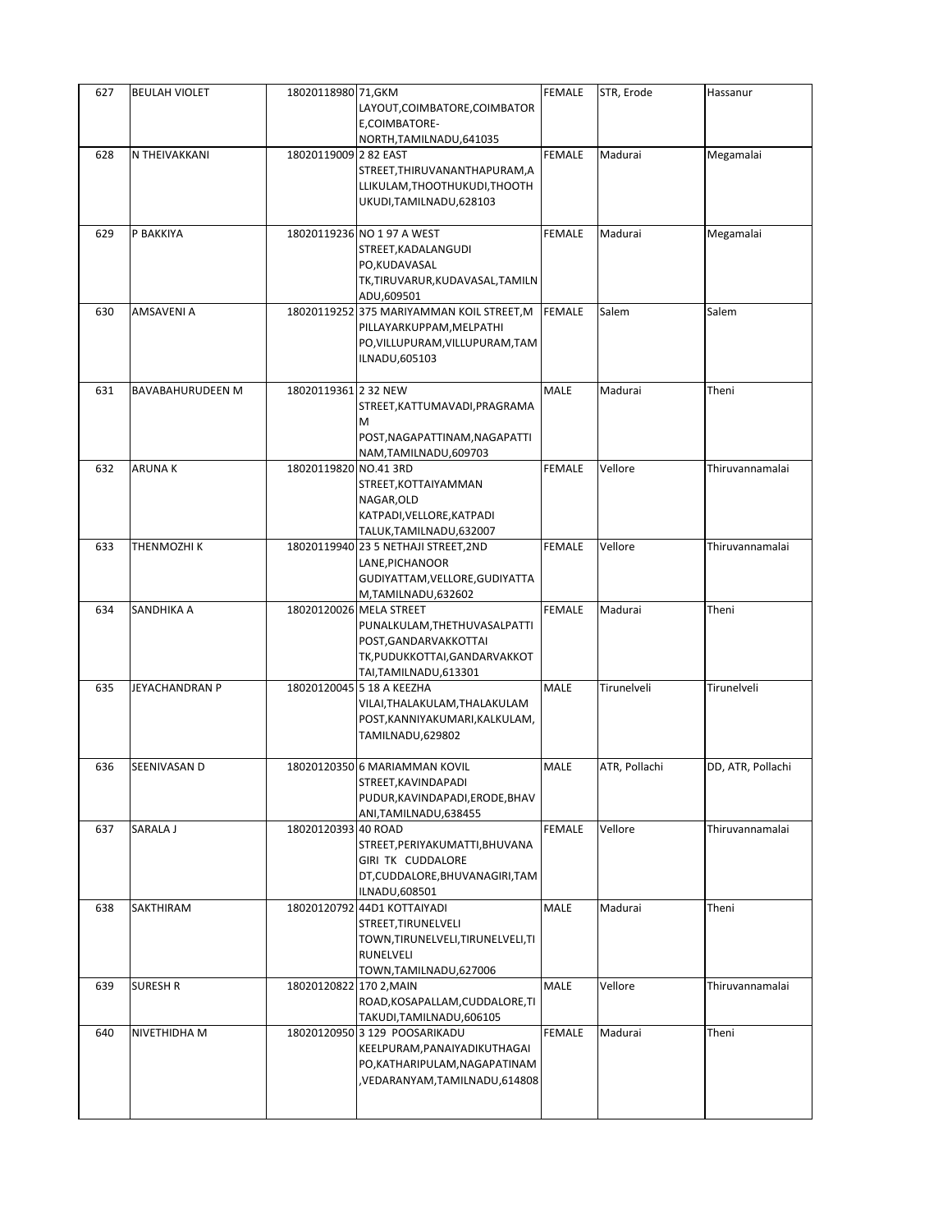| 627 | <b>BEULAH VIOLET</b> | 18020118980 71, GKM     | LAYOUT, COIMBATORE, COIMBATOR<br>E,COIMBATORE-                                                                                              | <b>FEMALE</b> | STR, Erode    | Hassanur          |
|-----|----------------------|-------------------------|---------------------------------------------------------------------------------------------------------------------------------------------|---------------|---------------|-------------------|
| 628 | N THEIVAKKANI        | 18020119009 2 82 EAST   | NORTH, TAMILNADU, 641035<br>STREET, THIRUVANANTHAPURAM, A<br>LLIKULAM, THOOTHUKUDI, THOOTH<br>UKUDI, TAMILNADU, 628103                      | <b>FEMALE</b> | Madurai       | Megamalai         |
| 629 | P BAKKIYA            |                         | 18020119236 NO 1 97 A WEST<br>STREET, KADALANGUDI<br>PO,KUDAVASAL<br>TK,TIRUVARUR,KUDAVASAL,TAMILN<br>ADU,609501                            | <b>FEMALE</b> | Madurai       | Megamalai         |
| 630 | AMSAVENI A           |                         | 18020119252 375 MARIYAMMAN KOIL STREET, M<br>PILLAYARKUPPAM, MELPATHI<br>PO, VILLUPURAM, VILLUPURAM, TAM<br>ILNADU,605103                   | <b>FEMALE</b> | Salem         | Salem             |
| 631 | BAVABAHURUDEEN M     | 18020119361 2 32 NEW    | STREET, KATTUMAVADI, PRAGRAMA<br>M<br>POST, NAGAPATTINAM, NAGAPATTI<br>NAM, TAMILNADU, 609703                                               | MALE          | Madurai       | Theni             |
| 632 | <b>ARUNAK</b>        | 18020119820 NO.41 3RD   | STREET, KOTTAIYAMMAN<br>NAGAR, OLD<br>KATPADI, VELLORE, KATPADI<br>TALUK, TAMILNADU, 632007                                                 | <b>FEMALE</b> | Vellore       | Thiruvannamalai   |
| 633 | THENMOZHI K          |                         | 18020119940 23 5 NETHAJI STREET, 2ND<br>LANE, PICHANOOR<br>GUDIYATTAM, VELLORE, GUDIYATTA<br>M,TAMILNADU,632602                             | <b>FEMALE</b> | Vellore       | Thiruvannamalai   |
| 634 | SANDHIKA A           |                         | 18020120026 MELA STREET<br>PUNALKULAM, THETHUVASALPATTI<br>POST, GANDARVAKKOTTAI<br>TK, PUDUKKOTTAI, GANDARVAKKOT<br>TAI, TAMILNADU, 613301 | <b>FEMALE</b> | Madurai       | Theni             |
| 635 | JEYACHANDRAN P       |                         | 18020120045 5 18 A KEEZHA<br>VILAI, THALAKULAM, THALAKULAM<br>POST, KANNIYAKUMARI, KALKULAM,<br>TAMILNADU,629802                            | MALE          | Tirunelveli   | Tirunelveli       |
| 636 | SEENIVASAN D         |                         | 18020120350 6 MARIAMMAN KOVIL<br>STREET, KAVINDAPADI<br>PUDUR, KAVINDAPADI, ERODE, BHAV<br>ANI, TAMILNADU, 638455                           | MALE          | ATR, Pollachi | DD, ATR, Pollachi |
| 637 | SARALA J             | 18020120393 40 ROAD     | STREET, PERIYAKUMATTI, BHUVANA<br>GIRI TK CUDDALORE<br>DT, CUDDALORE, BHUVANAGIRI, TAM<br>ILNADU,608501                                     | <b>FEMALE</b> | Vellore       | Thiruvannamalai   |
| 638 | SAKTHIRAM            |                         | 18020120792 44D1 KOTTAIYADI<br>STREET, TIRUNELVELI<br>TOWN, TIRUNELVELI, TIRUNELVELI, TI<br>RUNELVELI<br>TOWN, TAMILNADU, 627006            | MALE          | Madurai       | Theni             |
| 639 | SURESH R             | 18020120822 170 2, MAIN | ROAD, KOSAPALLAM, CUDDALORE, TI<br>TAKUDI, TAMILNADU, 606105                                                                                | MALE          | Vellore       | Thiruvannamalai   |
| 640 | NIVETHIDHA M         |                         | 18020120950 3 129 POOSARIKADU<br>KEELPURAM, PANAIYADIKUTHAGAI<br>PO, KATHARIPULAM, NAGAPATINAM<br>VEDARANYAM,TAMILNADU,614808               | FEMALE        | Madurai       | Theni             |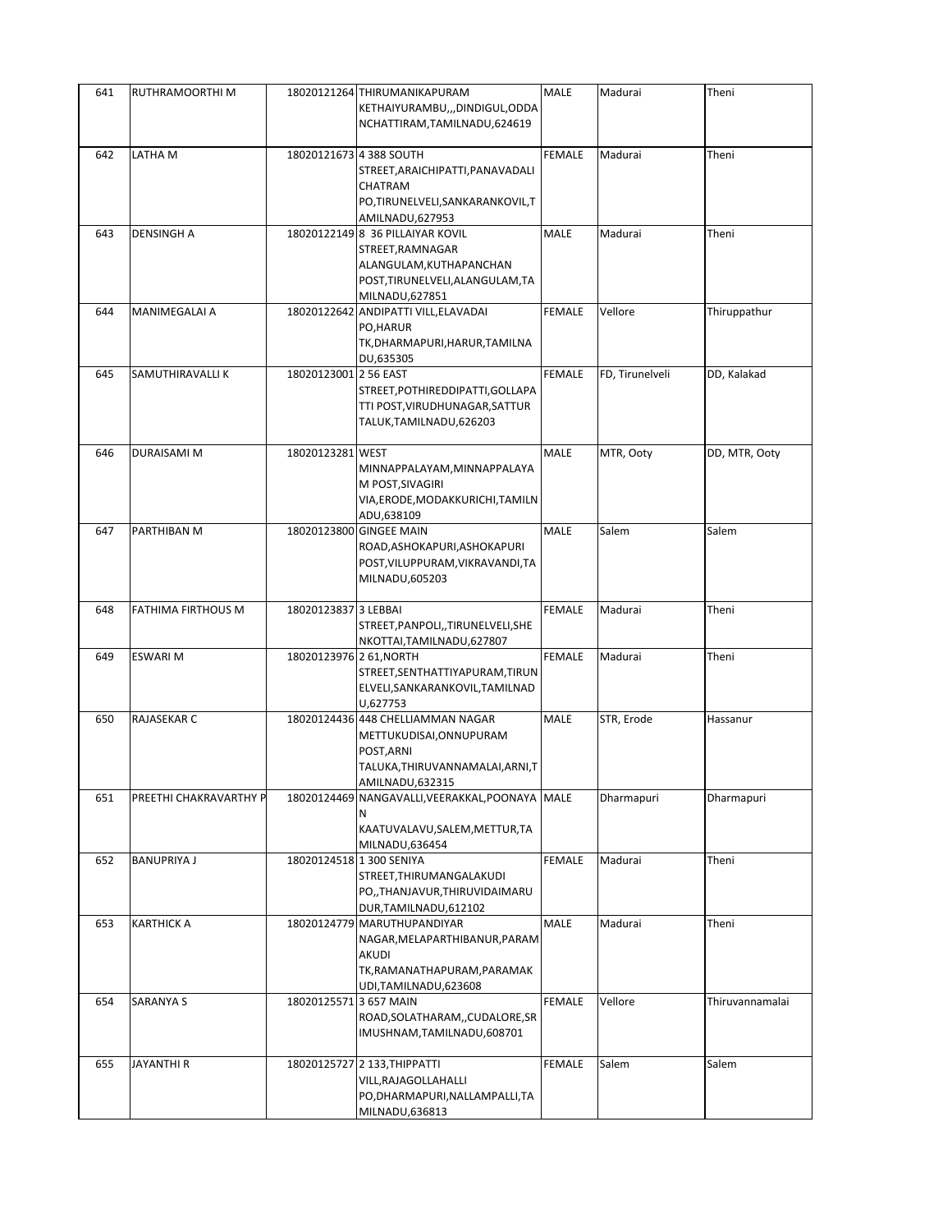| 641 | RUTHRAMOORTHI M        |                          | 18020121264 THIRUMANIKAPURAM<br>KETHAIYURAMBU,,,DINDIGUL,ODDA                                                                                             | <b>MALE</b>   | Madurai         | Theni           |
|-----|------------------------|--------------------------|-----------------------------------------------------------------------------------------------------------------------------------------------------------|---------------|-----------------|-----------------|
|     |                        |                          | NCHATTIRAM, TAMILNADU, 624619                                                                                                                             |               |                 |                 |
| 642 | LATHA M                |                          | 18020121673 4 388 SOUTH<br>STREET, ARAICHIPATTI, PANAVADALI<br>CHATRAM<br>PO,TIRUNELVELI,SANKARANKOVIL,T                                                  | <b>FEMALE</b> | Madurai         | Theni           |
| 643 | <b>DENSINGH A</b>      |                          | AMILNADU, 627953<br>18020122149 8 36 PILLAIYAR KOVIL<br>STREET, RAMNAGAR<br>ALANGULAM, KUTHAPANCHAN<br>POST, TIRUNELVELI, ALANGULAM, TA<br>MILNADU,627851 | MALE          | Madurai         | Theni           |
| 644 | MANIMEGALAI A          |                          | 18020122642 ANDIPATTI VILL, ELAVADAI<br>PO, HARUR<br>TK, DHARMAPURI, HARUR, TAMILNA<br>DU,635305                                                          | <b>FEMALE</b> | Vellore         | Thiruppathur    |
| 645 | SAMUTHIRAVALLI K       | 18020123001 2 56 EAST    | STREET, POTHIREDDIPATTI, GOLLAPA<br>TTI POST, VIRUDHUNAGAR, SATTUR<br>TALUK, TAMILNADU, 626203                                                            | <b>FEMALE</b> | FD, Tirunelveli | DD, Kalakad     |
| 646 | <b>DURAISAMI M</b>     | 18020123281 WEST         | MINNAPPALAYAM, MINNAPPALAYA<br>M POST, SIVAGIRI<br>VIA, ERODE, MODAKKURICHI, TAMILN<br>ADU,638109                                                         | MALE          | MTR, Ooty       | DD, MTR, Ooty   |
| 647 | PARTHIBAN M            |                          | 18020123800 GINGEE MAIN<br>ROAD, ASHOKAPURI, ASHOKAPURI<br>POST, VILUPPURAM, VIKRAVANDI, TA<br>MILNADU,605203                                             | MALE          | Salem           | Salem           |
| 648 | FATHIMA FIRTHOUS M     | 18020123837 3 LEBBAI     | STREET, PANPOLI,, TIRUNELVELI, SHE<br>NKOTTAI, TAMILNADU, 627807                                                                                          | <b>FEMALE</b> | Madurai         | Theni           |
| 649 | <b>ESWARI M</b>        | 18020123976 2 61, NORTH  | STREET, SENTHATTIYAPURAM, TIRUN<br>ELVELI, SANKARANKOVIL, TAMILNAD<br>U,627753                                                                            | FEMALE        | Madurai         | Theni           |
| 650 | RAJASEKAR C            |                          | 18020124436 448 CHELLIAMMAN NAGAR<br>METTUKUDISAI, ONNUPURAM<br>POST, ARNI<br>TALUKA, THIRUVANNAMALAI, ARNI, T<br>AMILNADU,632315                         | MALE          | STR, Erode      | Hassanur        |
| 651 | PREETHI CHAKRAVARTHY P |                          | 18020124469 NANGAVALLI, VEERAKKAL, POONAYA MALE<br>Ν<br>KAATUVALAVU, SALEM, METTUR, TA<br>MILNADU,636454                                                  |               | Dharmapuri      | Dharmapuri      |
| 652 | <b>BANUPRIYA J</b>     | 18020124518 1 300 SENIYA | STREET, THIRUMANGALAKUDI<br>PO,,THANJAVUR,THIRUVIDAIMARU<br>DUR, TAMILNADU, 612102                                                                        | <b>FEMALE</b> | Madurai         | Theni           |
| 653 | <b>KARTHICK A</b>      |                          | 18020124779 MARUTHUPANDIYAR<br>NAGAR, MELAPARTHIBANUR, PARAM<br>AKUDI<br>TK, RAMANATHAPURAM, PARAMAK<br>UDI,TAMILNADU,623608                              | MALE          | Madurai         | Theni           |
| 654 | SARANYA S              | 18020125571 3 657 MAIN   | ROAD, SOLATHARAM, , CUDALORE, SR<br>IMUSHNAM, TAMILNADU, 608701                                                                                           | FEMALE        | Vellore         | Thiruvannamalai |
| 655 | JAYANTHI R             |                          | 18020125727 2 133, THIPPATTI<br>VILL, RAJAGOLLAHALLI<br>PO, DHARMAPURI, NALLAMPALLI, TA<br>MILNADU,636813                                                 | FEMALE        | Salem           | Salem           |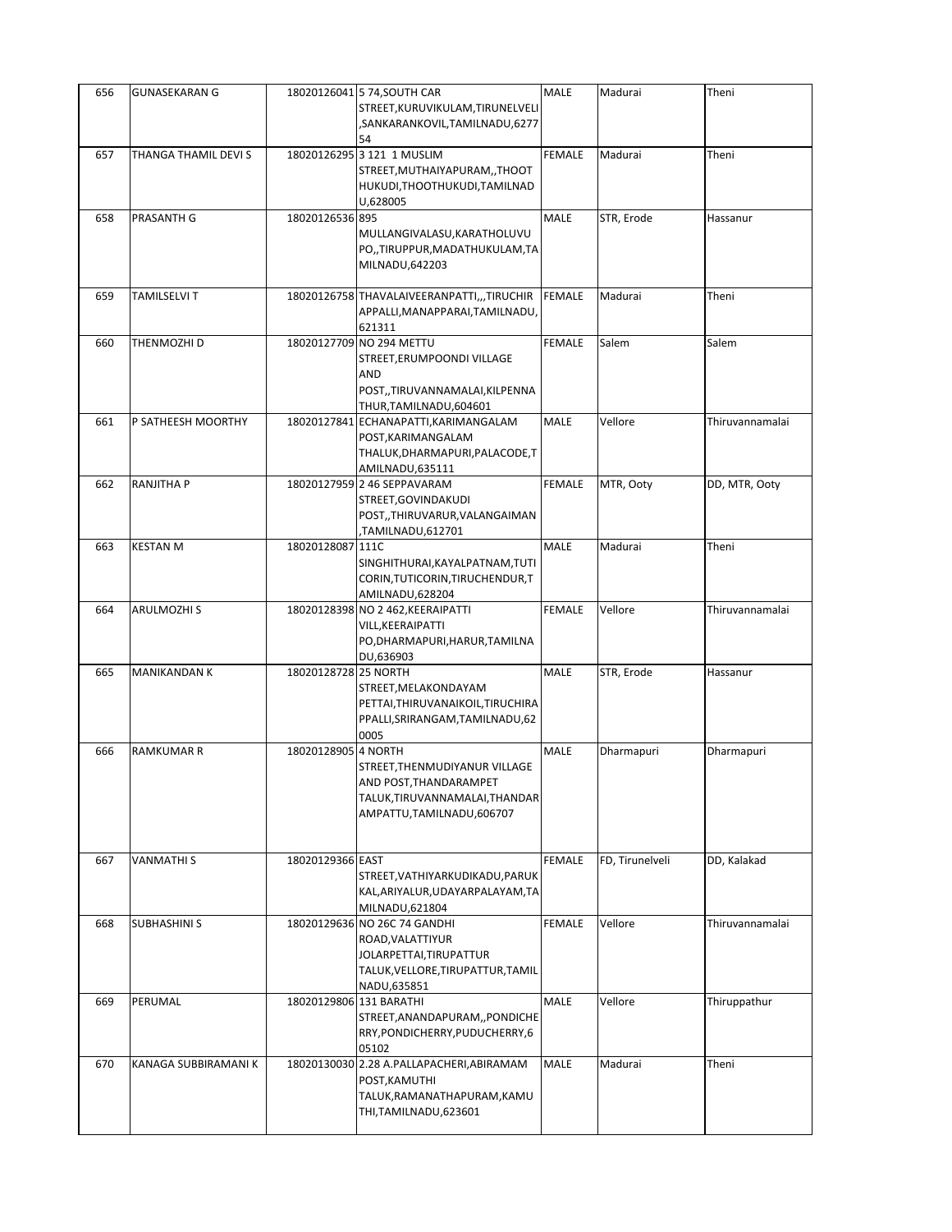| 656 | <b>GUNASEKARAN G</b> |                         | 18020126041 5 74, SOUTH CAR<br>STREET, KURUVIKULAM, TIRUNELVELI<br>SANKARANKOVIL,TAMILNADU,6277,<br>54                           | MALE          | Madurai         | Theni           |
|-----|----------------------|-------------------------|----------------------------------------------------------------------------------------------------------------------------------|---------------|-----------------|-----------------|
| 657 | THANGA THAMIL DEVI S |                         | 18020126295 3 121 1 MUSLIM<br>STREET, MUTHAIYAPURAM, , THOOT<br>HUKUDI, THOOTHUKUDI, TAMILNAD<br>U,628005                        | <b>FEMALE</b> | Madurai         | Theni           |
| 658 | PRASANTH G           | 18020126536 895         | MULLANGIVALASU, KARATHOLUVU<br>PO,,TIRUPPUR,MADATHUKULAM,TA<br>MILNADU, 642203                                                   | <b>MALE</b>   | STR, Erode      | Hassanur        |
| 659 | <b>TAMILSELVI T</b>  |                         | 18020126758 THAVALAIVEERANPATTI,,,TIRUCHIR<br>APPALLI, MANAPPARAI, TAMILNADU,<br>621311                                          | <b>FEMALE</b> | Madurai         | Theni           |
| 660 | THENMOZHI D          |                         | 18020127709 NO 294 METTU<br>STREET, ERUMPOONDI VILLAGE<br><b>AND</b><br>POST,,TIRUVANNAMALAI,KILPENNA<br>THUR, TAMILNADU, 604601 | <b>FEMALE</b> | Salem           | Salem           |
| 661 | P SATHEESH MOORTHY   |                         | 18020127841 ECHANAPATTI, KARIMANGALAM<br>POST, KARIMANGALAM<br>THALUK, DHARMAPURI, PALACODE, T<br>AMILNADU,635111                | MALE          | Vellore         | Thiruvannamalai |
| 662 | <b>RANJITHA P</b>    |                         | 18020127959 2 46 SEPPAVARAM<br>STREET, GOVINDAKUDI<br>POST,,THIRUVARUR,VALANGAIMAN<br>TAMILNADU,612701,                          | <b>FEMALE</b> | MTR, Ooty       | DD, MTR, Ooty   |
| 663 | <b>KESTAN M</b>      | 18020128087 111C        | SINGHITHURAI, KAYALPATNAM, TUTI<br>CORIN, TUTICORIN, TIRUCHENDUR, T<br>AMILNADU,628204                                           | <b>MALE</b>   | Madurai         | Theni           |
| 664 | <b>ARULMOZHI S</b>   |                         | 18020128398 NO 2 462, KEERAIPATTI<br>VILL, KEERAIPATTI<br>PO, DHARMAPURI, HARUR, TAMILNA<br>DU,636903                            | <b>FEMALE</b> | Vellore         | Thiruvannamalai |
| 665 | MANIKANDAN K         | 18020128728 25 NORTH    | STREET, MELAKONDAYAM<br>PETTAI, THIRUVANAIKOIL, TIRUCHIRA<br>PPALLI, SRIRANGAM, TAMILNADU, 62<br>0005                            | <b>MALE</b>   | STR, Erode      | Hassanur        |
| 666 | <b>RAMKUMAR R</b>    | 18020128905 4 NORTH     | STREET, THENMUDIYANUR VILLAGE<br>AND POST,THANDARAMPET<br>TALUK, TIRUVANNAMALAI, THANDAR<br>AMPATTU, TAMILNADU, 606707           | MALE          | Dharmapuri      | Dharmapuri      |
| 667 | <b>VANMATHIS</b>     | 18020129366 EAST        | STREET, VATHIYARKUDIKADU, PARUK<br>KAL, ARIYALUR, UDAYARPALAYAM, TA<br>MILNADU,621804                                            | <b>FEMALE</b> | FD, Tirunelveli | DD, Kalakad     |
| 668 | SUBHASHINI S         |                         | 18020129636 NO 26C 74 GANDHI<br>ROAD, VALATTIYUR<br>JOLARPETTAI, TIRUPATTUR<br>TALUK, VELLORE, TIRUPATTUR, TAMIL<br>NADU,635851  | <b>FEMALE</b> | Vellore         | Thiruvannamalai |
| 669 | PERUMAL              | 18020129806 131 BARATHI | STREET, ANANDAPURAM, , PONDICHE<br>RRY, PONDICHERRY, PUDUCHERRY, 6<br>05102                                                      | MALE          | Vellore         | Thiruppathur    |
| 670 | KANAGA SUBBIRAMANI K |                         | 18020130030 2.28 A.PALLAPACHERI, ABIRAMAM<br>POST, KAMUTHI<br>TALUK, RAMANATHAPURAM, KAMU<br>THI, TAMILNADU, 623601              | MALE          | Madurai         | Theni           |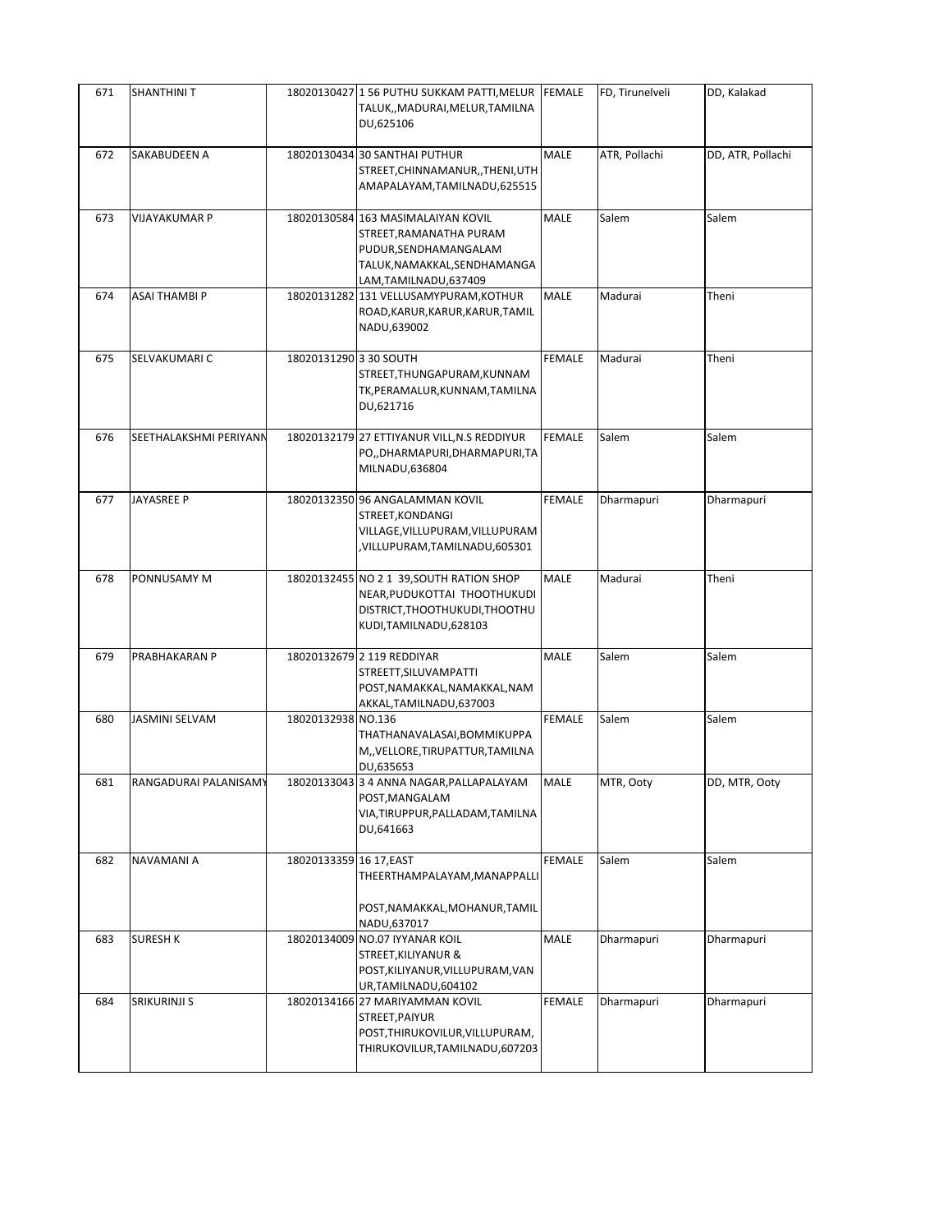| 671 | <b>SHANTHINIT</b>      |                         | 18020130427 1 56 PUTHU SUKKAM PATTI, MELUR FEMALE<br>TALUK,, MADURAI, MELUR, TAMILNA<br>DU,625106                                              |               | FD, Tirunelveli | DD, Kalakad       |
|-----|------------------------|-------------------------|------------------------------------------------------------------------------------------------------------------------------------------------|---------------|-----------------|-------------------|
| 672 | SAKABUDEEN A           |                         | 18020130434 30 SANTHAI PUTHUR<br>STREET, CHINNAMANUR, , THENI, UTH<br>AMAPALAYAM, TAMILNADU, 625515                                            | <b>MALE</b>   | ATR, Pollachi   | DD, ATR, Pollachi |
| 673 | <b>VIJAYAKUMAR P</b>   |                         | 18020130584 163 MASIMALAIYAN KOVIL<br>STREET, RAMANATHA PURAM<br>PUDUR, SENDHAMANGALAM<br>TALUK, NAMAKKAL, SENDHAMANGA<br>LAM,TAMILNADU,637409 | MALE          | Salem           | Salem             |
| 674 | ASAI THAMBI P          |                         | 18020131282 131 VELLUSAMYPURAM, KOTHUR<br>ROAD, KARUR, KARUR, KARUR, TAMIL<br>NADU,639002                                                      | <b>MALE</b>   | Madurai         | Theni             |
| 675 | SELVAKUMARI C          | 18020131290 3 30 SOUTH  | STREET, THUNGAPURAM, KUNNAM<br>TK, PERAMALUR, KUNNAM, TAMILNA<br>DU,621716                                                                     | <b>FEMALE</b> | Madurai         | Theni             |
| 676 | SEETHALAKSHMI PERIYANN |                         | 18020132179 27 ETTIYANUR VILL, N.S REDDIYUR<br>PO,, DHARMAPURI, DHARMAPURI, TA<br>MILNADU,636804                                               | <b>FEMALE</b> | Salem           | Salem             |
| 677 | <b>JAYASREE P</b>      |                         | 18020132350 96 ANGALAMMAN KOVIL<br>STREET, KONDANGI<br>VILLAGE, VILLUPURAM, VILLUPURAM<br>,VILLUPURAM,TAMILNADU,605301                         | <b>FEMALE</b> | Dharmapuri      | Dharmapuri        |
| 678 | PONNUSAMY M            |                         | 18020132455 NO 2 1 39, SOUTH RATION SHOP<br>NEAR, PUDUKOTTAI THOOTHUKUDI<br>DISTRICT, THOOTHUKUDI, THOOTHU<br>KUDI, TAMILNADU, 628103          | MALE          | Madurai         | Theni             |
| 679 | PRABHAKARAN P          |                         | 18020132679 2 119 REDDIYAR<br>STREETT, SILUVAMPATTI<br>POST, NAMAKKAL, NAMAKKAL, NAM<br>AKKAL, TAMILNADU, 637003                               | MALE          | Salem           | Salem             |
| 680 | <b>JASMINI SELVAM</b>  | 18020132938 NO.136      | THATHANAVALASAI, BOMMIKUPPA<br>M,, VELLORE, TIRUPATTUR, TAMILNA<br>DU,635653                                                                   | <b>FEMALE</b> | Salem           | Salem             |
| 681 | RANGADURAI PALANISAMY  |                         | 18020133043 3 4 ANNA NAGAR, PALLAPALAYAM<br>POST, MANGALAM<br>VIA, TIRUPPUR, PALLADAM, TAMILNA<br>DU,641663                                    | <b>MALE</b>   | MTR, Ooty       | DD, MTR, Ooty     |
| 682 | NAVAMANI A             | 18020133359 16 17, EAST | THEERTHAMPALAYAM, MANAPPALLI<br>POST, NAMAKKAL, MOHANUR, TAMIL<br>NADU,637017                                                                  | <b>FEMALE</b> | Salem           | Salem             |
| 683 | <b>SURESH K</b>        |                         | 18020134009 NO.07 IYYANAR KOIL<br>STREET, KILIYANUR &<br>POST, KILIYANUR, VILLUPURAM, VAN<br>UR, TAMILNADU, 604102                             | <b>MALE</b>   | Dharmapuri      | Dharmapuri        |
| 684 | <b>SRIKURINJI S</b>    |                         | 18020134166 27 MARIYAMMAN KOVIL<br>STREET, PAIYUR<br>POST, THIRUKOVILUR, VILLUPURAM,<br>THIRUKOVILUR, TAMILNADU, 607203                        | <b>FEMALE</b> | Dharmapuri      | Dharmapuri        |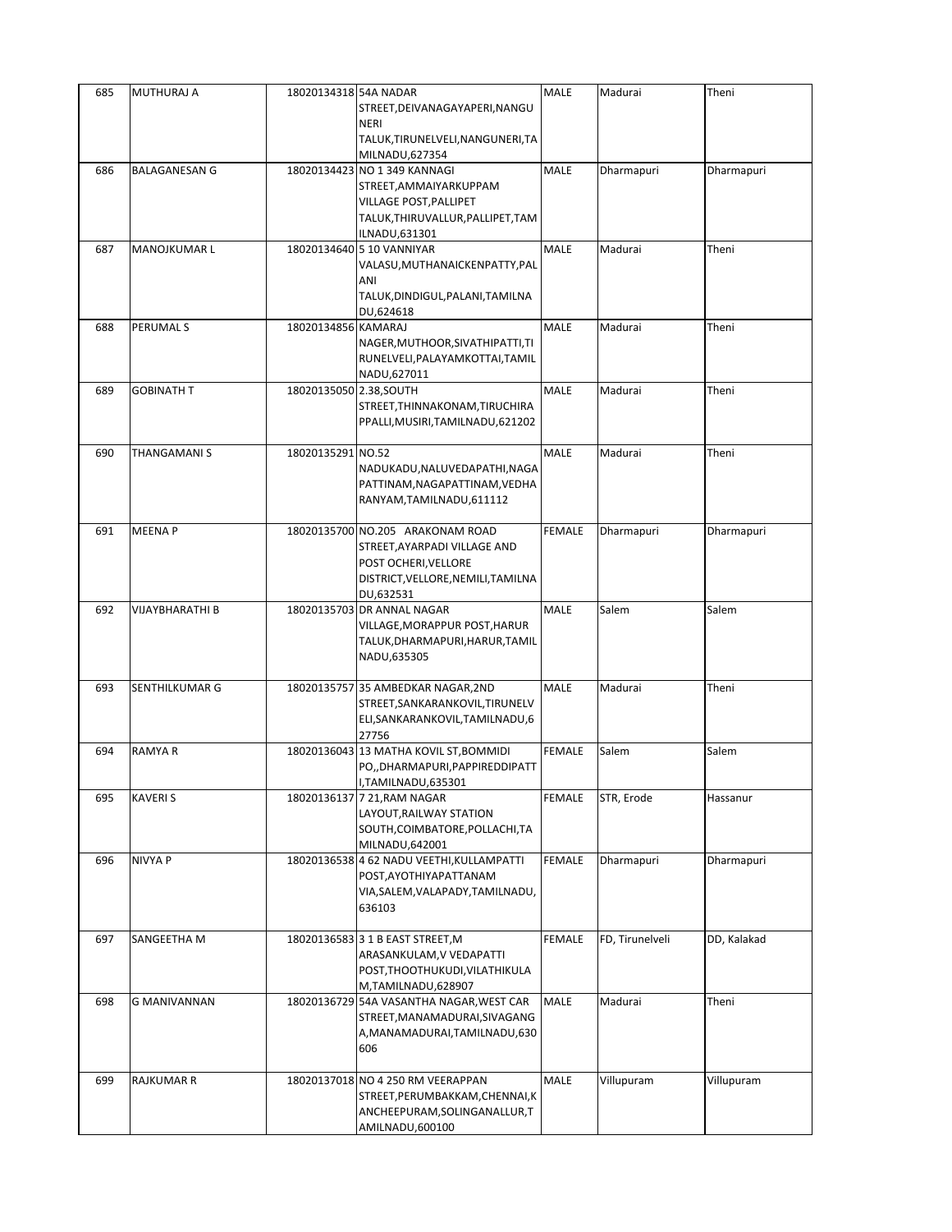| STREET, DEIVANAGAYAPERI, NANGU<br><b>NERI</b><br>TALUK, TIRUNELVELI, NANGUNERI, TA<br>MILNADU,627354<br>18020134423 NO 1 349 KANNAGI<br>MALE<br>686<br><b>BALAGANESAN G</b><br>Dharmapuri<br>Dharmapuri<br>STREET, AMMAIYARKUPPAM<br>VILLAGE POST, PALLIPET<br>TALUK, THIRUVALLUR, PALLIPET, TAM<br>ILNADU,631301<br>18020134640 5 10 VANNIYAR<br>MALE<br>687<br><b>MANOJKUMAR L</b><br>Madurai<br>Theni<br>VALASU, MUTHANAICKENPATTY, PAL<br>ANI<br>TALUK, DINDIGUL, PALANI, TAMILNA<br>DU,624618<br>PERUMAL S<br>18020134856 KAMARAJ<br>MALE<br>688<br>Madurai<br>Theni<br>NAGER, MUTHOOR, SIVATHIPATTI, TI<br>RUNELVELI, PALAYAMKOTTAI, TAMIL<br>NADU,627011<br><b>GOBINATH T</b><br><b>MALE</b><br>689<br>18020135050 2.38, SOUTH<br>Madurai<br>Theni<br>STREET, THINNAKONAM, TIRUCHIRA<br>PPALLI, MUSIRI, TAMILNADU, 621202<br>18020135291 NO.52<br><b>MALE</b><br>690<br>THANGAMANI S<br>Madurai<br>Theni<br>NADUKADU, NALUVEDAPATHI, NAGA<br>PATTINAM, NAGAPATTINAM, VEDHA<br>RANYAM, TAMILNADU, 611112<br><b>MEENAP</b><br>18020135700 NO.205 ARAKONAM ROAD<br><b>FEMALE</b><br>691<br>Dharmapuri<br>Dharmapuri<br>STREET, AYARPADI VILLAGE AND<br>POST OCHERI, VELLORE<br>DISTRICT, VELLORE, NEMILI, TAMILNA<br>DU,632531<br>VIJAYBHARATHI B<br>MALE<br>Salem<br>692<br>18020135703 DR ANNAL NAGAR<br>Salem<br>VILLAGE, MORAPPUR POST, HARUR<br>TALUK, DHARMAPURI, HARUR, TAMIL<br>NADU,635305<br><b>MALE</b><br>Theni<br>693<br>SENTHILKUMAR G<br>18020135757 35 AMBEDKAR NAGAR, 2ND<br>Madurai<br>STREET, SANKARANKOVIL, TIRUNELV<br>ELI, SANKARANKOVIL, TAMILNADU, 6<br>27756<br>Salem<br>694<br><b>RAMYAR</b><br>18020136043 13 MATHA KOVIL ST, BOMMIDI<br>FEMALE<br>Salem<br>PO,, DHARMAPURI, PAPPIREDDIPATT<br>I,TAMILNADU,635301<br>695<br><b>KAVERIS</b><br><b>FEMALE</b><br>STR, Erode<br>18020136137 7 21, RAM NAGAR<br>Hassanur<br>LAYOUT, RAILWAY STATION<br>SOUTH, COIMBATORE, POLLACHI, TA<br>MILNADU, 642001<br>696<br><b>NIVYA P</b><br>18020136538 4 62 NADU VEETHI, KULLAMPATTI<br><b>FEMALE</b><br>Dharmapuri<br>Dharmapuri<br>POST, AYOTHIYAPATTANAM<br>VIA, SALEM, VALAPADY, TAMILNADU,<br>636103<br>SANGEETHA M<br>18020136583 3 1 B EAST STREET, M<br><b>FEMALE</b><br>FD, Tirunelveli<br>DD, Kalakad<br>697<br>ARASANKULAM, V VEDAPATTI<br>POST, THOOTHUKUDI, VILATHIKULA<br>M,TAMILNADU,628907<br>MALE<br>698<br>G MANIVANNAN<br>18020136729 54A VASANTHA NAGAR, WEST CAR<br>Madurai<br>Theni<br>STREET, MANAMADURAI, SIVAGANG<br>A, MANAMADURAI, TAMILNADU, 630<br>606<br>MALE<br>699<br><b>RAJKUMAR R</b><br>18020137018 NO 4 250 RM VEERAPPAN<br>Villupuram<br>Villupuram<br>STREET, PERUMBAKKAM, CHENNAI, K | ANCHEEPURAM, SOLINGANALLUR, T | 685 | MUTHURAJ A | 18020134318 54A NADAR | MALE | Madurai | Theni |
|---------------------------------------------------------------------------------------------------------------------------------------------------------------------------------------------------------------------------------------------------------------------------------------------------------------------------------------------------------------------------------------------------------------------------------------------------------------------------------------------------------------------------------------------------------------------------------------------------------------------------------------------------------------------------------------------------------------------------------------------------------------------------------------------------------------------------------------------------------------------------------------------------------------------------------------------------------------------------------------------------------------------------------------------------------------------------------------------------------------------------------------------------------------------------------------------------------------------------------------------------------------------------------------------------------------------------------------------------------------------------------------------------------------------------------------------------------------------------------------------------------------------------------------------------------------------------------------------------------------------------------------------------------------------------------------------------------------------------------------------------------------------------------------------------------------------------------------------------------------------------------------------------------------------------------------------------------------------------------------------------------------------------------------------------------------------------------------------------------------------------------------------------------------------------------------------------------------------------------------------------------------------------------------------------------------------------------------------------------------------------------------------------------------------------------------------------------------------------------------------------------------------------------------------------------------------------------------------------------------------------------------------------|-------------------------------|-----|------------|-----------------------|------|---------|-------|
|                                                                                                                                                                                                                                                                                                                                                                                                                                                                                                                                                                                                                                                                                                                                                                                                                                                                                                                                                                                                                                                                                                                                                                                                                                                                                                                                                                                                                                                                                                                                                                                                                                                                                                                                                                                                                                                                                                                                                                                                                                                                                                                                                                                                                                                                                                                                                                                                                                                                                                                                                                                                                                                   |                               |     |            |                       |      |         |       |
|                                                                                                                                                                                                                                                                                                                                                                                                                                                                                                                                                                                                                                                                                                                                                                                                                                                                                                                                                                                                                                                                                                                                                                                                                                                                                                                                                                                                                                                                                                                                                                                                                                                                                                                                                                                                                                                                                                                                                                                                                                                                                                                                                                                                                                                                                                                                                                                                                                                                                                                                                                                                                                                   |                               |     |            |                       |      |         |       |
|                                                                                                                                                                                                                                                                                                                                                                                                                                                                                                                                                                                                                                                                                                                                                                                                                                                                                                                                                                                                                                                                                                                                                                                                                                                                                                                                                                                                                                                                                                                                                                                                                                                                                                                                                                                                                                                                                                                                                                                                                                                                                                                                                                                                                                                                                                                                                                                                                                                                                                                                                                                                                                                   |                               |     |            |                       |      |         |       |
|                                                                                                                                                                                                                                                                                                                                                                                                                                                                                                                                                                                                                                                                                                                                                                                                                                                                                                                                                                                                                                                                                                                                                                                                                                                                                                                                                                                                                                                                                                                                                                                                                                                                                                                                                                                                                                                                                                                                                                                                                                                                                                                                                                                                                                                                                                                                                                                                                                                                                                                                                                                                                                                   |                               |     |            |                       |      |         |       |
|                                                                                                                                                                                                                                                                                                                                                                                                                                                                                                                                                                                                                                                                                                                                                                                                                                                                                                                                                                                                                                                                                                                                                                                                                                                                                                                                                                                                                                                                                                                                                                                                                                                                                                                                                                                                                                                                                                                                                                                                                                                                                                                                                                                                                                                                                                                                                                                                                                                                                                                                                                                                                                                   |                               |     |            |                       |      |         |       |
|                                                                                                                                                                                                                                                                                                                                                                                                                                                                                                                                                                                                                                                                                                                                                                                                                                                                                                                                                                                                                                                                                                                                                                                                                                                                                                                                                                                                                                                                                                                                                                                                                                                                                                                                                                                                                                                                                                                                                                                                                                                                                                                                                                                                                                                                                                                                                                                                                                                                                                                                                                                                                                                   |                               |     |            |                       |      |         |       |
|                                                                                                                                                                                                                                                                                                                                                                                                                                                                                                                                                                                                                                                                                                                                                                                                                                                                                                                                                                                                                                                                                                                                                                                                                                                                                                                                                                                                                                                                                                                                                                                                                                                                                                                                                                                                                                                                                                                                                                                                                                                                                                                                                                                                                                                                                                                                                                                                                                                                                                                                                                                                                                                   |                               |     |            |                       |      |         |       |
|                                                                                                                                                                                                                                                                                                                                                                                                                                                                                                                                                                                                                                                                                                                                                                                                                                                                                                                                                                                                                                                                                                                                                                                                                                                                                                                                                                                                                                                                                                                                                                                                                                                                                                                                                                                                                                                                                                                                                                                                                                                                                                                                                                                                                                                                                                                                                                                                                                                                                                                                                                                                                                                   |                               |     |            |                       |      |         |       |
|                                                                                                                                                                                                                                                                                                                                                                                                                                                                                                                                                                                                                                                                                                                                                                                                                                                                                                                                                                                                                                                                                                                                                                                                                                                                                                                                                                                                                                                                                                                                                                                                                                                                                                                                                                                                                                                                                                                                                                                                                                                                                                                                                                                                                                                                                                                                                                                                                                                                                                                                                                                                                                                   |                               |     |            |                       |      |         |       |
|                                                                                                                                                                                                                                                                                                                                                                                                                                                                                                                                                                                                                                                                                                                                                                                                                                                                                                                                                                                                                                                                                                                                                                                                                                                                                                                                                                                                                                                                                                                                                                                                                                                                                                                                                                                                                                                                                                                                                                                                                                                                                                                                                                                                                                                                                                                                                                                                                                                                                                                                                                                                                                                   |                               |     |            |                       |      |         |       |
|                                                                                                                                                                                                                                                                                                                                                                                                                                                                                                                                                                                                                                                                                                                                                                                                                                                                                                                                                                                                                                                                                                                                                                                                                                                                                                                                                                                                                                                                                                                                                                                                                                                                                                                                                                                                                                                                                                                                                                                                                                                                                                                                                                                                                                                                                                                                                                                                                                                                                                                                                                                                                                                   |                               |     |            |                       |      |         |       |
|                                                                                                                                                                                                                                                                                                                                                                                                                                                                                                                                                                                                                                                                                                                                                                                                                                                                                                                                                                                                                                                                                                                                                                                                                                                                                                                                                                                                                                                                                                                                                                                                                                                                                                                                                                                                                                                                                                                                                                                                                                                                                                                                                                                                                                                                                                                                                                                                                                                                                                                                                                                                                                                   |                               |     |            |                       |      |         |       |
|                                                                                                                                                                                                                                                                                                                                                                                                                                                                                                                                                                                                                                                                                                                                                                                                                                                                                                                                                                                                                                                                                                                                                                                                                                                                                                                                                                                                                                                                                                                                                                                                                                                                                                                                                                                                                                                                                                                                                                                                                                                                                                                                                                                                                                                                                                                                                                                                                                                                                                                                                                                                                                                   |                               |     |            |                       |      |         |       |
|                                                                                                                                                                                                                                                                                                                                                                                                                                                                                                                                                                                                                                                                                                                                                                                                                                                                                                                                                                                                                                                                                                                                                                                                                                                                                                                                                                                                                                                                                                                                                                                                                                                                                                                                                                                                                                                                                                                                                                                                                                                                                                                                                                                                                                                                                                                                                                                                                                                                                                                                                                                                                                                   |                               |     |            |                       |      |         |       |
|                                                                                                                                                                                                                                                                                                                                                                                                                                                                                                                                                                                                                                                                                                                                                                                                                                                                                                                                                                                                                                                                                                                                                                                                                                                                                                                                                                                                                                                                                                                                                                                                                                                                                                                                                                                                                                                                                                                                                                                                                                                                                                                                                                                                                                                                                                                                                                                                                                                                                                                                                                                                                                                   |                               |     |            |                       |      |         |       |
|                                                                                                                                                                                                                                                                                                                                                                                                                                                                                                                                                                                                                                                                                                                                                                                                                                                                                                                                                                                                                                                                                                                                                                                                                                                                                                                                                                                                                                                                                                                                                                                                                                                                                                                                                                                                                                                                                                                                                                                                                                                                                                                                                                                                                                                                                                                                                                                                                                                                                                                                                                                                                                                   |                               |     |            |                       |      |         |       |
|                                                                                                                                                                                                                                                                                                                                                                                                                                                                                                                                                                                                                                                                                                                                                                                                                                                                                                                                                                                                                                                                                                                                                                                                                                                                                                                                                                                                                                                                                                                                                                                                                                                                                                                                                                                                                                                                                                                                                                                                                                                                                                                                                                                                                                                                                                                                                                                                                                                                                                                                                                                                                                                   |                               |     |            |                       |      |         |       |
|                                                                                                                                                                                                                                                                                                                                                                                                                                                                                                                                                                                                                                                                                                                                                                                                                                                                                                                                                                                                                                                                                                                                                                                                                                                                                                                                                                                                                                                                                                                                                                                                                                                                                                                                                                                                                                                                                                                                                                                                                                                                                                                                                                                                                                                                                                                                                                                                                                                                                                                                                                                                                                                   |                               |     |            |                       |      |         |       |
|                                                                                                                                                                                                                                                                                                                                                                                                                                                                                                                                                                                                                                                                                                                                                                                                                                                                                                                                                                                                                                                                                                                                                                                                                                                                                                                                                                                                                                                                                                                                                                                                                                                                                                                                                                                                                                                                                                                                                                                                                                                                                                                                                                                                                                                                                                                                                                                                                                                                                                                                                                                                                                                   |                               |     |            |                       |      |         |       |
|                                                                                                                                                                                                                                                                                                                                                                                                                                                                                                                                                                                                                                                                                                                                                                                                                                                                                                                                                                                                                                                                                                                                                                                                                                                                                                                                                                                                                                                                                                                                                                                                                                                                                                                                                                                                                                                                                                                                                                                                                                                                                                                                                                                                                                                                                                                                                                                                                                                                                                                                                                                                                                                   |                               |     |            |                       |      |         |       |
|                                                                                                                                                                                                                                                                                                                                                                                                                                                                                                                                                                                                                                                                                                                                                                                                                                                                                                                                                                                                                                                                                                                                                                                                                                                                                                                                                                                                                                                                                                                                                                                                                                                                                                                                                                                                                                                                                                                                                                                                                                                                                                                                                                                                                                                                                                                                                                                                                                                                                                                                                                                                                                                   |                               |     |            |                       |      |         |       |
|                                                                                                                                                                                                                                                                                                                                                                                                                                                                                                                                                                                                                                                                                                                                                                                                                                                                                                                                                                                                                                                                                                                                                                                                                                                                                                                                                                                                                                                                                                                                                                                                                                                                                                                                                                                                                                                                                                                                                                                                                                                                                                                                                                                                                                                                                                                                                                                                                                                                                                                                                                                                                                                   |                               |     |            |                       |      |         |       |
|                                                                                                                                                                                                                                                                                                                                                                                                                                                                                                                                                                                                                                                                                                                                                                                                                                                                                                                                                                                                                                                                                                                                                                                                                                                                                                                                                                                                                                                                                                                                                                                                                                                                                                                                                                                                                                                                                                                                                                                                                                                                                                                                                                                                                                                                                                                                                                                                                                                                                                                                                                                                                                                   |                               |     |            |                       |      |         |       |
|                                                                                                                                                                                                                                                                                                                                                                                                                                                                                                                                                                                                                                                                                                                                                                                                                                                                                                                                                                                                                                                                                                                                                                                                                                                                                                                                                                                                                                                                                                                                                                                                                                                                                                                                                                                                                                                                                                                                                                                                                                                                                                                                                                                                                                                                                                                                                                                                                                                                                                                                                                                                                                                   |                               |     |            |                       |      |         |       |
|                                                                                                                                                                                                                                                                                                                                                                                                                                                                                                                                                                                                                                                                                                                                                                                                                                                                                                                                                                                                                                                                                                                                                                                                                                                                                                                                                                                                                                                                                                                                                                                                                                                                                                                                                                                                                                                                                                                                                                                                                                                                                                                                                                                                                                                                                                                                                                                                                                                                                                                                                                                                                                                   |                               |     |            |                       |      |         |       |
|                                                                                                                                                                                                                                                                                                                                                                                                                                                                                                                                                                                                                                                                                                                                                                                                                                                                                                                                                                                                                                                                                                                                                                                                                                                                                                                                                                                                                                                                                                                                                                                                                                                                                                                                                                                                                                                                                                                                                                                                                                                                                                                                                                                                                                                                                                                                                                                                                                                                                                                                                                                                                                                   |                               |     |            |                       |      |         |       |
|                                                                                                                                                                                                                                                                                                                                                                                                                                                                                                                                                                                                                                                                                                                                                                                                                                                                                                                                                                                                                                                                                                                                                                                                                                                                                                                                                                                                                                                                                                                                                                                                                                                                                                                                                                                                                                                                                                                                                                                                                                                                                                                                                                                                                                                                                                                                                                                                                                                                                                                                                                                                                                                   |                               |     |            |                       |      |         |       |
|                                                                                                                                                                                                                                                                                                                                                                                                                                                                                                                                                                                                                                                                                                                                                                                                                                                                                                                                                                                                                                                                                                                                                                                                                                                                                                                                                                                                                                                                                                                                                                                                                                                                                                                                                                                                                                                                                                                                                                                                                                                                                                                                                                                                                                                                                                                                                                                                                                                                                                                                                                                                                                                   |                               |     |            |                       |      |         |       |
|                                                                                                                                                                                                                                                                                                                                                                                                                                                                                                                                                                                                                                                                                                                                                                                                                                                                                                                                                                                                                                                                                                                                                                                                                                                                                                                                                                                                                                                                                                                                                                                                                                                                                                                                                                                                                                                                                                                                                                                                                                                                                                                                                                                                                                                                                                                                                                                                                                                                                                                                                                                                                                                   |                               |     |            |                       |      |         |       |
|                                                                                                                                                                                                                                                                                                                                                                                                                                                                                                                                                                                                                                                                                                                                                                                                                                                                                                                                                                                                                                                                                                                                                                                                                                                                                                                                                                                                                                                                                                                                                                                                                                                                                                                                                                                                                                                                                                                                                                                                                                                                                                                                                                                                                                                                                                                                                                                                                                                                                                                                                                                                                                                   |                               |     |            |                       |      |         |       |
|                                                                                                                                                                                                                                                                                                                                                                                                                                                                                                                                                                                                                                                                                                                                                                                                                                                                                                                                                                                                                                                                                                                                                                                                                                                                                                                                                                                                                                                                                                                                                                                                                                                                                                                                                                                                                                                                                                                                                                                                                                                                                                                                                                                                                                                                                                                                                                                                                                                                                                                                                                                                                                                   |                               |     |            |                       |      |         |       |
|                                                                                                                                                                                                                                                                                                                                                                                                                                                                                                                                                                                                                                                                                                                                                                                                                                                                                                                                                                                                                                                                                                                                                                                                                                                                                                                                                                                                                                                                                                                                                                                                                                                                                                                                                                                                                                                                                                                                                                                                                                                                                                                                                                                                                                                                                                                                                                                                                                                                                                                                                                                                                                                   |                               |     |            |                       |      |         |       |
|                                                                                                                                                                                                                                                                                                                                                                                                                                                                                                                                                                                                                                                                                                                                                                                                                                                                                                                                                                                                                                                                                                                                                                                                                                                                                                                                                                                                                                                                                                                                                                                                                                                                                                                                                                                                                                                                                                                                                                                                                                                                                                                                                                                                                                                                                                                                                                                                                                                                                                                                                                                                                                                   |                               |     |            |                       |      |         |       |
|                                                                                                                                                                                                                                                                                                                                                                                                                                                                                                                                                                                                                                                                                                                                                                                                                                                                                                                                                                                                                                                                                                                                                                                                                                                                                                                                                                                                                                                                                                                                                                                                                                                                                                                                                                                                                                                                                                                                                                                                                                                                                                                                                                                                                                                                                                                                                                                                                                                                                                                                                                                                                                                   |                               |     |            |                       |      |         |       |
|                                                                                                                                                                                                                                                                                                                                                                                                                                                                                                                                                                                                                                                                                                                                                                                                                                                                                                                                                                                                                                                                                                                                                                                                                                                                                                                                                                                                                                                                                                                                                                                                                                                                                                                                                                                                                                                                                                                                                                                                                                                                                                                                                                                                                                                                                                                                                                                                                                                                                                                                                                                                                                                   |                               |     |            |                       |      |         |       |
|                                                                                                                                                                                                                                                                                                                                                                                                                                                                                                                                                                                                                                                                                                                                                                                                                                                                                                                                                                                                                                                                                                                                                                                                                                                                                                                                                                                                                                                                                                                                                                                                                                                                                                                                                                                                                                                                                                                                                                                                                                                                                                                                                                                                                                                                                                                                                                                                                                                                                                                                                                                                                                                   |                               |     |            |                       |      |         |       |
|                                                                                                                                                                                                                                                                                                                                                                                                                                                                                                                                                                                                                                                                                                                                                                                                                                                                                                                                                                                                                                                                                                                                                                                                                                                                                                                                                                                                                                                                                                                                                                                                                                                                                                                                                                                                                                                                                                                                                                                                                                                                                                                                                                                                                                                                                                                                                                                                                                                                                                                                                                                                                                                   |                               |     |            |                       |      |         |       |
|                                                                                                                                                                                                                                                                                                                                                                                                                                                                                                                                                                                                                                                                                                                                                                                                                                                                                                                                                                                                                                                                                                                                                                                                                                                                                                                                                                                                                                                                                                                                                                                                                                                                                                                                                                                                                                                                                                                                                                                                                                                                                                                                                                                                                                                                                                                                                                                                                                                                                                                                                                                                                                                   |                               |     |            |                       |      |         |       |
|                                                                                                                                                                                                                                                                                                                                                                                                                                                                                                                                                                                                                                                                                                                                                                                                                                                                                                                                                                                                                                                                                                                                                                                                                                                                                                                                                                                                                                                                                                                                                                                                                                                                                                                                                                                                                                                                                                                                                                                                                                                                                                                                                                                                                                                                                                                                                                                                                                                                                                                                                                                                                                                   |                               |     |            |                       |      |         |       |
|                                                                                                                                                                                                                                                                                                                                                                                                                                                                                                                                                                                                                                                                                                                                                                                                                                                                                                                                                                                                                                                                                                                                                                                                                                                                                                                                                                                                                                                                                                                                                                                                                                                                                                                                                                                                                                                                                                                                                                                                                                                                                                                                                                                                                                                                                                                                                                                                                                                                                                                                                                                                                                                   |                               |     |            |                       |      |         |       |
|                                                                                                                                                                                                                                                                                                                                                                                                                                                                                                                                                                                                                                                                                                                                                                                                                                                                                                                                                                                                                                                                                                                                                                                                                                                                                                                                                                                                                                                                                                                                                                                                                                                                                                                                                                                                                                                                                                                                                                                                                                                                                                                                                                                                                                                                                                                                                                                                                                                                                                                                                                                                                                                   |                               |     |            |                       |      |         |       |
|                                                                                                                                                                                                                                                                                                                                                                                                                                                                                                                                                                                                                                                                                                                                                                                                                                                                                                                                                                                                                                                                                                                                                                                                                                                                                                                                                                                                                                                                                                                                                                                                                                                                                                                                                                                                                                                                                                                                                                                                                                                                                                                                                                                                                                                                                                                                                                                                                                                                                                                                                                                                                                                   |                               |     |            |                       |      |         |       |
|                                                                                                                                                                                                                                                                                                                                                                                                                                                                                                                                                                                                                                                                                                                                                                                                                                                                                                                                                                                                                                                                                                                                                                                                                                                                                                                                                                                                                                                                                                                                                                                                                                                                                                                                                                                                                                                                                                                                                                                                                                                                                                                                                                                                                                                                                                                                                                                                                                                                                                                                                                                                                                                   |                               |     |            |                       |      |         |       |
|                                                                                                                                                                                                                                                                                                                                                                                                                                                                                                                                                                                                                                                                                                                                                                                                                                                                                                                                                                                                                                                                                                                                                                                                                                                                                                                                                                                                                                                                                                                                                                                                                                                                                                                                                                                                                                                                                                                                                                                                                                                                                                                                                                                                                                                                                                                                                                                                                                                                                                                                                                                                                                                   |                               |     |            |                       |      |         |       |
|                                                                                                                                                                                                                                                                                                                                                                                                                                                                                                                                                                                                                                                                                                                                                                                                                                                                                                                                                                                                                                                                                                                                                                                                                                                                                                                                                                                                                                                                                                                                                                                                                                                                                                                                                                                                                                                                                                                                                                                                                                                                                                                                                                                                                                                                                                                                                                                                                                                                                                                                                                                                                                                   |                               |     |            |                       |      |         |       |
|                                                                                                                                                                                                                                                                                                                                                                                                                                                                                                                                                                                                                                                                                                                                                                                                                                                                                                                                                                                                                                                                                                                                                                                                                                                                                                                                                                                                                                                                                                                                                                                                                                                                                                                                                                                                                                                                                                                                                                                                                                                                                                                                                                                                                                                                                                                                                                                                                                                                                                                                                                                                                                                   |                               |     |            |                       |      |         |       |
|                                                                                                                                                                                                                                                                                                                                                                                                                                                                                                                                                                                                                                                                                                                                                                                                                                                                                                                                                                                                                                                                                                                                                                                                                                                                                                                                                                                                                                                                                                                                                                                                                                                                                                                                                                                                                                                                                                                                                                                                                                                                                                                                                                                                                                                                                                                                                                                                                                                                                                                                                                                                                                                   |                               |     |            |                       |      |         |       |
|                                                                                                                                                                                                                                                                                                                                                                                                                                                                                                                                                                                                                                                                                                                                                                                                                                                                                                                                                                                                                                                                                                                                                                                                                                                                                                                                                                                                                                                                                                                                                                                                                                                                                                                                                                                                                                                                                                                                                                                                                                                                                                                                                                                                                                                                                                                                                                                                                                                                                                                                                                                                                                                   |                               |     |            |                       |      |         |       |
|                                                                                                                                                                                                                                                                                                                                                                                                                                                                                                                                                                                                                                                                                                                                                                                                                                                                                                                                                                                                                                                                                                                                                                                                                                                                                                                                                                                                                                                                                                                                                                                                                                                                                                                                                                                                                                                                                                                                                                                                                                                                                                                                                                                                                                                                                                                                                                                                                                                                                                                                                                                                                                                   |                               |     |            |                       |      |         |       |
|                                                                                                                                                                                                                                                                                                                                                                                                                                                                                                                                                                                                                                                                                                                                                                                                                                                                                                                                                                                                                                                                                                                                                                                                                                                                                                                                                                                                                                                                                                                                                                                                                                                                                                                                                                                                                                                                                                                                                                                                                                                                                                                                                                                                                                                                                                                                                                                                                                                                                                                                                                                                                                                   |                               |     |            |                       |      |         |       |
|                                                                                                                                                                                                                                                                                                                                                                                                                                                                                                                                                                                                                                                                                                                                                                                                                                                                                                                                                                                                                                                                                                                                                                                                                                                                                                                                                                                                                                                                                                                                                                                                                                                                                                                                                                                                                                                                                                                                                                                                                                                                                                                                                                                                                                                                                                                                                                                                                                                                                                                                                                                                                                                   |                               |     |            |                       |      |         |       |
|                                                                                                                                                                                                                                                                                                                                                                                                                                                                                                                                                                                                                                                                                                                                                                                                                                                                                                                                                                                                                                                                                                                                                                                                                                                                                                                                                                                                                                                                                                                                                                                                                                                                                                                                                                                                                                                                                                                                                                                                                                                                                                                                                                                                                                                                                                                                                                                                                                                                                                                                                                                                                                                   |                               |     |            |                       |      |         |       |
|                                                                                                                                                                                                                                                                                                                                                                                                                                                                                                                                                                                                                                                                                                                                                                                                                                                                                                                                                                                                                                                                                                                                                                                                                                                                                                                                                                                                                                                                                                                                                                                                                                                                                                                                                                                                                                                                                                                                                                                                                                                                                                                                                                                                                                                                                                                                                                                                                                                                                                                                                                                                                                                   |                               |     |            |                       |      |         |       |
|                                                                                                                                                                                                                                                                                                                                                                                                                                                                                                                                                                                                                                                                                                                                                                                                                                                                                                                                                                                                                                                                                                                                                                                                                                                                                                                                                                                                                                                                                                                                                                                                                                                                                                                                                                                                                                                                                                                                                                                                                                                                                                                                                                                                                                                                                                                                                                                                                                                                                                                                                                                                                                                   |                               |     |            |                       |      |         |       |
|                                                                                                                                                                                                                                                                                                                                                                                                                                                                                                                                                                                                                                                                                                                                                                                                                                                                                                                                                                                                                                                                                                                                                                                                                                                                                                                                                                                                                                                                                                                                                                                                                                                                                                                                                                                                                                                                                                                                                                                                                                                                                                                                                                                                                                                                                                                                                                                                                                                                                                                                                                                                                                                   |                               |     |            |                       |      |         |       |
|                                                                                                                                                                                                                                                                                                                                                                                                                                                                                                                                                                                                                                                                                                                                                                                                                                                                                                                                                                                                                                                                                                                                                                                                                                                                                                                                                                                                                                                                                                                                                                                                                                                                                                                                                                                                                                                                                                                                                                                                                                                                                                                                                                                                                                                                                                                                                                                                                                                                                                                                                                                                                                                   |                               |     |            |                       |      |         |       |
|                                                                                                                                                                                                                                                                                                                                                                                                                                                                                                                                                                                                                                                                                                                                                                                                                                                                                                                                                                                                                                                                                                                                                                                                                                                                                                                                                                                                                                                                                                                                                                                                                                                                                                                                                                                                                                                                                                                                                                                                                                                                                                                                                                                                                                                                                                                                                                                                                                                                                                                                                                                                                                                   |                               |     |            |                       |      |         |       |
|                                                                                                                                                                                                                                                                                                                                                                                                                                                                                                                                                                                                                                                                                                                                                                                                                                                                                                                                                                                                                                                                                                                                                                                                                                                                                                                                                                                                                                                                                                                                                                                                                                                                                                                                                                                                                                                                                                                                                                                                                                                                                                                                                                                                                                                                                                                                                                                                                                                                                                                                                                                                                                                   |                               |     |            |                       |      |         |       |
|                                                                                                                                                                                                                                                                                                                                                                                                                                                                                                                                                                                                                                                                                                                                                                                                                                                                                                                                                                                                                                                                                                                                                                                                                                                                                                                                                                                                                                                                                                                                                                                                                                                                                                                                                                                                                                                                                                                                                                                                                                                                                                                                                                                                                                                                                                                                                                                                                                                                                                                                                                                                                                                   |                               |     |            |                       |      |         |       |
|                                                                                                                                                                                                                                                                                                                                                                                                                                                                                                                                                                                                                                                                                                                                                                                                                                                                                                                                                                                                                                                                                                                                                                                                                                                                                                                                                                                                                                                                                                                                                                                                                                                                                                                                                                                                                                                                                                                                                                                                                                                                                                                                                                                                                                                                                                                                                                                                                                                                                                                                                                                                                                                   |                               |     |            |                       |      |         |       |
| AMILNADU,600100                                                                                                                                                                                                                                                                                                                                                                                                                                                                                                                                                                                                                                                                                                                                                                                                                                                                                                                                                                                                                                                                                                                                                                                                                                                                                                                                                                                                                                                                                                                                                                                                                                                                                                                                                                                                                                                                                                                                                                                                                                                                                                                                                                                                                                                                                                                                                                                                                                                                                                                                                                                                                                   |                               |     |            |                       |      |         |       |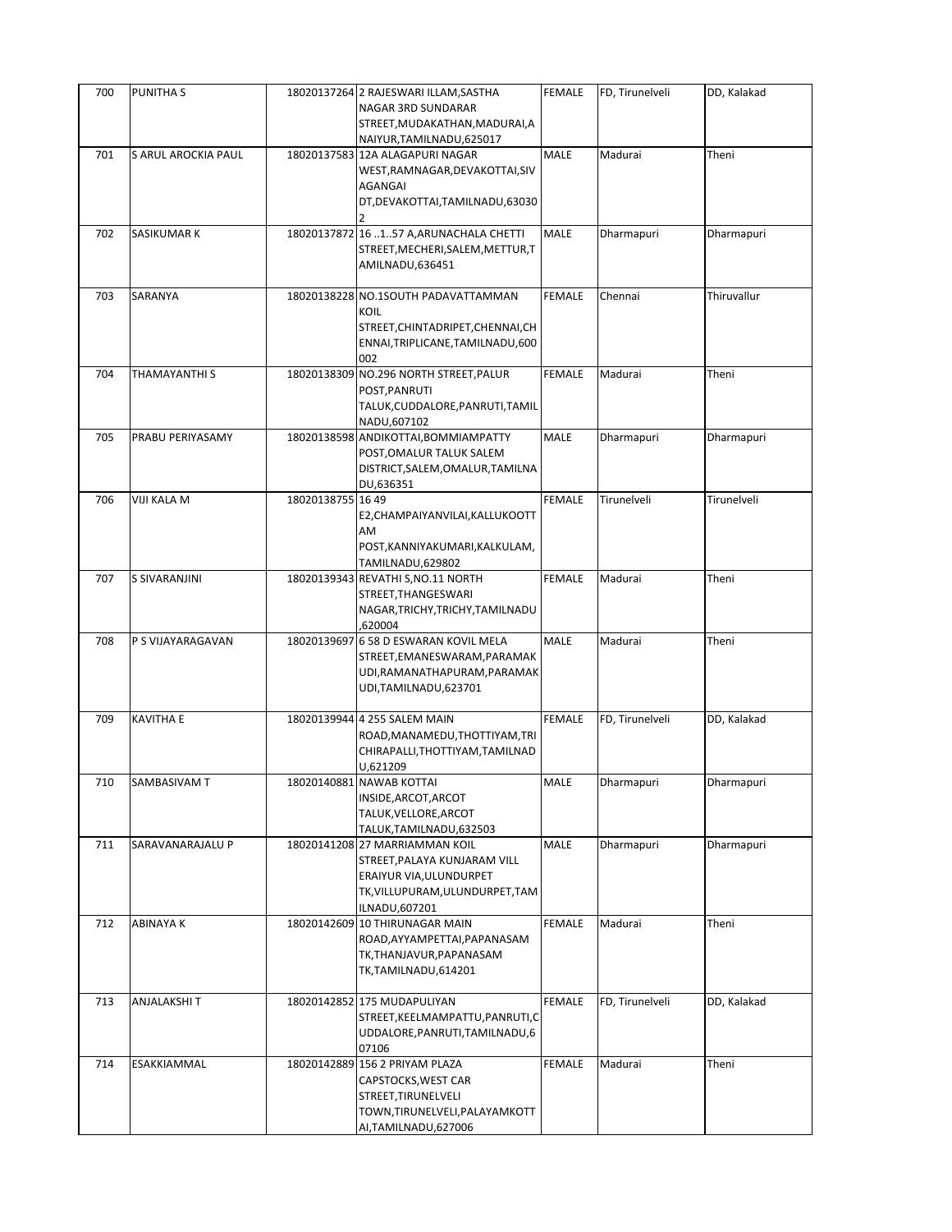| 700 | <b>PUNITHAS</b>     |                   | 18020137264 2 RAJESWARI ILLAM, SASTHA<br><b>NAGAR 3RD SUNDARAR</b>                                                                            | <b>FEMALE</b> | FD, Tirunelveli | DD, Kalakad |
|-----|---------------------|-------------------|-----------------------------------------------------------------------------------------------------------------------------------------------|---------------|-----------------|-------------|
|     |                     |                   | STREET, MUDAKATHAN, MADURAI, A<br>NAIYUR, TAMILNADU, 625017                                                                                   |               |                 |             |
| 701 | S ARUL AROCKIA PAUL |                   | 18020137583 12A ALAGAPURI NAGAR<br>WEST, RAMNAGAR, DEVAKOTTAI, SIV<br>AGANGAI<br>DT, DEVAKOTTAI, TAMILNADU, 63030                             | MALE          | Madurai         | Theni       |
| 702 | SASIKUMAR K         |                   | 18020137872 16 1.57 A, ARUNACHALA CHETTI<br>STREET, MECHERI, SALEM, METTUR, T<br>AMILNADU,636451                                              | MALE          | Dharmapuri      | Dharmapuri  |
| 703 | SARANYA             |                   | 18020138228 NO.1SOUTH PADAVATTAMMAN<br>KOIL<br>STREET, CHINTADRIPET, CHENNAI, CH<br>ENNAI, TRIPLICANE, TAMILNADU, 600<br>002                  | <b>FEMALE</b> | Chennai         | Thiruvallur |
| 704 | THAMAYANTHI S       |                   | 18020138309 NO.296 NORTH STREET, PALUR<br>POST, PANRUTI<br>TALUK, CUDDALORE, PANRUTI, TAMIL<br>NADU,607102                                    | FEMALE        | Madurai         | Theni       |
| 705 | PRABU PERIYASAMY    |                   | 18020138598 ANDIKOTTAI, BOMMIAMPATTY<br>POST, OMALUR TALUK SALEM<br>DISTRICT, SALEM, OMALUR, TAMILNA<br>DU,636351                             | MALE          | Dharmapuri      | Dharmapuri  |
| 706 | VIJI KALA M         | 18020138755 16 49 | E2, CHAMPAIYANVILAI, KALLUKOOTT<br>AM<br>POST, KANNIYAKUMARI, KALKULAM,<br>TAMILNADU,629802                                                   | <b>FEMALE</b> | Tirunelveli     | Tirunelveli |
| 707 | S SIVARANJINI       |                   | 18020139343 REVATHI S, NO.11 NORTH<br>STREET, THANGESWARI<br>NAGAR, TRICHY, TRICHY, TAMILNADU<br>,620004                                      | <b>FEMALE</b> | Madurai         | Theni       |
| 708 | P S VIJAYARAGAVAN   |                   | 18020139697 6 58 D ESWARAN KOVIL MELA<br>STREET, EMANESWARAM, PARAMAK<br>UDI, RAMANATHAPURAM, PARAMAK<br>UDI,TAMILNADU,623701                 | MALE          | Madurai         | Theni       |
| 709 | <b>KAVITHA E</b>    |                   | 18020139944 4 255 SALEM MAIN<br>ROAD, MANAMEDU, THOTTIYAM, TRI<br>CHIRAPALLI, THOTTIYAM, TAMILNAD<br>U,621209                                 | <b>FEMALE</b> | FD, Tirunelveli | DD, Kalakad |
| 710 | SAMBASIVAM T        |                   | 18020140881 NAWAB KOTTAI<br>INSIDE, ARCOT, ARCOT<br>TALUK, VELLORE, ARCOT<br>TALUK, TAMILNADU, 632503                                         | MALE          | Dharmapuri      | Dharmapuri  |
| 711 | SARAVANARAJALU P    |                   | 18020141208 27 MARRIAMMAN KOIL<br>STREET, PALAYA KUNJARAM VILL<br>ERAIYUR VIA, ULUNDURPET<br>TK, VILLUPURAM, ULUNDURPET, TAM<br>ILNADU,607201 | MALE          | Dharmapuri      | Dharmapuri  |
| 712 | ABINAYA K           |                   | 18020142609 10 THIRUNAGAR MAIN<br>ROAD, AYYAMPETTAI, PAPANASAM<br>TK,THANJAVUR,PAPANASAM<br>TK,TAMILNADU,614201                               | FEMALE        | Madurai         | Theni       |
| 713 | ANJALAKSHI T        |                   | 18020142852 175 MUDAPULIYAN<br>STREET, KEELMAMPATTU, PANRUTI, C<br>UDDALORE, PANRUTI, TAMILNADU, 6<br>07106                                   | <b>FEMALE</b> | FD, Tirunelveli | DD, Kalakad |
| 714 | ESAKKIAMMAL         |                   | 18020142889 156 2 PRIYAM PLAZA<br>CAPSTOCKS, WEST CAR<br>STREET, TIRUNELVELI<br>TOWN, TIRUNELVELI, PALAYAMKOTT<br>AI, TAMILNADU, 627006       | FEMALE        | Madurai         | Theni       |